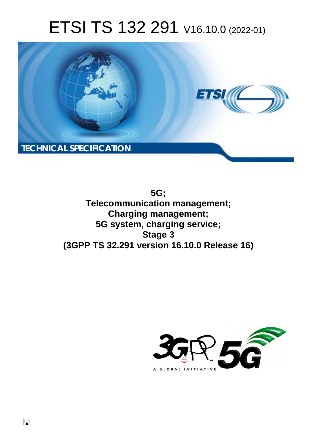# ETSI TS 132 291 V16.10.0 (2022-01)



**5G; Telecommunication management; Charging management; 5G system, charging service; Stage 3 (3GPP TS 32.291 version 16.10.0 Release 16)** 

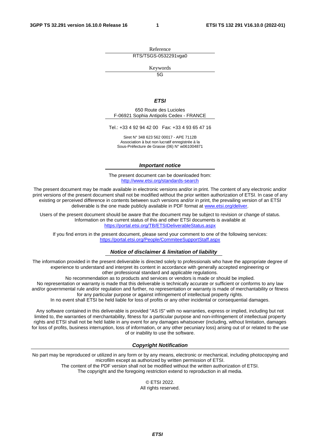Reference RTS/TSGS-0532291vga0

Keywords

 $\overline{5G}$ 

#### *ETSI*

650 Route des Lucioles F-06921 Sophia Antipolis Cedex - FRANCE

Tel.: +33 4 92 94 42 00 Fax: +33 4 93 65 47 16

Siret N° 348 623 562 00017 - APE 7112B Association à but non lucratif enregistrée à la Sous-Préfecture de Grasse (06) N° w061004871

#### *Important notice*

The present document can be downloaded from: <http://www.etsi.org/standards-search>

The present document may be made available in electronic versions and/or in print. The content of any electronic and/or print versions of the present document shall not be modified without the prior written authorization of ETSI. In case of any existing or perceived difference in contents between such versions and/or in print, the prevailing version of an ETSI deliverable is the one made publicly available in PDF format at [www.etsi.org/deliver](http://www.etsi.org/deliver).

Users of the present document should be aware that the document may be subject to revision or change of status. Information on the current status of this and other ETSI documents is available at <https://portal.etsi.org/TB/ETSIDeliverableStatus.aspx>

If you find errors in the present document, please send your comment to one of the following services: <https://portal.etsi.org/People/CommiteeSupportStaff.aspx>

#### *Notice of disclaimer & limitation of liability*

The information provided in the present deliverable is directed solely to professionals who have the appropriate degree of experience to understand and interpret its content in accordance with generally accepted engineering or other professional standard and applicable regulations.

No recommendation as to products and services or vendors is made or should be implied.

No representation or warranty is made that this deliverable is technically accurate or sufficient or conforms to any law and/or governmental rule and/or regulation and further, no representation or warranty is made of merchantability or fitness for any particular purpose or against infringement of intellectual property rights.

In no event shall ETSI be held liable for loss of profits or any other incidental or consequential damages.

Any software contained in this deliverable is provided "AS IS" with no warranties, express or implied, including but not limited to, the warranties of merchantability, fitness for a particular purpose and non-infringement of intellectual property rights and ETSI shall not be held liable in any event for any damages whatsoever (including, without limitation, damages for loss of profits, business interruption, loss of information, or any other pecuniary loss) arising out of or related to the use of or inability to use the software.

#### *Copyright Notification*

No part may be reproduced or utilized in any form or by any means, electronic or mechanical, including photocopying and microfilm except as authorized by written permission of ETSI. The content of the PDF version shall not be modified without the written authorization of ETSI.

The copyright and the foregoing restriction extend to reproduction in all media.

© ETSI 2022. All rights reserved.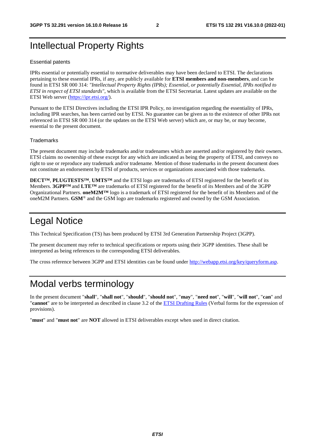## Intellectual Property Rights

#### Essential patents

IPRs essential or potentially essential to normative deliverables may have been declared to ETSI. The declarations pertaining to these essential IPRs, if any, are publicly available for **ETSI members and non-members**, and can be found in ETSI SR 000 314: *"Intellectual Property Rights (IPRs); Essential, or potentially Essential, IPRs notified to ETSI in respect of ETSI standards"*, which is available from the ETSI Secretariat. Latest updates are available on the ETSI Web server ([https://ipr.etsi.org/\)](https://ipr.etsi.org/).

Pursuant to the ETSI Directives including the ETSI IPR Policy, no investigation regarding the essentiality of IPRs, including IPR searches, has been carried out by ETSI. No guarantee can be given as to the existence of other IPRs not referenced in ETSI SR 000 314 (or the updates on the ETSI Web server) which are, or may be, or may become, essential to the present document.

#### **Trademarks**

The present document may include trademarks and/or tradenames which are asserted and/or registered by their owners. ETSI claims no ownership of these except for any which are indicated as being the property of ETSI, and conveys no right to use or reproduce any trademark and/or tradename. Mention of those trademarks in the present document does not constitute an endorsement by ETSI of products, services or organizations associated with those trademarks.

**DECT™**, **PLUGTESTS™**, **UMTS™** and the ETSI logo are trademarks of ETSI registered for the benefit of its Members. **3GPP™** and **LTE™** are trademarks of ETSI registered for the benefit of its Members and of the 3GPP Organizational Partners. **oneM2M™** logo is a trademark of ETSI registered for the benefit of its Members and of the oneM2M Partners. **GSM**® and the GSM logo are trademarks registered and owned by the GSM Association.

## Legal Notice

This Technical Specification (TS) has been produced by ETSI 3rd Generation Partnership Project (3GPP).

The present document may refer to technical specifications or reports using their 3GPP identities. These shall be interpreted as being references to the corresponding ETSI deliverables.

The cross reference between 3GPP and ETSI identities can be found under<http://webapp.etsi.org/key/queryform.asp>.

## Modal verbs terminology

In the present document "**shall**", "**shall not**", "**should**", "**should not**", "**may**", "**need not**", "**will**", "**will not**", "**can**" and "**cannot**" are to be interpreted as described in clause 3.2 of the [ETSI Drafting Rules](https://portal.etsi.org/Services/editHelp!/Howtostart/ETSIDraftingRules.aspx) (Verbal forms for the expression of provisions).

"**must**" and "**must not**" are **NOT** allowed in ETSI deliverables except when used in direct citation.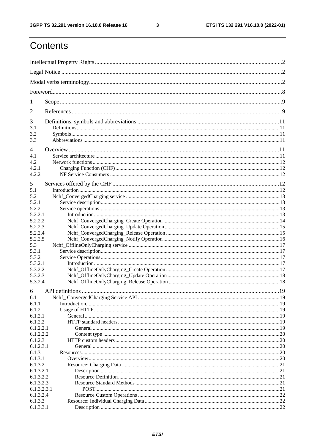$\mathbf{3}$ 

## Contents

| 1                  |  |  |  |
|--------------------|--|--|--|
| 2                  |  |  |  |
| 3                  |  |  |  |
| 3.1                |  |  |  |
| 3.2                |  |  |  |
| 3.3                |  |  |  |
| 4                  |  |  |  |
| 4.1                |  |  |  |
| 4.2                |  |  |  |
| 4.2.1              |  |  |  |
| 4.2.2              |  |  |  |
|                    |  |  |  |
| 5                  |  |  |  |
| 5.1                |  |  |  |
| 5.2                |  |  |  |
| 5.2.1              |  |  |  |
| 5.2.2              |  |  |  |
| 5.2.2.1            |  |  |  |
| 5.2.2.2            |  |  |  |
| 5.2.2.3            |  |  |  |
| 5.2.2.4<br>5.2.2.5 |  |  |  |
| 5.3                |  |  |  |
|                    |  |  |  |
| 5.3.1<br>5.3.2     |  |  |  |
| 5.3.2.1            |  |  |  |
| 5.3.2.2            |  |  |  |
| 5.3.2.3            |  |  |  |
| 5.3.2.4            |  |  |  |
|                    |  |  |  |
| 6                  |  |  |  |
| 6.1                |  |  |  |
| 6.1.1              |  |  |  |
| 6.1.2              |  |  |  |
| 6.1.2.1            |  |  |  |
| 6.1.2.2            |  |  |  |
| 6.1.2.2.1          |  |  |  |
| 6.1.2.2.2          |  |  |  |
| 6.1.2.3            |  |  |  |
| 6.1.2.3.1          |  |  |  |
| 6.1.3              |  |  |  |
| 6.1.3.1            |  |  |  |
| 6.1.3.2            |  |  |  |
| 6.1.3.2.1          |  |  |  |
| 6.1.3.2.2          |  |  |  |
| 6.1.3.2.3          |  |  |  |
| 6.1.3.2.3.1        |  |  |  |
| 6.1.3.2.4          |  |  |  |
| 6.1.3.3            |  |  |  |
| 6.1.3.3.1          |  |  |  |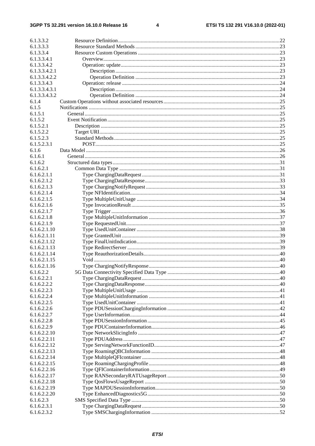$\overline{\mathbf{4}}$ 

| 6.1.3.3.2                   |  |
|-----------------------------|--|
| 6.1.3.3.3                   |  |
| 6.1.3.3.4                   |  |
| 6.1.3.3.4.1                 |  |
| 6.1.3.3.4.2                 |  |
| 6.1.3.3.4.2.1               |  |
| 6.1.3.3.4.2.2               |  |
| 6.1.3.3.4.3                 |  |
| 6.1.3.3.4.3.1               |  |
| 6.1.3.3.4.3.2<br>6.1.4      |  |
| 6.1.5                       |  |
| 6.1.5.1                     |  |
| 6.1.5.2                     |  |
| 6.1.5.2.1                   |  |
| 6.1.5.2.2                   |  |
| 6.1.5.2.3                   |  |
| 6.1.5.2.3.1                 |  |
| 6.1.6                       |  |
| 6.1.6.1                     |  |
| 6.1.6.2                     |  |
| 6.1.6.2.1                   |  |
| 6.1.6.2.1.1                 |  |
| 6.1.6.2.1.2                 |  |
| 6.1.6.2.1.3                 |  |
| 6.1.6.2.1.4                 |  |
| 6.1.6.2.1.5                 |  |
| 6.1.6.2.1.6                 |  |
| 6.1.6.2.1.7                 |  |
| 6.1.6.2.1.8<br>6.1.6.2.1.9  |  |
| 6.1.6.2.1.10                |  |
| 6.1.6.2.1.11                |  |
| 6.1.6.2.1.12                |  |
| 6.1.6.2.1.13                |  |
| 6.1.6.2.1.14                |  |
| 6.1.6.2.1.15                |  |
| 6.1.6.2.1.16                |  |
| 6.1.6.2.2                   |  |
| 6.1.6.2.2.1                 |  |
| 6.1.6.2.2.2                 |  |
| 6.1.6.2.2.3                 |  |
| 6.1.6.2.2.4                 |  |
| 6.1.6.2.2.5                 |  |
| 6.1.6.2.2.6                 |  |
| 6.1.6.2.2.7                 |  |
| 6.1.6.2.2.8                 |  |
| 6.1.6.2.2.9<br>6.1.6.2.2.10 |  |
| 6.1.6.2.2.11                |  |
| 6.1.6.2.2.12                |  |
| 6.1.6.2.2.13                |  |
| 6.1.6.2.2.14                |  |
| 6.1.6.2.2.15                |  |
| 6.1.6.2.2.16                |  |
| 6.1.6.2.2.17                |  |
| 6.1.6.2.2.18                |  |
| 6.1.6.2.2.19                |  |
| 6.1.6.2.2.20                |  |
| 6.1.6.2.3                   |  |
| 6.1.6.2.3.1                 |  |
| 6.1.6.2.3.2                 |  |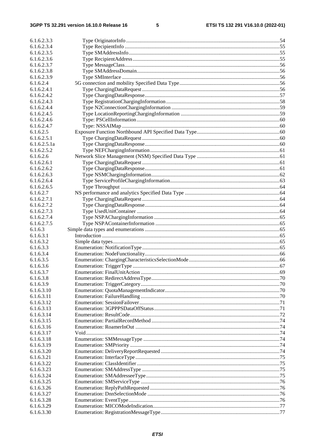$5\phantom{a}$ 

| 6.1.6.2.3.3            |  |
|------------------------|--|
| 6.1.6.2.3.4            |  |
| 6.1.6.2.3.5            |  |
| 6.1.6.2.3.6            |  |
| 6.1.6.2.3.7            |  |
| 6.1.6.2.3.8            |  |
| 6.1.6.2.3.9            |  |
| 6.1.6.2.4              |  |
| 6.1.6.2.4.1            |  |
| 6.1.6.2.4.2            |  |
| 6.1.6.2.4.3            |  |
| 6.1.6.2.4.4            |  |
| 6.1.6.2.4.5            |  |
| 6.1.6.2.4.6            |  |
| 6.1.6.2.4.7            |  |
| 6.1.6.2.5              |  |
| 6.1.6.2.5.1            |  |
| 6.1.6.2.5.1a           |  |
| 6.1.6.2.5.2            |  |
| 6.1.6.2.6              |  |
| 6.1.6.2.6.1            |  |
| 6.1.6.2.6.2            |  |
| 6.1.6.2.6.3            |  |
| 6.1.6.2.6.4            |  |
| 6.1.6.2.6.5            |  |
| 6.1.6.2.7              |  |
| 6.1.6.2.7.1            |  |
| 6.1.6.2.7.2            |  |
| 6.1.6.2.7.3            |  |
| 6.1.6.2.7.4            |  |
| 6.1.6.2.7.5            |  |
| 6.1.6.3                |  |
| 6.1.6.3.1              |  |
| 6.1.6.3.2              |  |
| 6.1.6.3.3              |  |
| 6.1.6.3.4              |  |
| 6.1.6.3.5<br>6.1.6.3.6 |  |
| 6.1.6.3.7              |  |
| 6.1.6.3.8              |  |
| 6.1.6.3.9              |  |
| 6.1.6.3.10             |  |
| 6.1.6.3.11             |  |
| 6.1.6.3.12             |  |
| 6.1.6.3.13             |  |
| 6.1.6.3.14             |  |
| 6.1.6.3.15             |  |
| 6.1.6.3.16             |  |
| 6.1.6.3.17             |  |
| 6.1.6.3.18             |  |
| 6.1.6.3.19             |  |
| 6.1.6.3.20             |  |
| 6.1.6.3.21             |  |
| 6.1.6.3.22             |  |
| 6.1.6.3.23             |  |
| 6.1.6.3.24             |  |
| 6.1.6.3.25             |  |
| 6.1.6.3.26             |  |
| 6.1.6.3.27             |  |
| 6.1.6.3.28             |  |
|                        |  |
| 6.1.6.3.29             |  |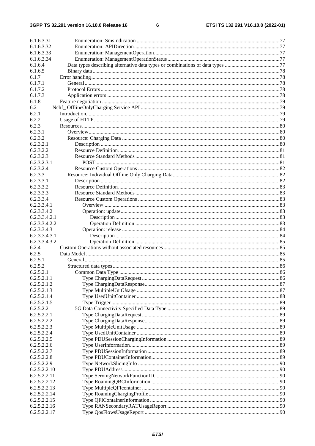#### $\bf 6$

| 6.1.6.3.31    |  |
|---------------|--|
| 6.1.6.3.32    |  |
| 6.1.6.3.33    |  |
| 6.1.6.3.34    |  |
|               |  |
| 6.1.6.4       |  |
| 6.1.6.5       |  |
| 6.1.7         |  |
| 6.1.7.1       |  |
| 6.1.7.2       |  |
| 6.1.7.3       |  |
| 6.1.8         |  |
| 6.2           |  |
| 6.2.1         |  |
| 6.2.2         |  |
| 6.2.3         |  |
| 6.2.3.1       |  |
| 6.2.3.2       |  |
| 6.2.3.2.1     |  |
| 6.2.3.2.2     |  |
| 6.2.3.2.3     |  |
| 6.2.3.2.3.1   |  |
| 6.2.3.2.4     |  |
|               |  |
| 6.2.3.3       |  |
| 6.2.3.3.1     |  |
| 6.2.3.3.2     |  |
| 6.2.3.3.3     |  |
| 6.2.3.3.4     |  |
| 6.2.3.3.4.1   |  |
| 6.2.3.3.4.2   |  |
| 6.2.3.3.4.2.1 |  |
| 6.2.3.3.4.2.2 |  |
| 6.2.3.3.4.3   |  |
| 6.2.3.3.4.3.1 |  |
| 6.2.3.3.4.3.2 |  |
| 6.2.4         |  |
| 6.2.5         |  |
| 6.2.5.1       |  |
| 6.2.5.2       |  |
| 6.2.5.2.1     |  |
| 6.2.5.2.1.1   |  |
| 6.2.5.2.1.2   |  |
| 6.2.5.2.1.3   |  |
|               |  |
| 6.2.5.2.1.4   |  |
| 6.2.5.2.1.5   |  |
| 6.2.5.2.2     |  |
| 6.2.5.2.2.1   |  |
| 6.2.5.2.2.2   |  |
| 6.2.5.2.2.3   |  |
| 6.2.5.2.2.4   |  |
| 6.2.5.2.2.5   |  |
| 6.2.5.2.2.6   |  |
| 6.2.5.2.2.7   |  |
| 6.2.5.2.2.8   |  |
| 6.2.5.2.2.9   |  |
| 6.2.5.2.2.10  |  |
| 6.2.5.2.2.11  |  |
| 6.2.5.2.2.12  |  |
| 6.2.5.2.2.13  |  |
| 6.2.5.2.2.14  |  |
| 6.2.5.2.2.15  |  |
| 6.2.5.2.2.16  |  |
| 6.2.5.2.2.17  |  |
|               |  |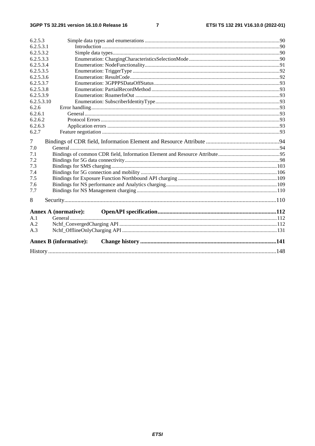$\overline{7}$ 

| 6.2.5.3    |                               |  |
|------------|-------------------------------|--|
| 6.2.5.3.1  |                               |  |
| 6.2.5.3.2  |                               |  |
| 6.2.5.3.3  |                               |  |
| 6.2.5.3.4  |                               |  |
| 6.2.5.3.5  |                               |  |
| 6.2.5.3.6  |                               |  |
| 6.2.5.3.7  |                               |  |
| 6.2.5.3.8  |                               |  |
| 6.2.5.3.9  |                               |  |
| 6.2.5.3.10 |                               |  |
| 6.2.6      |                               |  |
| 6.2.6.1    |                               |  |
| 6.2.6.2    |                               |  |
| 6.2.6.3    |                               |  |
| 6.2.7      |                               |  |
| 7          |                               |  |
| 7.0        |                               |  |
| 7.1        |                               |  |
| 7.2        |                               |  |
| 7.3        |                               |  |
| 7.4        |                               |  |
| 7.5        |                               |  |
| 7.6        |                               |  |
| 7.7        |                               |  |
| 8          |                               |  |
|            |                               |  |
| A.1        |                               |  |
| A.2        |                               |  |
| A.3        |                               |  |
|            | <b>Annex B</b> (informative): |  |
|            |                               |  |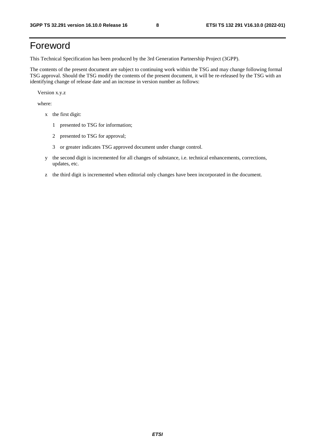## Foreword

This Technical Specification has been produced by the 3rd Generation Partnership Project (3GPP).

The contents of the present document are subject to continuing work within the TSG and may change following formal TSG approval. Should the TSG modify the contents of the present document, it will be re-released by the TSG with an identifying change of release date and an increase in version number as follows:

Version x.y.z

where:

- x the first digit:
	- 1 presented to TSG for information;
	- 2 presented to TSG for approval;
	- 3 or greater indicates TSG approved document under change control.
- y the second digit is incremented for all changes of substance, i.e. technical enhancements, corrections, updates, etc.
- z the third digit is incremented when editorial only changes have been incorporated in the document.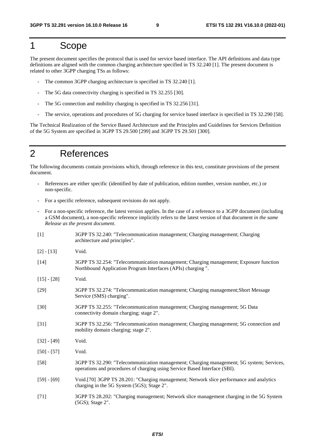## 1 Scope

The present document specifies the protocol that is used for service based interface. The API definitions and data type definitions are aligned with the common charging architecture specified in TS 32.240 [1]. The present document is related to other 3GPP charging TSs as follows:

- The common 3GPP charging architecture is specified in TS 32.240 [1].
- The 5G data connectivity charging is specified in TS 32.255 [30].
- The 5G connection and mobility charging is specified in TS 32.256 [31].
- The service, operations and procedures of 5G charging for service based interface is specified in TS 32.290 [58].

The Technical Realization of the Service Based Architecture and the Principles and Guidelines for Services Definition of the 5G System are specified in 3GPP TS 29.500 [299] and 3GPP TS 29.501 [300].

## 2 References

The following documents contain provisions which, through reference in this text, constitute provisions of the present document.

- References are either specific (identified by date of publication, edition number, version number, etc.) or non-specific.
- For a specific reference, subsequent revisions do not apply.
- For a non-specific reference, the latest version applies. In the case of a reference to a 3GPP document (including a GSM document), a non-specific reference implicitly refers to the latest version of that document *in the same Release as the present document*.
- [1] 3GPP TS 32.240: "Telecommunication management; Charging management; Charging architecture and principles".
- [2] [13] Void.
- [14] 3GPP TS 32.254: "Telecommunication management; Charging management; Exposure function Northbound Application Program Interfaces (APIs) charging ".
- [15] [28] Void.
- [29] 3GPP TS 32.274: "Telecommunication management; Charging management;Short Message Service (SMS) charging".
- [30] 3GPP TS 32.255: "Telecommunication management; Charging management; 5G Data connectivity domain charging; stage 2".
- [31] 3GPP TS 32.256: "Telecommunication management; Charging management; 5G connection and mobility domain charging; stage 2".
- [32] [49] Void.
- [50] [57] Void.
- [58] 3GPP TS 32.290: "Telecommunication management; Charging management; 5G system; Services, operations and procedures of charging using Service Based Interface (SBI).
- [59] [69] Void.[70] 3GPP TS 28.201: "Charging management; Network slice performance and analytics charging in the 5G System (5GS); Stage 2".
- [71] 3GPP TS 28.202: "Charging management; Network slice management charging in the 5G System (5GS); Stage 2".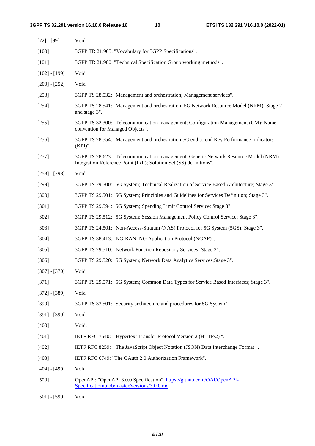| $[72] - [99]$   | Void.                                                                                                                                                     |
|-----------------|-----------------------------------------------------------------------------------------------------------------------------------------------------------|
| $[100]$         | 3GPP TR 21.905: "Vocabulary for 3GPP Specifications".                                                                                                     |
| $[101]$         | 3GPP TR 21.900: "Technical Specification Group working methods".                                                                                          |
| $[102] - [199]$ | Void                                                                                                                                                      |
| $[200] - [252]$ | Void                                                                                                                                                      |
| $[253]$         | 3GPP TS 28.532: "Management and orchestration; Management services".                                                                                      |
| [254]           | 3GPP TS 28.541: "Management and orchestration; 5G Network Resource Model (NRM); Stage 2<br>and stage 3".                                                  |
| $[255]$         | 3GPP TS 32.300: "Telecommunication management; Configuration Management (CM); Name<br>convention for Managed Objects".                                    |
| $[256]$         | 3GPP TS 28.554: "Management and orchestration; 5G end to end Key Performance Indicators<br>$(KPI)$ ".                                                     |
| $[257]$         | 3GPP TS 28.623: "Telecommunication management; Generic Network Resource Model (NRM)<br>Integration Reference Point (IRP); Solution Set (SS) definitions". |
| $[258] - [298]$ | Void                                                                                                                                                      |
| $[299]$         | 3GPP TS 29.500: "5G System; Technical Realization of Service Based Architecture; Stage 3".                                                                |
| $[300]$         | 3GPP TS 29.501: "5G System; Principles and Guidelines for Services Definition; Stage 3".                                                                  |
| $[301]$         | 3GPP TS 29.594: "5G System; Spending Limit Control Service; Stage 3".                                                                                     |
| $[302]$         | 3GPP TS 29.512: "5G System; Session Management Policy Control Service; Stage 3".                                                                          |
| [303]           | 3GPP TS 24.501: "Non-Access-Stratum (NAS) Protocol for 5G System (5GS); Stage 3".                                                                         |
| [304]           | 3GPP TS 38.413: "NG-RAN; NG Application Protocol (NGAP)".                                                                                                 |
| $[305]$         | 3GPP TS 29.510: "Network Function Repository Services; Stage 3".                                                                                          |
| [306]           | 3GPP TS 29.520: "5G System; Network Data Analytics Services; Stage 3".                                                                                    |
| $[307] - [370]$ | Void                                                                                                                                                      |
| [371]           | 3GPP TS 29.571: "5G System; Common Data Types for Service Based Interfaces; Stage 3".                                                                     |
| $[372] - [389]$ | Void                                                                                                                                                      |
| [390]           | 3GPP TS 33.501: "Security architecture and procedures for 5G System".                                                                                     |
| $[391] - [399]$ | Void                                                                                                                                                      |
| $[400]$         | Void.                                                                                                                                                     |
| $[401]$         | IETF RFC 7540: "Hypertext Transfer Protocol Version 2 (HTTP/2)".                                                                                          |
| $[402]$         | IETF RFC 8259: "The JavaScript Object Notation (JSON) Data Interchange Format".                                                                           |
| [403]           | IETF RFC 6749: "The OAuth 2.0 Authorization Framework".                                                                                                   |
| $[404] - [499]$ | Void.                                                                                                                                                     |
| $[500]$         | OpenAPI: "OpenAPI 3.0.0 Specification", https://github.com/OAI/OpenAPI-<br>Specification/blob/master/versions/3.0.0.md.                                   |

[501] - [599] Void.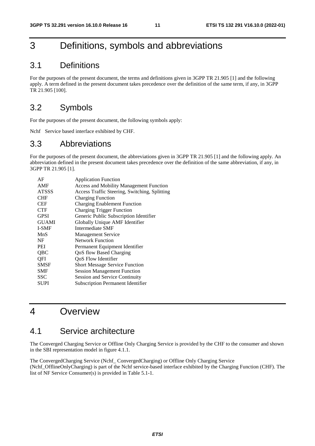## 3 Definitions, symbols and abbreviations

## 3.1 Definitions

For the purposes of the present document, the terms and definitions given in 3GPP TR 21.905 [1] and the following apply. A term defined in the present document takes precedence over the definition of the same term, if any, in 3GPP TR 21.905 [100].

## 3.2 Symbols

For the purposes of the present document, the following symbols apply:

Nchf Service based interface exhibited by CHF.

## 3.3 Abbreviations

For the purposes of the present document, the abbreviations given in 3GPP TR 21.905 [1] and the following apply. An abbreviation defined in the present document takes precedence over the definition of the same abbreviation, if any, in 3GPP TR 21.905 [1].

| AF           | <b>Application Function</b>                    |
|--------------|------------------------------------------------|
| AMF          | <b>Access and Mobility Management Function</b> |
| <b>ATSSS</b> | Access Traffic Steering, Switching, Splitting  |
| <b>CHF</b>   | <b>Charging Function</b>                       |
| <b>CEF</b>   | <b>Charging Enablement Function</b>            |
| <b>CTF</b>   | <b>Charging Trigger Function</b>               |
| <b>GPSI</b>  | Generic Public Subscription Identifier         |
| <b>GUAMI</b> | Globally Unique AMF Identifier                 |
| I-SMF        | Intermediate SMF                               |
| MnS          | <b>Management Service</b>                      |
| NF           | Network Function                               |
| PEI          | Permanent Equipment Identifier                 |
| QBC          | QoS flow Based Charging                        |
| QFI          | QoS Flow Identifier                            |
| <b>SMSF</b>  | <b>Short Message Service Function</b>          |
| SMF          | <b>Session Management Function</b>             |
| SSC          | Session and Service Continuity                 |
| <b>SUPI</b>  | <b>Subscription Permanent Identifier</b>       |

## 4 Overview

## 4.1 Service architecture

The Converged Charging Service or Offline Only Charging Service is provided by the CHF to the consumer and shown in the SBI representation model in figure 4.1.1.

The ConvergedCharging Service (Nchf\_ ConvergedCharging) or Offline Only Charging Service (Nchf\_OfflineOnlyCharging) is part of the Nchf service-based interface exhibited by the Charging Function (CHF). The list of NF Service Consumer(s) is provided in Table 5.1-1.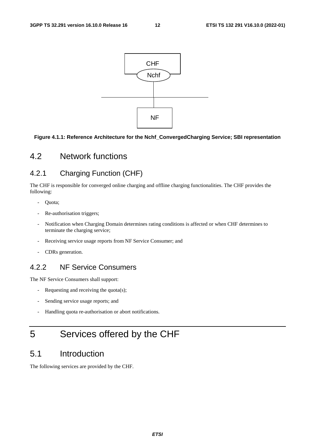

## **Figure 4.1.1: Reference Architecture for the Nchf\_ConvergedCharging Service; SBI representation**

## 4.2 Network functions

## 4.2.1 Charging Function (CHF)

The CHF is responsible for converged online charging and offline charging functionalities. The CHF provides the following:

- Quota;
- Re-authorisation triggers;
- Notification when Charging Domain determines rating conditions is affected or when CHF determines to terminate the charging service;
- Receiving service usage reports from NF Service Consumer; and
- CDRs generation.

## 4.2.2 NF Service Consumers

The NF Service Consumers shall support:

- Requesting and receiving the quota(s);
- Sending service usage reports; and
- Handling quota re-authorisation or abort notifications.

## 5 Services offered by the CHF

## 5.1 Introduction

The following services are provided by the CHF.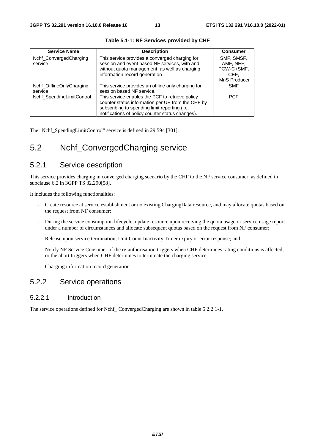| <b>Service Name</b>       | <b>Description</b>                                 | <b>Consumer</b> |
|---------------------------|----------------------------------------------------|-----------------|
| Nchf_ConvergedCharging    | This service provides a converged charging for     | SMF, SMSF,      |
| service                   | session and event based NF services, with and      | AMF. NEF.       |
|                           | without quota management, as well as charging      | PGW-C+SMF,      |
|                           | information record generation                      | CEF.            |
|                           |                                                    | MnS Producer    |
| Nchf OfflineOnlyCharging  | This service provides an offline only charging for | <b>SMF</b>      |
| service                   | session based NF service.                          |                 |
| Nchf SpendingLimitControl | This service enables the PCF to retrieve policy    | <b>PCF</b>      |
|                           | counter status information per UE from the CHF by  |                 |
|                           | subscribing to spending limit reporting (i.e.      |                 |
|                           | notifications of policy counter status changes).   |                 |

**Table 5.1-1: NF Services provided by CHF** 

The "Nchf\_SpendingLimitControl" service is defined in 29.594 [301].

## 5.2 Nchf\_ConvergedCharging service

## 5.2.1 Service description

This service provides charging in converged charging scenario by the CHF to the NF service consumer as defined in subclause 6.2 in 3GPP TS 32.290[58].

It includes the following functionalities:

- Create resource at service establishment or no existing ChargingData resource, and may allocate quotas based on the request from NF consumer;
- During the service consumption lifecycle, update resource upon receiving the quota usage or service usage report under a number of circumstances and allocate subsequent quotas based on the request from NF consumer;
- Release upon service termination, Unit Count Inactivity Timer expiry or error response; and
- Notify NF Service Consumer of the re-authorisation triggers when CHF determines rating conditions is affected, or the abort triggers when CHF determines to terminate the charging service.
- Charging information record generation

## 5.2.2 Service operations

### 5.2.2.1 Introduction

The service operations defined for Nchf\_ ConvergedCharging are shown in table 5.2.2.1-1.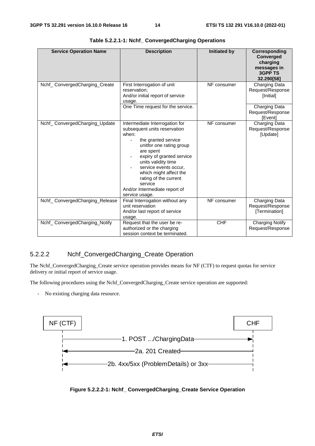| <b>Service Operation Name</b>  | <b>Description</b>                                                                                                                                                                                                                                                                                                                    | <b>Initiated by</b> | Corresponding<br>Converged<br>charging<br>messages in<br><b>3GPP TS</b><br>32.290[58] |
|--------------------------------|---------------------------------------------------------------------------------------------------------------------------------------------------------------------------------------------------------------------------------------------------------------------------------------------------------------------------------------|---------------------|---------------------------------------------------------------------------------------|
| Nchf_ConvergedCharging_Create  | First Interrogation of unit<br>reservation;<br>And/or initial report of service<br>usage.                                                                                                                                                                                                                                             | NF consumer         | Charging Data<br>Request/Response<br>[Initial]                                        |
|                                | One Time request for the service.                                                                                                                                                                                                                                                                                                     |                     | Charging Data<br>Request/Response<br><b>IEventl</b>                                   |
| Nchf_ConvergedCharging_Update  | Intermediate Interrogation for<br>subsequent units reservation<br>when:<br>the granted service<br>unitfor one rating group<br>are spent<br>expiry of granted service<br>units validity time<br>service events occur,<br>which might affect the<br>rating of the current<br>service<br>And/or Intermediate report of<br>service usage. | NF consumer         | Charging Data<br>Request/Response<br>[Update]                                         |
| Nchf_ConvergedCharging_Release | Final Interrogation without any<br>unit reservation<br>And/or last report of service<br>usage.                                                                                                                                                                                                                                        | NF consumer         | Charging Data<br>Request/Response<br>[Termination]                                    |
| Nchf_ConvergedCharging_Notify  | Request that the user be re-<br>authorized or the charging<br>session context be terminated.                                                                                                                                                                                                                                          | <b>CHF</b>          | <b>Charging Notify</b><br>Request/Response                                            |

**Table 5.2.2.1-1: Nchf\_ ConvergedCharging Operations** 

## 5.2.2.2 Nchf\_ConvergedCharging\_Create Operation

The Nchf\_ConvergedCharging\_Create service operation provides means for NF (CTF) to request quotas for service delivery or initial report of service usage.

The following procedures using the Nchf\_ConvergedCharging\_Create service operation are supported:

- No existing charging data resource.



**Figure 5.2.2.2-1: Nchf\_ ConvergedCharging\_Create Service Operation**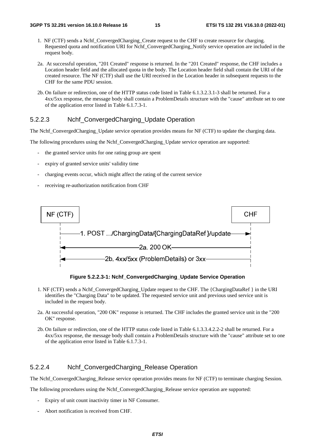- 1. NF (CTF) sends a Nchf\_ConvergedCharging\_Create request to the CHF to create resource for charging. Requested quota and notification URI for Nchf\_ConvergedCharging\_Notify service operation are included in the request body.
- 2a. At successful operation, "201 Created" response is returned. In the "201 Created" response, the CHF includes a Location header field and the allocated quota in the body. The Location header field shall contain the URI of the created resource. The NF (CTF) shall use the URI received in the Location header in subsequent requests to the CHF for the same PDU session.
- 2b. On failure or redirection, one of the HTTP status code listed in Table 6.1.3.2.3.1-3 shall be returned. For a 4xx/5xx response, the message body shall contain a ProblemDetails structure with the "cause" attribute set to one of the application error listed in Table 6.1.7.3-1.

## 5.2.2.3 Nchf\_ConvergedCharging\_Update Operation

The Nchf\_ConvergedCharging\_Update service operation provides means for NF (CTF) to update the charging data.

The following procedures using the Nchf\_ConvergedCharging\_Update service operation are supported:

- the granted service units for one rating group are spent
- expiry of granted service units' validity time
- charging events occur, which might affect the rating of the current service
- receiving re-authorization notification from CHF



**Figure 5.2.2.3-1: Nchf\_ConvergedCharging\_Update Service Operation** 

- 1. NF (CTF) sends a Nchf\_ConvergedCharging\_Update request to the CHF. The {ChargingDataRef } in the URI identifies the "Charging Data" to be updated. The requested service unit and previous used service unit is included in the request body.
- 2a. At successful operation, "200 OK" response is returned. The CHF includes the granted service unit in the "200 OK" response.
- 2b. On failure or redirection, one of the HTTP status code listed in Table 6.1.3.3.4.2.2-2 shall be returned. For a 4xx/5xx response, the message body shall contain a ProblemDetails structure with the "cause" attribute set to one of the application error listed in Table 6.1.7.3-1.

## 5.2.2.4 Nchf\_ConvergedCharging\_Release Operation

The Nchf\_ConvergedCharging\_Release service operation provides means for NF (CTF) to terminate charging Session.

The following procedures using the Nchf\_ConvergedCharging\_Release service operation are supported:

- Expiry of unit count inactivity timer in NF Consumer.
- Abort notification is received from CHF.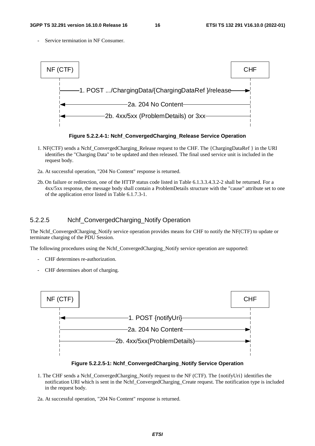Service termination in NF Consumer.



**Figure 5.2.2.4-1: Nchf\_ConvergedCharging\_Release Service Operation** 

- 1. NF(CTF) sends a Nchf\_ConvergedCharging\_Release request to the CHF. The {ChargingDataRef } in the URI identifies the "Charging Data" to be updated and then released. The final used service unit is included in the request body.
- 2a. At successful operation, "204 No Content" response is returned.
- 2b. On failure or redirection, one of the HTTP status code listed in Table 6.1.3.3.4.3.2-2 shall be returned. For a 4xx/5xx response, the message body shall contain a ProblemDetails structure with the "cause" attribute set to one of the application error listed in Table 6.1.7.3-1.

## 5.2.2.5 Nchf\_ConvergedCharging\_Notify Operation

The Nchf\_ConvergedCharging\_Notify service operation provides means for CHF to notify the NF(CTF) to update or terminate charging of the PDU Session.

The following procedures using the Nchf\_ConvergedCharging\_Notify service operation are supported:

- CHF determines re-authorization.
- CHF determines abort of charging.



**Figure 5.2.2.5-1: Nchf\_ConvergedCharging\_Notify Service Operation** 

- 1. The CHF sends a Nchf\_ConvergedCharging\_Notify request to the NF (CTF). The {notifyUri} identifies the notification URI which is sent in the Nchf\_ConvergedCharging\_Create request. The notification type is included in the request body.
- 2a. At successful operation, "204 No Content" response is returned.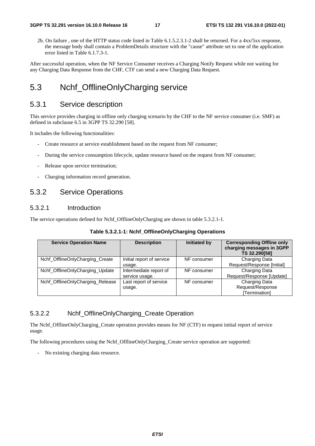2b. On failure , one of the HTTP status code listed in Table 6.1.5.2.3.1-2 shall be returned. For a 4xx/5xx response, the message body shall contain a ProblemDetails structure with the "cause" attribute set to one of the application error listed in Table 6.1.7.3-1.

After successful operation, when the NF Service Consumer receives a Charging Notify Request while not waiting for any Charging Data Response from the CHF, CTF can send a new Charging Data Request.

## 5.3 Nchf\_OfflineOnlyCharging service

## 5.3.1 Service description

This service provides charging in offline only charging scenario by the CHF to the NF service consumer (i.e. SMF) as defined in subclause 6.5 in 3GPP TS 32.290 [58].

It includes the following functionalities:

- Create resource at service establishment based on the request from NF consumer;
- During the service consumption lifecycle, update resource based on the request from NF consumer;
- Release upon service termination;
- Charging information record generation.

## 5.3.2 Service Operations

## 5.3.2.1 Introduction

The service operations defined for Nchf\_OfflineOnlyCharging are shown in table 5.3.2.1-1.

| <b>Service Operation Name</b>    | <b>Description</b>        | Initiated by | <b>Corresponding Offline only</b><br>charging messages in 3GPP<br>TS 32.290[58] |
|----------------------------------|---------------------------|--------------|---------------------------------------------------------------------------------|
| Nchf_OfflineOnlyCharging_Create  | Initial report of service | NF consumer  | Charging Data                                                                   |
|                                  | usage.                    |              | Request/Response [Initial]                                                      |
| Nchf_OfflineOnlyCharging_Update  | Intermediate report of    | NF consumer  | Charging Data                                                                   |
|                                  | service usage.            |              | Request/Response [Update]                                                       |
| Nchf_OfflineOnlyCharging_Release | Last report of service    | NF consumer  | Charging Data                                                                   |
|                                  | usage.                    |              | Request/Response                                                                |
|                                  |                           |              | [Termination]                                                                   |

## 5.3.2.2 Nchf\_OfflineOnlyCharging\_Create Operation

The Nchf OfflineOnlyCharging Create operation provides means for NF (CTF) to request initial report of service usage.

The following procedures using the Nchf\_OfflineOnlyCharging\_Create service operation are supported:

- No existing charging data resource.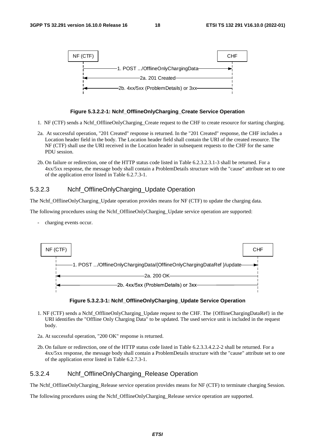

#### **Figure 5.3.2.2-1: Nchf\_OfflineOnlyCharging\_Create Service Operation**

- 1. NF (CTF) sends a Nchf\_OfflineOnlyCharging\_Create request to the CHF to create resource for starting charging.
- 2a. At successful operation, "201 Created" response is returned. In the "201 Created" response, the CHF includes a Location header field in the body. The Location header field shall contain the URI of the created resource. The NF (CTF) shall use the URI received in the Location header in subsequent requests to the CHF for the same PDU session.
- 2b. On failure or redirection, one of the HTTP status code listed in Table 6.2.3.2.3.1-3 shall be returned. For a 4xx/5xx response, the message body shall contain a ProblemDetails structure with the "cause" attribute set to one of the application error listed in Table 6.2.7.3-1.

## 5.3.2.3 Nchf\_OfflineOnlyCharging\_Update Operation

The Nchf OfflineOnlyCharging Update operation provides means for NF (CTF) to update the charging data.

The following procedures using the Nchf OfflineOnlyCharging Update service operation are supported:

charging events occur.



#### **Figure 5.3.2.3-1: Nchf\_OfflineOnlyCharging\_Update Service Operation**

- 1. NF (CTF) sends a Nchf\_OfflineOnlyCharging\_Update request to the CHF. The {OfflineChargingDataRef} in the URI identifies the "Offline Only Charging Data" to be updated. The used service unit is included in the request body.
- 2a. At successful operation, "200 OK" response is returned.
- 2b. On failure or redirection, one of the HTTP status code listed in Table 6.2.3.3.4.2.2-2 shall be returned. For a 4xx/5xx response, the message body shall contain a ProblemDetails structure with the "cause" attribute set to one of the application error listed in Table 6.2.7.3-1.

## 5.3.2.4 Nchf\_OfflineOnlyCharging\_Release Operation

The Nchf\_OfflineOnlyCharging\_Release service operation provides means for NF (CTF) to terminate charging Session.

The following procedures using the Nchf\_OfflineOnlyCharging\_Release service operation are supported.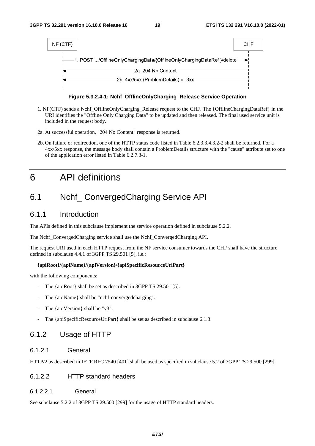

**Figure 5.3.2.4-1: Nchf\_OfflineOnlyCharging\_Release Service Operation** 

- 1. NF(CTF) sends a Nchf\_OfflineOnlyCharging\_Release request to the CHF. The {OfflineChargingDataRef} in the URI identifies the "Offline Only Charging Data" to be updated and then released. The final used service unit is included in the request body.
- 2a. At successful operation, "204 No Content" response is returned.
- 2b. On failure or redirection, one of the HTTP status code listed in Table 6.2.3.3.4.3.2-2 shall be returned. For a 4xx/5xx response, the message body shall contain a ProblemDetails structure with the "cause" attribute set to one of the application error listed in Table 6.2.7.3-1.

## 6 API definitions

## 6.1 Nchf\_ ConvergedCharging Service API

## 6.1.1 Introduction

The APIs defined in this subclause implement the service operation defined in subclause 5.2.2.

The Nchf\_ConvergedCharging service shall use the Nchf\_ConvergedCharging API.

The request URI used in each HTTP request from the NF service consumer towards the CHF shall have the structure defined in subclause 4.4.1 of 3GPP TS 29.501 [5], i.e.:

#### **{apiRoot}/{apiName}/{apiVersion}/{apiSpecificResourceUriPart}**

with the following components:

- The {apiRoot} shall be set as described in 3GPP TS 29.501 [5].
- The {apiName} shall be "nchf-convergedcharging".
- The {apiVersion} shall be "v3".
- The {apiSpecificResourceUriPart} shall be set as described in subclause 6.1.3.

## 6.1.2 Usage of HTTP

## 6.1.2.1 General

HTTP/2 as described in IETF RFC 7540 [401] shall be used as specified in subclause 5.2 of 3GPP TS 29.500 [299].

### 6.1.2.2 HTTP standard headers

#### 6.1.2.2.1 General

See subclause 5.2.2 of 3GPP TS 29.500 [299] for the usage of HTTP standard headers.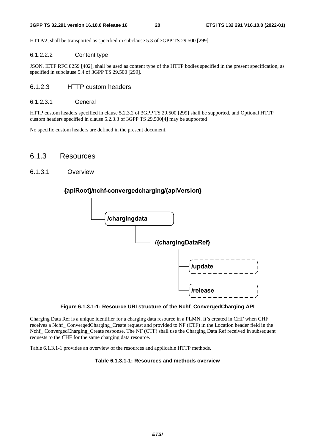HTTP/2, shall be transported as specified in subclause 5.3 of 3GPP TS 29.500 [299].

#### 6.1.2.2.2 Content type

JSON, IETF RFC 8259 [402], shall be used as content type of the HTTP bodies specified in the present specification, as specified in subclause 5.4 of 3GPP TS 29.500 [299].

## 6.1.2.3 HTTP custom headers

#### 6.1.2.3.1 General

HTTP custom headers specified in clause 5.2.3.2 of 3GPP TS 29.500 [299] shall be supported, and Optional HTTP custom headers specified in clause 5.2.3.3 of 3GPP TS 29.500[4] may be supported

No specific custom headers are defined in the present document.

## 6.1.3 Resources

### 6.1.3.1 Overview



## {apiRoot}/nchf-convergedcharging/{apiVersion}

**Figure 6.1.3.1-1: Resource URI structure of the Nchf\_ConvergedCharging API** 

Charging Data Ref is a unique identifier for a charging data resource in a PLMN. It's created in CHF when CHF receives a Nchf\_ ConvergedCharging\_Create request and provided to NF (CTF) in the Location header field in the Nchf ConvergedCharging Create response. The NF (CTF) shall use the Charging Data Ref received in subsequent requests to the CHF for the same charging data resource.

Table 6.1.3.1-1 provides an overview of the resources and applicable HTTP methods.

#### **Table 6.1.3.1-1: Resources and methods overview**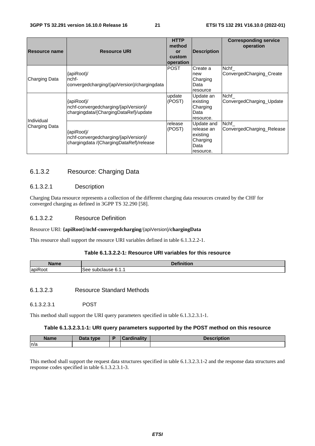| <b>Resource name</b> | <b>Resource URI</b>                                                                           | <b>HTTP</b><br>method<br>or<br>custom<br>operation | <b>Description</b>                                                    | <b>Corresponding service</b><br>operation |
|----------------------|-----------------------------------------------------------------------------------------------|----------------------------------------------------|-----------------------------------------------------------------------|-------------------------------------------|
| Charging Data        | {apiRoot}/<br>nchf-<br>convergedcharging/{apiVersion}/chargingdata                            | <b>POST</b>                                        | Create a<br>new<br>Charging<br>Data<br>resource                       | Nchf_<br>ConvergedCharging_Create         |
| Individual           | {apiRoot}/<br>nchf-convergedcharging/{apiVersion}/<br>chargingdata/{ChargingDataRef}/update   | update<br>(POST)                                   | Update an<br>existing<br>Charging<br>Data<br>resource.                | Nchf<br>ConvergedCharging Update          |
| Charging Data        | {apiRoot}/<br>nchf-convergedcharging/{apiVersion}/<br>chargingdata /{ChargingDataRef}/release | release<br>(POST)                                  | Update and<br>release an<br>existing<br>Charging<br>Data<br>resource. | Nchf<br>ConvergedCharging Release         |

## 6.1.3.2 Resource: Charging Data

#### 6.1.3.2.1 Description

Charging Data resource represents a collection of the different charging data resources created by the CHF for converged charging as defined in 3GPP TS 32.290 [58].

### 6.1.3.2.2 Resource Definition

#### Resource URI: **{apiRoot}/nchf-convergedcharging**/{apiVersion}**/chargingData**

This resource shall support the resource URI variables defined in table 6.1.3.2.2-1.

## **Table 6.1.3.2.2-1: Resource URI variables for this resource**

| Name<br>4 I IV      | $\cdots$<br>$D - C$<br>. .   |
|---------------------|------------------------------|
| $\cdot$ $-$<br>lapi | ∹≙≙<br>supciause :<br>U. 1.1 |

6.1.3.2.3 Resource Standard Methods

6.1.3.2.3.1 POST

This method shall support the URI query parameters specified in table 6.1.3.2.3.1-1.

#### **Table 6.1.3.2.3.1-1: URI query parameters supported by the POST method on this resource**

| <b>Name</b> | <b>Data type</b><br><i><u>sala</u></i> | Ð | $m$ nn olitean in<br>`ord | DHOI |
|-------------|----------------------------------------|---|---------------------------|------|
| n/a         |                                        |   |                           |      |
|             |                                        |   |                           |      |

This method shall support the request data structures specified in table 6.1.3.2.3.1-2 and the response data structures and response codes specified in table 6.1.3.2.3.1-3.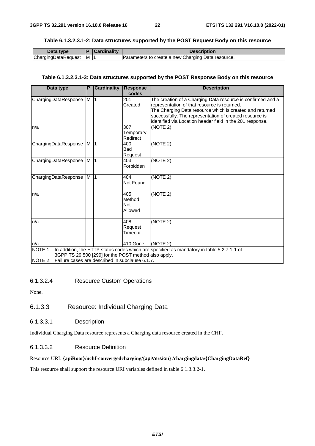#### **Table 6.1.3.2.3.1-2: Data structures supported by the POST Request Body on this resource**

| Data type           | B  | Cardinality | Description                                        |
|---------------------|----|-------------|----------------------------------------------------|
| ChargingDataRequest | IM |             | Parameters to create a new Charging Data resource. |

#### **Table 6.1.3.2.3.1-3: Data structures supported by the POST Response Body on this resource**

| Data type                                                                                                                   | P              | <b>Cardinality</b> | <b>Response</b><br>codes        | <b>Description</b>                                                                                                                                                                                                                                                                              |
|-----------------------------------------------------------------------------------------------------------------------------|----------------|--------------------|---------------------------------|-------------------------------------------------------------------------------------------------------------------------------------------------------------------------------------------------------------------------------------------------------------------------------------------------|
| ChargingDataResponse                                                                                                        | M 1            |                    | 201<br>Created                  | The creation of a Charging Data resource is confirmed and a<br>representation of that resource is returned.<br>The Charging Data resource which is created and returned<br>successfully. The representation of created resource is<br>identified via Location header field in the 201 response. |
| n/a                                                                                                                         |                |                    | 307<br>Temporary<br>Redirect    | (NOTE 2)                                                                                                                                                                                                                                                                                        |
| ChargingDataResponse                                                                                                        | M <sub>1</sub> |                    | 400<br><b>Bad</b><br>Request    | (NOTE 2)                                                                                                                                                                                                                                                                                        |
| ChargingDataResponse                                                                                                        | M <sub>1</sub> |                    | 403<br>Forbidden                | (NOTE 2)                                                                                                                                                                                                                                                                                        |
| ChargingDataResponse                                                                                                        | M <sub>1</sub> |                    | 404<br>Not Found                | (NOTE 2)                                                                                                                                                                                                                                                                                        |
| n/a                                                                                                                         |                |                    | 405<br>Method<br>Not<br>Allowed | (NOTE 2)                                                                                                                                                                                                                                                                                        |
| n/a                                                                                                                         |                |                    | 408<br>Request<br>Timeout       | (NOTE 2)                                                                                                                                                                                                                                                                                        |
| n/a                                                                                                                         |                |                    | 410 Gone                        | (NOTE 2)                                                                                                                                                                                                                                                                                        |
| NOTE 1:<br>3GPP TS 29.500 [299] for the POST method also apply.<br>INOTE 2: Failure cases are described in subclause 6.1.7. |                |                    |                                 | In addition, the HTTP status codes which are specified as mandatory in table 5.2.7.1-1 of                                                                                                                                                                                                       |

#### 6.1.3.2.4 Resource Custom Operations

None.

## 6.1.3.3 Resource: Individual Charging Data

6.1.3.3.1 Description

Individual Charging Data resource represents a Charging data resource created in the CHF.

### 6.1.3.3.2 Resource Definition

#### Resource URI: **{apiRoot}/nchf-convergedcharging/{apiVersion} /chargingdata/{ChargingDataRef}**

This resource shall support the resource URI variables defined in table 6.1.3.3.2-1.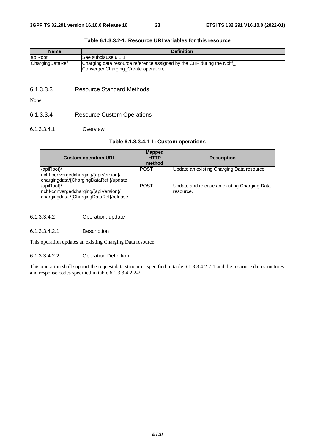| <b>Definition</b>                                                                                           |
|-------------------------------------------------------------------------------------------------------------|
| lSee subclause 6.1.1                                                                                        |
| Charging data resource reference assigned by the CHF during the Nchf<br>ConvergedCharging_Create operation, |
|                                                                                                             |

#### **Table 6.1.3.3.2-1: Resource URI variables for this resource**

### 6.1.3.3.3 Resource Standard Methods

None.

## 6.1.3.3.4 Resource Custom Operations

#### 6.1.3.3.4.1 Overview

#### **Table 6.1.3.3.4.1-1: Custom operations**

| <b>Custom operation URI</b>                                                                   | <b>Mapped</b><br><b>HTTP</b><br>method | <b>Description</b>                                        |
|-----------------------------------------------------------------------------------------------|----------------------------------------|-----------------------------------------------------------|
| {apiRoot}/<br>nchf-convergedcharging/{apiVersion}/<br>chargingdata/{ChargingDataRef}/update   | <b>POST</b>                            | Update an existing Charging Data resource.                |
| {apiRoot}/<br>nchf-convergedcharging/{apiVersion}/<br>chargingdata /{ChargingDataRef}/release | <b>POST</b>                            | Update and release an existing Charging Data<br>resource. |

### 6.1.3.3.4.2 Operation: update

#### 6.1.3.3.4.2.1 Description

This operation updates an existing Charging Data resource.

#### 6.1.3.3.4.2.2 Operation Definition

This operation shall support the request data structures specified in table 6.1.3.3.4.2.2-1 and the response data structures and response codes specified in table 6.1.3.3.4.2.2-2.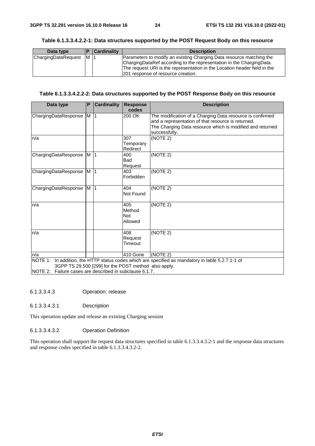| Data type           |     | <b>Cardinality</b> | <b>Description</b>                                                                                                                                                                                                                                              |
|---------------------|-----|--------------------|-----------------------------------------------------------------------------------------------------------------------------------------------------------------------------------------------------------------------------------------------------------------|
| ChargingDataRequest | IM. |                    | Parameters to modify an existing Charging Data resource matching the<br>ChargingDataRef according to the representation in the ChargingData.<br>The request URI is the representation in the Location header field in the<br>201 response of resource creation. |

#### **Table 6.1.3.3.4.2.2-1: Data structures supported by the POST Request Body on this resource**

### **Table 6.1.3.3.4.2.2-2: Data structures supported by the POST Response Body on this resource**

| Data type                                               | P              | <b>Cardinality</b> | <b>Response</b>       | <b>Description</b>                                                                                              |  |  |  |
|---------------------------------------------------------|----------------|--------------------|-----------------------|-----------------------------------------------------------------------------------------------------------------|--|--|--|
| ChargingDataResponse                                    | M              | $\vert$ 1          | codes<br>200 OK       | The modification of a Charging Data resource is confirmed                                                       |  |  |  |
|                                                         |                |                    |                       | and a representation of that resource is returned.<br>The Charging Data resource which is modified and returned |  |  |  |
|                                                         |                |                    |                       | successfully.                                                                                                   |  |  |  |
| n/a                                                     |                |                    | 307                   | (NOTE 2)                                                                                                        |  |  |  |
|                                                         |                |                    | Temporary<br>Redirect |                                                                                                                 |  |  |  |
| ChargingDataResponse                                    | M <sub>1</sub> |                    | 400                   | (NOTE <sub>2</sub> )                                                                                            |  |  |  |
|                                                         |                |                    | Bad                   |                                                                                                                 |  |  |  |
| ChargingDataResponse                                    | $M$ 1          |                    | Request<br>403        | (NOTE 2)                                                                                                        |  |  |  |
|                                                         |                |                    | Forbidden             |                                                                                                                 |  |  |  |
| ChargingDataResponse                                    | M <sub>1</sub> |                    | 404                   | (NOTE 2)                                                                                                        |  |  |  |
|                                                         |                |                    | Not Found             |                                                                                                                 |  |  |  |
| n/a                                                     |                |                    | 405                   | (NOTE 2)                                                                                                        |  |  |  |
|                                                         |                |                    | Method<br><b>Not</b>  |                                                                                                                 |  |  |  |
|                                                         |                |                    | Allowed               |                                                                                                                 |  |  |  |
| n/a                                                     |                |                    | 408                   | (NOTE 2)                                                                                                        |  |  |  |
|                                                         |                |                    | Request               |                                                                                                                 |  |  |  |
|                                                         |                |                    | Timeout               |                                                                                                                 |  |  |  |
| n/a                                                     |                |                    | 410 Gone              | (NOTE 2)                                                                                                        |  |  |  |
|                                                         |                |                    |                       | NOTE 1: In addition, the HTTP status codes which are specified as mandatory in table 5.2.7.1-1 of               |  |  |  |
| 3GPP TS 29.500 [299] for the POST method also apply.    |                |                    |                       |                                                                                                                 |  |  |  |
| NOTE 2: Failure cases are described in subclause 6.1.7. |                |                    |                       |                                                                                                                 |  |  |  |

6.1.3.3.4.3 Operation: release

6.1.3.3.4.3.1 Description

This operation update and release an existing Charging session

#### 6.1.3.3.4.3.2 Operation Definition

This operation shall support the request data structures specified in table 6.1.3.3.4.3.2-1 and the response data structures and response codes specified in table 6.1.3.3.4.3.2-2.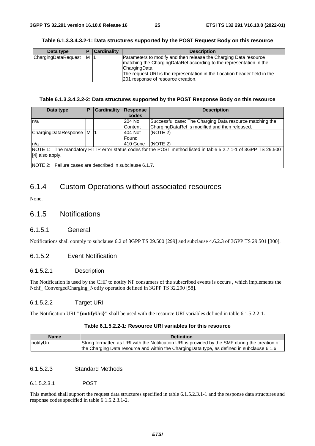| Data type           |     | Cardinality | <b>Description</b>                                                        |
|---------------------|-----|-------------|---------------------------------------------------------------------------|
| ChargingDataRequest | IM. | -11         | Parameters to modify and then release the Charging Data resource          |
|                     |     |             | matching the ChargingDataRef according to the representation in the       |
|                     |     |             | ChargingData.                                                             |
|                     |     |             | The request URI is the representation in the Location header field in the |
|                     |     |             | 201 response of resource creation.                                        |

#### **Table 6.1.3.3.4.3.2-1: Data structures supported by the POST Request Body on this resource**

#### **Table 6.1.3.3.4.3.2-2: Data structures supported by the POST Response Body on this resource**

| Data type                                                                                                                          | P | <b>Cardinality</b> | Response<br>codes       | <b>Description</b>                                                                                         |  |
|------------------------------------------------------------------------------------------------------------------------------------|---|--------------------|-------------------------|------------------------------------------------------------------------------------------------------------|--|
| In/a                                                                                                                               |   |                    | 204 No<br>Content       | Successful case: The Charging Data resource matching the<br>ChargingDataRef is modified and then released. |  |
| ChargingDataResponse M                                                                                                             |   |                    | 404 Not<br><b>Found</b> | (NOTE 2)                                                                                                   |  |
| ln/a                                                                                                                               |   |                    | 410 Gone                | (NOTE 2)                                                                                                   |  |
| NOTE 1: The mandatory HTTP error status codes for the POST method listed in table 5.2.7.1-1 of 3GPP TS 29.500<br>$[4]$ also apply. |   |                    |                         |                                                                                                            |  |
| $\cdots$                                                                                                                           |   | .                  |                         |                                                                                                            |  |

NOTE 2: Failure cases are described in subclause 6.1.7.

## 6.1.4 Custom Operations without associated resources

None.

## 6.1.5 Notifications

#### 6.1.5.1 General

Notifications shall comply to subclause 6.2 of 3GPP TS 29.500 [299] and subclause 4.6.2.3 of 3GPP TS 29.501 [300].

### 6.1.5.2 Event Notification

#### 6.1.5.2.1 Description

The Notification is used by the CHF to notify NF consumers of the subscribed events is occurs , which implements the Nchf\_ ConvergedCharging\_Notify operation defined in 3GPP TS 32.290 [58].

#### 6.1.5.2.2 Target URI

The Notification URI **"{notifyUri}"** shall be used with the resource URI variables defined in table 6.1.5.2.2-1.

#### **Table 6.1.5.2.2-1: Resource URI variables for this resource**

| <b>Name</b> | <b>Definition</b>                                                                               |
|-------------|-------------------------------------------------------------------------------------------------|
| notifyUri   | String formatted as URI with the Notification URI is provided by the SMF during the creation of |
|             | the Charging Data resource and within the ChargingData type, as defined in subclause 6.1.6.     |

### 6.1.5.2.3 Standard Methods

6.1.5.2.3.1 POST

This method shall support the request data structures specified in table 6.1.5.2.3.1-1 and the response data structures and response codes specified in table 6.1.5.2.3.1-2.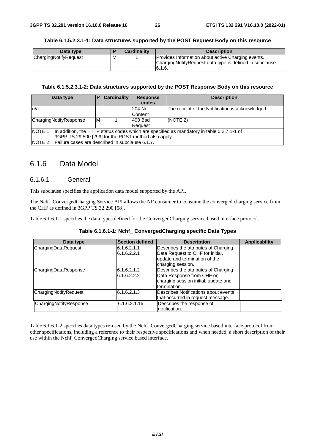#### **Table 6.1.5.2.3.1-1: Data structures supported by the POST Request Body on this resource**

| Data type             |   | <b>Cardinality</b> | <b>Description</b>                                                                                                        |
|-----------------------|---|--------------------|---------------------------------------------------------------------------------------------------------------------------|
| ChargingNotifyRequest | M |                    | Provides Information about active Charging events.<br>Charging Notify Request data type is defined in subclause<br>6.1.6. |

#### **Table 6.1.5.2.3.1-2: Data structures supported by the POST Response Body on this resource**

| Data type                                               |                                                                                                   | <b>Cardinality</b> | <b>Response</b> | <b>Description</b>                               |  |  |
|---------------------------------------------------------|---------------------------------------------------------------------------------------------------|--------------------|-----------------|--------------------------------------------------|--|--|
|                                                         |                                                                                                   |                    | codes           |                                                  |  |  |
| ln/a                                                    |                                                                                                   |                    | 204 No          | The receipt of the Notification is acknowledged. |  |  |
|                                                         |                                                                                                   |                    | Content         |                                                  |  |  |
| ChargingNotifyResponse                                  | M                                                                                                 |                    | 400 Bad         | (NOTE 2)                                         |  |  |
|                                                         |                                                                                                   |                    | Request         |                                                  |  |  |
|                                                         | NOTE 1: In addition, the HTTP status codes which are specified as mandatory in table 5.2.7.1-1 of |                    |                 |                                                  |  |  |
| 3GPP TS 29.500 [299] for the POST method also apply.    |                                                                                                   |                    |                 |                                                  |  |  |
| NOTE 2: Failure cases are described in subclause 6.1.7. |                                                                                                   |                    |                 |                                                  |  |  |

## 6.1.6 Data Model

### 6.1.6.1 General

This subclause specifies the application data model supported by the API.

The Nchf\_ConvergedCharging Service API allows the NF consumer to consume the converged charging service from the CHF as defined in 3GPP TS 32.290 [58].

Table 6.1.6.1-1 specifies the data types defined for the ConvergedCharging service based interface protocol.

| Table 6.1.6.1-1: Nchf_ ConvergedCharging specific Data Types |
|--------------------------------------------------------------|
|--------------------------------------------------------------|

| Data type              | <b>Section defined</b> | <b>Description</b>                   | <b>Applicability</b> |
|------------------------|------------------------|--------------------------------------|----------------------|
| ChargingDataRequest    | 6.1.6.2.1.1            | Describes the attributes of Charging |                      |
|                        | 6.1.6.2.2.1            | Data Request to CHF for initial,     |                      |
|                        |                        | update and termination of the        |                      |
|                        |                        | charging session.                    |                      |
| ChargingDataResponse   | 6.1.6.2.1.2            | Describes the attributes of Charging |                      |
|                        | 6.1.6.2.2.2            | Data Response from CHF on            |                      |
|                        |                        | charging session initial, update and |                      |
|                        |                        | termination.                         |                      |
| ChargingNotifyRequest  | 6.1.6.2.1.3            | Describes Notifications about events |                      |
|                        |                        | that occurred in request message.    |                      |
| ChargingNotifyResponse | 6.1.6.2.1.16           | Describes the response of            |                      |
|                        |                        | notification.                        |                      |

Table 6.1.6.1-2 specifies data types re-used by the Nchf\_ConvergedCharging service based interface protocol from other specifications, including a reference to their respective specifications and when needed, a short description of their use within the Nchf\_ConvergedCharging service based interface.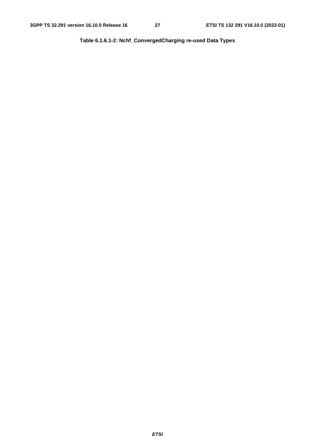**Table 6.1.6.1-2: Nchf\_ConvergedCharging re-used Data Types**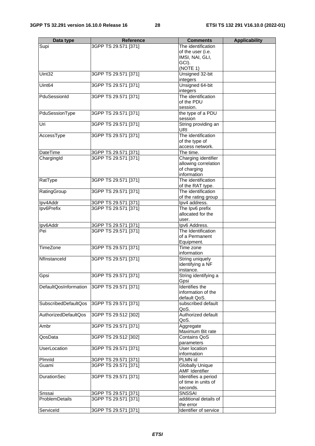|                       | <b>Reference</b>     |                        |                      |
|-----------------------|----------------------|------------------------|----------------------|
| Data type             |                      | <b>Comments</b>        | <b>Applicability</b> |
| Supi                  | 3GPP TS 29.571 [371] | The identification     |                      |
|                       |                      | of the user (i.e.      |                      |
|                       |                      | IMSI, NAI, GLI,        |                      |
|                       |                      | GCI).                  |                      |
|                       |                      | (NOTE 1)               |                      |
| Uint32                | 3GPP TS 29.571 [371] | Unsigned 32-bit        |                      |
|                       |                      | integers               |                      |
| Uint <sub>64</sub>    | 3GPP TS 29.571 [371] | Unsigned 64-bit        |                      |
|                       |                      | integers               |                      |
| PduSessionId          | 3GPP TS 29.571 [371] | The identification     |                      |
|                       |                      | of the PDU             |                      |
|                       |                      | session.               |                      |
| PduSessionType        | 3GPP TS 29.571 [371] | the type of a PDU      |                      |
|                       |                      | session                |                      |
| Uri                   | 3GPP TS 29.571 [371] | String providing an    |                      |
|                       |                      | <b>URI</b>             |                      |
| AccessType            | 3GPP TS 29.571 [371] | The identification     |                      |
|                       |                      | of the type of         |                      |
|                       |                      | access network.        |                      |
| <b>DateTime</b>       | 3GPP TS 29.571 [371] | The time.              |                      |
| ChargingId            | 3GPP TS 29.571 [371] | Charging identifier    |                      |
|                       |                      | allowing correlation   |                      |
|                       |                      | of charging            |                      |
|                       |                      | information            |                      |
|                       |                      | The identification     |                      |
| RatType               | 3GPP TS 29.571 [371] |                        |                      |
|                       |                      | of the RAT type.       |                      |
| RatingGroup           | 3GPP TS 29.571 [371] | The identification     |                      |
|                       |                      | of the rating group    |                      |
| Ipv4Addr              | 3GPP TS 29.571 [371] | lpv4 address.          |                      |
| Ipv6Prefix            | 3GPP TS 29.571 [371] | The Ipv6 prefix        |                      |
|                       |                      | allocated for the      |                      |
|                       |                      | user.                  |                      |
| Ipv6Addr              | 3GPP TS 29.571 [371] | Ipv6 Address.          |                      |
| Pei                   | 3GPP TS 29.571 [371] | The Identification     |                      |
|                       |                      | of a Permanent         |                      |
|                       |                      | Equipment.             |                      |
| <b>TimeZone</b>       | 3GPP TS 29.571 [371] | Time zone              |                      |
|                       |                      | information            |                      |
| Nflnstanceld          | 3GPP TS 29.571 [371] | String uniquely        |                      |
|                       |                      | identifying a NF       |                      |
|                       |                      | instance.              |                      |
| Gpsi                  | 3GPP TS 29.571 [371] | String identifying a   |                      |
|                       |                      | Gpsi                   |                      |
| DefaultQosInformation | 3GPP TS 29.571 [371] | Identifies the         |                      |
|                       |                      | information of the     |                      |
|                       |                      | default QoS.           |                      |
| SubscribedDefaultQos  | 3GPP TS 29.571 [371] | subscribed default     |                      |
|                       |                      | QoS.                   |                      |
| AuthorizedDefaultQos  | 3GPP TS 29.512 [302] | Authorized default     |                      |
|                       |                      | QoS.                   |                      |
|                       | 3GPP TS 29.571 [371] |                        |                      |
| Ambr                  |                      | Aggregate              |                      |
|                       |                      | Maximum Bit rate       |                      |
| QosData               | 3GPP TS 29.512 [302] | <b>Contains QoS</b>    |                      |
|                       |                      | parameters             |                      |
| UserLocation          | 3GPP TS 29.571 [371] | User location          |                      |
|                       |                      | information            |                      |
| Plmnld                | 3GPP TS 29.571 [371] | PLMN id                |                      |
| Guami                 | 3GPP TS 29.571 [371] | <b>Globally Unique</b> |                      |
|                       |                      | <b>AMF Identifier</b>  |                      |
| <b>DurationSec</b>    | 3GPP TS 29.571 [371] | Identifies a period    |                      |
|                       |                      | of time in units of    |                      |
|                       |                      | seconds.               |                      |
| Snssai                | 3GPP TS 29.571 [371] | <b>SNSSAI</b>          |                      |
| ProblemDetails        | 3GPP TS 29.571 [371] | additional details of  |                      |
|                       |                      | the error              |                      |
| ServiceId             | 3GPP TS 29.571 [371] | Identifier of service  |                      |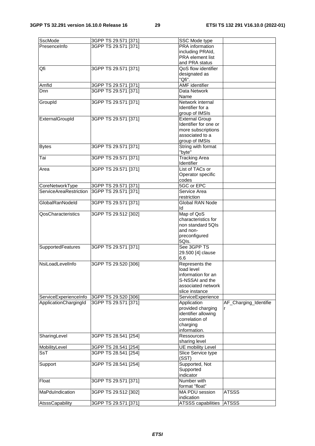| SscMode                | 3GPP TS 29.571 [371] | SSC Mode type                           |                       |
|------------------------|----------------------|-----------------------------------------|-----------------------|
| PresenceInfo           | 3GPP TS 29.571 [371] | <b>PRA</b> information                  |                       |
|                        |                      | including PRAId,                        |                       |
|                        |                      | PRA element list                        |                       |
|                        |                      | and PRA status                          |                       |
| Qfi                    | 3GPP TS 29.571 [371] | QoS flow identifier                     |                       |
|                        |                      | designated as                           |                       |
|                        |                      | "Qfi".                                  |                       |
| Amfld                  | 3GPP TS 29.571 [371] | <b>AMF</b> identifier                   |                       |
| <b>D</b> nn            | 3GPP TS 29.571 [371] | Data Network                            |                       |
|                        |                      | Name                                    |                       |
| GroupId                | 3GPP TS 29.571 [371] | Network internal                        |                       |
|                        |                      | Identifier for a                        |                       |
|                        |                      | group of IMSIs<br><b>External Group</b> |                       |
| ExternalGroupId        | 3GPP TS 29.571 [371] | Identifier for one or                   |                       |
|                        |                      | more subscriptions                      |                       |
|                        |                      | associated to a                         |                       |
|                        |                      | group of IMSIs                          |                       |
| <b>Bytes</b>           | 3GPP TS 29.571 [371] | String with format                      |                       |
|                        |                      | "byte"                                  |                       |
| $\overline{T}$ ai      | 3GPP TS 29.571 [371] | <b>Tracking Area</b>                    |                       |
|                        |                      | Identifier                              |                       |
| Area                   | 3GPP TS 29.571 [371] | List of TACs or                         |                       |
|                        |                      | Operator specific                       |                       |
|                        |                      | codes                                   |                       |
| CoreNetworkType        | 3GPP TS 29.571 [371] | 5GC or EPC                              |                       |
| ServiceAreaRestriction | 3GPP TS 29.571 [371] | Service Area                            |                       |
|                        |                      | restriction                             |                       |
| GlobalRanNodeld        | 3GPP TS 29.571 [371] | <b>Global RAN Node</b>                  |                       |
|                        |                      | ld                                      |                       |
| QosCharacteristics     | 3GPP TS 29.512 [302] | Map of QoS                              |                       |
|                        |                      | characteristics for                     |                       |
|                        |                      | non standard 5QIs                       |                       |
|                        |                      | and non-                                |                       |
|                        |                      | preconfigured                           |                       |
|                        |                      | 5Qls.                                   |                       |
| SupportedFeatures      | 3GPP TS 29.571 [371] | See 3GPP TS                             |                       |
|                        |                      | 29.500 [4] clause                       |                       |
|                        |                      | 6.6                                     |                       |
| NsiLoadLevelInfo       | 3GPP TS 29.520 [306] | Represents the<br>load level            |                       |
|                        |                      | information for an                      |                       |
|                        |                      | S-NSSAI and the                         |                       |
|                        |                      | associated network                      |                       |
|                        |                      | slice instance                          |                       |
| ServiceExperienceInfo  | 3GPP TS 29.520 [306] | ServiceExperience                       |                       |
| ApplicationChargingId  | 3GPP TS 29.571 [371] | Application                             | AF_Charging_Identifie |
|                        |                      | provided charging                       |                       |
|                        |                      | identifier allowing                     |                       |
|                        |                      | correlation of                          |                       |
|                        |                      | charging                                |                       |
|                        |                      | information.                            |                       |
| SharingLevel           | 3GPP TS 28.541 [254] | <b>Ressources</b>                       |                       |
|                        |                      | sharing level                           |                       |
| MobilityLevel          | 3GPP TS 28.541 [254] | UE mobility Level                       |                       |
| SsT                    | 3GPP TS 28.541 [254] | Slice Service type                      |                       |
|                        |                      | (SST)                                   |                       |
| Support                | 3GPP TS 28.541 [254] | Supported, Not                          |                       |
|                        |                      | Supported                               |                       |
|                        |                      | indicator                               |                       |
| Float                  | 3GPP TS 29.571 [371] | Number with                             |                       |
|                        |                      | format "float"                          |                       |
| MaPduIndication        | 3GPP TS 29.512 [302] | MA PDU session                          | <b>ATSSS</b>          |
|                        |                      | indication                              |                       |
| AtsssCapability        | 3GPP TS 29.571 [371] | ATSSS capabilities                      | <b>ATSSS</b>          |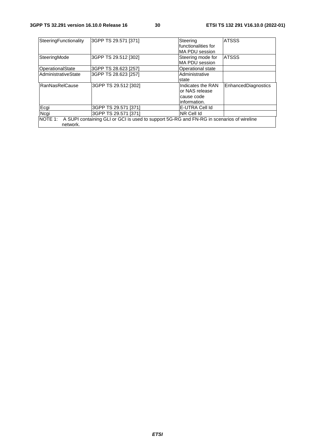| SteeringFunctionality | 3GPP TS 29.571 [371]                                                                             | Steering              | <b>ATSSS</b>        |
|-----------------------|--------------------------------------------------------------------------------------------------|-----------------------|---------------------|
|                       |                                                                                                  | functionalities for   |                     |
|                       |                                                                                                  | MA PDU session        |                     |
| SteeringMode          | 3GPP TS 29.512 [302]                                                                             | Steering mode for     | <b>ATSSS</b>        |
|                       |                                                                                                  | <b>MA PDU session</b> |                     |
| OperationalState      | 3GPP TS 28.623 [257]                                                                             | Operational state     |                     |
| AdministrativeState   | 3GPP TS 28.623 [257]                                                                             | Administrative        |                     |
|                       |                                                                                                  | state                 |                     |
| <b>RanNasRelCause</b> | 3GPP TS 29.512 [302]                                                                             | Indicates the RAN     | EnhancedDiagnostics |
|                       |                                                                                                  | or NAS release        |                     |
|                       |                                                                                                  | cause code            |                     |
|                       |                                                                                                  | information.          |                     |
| Ecgi                  | 3GPP TS 29.571 [371]                                                                             | E-UTRA Cell Id        |                     |
| Ncgi                  | 3GPP TS 29.571 [371]                                                                             | NR Cell Id            |                     |
|                       | NOTE 1: A SUPI containing GLI or GCI is used to support 5G-RG and FN-RG in scenarios of wireline |                       |                     |
| network.              |                                                                                                  |                       |                     |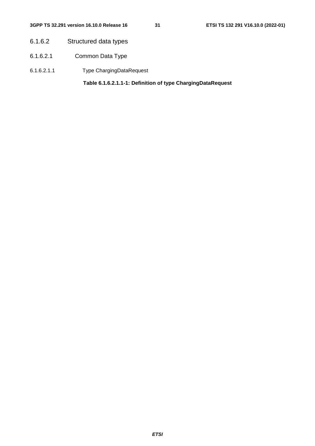- 6.1.6.2 Structured data types
- 6.1.6.2.1 Common Data Type
- 6.1.6.2.1.1 Type ChargingDataRequest

**Table 6.1.6.2.1.1-1: Definition of type ChargingDataRequest**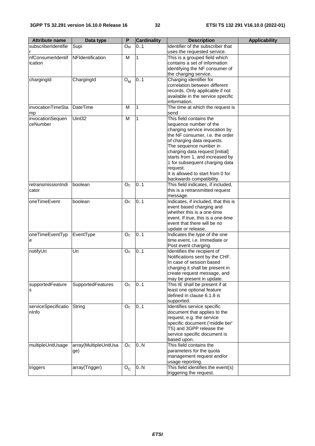| <b>Attribute name</b>        | Data type             | P                      | <b>Cardinality</b> | <b>Description</b>                                       | <b>Applicability</b> |
|------------------------------|-----------------------|------------------------|--------------------|----------------------------------------------------------|----------------------|
| subscriberIdentifie          | Supi                  | Ом                     | 0.1                | Identifier of the subscriber that                        |                      |
|                              |                       |                        |                    | uses the requested service.                              |                      |
| nfConsumerIdentif            | NFIdentification      | M                      | $\mathbf{1}$       | This is a grouped field which                            |                      |
| ication                      |                       |                        |                    | contains a set of information                            |                      |
|                              |                       |                        |                    | identifying the NF consumer of                           |                      |
|                              |                       |                        |                    | the charging service.                                    |                      |
| chargingId                   | ChargingId            | ${\bf O}_{\bf M}$      | 0.1                | Charging identifier for                                  |                      |
|                              |                       |                        |                    | correlation between different                            |                      |
|                              |                       |                        |                    | records. Only applicable if not                          |                      |
|                              |                       |                        |                    | available in the service specific                        |                      |
| invocationTimeSta            | DateTime              |                        |                    | information.                                             |                      |
|                              |                       | M                      | 1                  | The time at which the request is<br>send                 |                      |
| mp                           |                       | M                      | $\mathbf{1}$       | This field contains the                                  |                      |
| invocationSequen<br>ceNumber | Uint32                |                        |                    |                                                          |                      |
|                              |                       |                        |                    | sequence number of the<br>charging service invocation by |                      |
|                              |                       |                        |                    | the NF consumer, i.e. the order                          |                      |
|                              |                       |                        |                    | of charging data requests.                               |                      |
|                              |                       |                        |                    | The sequence number in                                   |                      |
|                              |                       |                        |                    | charging data request [initial]                          |                      |
|                              |                       |                        |                    | starts from 1, and increased by                          |                      |
|                              |                       |                        |                    | 1 for subsequent charging data                           |                      |
|                              |                       |                        |                    | request.                                                 |                      |
|                              |                       |                        |                    | It is allowed to start from 0 for                        |                      |
|                              |                       |                        |                    | backwards compatibility.                                 |                      |
| retransmissionIndi           | boolean               | O <sub>c</sub>         | 0.1                | This field indicates, if included,                       |                      |
| cator                        |                       |                        |                    | this is a retransmitted request                          |                      |
|                              |                       |                        |                    | message.                                                 |                      |
| oneTimeEvent                 | boolean               | O <sub>C</sub>         | 0.1                | Indicates, if included, that this is                     |                      |
|                              |                       |                        |                    | event based charging and                                 |                      |
|                              |                       |                        |                    | whether this is a one-time                               |                      |
|                              |                       |                        |                    | event. If true, this is a one-time                       |                      |
|                              |                       |                        |                    | event that there will be no                              |                      |
|                              |                       |                        |                    | update or release.                                       |                      |
| oneTimeEventTyp              | EventType             | O <sub>C</sub>         | 0.1                | Indicates the type of the one                            |                      |
| е                            |                       |                        |                    | time event, i.e. Immediate or                            |                      |
|                              |                       |                        |                    | Post event charging.                                     |                      |
| notifyUri                    | Uri                   | O <sub>C</sub>         | 0.1                | Identifies the recipient of                              |                      |
|                              |                       |                        |                    | Notifications sent by the CHF.                           |                      |
|                              |                       |                        |                    | In case of session based                                 |                      |
|                              |                       |                        |                    | charging it shall be present in                          |                      |
|                              |                       |                        |                    | create request message, and                              |                      |
|                              |                       |                        |                    | may be present in update.                                |                      |
| supportedFeature             | SupportedFeatures     | $\mathsf{O}\mathsf{c}$ | 0.1                | This IE shall be present if at                           |                      |
| S                            |                       |                        |                    | least one optional feature                               |                      |
|                              |                       |                        |                    | defined in clause 6.1.8 is                               |                      |
|                              |                       |                        |                    | supported.                                               |                      |
| serviceSpecificatio          | String                | O <sub>c</sub>         | 0.1                | Identifies service specific                              |                      |
| nInfo                        |                       |                        |                    | document that applies to the                             |                      |
|                              |                       |                        |                    | request, e.g. the service                                |                      |
|                              |                       |                        |                    | specific document ('middle tier'                         |                      |
|                              |                       |                        |                    | TS) and 3GPP release the                                 |                      |
|                              |                       |                        |                    | service specific document is                             |                      |
|                              |                       |                        | 0.N                | based upon.<br>This field contains the                   |                      |
| multipleUnitUsage            | array(MultipleUnitUsa | O <sub>C</sub>         |                    |                                                          |                      |
|                              | ge)                   |                        |                    | parameters for the quota                                 |                      |
|                              |                       |                        |                    | management request and/or<br>usage reporting.            |                      |
|                              | array(Trigger)        |                        | 0N                 | This field identifies the event(s)                       |                      |
| triggers                     |                       | $O_{C}$                |                    | triggering the request.                                  |                      |
|                              |                       |                        |                    |                                                          |                      |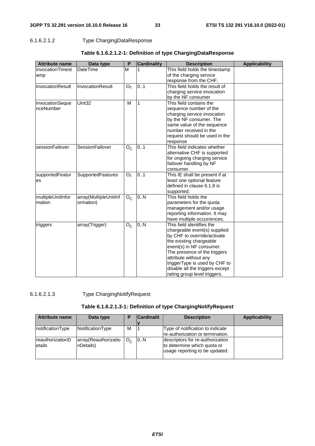## 6.1.6.2.1.2 Type ChargingDataResponse

| <b>Attribute name</b> | Data type             | P              | <b>Cardinality</b> | <b>Description</b>              | <b>Applicability</b> |
|-----------------------|-----------------------|----------------|--------------------|---------------------------------|----------------------|
| invocationTimest      | DateTime              | M              |                    | This field holds the timestamp  |                      |
| amp                   |                       |                |                    | of the charging service         |                      |
|                       |                       |                |                    | response from the CHF.          |                      |
| invocationResult      | InvocationResult      | O <sub>C</sub> | 0.1                | This field holds the result of  |                      |
|                       |                       |                |                    | charging service invocation     |                      |
|                       |                       |                |                    | by the NF consumer              |                      |
| invocationSeque       | Uint32                | M              | 1                  | This field contains the         |                      |
| nceNumber             |                       |                |                    | sequence number of the          |                      |
|                       |                       |                |                    | charging service invocation     |                      |
|                       |                       |                |                    | by the NF consumer. The         |                      |
|                       |                       |                |                    | same value of the sequence      |                      |
|                       |                       |                |                    | number received in the          |                      |
|                       |                       |                |                    | request should be used in the   |                      |
|                       |                       |                |                    | response                        |                      |
| sessionFailover       | SessionFailover       | $O_{C}$        | 0.1                | This field indicates whether    |                      |
|                       |                       |                |                    | alternative CHF is supported    |                      |
|                       |                       |                |                    | for ongoing charging service    |                      |
|                       |                       |                |                    | failover handling by NF         |                      |
|                       |                       |                |                    | consumer.                       |                      |
| supportedFeatur       | SupportedFeatures     | O <sub>C</sub> | 0.1                | This IE shall be present if at  |                      |
| es                    |                       |                |                    | least one optional feature      |                      |
|                       |                       |                |                    | defined in clause 6.1.8 is      |                      |
|                       |                       |                |                    | supported.                      |                      |
| multipleUnitInfor     | array(MultipleUnitInf | $O_{C}$        | 0.N                | This field holds the            |                      |
| mation                | ormation)             |                |                    | parameters for the quota        |                      |
|                       |                       |                |                    | management and/or usage         |                      |
|                       |                       |                |                    | reporting information. It may   |                      |
|                       |                       |                |                    | have multiple occurrences.      |                      |
| triggers              | array(Trigger)        | $O_{C}$        | 0.N                | This field identifies the       |                      |
|                       |                       |                |                    | chargeable event(s) supplied    |                      |
|                       |                       |                |                    | by CHF to override/activate     |                      |
|                       |                       |                |                    | the existing chargeable         |                      |
|                       |                       |                |                    | event(s) in NF consumer.        |                      |
|                       |                       |                |                    | The presence of the triggers    |                      |
|                       |                       |                |                    | attribute without any           |                      |
|                       |                       |                |                    | triggerType is used by CHF to   |                      |
|                       |                       |                |                    | disable all the triggers except |                      |
|                       |                       |                |                    | rating group level triggers.    |                      |

## **Table 6.1.6.2.1.2-1: Definition of type ChargingDataResponse**

## 6.1.6.2.1.3 Type ChargingNotifyRequest

## **Table 6.1.6.2.1.3-1: Definition of type ChargingNotifyRequest**

| Attribute name              | Data type                         | D            | <b>Cardinalit</b> | <b>Description</b>                                                                                | <b>Applicability</b> |
|-----------------------------|-----------------------------------|--------------|-------------------|---------------------------------------------------------------------------------------------------|----------------------|
| notificationType            | NotificationType                  | м            |                   | Type of notification to indicate<br>re-authorization or termination.                              |                      |
| IreauthorizationD<br>etails | array(Reauthorizatio<br>nDetails) | $O_{\alpha}$ | 0.N               | descriptors for re-authorization<br>to determine which quota or<br>usage reporting to be updated. |                      |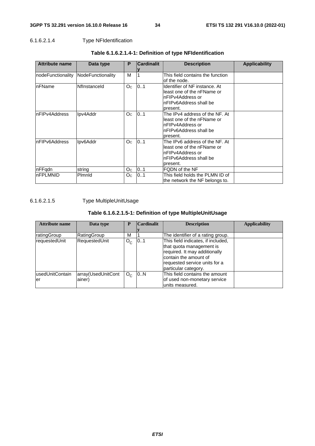## 6.1.6.2.1.4 Type NFIdentification

| <b>Attribute name</b> | Data type         | P              | <b>Cardinalit</b> | <b>Description</b>                                                                                                        | Applicability |
|-----------------------|-------------------|----------------|-------------------|---------------------------------------------------------------------------------------------------------------------------|---------------|
| InodeFunctionality    | NodeFunctionality | M              |                   | This field contains the function<br>of the node.                                                                          |               |
| InFName               | Nflnstanceld      | O <sub>c</sub> | 0.1               | Identifier of NF instance. At<br>lleast one of the nFName or<br>InFIPv4Address.or<br>nFIPv6Address shall be<br>present.   |               |
| InFIPv4Address        | Ipv4Addr          | Oc.            | 0.1               | The IPv4 address of the NF. At<br>lleast one of the nFName or<br>InFIPv4Address or<br>InFIPv6Address shall be<br>present. |               |
| nFIPv6Address         | Ipv6Addr          | Oc.            | 0.1               | The IPv6 address of the NF. At<br>lleast one of the nFName or<br>InFIPv4Address.or<br>InFIPv6Address shall be<br>present. |               |
| <b>InFFgdn</b>        | string            | O <sub>C</sub> | 0.1               | FQDN of the NF                                                                                                            |               |
| InFPLMNID             | Plmnld            | O <sub>C</sub> | 0.1               | This field holds the PLMN ID of<br>lthe network the NF belongs to.                                                        |               |

## **Table 6.1.6.2.1.4-1: Definition of type NFIdentification**

6.1.6.2.1.5 Type MultipleUnitUsage

## **Table 6.1.6.2.1.5-1: Definition of type MultipleUnitUsage**

| Attribute name          | Data type                    | P            | <b>Cardinalit</b> | <b>Description</b>                                                                                                                                                                | <b>Applicability</b> |
|-------------------------|------------------------------|--------------|-------------------|-----------------------------------------------------------------------------------------------------------------------------------------------------------------------------------|----------------------|
|                         |                              |              |                   |                                                                                                                                                                                   |                      |
| ratingGroup             | RatingGroup                  | М            |                   | The identifier of a rating group.                                                                                                                                                 |                      |
| requestedUnit           | RequestedUnit                | $O_{C}$      | 101               | This field indicates, if included,<br>that quota management is<br>required. It may additionally<br>contain the amount of<br>requested service units for a<br>particular category. |                      |
| lusedUnitContain<br>ler | array(UsedUnitCont<br>ainer) | $O_{\alpha}$ | 0.N               | This field contains the amount<br>of used non-monetary service<br>lunits measured.                                                                                                |                      |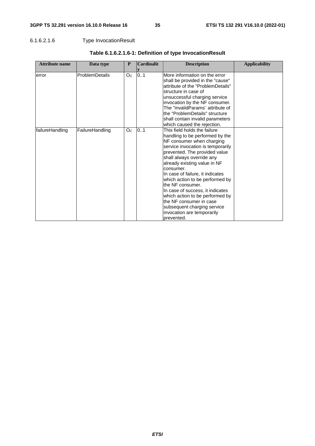## 6.1.6.2.1.6 Type InvocationResult

| <b>Attribute name</b> | Data type             | P              | <b>Cardinalit</b> | <b>Description</b>                                                                                                                                                                                                                                                                                                                                                                                                                                                                                                   | <b>Applicability</b> |
|-----------------------|-----------------------|----------------|-------------------|----------------------------------------------------------------------------------------------------------------------------------------------------------------------------------------------------------------------------------------------------------------------------------------------------------------------------------------------------------------------------------------------------------------------------------------------------------------------------------------------------------------------|----------------------|
| error                 | <b>ProblemDetails</b> | O <sub>C</sub> | 0.1               | More information on the error<br>shall be provided in the "cause"<br>attribute of the "ProblemDetails"<br>structure in case of<br>unsuccessful charging service<br>invocation by the NF consumer.<br>The "invalidParams" attribute of<br>the "ProblemDetails" structure<br>shall contain invalid parameters<br>which caused the rejection.                                                                                                                                                                           |                      |
| failureHandling       | FailureHandling       | O <sub>C</sub> | 0.1               | This field holds the failure<br>handling to be performed by the<br>NF consumer when charging<br>service invocation is temporarily<br>prevented. The provided value<br>shall always override any<br>already existing value in NF<br>consumer.<br>In case of failure, it indicates<br>which action to be performed by<br>the NF consumer.<br>In case of success, it indicates<br>which action to be performed by<br>the NF consumer in case<br>subsequent charging service<br>invocation are temporarily<br>prevented. |                      |

## **Table 6.1.6.2.1.6-1: Definition of type InvocationResult**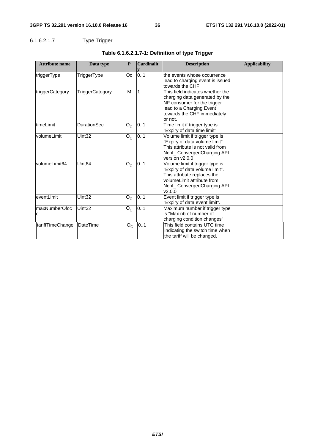# 6.1.6.2.1.7 Type Trigger

| <b>Attribute name</b> | Data type          | P       | <b>Cardinalit</b> | <b>Description</b>                                                                                                                                                      | <b>Applicability</b> |
|-----------------------|--------------------|---------|-------------------|-------------------------------------------------------------------------------------------------------------------------------------------------------------------------|----------------------|
| triggerType           | TriggerType        | Оc      | 0.1               | the events whose occurrence<br>lead to charging event is issued<br>towards the CHF                                                                                      |                      |
| triggerCategory       | TriggerCategory    | M       |                   | This field indicates whether the<br>charging data generated by the<br>NF consumer for the trigger<br>lead to a Charging Event<br>towards the CHF immediately<br>or not. |                      |
| timeLimit             | <b>DurationSec</b> | $O_{C}$ | 0.1               | Time limit if trigger type is<br>"Expiry of data time limit"                                                                                                            |                      |
| volumeLimit           | Uint32             | $O_{C}$ | 0.1               | Volume limit if trigger type is<br>'Expiry of data volume limit".<br>This attribute is not valid from<br>Nchf_ ConvergedCharging API<br>version v2.0.0                  |                      |
| volumeLimit64         | Uint <sub>64</sub> | $O_{C}$ | 0.1               | Volume limit if trigger type is<br>'Expiry of data volume limit".<br>This attribute replaces the<br>volumeLimit attribute from<br>Nchf_ConvergedCharging API<br>V2.0.0  |                      |
| eventLimit            | Uint32             | $O_{C}$ | 01                | Event limit if trigger type is<br>'Expiry of data event limit".                                                                                                         |                      |
| maxNumberOfcc<br>C    | Uint32             | $O_{C}$ | 01                | Maximum number if trigger type<br>is "Max nb of number of<br>charging condition changes"                                                                                |                      |
| tariffTimeChange      | <b>DateTime</b>    | $O_{C}$ | 0.1               | This field contains UTC time<br>indicating the switch time when<br>the tariff will be changed.                                                                          |                      |

# **Table 6.1.6.2.1.7-1: Definition of type Trigger**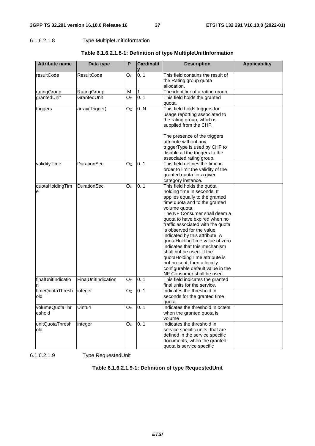## 6.1.6.2.1.8 Type MultipleUnitInformation

| <b>Attribute name</b>    | Data type           | P              | <b>Cardinalit</b> | <b>Description</b>                                                                                                                                                                                                                                                                                                                                                                                                                                                                                                                                    | <b>Applicability</b> |
|--------------------------|---------------------|----------------|-------------------|-------------------------------------------------------------------------------------------------------------------------------------------------------------------------------------------------------------------------------------------------------------------------------------------------------------------------------------------------------------------------------------------------------------------------------------------------------------------------------------------------------------------------------------------------------|----------------------|
| resultCode               | <b>ResultCode</b>   | O <sub>C</sub> | 0.1               | This field contains the result of<br>the Rating group quota<br>allocation.                                                                                                                                                                                                                                                                                                                                                                                                                                                                            |                      |
| ratingGroup              | RatingGroup         | M              | 1                 | The identifier of a rating group.                                                                                                                                                                                                                                                                                                                                                                                                                                                                                                                     |                      |
| grantedUnit              | GrantedUnit         | O <sub>c</sub> | 0.1               | This field holds the granted<br>quota.                                                                                                                                                                                                                                                                                                                                                                                                                                                                                                                |                      |
| triggers                 | array(Trigger)      | O <sub>C</sub> | 0.N               | This field holds triggers for<br>usage reporting associated to<br>the rating group, which is<br>supplied from the CHF.<br>The presence of the triggers<br>attribute without any<br>triggerType is used by CHF to<br>disable all the triggers to the<br>associated rating group.                                                                                                                                                                                                                                                                       |                      |
| validityTime             | <b>DurationSec</b>  | O <sub>C</sub> | 0.1               | This field defines the time in<br>order to limit the validity of the<br>granted quota for a given<br>category instance.                                                                                                                                                                                                                                                                                                                                                                                                                               |                      |
| quotaHoldingTim<br>e     | <b>DurationSec</b>  | Oc             | 0.1               | This field holds the quota<br>holding time in seconds. It<br>applies equally to the granted<br>time quota and to the granted<br>volume quota.<br>The NF Consumer shall deem a<br>quota to have expired when no<br>traffic associated with the quota<br>is observed for the value<br>indicated by this attribute. A<br>quotaHoldingTime value of zero<br>indicates that this mechanism<br>shall not be used. If the<br>quotaHoldingTime attribute is<br>not present, then a locally<br>configurable default value in the<br>NF Consumer shall be used. |                      |
| finalUnitIndicatio<br>n  | FinalUnitIndication | O <sub>C</sub> | 0.1               | This field indicates the granted<br>final units for the service.                                                                                                                                                                                                                                                                                                                                                                                                                                                                                      |                      |
| timeQuotaThresh<br>old   | integer             | O <sub>c</sub> | 0.1               | indicates the threshold in<br>seconds for the granted time<br>quota.                                                                                                                                                                                                                                                                                                                                                                                                                                                                                  |                      |
| volumeQuotaThr<br>eshold | Uint <sub>64</sub>  | O <sub>C</sub> | 0.1               | indicates the threshold in octets<br>when the granted quota is<br>volume                                                                                                                                                                                                                                                                                                                                                                                                                                                                              |                      |
| unitQuotaThresh<br>old   | integer             | O <sub>C</sub> | 0.1               | indicates the threshold in<br>service specific units, that are<br>defined in the service specific<br>documents, when the granted<br>quota is service specific                                                                                                                                                                                                                                                                                                                                                                                         |                      |

**Table 6.1.6.2.1.8-1: Definition of type MultipleUnitInformation** 

6.1.6.2.1.9 Type RequestedUnit

# **Table 6.1.6.2.1.9-1: Definition of type RequestedUnit**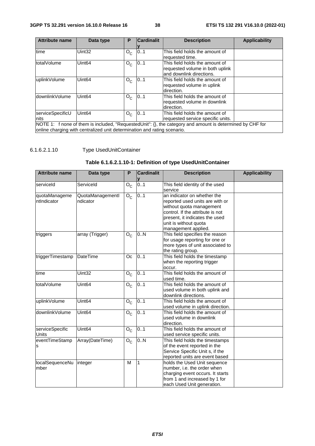| <b>Attribute name</b>                                                                                                                                                                 | Data type          | P       | <b>Cardinalit</b> | <b>Description</b>                                                                            | <b>Applicability</b> |  |
|---------------------------------------------------------------------------------------------------------------------------------------------------------------------------------------|--------------------|---------|-------------------|-----------------------------------------------------------------------------------------------|----------------------|--|
|                                                                                                                                                                                       |                    |         |                   |                                                                                               |                      |  |
| time                                                                                                                                                                                  | Uint32             | $O_{C}$ | 0.1               | This field holds the amount of<br>requested time.                                             |                      |  |
| totalVolume                                                                                                                                                                           | Uint <sub>64</sub> | $O_{C}$ | 0.1               | This field holds the amount of<br>requested volume in both uplink<br>and downlink directions. |                      |  |
| uplinkVolume                                                                                                                                                                          | Uint <sub>64</sub> | $O_{C}$ | 0.1               | This field holds the amount of<br>requested volume in uplink<br>direction.                    |                      |  |
| downlinkVolume<br>0.1<br>Uint <sub>64</sub><br>This field holds the amount of<br>$O_{C}$<br>requested volume in downlink<br>direction.                                                |                    |         |                   |                                                                                               |                      |  |
| serviceSpecificU<br>Inits                                                                                                                                                             | Uint <sub>64</sub> | $O_{C}$ | 0.1               | This field holds the amount of<br>requested service specific units.                           |                      |  |
| NOTE 1: f none of them is included, "RequestedUnit": {}, the category and amount is determined by CHF for<br>online charging with centralized unit determination and rating scenario. |                    |         |                   |                                                                                               |                      |  |

# 6.1.6.2.1.10 Type UsedUnitContainer

# **Table 6.1.6.2.1.10-1: Definition of type UsedUnitContainer**

| <b>Attribute name</b>           | Data type                    | P       | <b>Cardinalit</b> | <b>Description</b>                                                                                                                                                                                               | <b>Applicability</b> |
|---------------------------------|------------------------------|---------|-------------------|------------------------------------------------------------------------------------------------------------------------------------------------------------------------------------------------------------------|----------------------|
| serviceld                       | Serviceld                    | $O_{C}$ | 0.1               | This field identity of the used<br>service                                                                                                                                                                       |                      |
| quotaManageme<br>ntIndicator    | QuotaManagementl<br>ndicator | $O_{C}$ | 0.1               | an indicator on whether the<br>reported used units are with or<br>without quota management<br>control. If the attribute is not<br>present, it indicates the used<br>unit is without quota<br>management applied. |                      |
| triggers                        | array (Trigger)              | $O_{C}$ | 0.N               | This field specifies the reason<br>for usage reporting for one or<br>more types of unit associated to<br>the rating group.                                                                                       |                      |
| triggerTimestamp                | <b>DateTime</b>              | Oc      | 0.1               | This field holds the timestamp<br>when the reporting trigger<br>occur.                                                                                                                                           |                      |
| time                            | Uint32                       | $O_{C}$ | 0.1               | This field holds the amount of<br>used time.                                                                                                                                                                     |                      |
| totalVolume                     | Uint <sub>64</sub>           | $O_{C}$ | 01                | This field holds the amount of<br>used volume in both uplink and<br>downlink directions.                                                                                                                         |                      |
| uplinkVolume                    | Uint <sub>64</sub>           | $O_{C}$ | 0.1               | This field holds the amount of<br>used volume in uplink direction.                                                                                                                                               |                      |
| downlinkVolume                  | Uint <sub>64</sub>           | $O_{C}$ | 0.1               | This field holds the amount of<br>used volume in downlink<br>direction.                                                                                                                                          |                      |
| serviceSpecific<br><b>Units</b> | Uint <sub>64</sub>           | $O_{C}$ | 0.1               | This field holds the amount of<br>used service specific units.                                                                                                                                                   |                      |
| eventTimeStamp<br>s             | Array(DateTime)              | $O_{C}$ | 0.N               | This field holds the timestamps<br>of the event reported in the<br>Service Specific Unit s, if the<br>reported units are event based                                                                             |                      |
| localSequenceNu<br>mber         | integer                      | M       | 1                 | holds the Used Unit sequence<br>number, i.e. the order when<br>charging event occurs. It starts<br>from 1 and increased by 1 for<br>each Used Unit generation.                                                   |                      |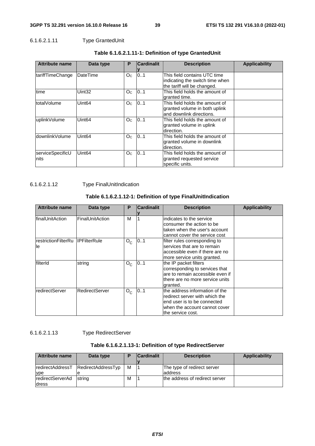## 6.1.6.2.1.11 Type GrantedUnit

| <b>Attribute name</b> | Data type          | P              | <b>Cardinalit</b> | <b>Description</b>              | <b>Applicability</b> |
|-----------------------|--------------------|----------------|-------------------|---------------------------------|----------------------|
|                       |                    |                |                   |                                 |                      |
| tariffTimeChange      | DateTime           | Oc             | 0.1               | This field contains UTC time    |                      |
|                       |                    |                |                   | indicating the switch time when |                      |
|                       |                    |                |                   | the tariff will be changed.     |                      |
| time                  | Uint32             | Oc             | 01                | This field holds the amount of  |                      |
|                       |                    |                |                   | granted time.                   |                      |
| totalVolume           | Uint <sub>64</sub> | O <sub>c</sub> | 0.1               | This field holds the amount of  |                      |
|                       |                    |                |                   | granted volume in both uplink   |                      |
|                       |                    |                |                   | and downlink directions.        |                      |
| uplinkVolume          | Uint <sub>64</sub> | O <sub>C</sub> | 0.1               | This field holds the amount of  |                      |
|                       |                    |                |                   | granted volume in uplink        |                      |
|                       |                    |                |                   | direction.                      |                      |
| downlinkVolume        | Uint <sub>64</sub> | Oc.            | 0.1               | This field holds the amount of  |                      |
|                       |                    |                |                   | granted volume in downlink      |                      |
|                       |                    |                |                   | direction.                      |                      |
| serviceSpecificU      | Uint <sub>64</sub> | Oc.            | 0.1               | This field holds the amount of  |                      |
| nits                  |                    |                |                   | granted requested service       |                      |
|                       |                    |                |                   | specific units.                 |                      |

# **Table 6.1.6.2.1.11-1: Definition of type GrantedUnit**

6.1.6.2.1.12 Type FinalUnitIndication

# **Table 6.1.6.2.1.12-1: Definition of type FinalUnitIndication**

| <b>Attribute name</b>     | Data type             | P       | <b>Cardinalit</b> | <b>Description</b>                                                                                                                                    | <b>Applicability</b> |
|---------------------------|-----------------------|---------|-------------------|-------------------------------------------------------------------------------------------------------------------------------------------------------|----------------------|
| IfinalUnitAction          | FinalUnitAction       | м       |                   | indicates to the service<br>consumer the action to be<br>taken when the user's account<br>cannot cover the service cost                               |                      |
| restrictionFilterRu<br>le | <b>IPFilterRule</b>   | $O_{C}$ | 0.1               | filter rules corresponding to<br>services that are to remain<br>accessible even if there are no<br>more service units granted.                        |                      |
| filterId                  | string                | $O_{C}$ | 01                | the IP packet filters<br>corresponding to services that<br>are to remain accessible even if<br>there are no more service units<br>granted.            |                      |
| redirectServer            | <b>RedirectServer</b> | $O_{C}$ | 0.1               | the address information of the<br>redirect server with which the<br>end user is to be connected<br>when the account cannot cover<br>the service cost. |                      |

# 6.1.6.2.1.13 Type RedirectServer

# **Table 6.1.6.2.1.13-1: Definition of type RedirectServer**

| <b>Attribute name</b>   | Data type          | D | <b>Cardinalit</b> | <b>Description</b>             | <b>Applicability</b> |
|-------------------------|--------------------|---|-------------------|--------------------------------|----------------------|
|                         |                    |   |                   |                                |                      |
| <b>redirectAddressT</b> | RedirectAddressTyp | м |                   | The type of redirect server    |                      |
| ype                     |                    |   |                   | address                        |                      |
| <b>redirectServerAd</b> | <b>Istring</b>     | M |                   | the address of redirect server |                      |
| <b>Idress</b>           |                    |   |                   |                                |                      |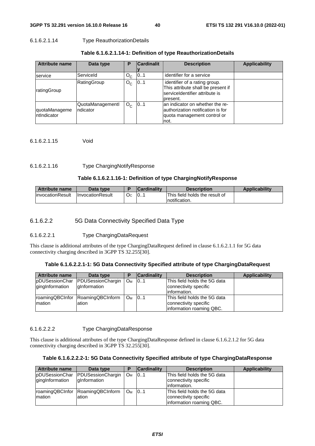### 6.1.6.2.1.14 Type ReauthorizationDetails

| <b>Attribute name</b>        | Data type                    | Р       | <b>Cardinalit</b> | <b>Description</b>                                                                                                 | <b>Applicability</b> |
|------------------------------|------------------------------|---------|-------------------|--------------------------------------------------------------------------------------------------------------------|----------------------|
| service                      | Serviceld                    | $O_{C}$ | 01                | identifier for a service                                                                                           |                      |
| ratingGroup                  | RatingGroup                  | $O_{C}$ | 0.1               | identifier of a rating group.<br>This attribute shall be present if<br>IserviceIdentifier attribute is<br>present. |                      |
| quotaManageme<br>ntIndicator | QuotaManagementl<br>ndicator | $O_{C}$ | 101               | lan indicator on whether the re-<br>lauthorization notification is for<br>quota management control or<br>Inot.     |                      |

6.1.6.2.1.15 Void

### 6.1.6.2.1.16 Type ChargingNotifyResponse

### **Table 6.1.6.2.1.16-1: Definition of type ChargingNotifyResponse**

| Attribute name    | Data type         |    | <b>Cardinality</b> | <b>Description</b>             | <b>Applicability</b> |
|-------------------|-------------------|----|--------------------|--------------------------------|----------------------|
| linvocationResult | IlnvocationResult | Oc | 10                 | This field holds the result of |                      |
|                   |                   |    |                    | Inotification.                 |                      |

# 6.1.6.2.2 5G Data Connectivity Specified Data Type

## 6.1.6.2.2.1 Type ChargingDataRequest

This clause is additional attributes of the type ChargingDataRequest defined in clause 6.1.6.2.1.1 for 5G data connectivity charging described in 3GPP TS 32.255[30].

### **Table 6.1.6.2.2.1-1: 5G Data Connectivity Specified attribute of type ChargingDataRequest**

| <b>Attribute name</b> | Data type                        |                       | <b>Cardinality</b> | <b>Description</b>           | <b>Applicability</b> |
|-----------------------|----------------------------------|-----------------------|--------------------|------------------------------|----------------------|
| pDUSessionChar        | <b>PDUSessionChargin</b>         | <b>O</b> <sub>M</sub> | 101                | This field holds the 5G data |                      |
| gingInformation       | glnformation                     |                       |                    | connectivity specific        |                      |
|                       |                                  |                       |                    | linformation.                |                      |
|                       | roamingQBCInfor RoamingQBCInform | <b>O</b> <sub>M</sub> | 101                | This field holds the 5G data |                      |
| <b>Imation</b>        | ation                            |                       |                    | connectivity specific        |                      |
|                       |                                  |                       |                    | information roaming QBC.     |                      |

## 6.1.6.2.2.2 Type ChargingDataResponse

This clause is additional attributes of the type ChargingDataResponse defined in clause 6.1.6.2.1.2 for 5G data connectivity charging described in 3GPP TS 32.255[30].

### **Table 6.1.6.2.2.2-1: 5G Data Connectivity Specified attribute of type ChargingDataResponse**

| <b>Attribute name</b>  | Data type         | Е                     | <b>Cardinality</b> | <b>Description</b>           | <b>Applicability</b> |
|------------------------|-------------------|-----------------------|--------------------|------------------------------|----------------------|
| <b>pDUSessionChar</b>  | PDUSessionChargin | <b>Ом</b>             | 101                | This field holds the 5G data |                      |
| <i>dinglnformation</i> | dInformation      |                       |                    | connectivity specific        |                      |
|                        |                   |                       |                    | linformation.                |                      |
| roamingQBCInfor        | RoamingQBCInform  | <b>O</b> <sub>M</sub> | 101                | This field holds the 5G data |                      |
| Imation                | lation            |                       |                    | connectivity specific        |                      |
|                        |                   |                       |                    | information roaming QBC.     |                      |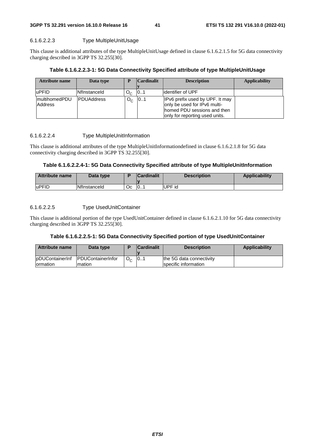# **3GPP TS 32.291 version 16.10.0 Release 16 41 ETSI TS 132 291 V16.10.0 (2022-01)**

### 6.1.6.2.2.3 Type MultipleUnitUsage

This clause is additional attributes of the type MultipleUnitUsage defined in clause 6.1.6.2.1.5 for 5G data connectivity charging described in 3GPP TS 32.255[30].

## **Table 6.1.6.2.2.3-1: 5G Data Connectivity Specified attribute of type MultipleUnitUsage**

| Attribute name                   | Data type         |              | <b>Cardinalit</b> | <b>Description</b>                                                                                                                | <b>Applicability</b> |
|----------------------------------|-------------------|--------------|-------------------|-----------------------------------------------------------------------------------------------------------------------------------|----------------------|
|                                  |                   |              |                   |                                                                                                                                   |                      |
| luPFID                           | Nflnstanceld      | $O_{\alpha}$ | 101               | lidentifier of UPF                                                                                                                |                      |
| <b>ImultihomedPDU</b><br>Address | <b>PDUAddress</b> | О.           | 101               | IPv6 prefix used by UPF. It may<br>only be used for IPv6 multi-<br>Ihomed PDU sessions and then<br>only for reporting used units. |                      |

## 6.1.6.2.2.4 Type MultipleUnitInformation

This clause is additional attributes of the type MultipleUnitInformationdefined in clause 6.1.6.2.1.8 for 5G data connectivity charging described in 3GPP TS 32.255[30].

### **Table 6.1.6.2.2.4-1: 5G Data Connectivity Specified attribute of type MultipleUnitInformation**

| Attribute name | Data type           |    | <b>Cardinalit</b> | <b>Description</b> | <b>Applicability</b> |
|----------------|---------------------|----|-------------------|--------------------|----------------------|
| luPFID         | <b>Nflnstanceld</b> | Оc | 10                | UPF id             |                      |

## 6.1.6.2.2.5 Type UsedUnitContainer

This clause is additional portion of the type UsedUnitContainer defined in clause 6.1.6.2.1.10 for 5G data connectivity charging described in 3GPP TS 32.255[30].

### **Table 6.1.6.2.2.5-1: 5G Data Connectivity Specified portion of type UsedUnitContainer**

| Attribute name   | Data type                          |                | <b>Cardinalit</b> | <b>Description</b>       | Applicability |
|------------------|------------------------------------|----------------|-------------------|--------------------------|---------------|
|                  |                                    |                |                   |                          |               |
|                  | lpDUContainerInf PDUContainerInfor | O <sub>c</sub> | 10                | the 5G data connectivity |               |
| <b>Iormation</b> | mation                             |                |                   | specific information     |               |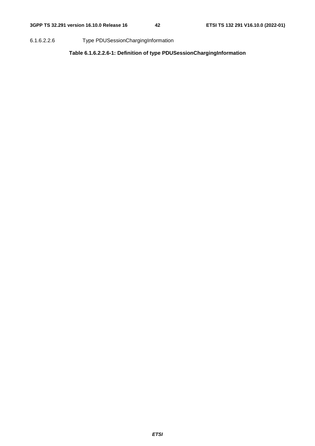6.1.6.2.2.6 Type PDUSessionChargingInformation

**Table 6.1.6.2.2.6-1: Definition of type PDUSessionChargingInformation**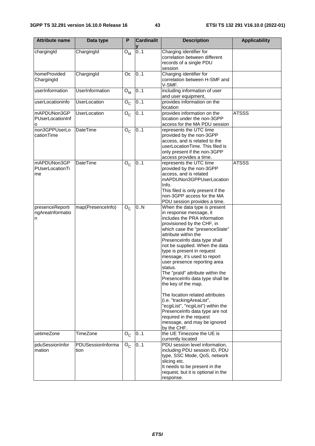| <b>Attribute name</b>                    | Data type                 | P                         | <b>Cardinalit</b> | <b>Description</b>                                                                                                                                                                                                                                                                                                                                                                                                                                                                                                                                                                                                                                                         | <b>Applicability</b> |
|------------------------------------------|---------------------------|---------------------------|-------------------|----------------------------------------------------------------------------------------------------------------------------------------------------------------------------------------------------------------------------------------------------------------------------------------------------------------------------------------------------------------------------------------------------------------------------------------------------------------------------------------------------------------------------------------------------------------------------------------------------------------------------------------------------------------------------|----------------------|
| chargingId                               | ChargingId                | $O_{M}$                   | 01                | Charging identifier for<br>correlation between different<br>records of a single PDU<br>session                                                                                                                                                                                                                                                                                                                                                                                                                                                                                                                                                                             |                      |
| homeProvided<br>ChargingId               | ChargingId                | Oc                        | 0.1               | Charging identifier for<br>correlation between H-SMF and<br>V-SMF.                                                                                                                                                                                                                                                                                                                                                                                                                                                                                                                                                                                                         |                      |
| userInformation                          | <b>UserInformation</b>    | $O_{M}$                   | 01                | including information of user<br>and user equipment,                                                                                                                                                                                                                                                                                                                                                                                                                                                                                                                                                                                                                       |                      |
| userLocationinfo                         | UserLocation              | $\overline{O}_C$          | 0.1               | provides information on the<br>location                                                                                                                                                                                                                                                                                                                                                                                                                                                                                                                                                                                                                                    |                      |
| mAPDUNon3GP<br>PUserLocationInf<br>o     | <b>UserLocation</b>       | ${\mathsf O}_{\mathsf C}$ | 01                | provides information on the<br>location under the non-3GPP<br>access for the MA PDU session                                                                                                                                                                                                                                                                                                                                                                                                                                                                                                                                                                                | <b>ATSSS</b>         |
| non3GPPUserLo<br>cationTime              | DateTime                  | $O_{C}$                   | 0.1               | represents the UTC time<br>provided by the non-3GPP<br>access, and is related to the<br>userLocationTime. This filed is<br>only present if the non-3GPP<br>access provides a time.                                                                                                                                                                                                                                                                                                                                                                                                                                                                                         |                      |
| mAPDUNon3GP<br>PUserLocationTi<br>me     | <b>DateTime</b>           | $O_{C}$                   | 0.1               | represents the UTC time<br>provided by the non-3GPP<br>access, and is related<br>mAPDUNon3GPPUserLocation<br>Info.<br>This filed is only present if the<br>non-3GPP access for the MA<br>PDU session provides a time.                                                                                                                                                                                                                                                                                                                                                                                                                                                      | <b>ATSSS</b>         |
| presenceReporti<br>ngAreaInformatio<br>n | map(PresenceInfo)         | $O_{C}$                   | 0.N               | When the data type is present<br>in response message, it<br>includes the PRA information<br>provisioned by the CHF, in<br>which case the "presenceState"<br>attribute within the<br>PresenceInfo data type shall<br>not be supplied. When the data<br>type is present in request<br>message, it's used to report<br>user presence reporting area<br>status.<br>The "praId" attribute within the<br>PresenceInfo data type shall be<br>the key of the map.<br>The location related attributes<br>(i.e. "trackingAreaList",<br>"ecgiList", "ncgiList") within the<br>PresenceInfo data type are not<br>required in the request<br>message, and may be ignored<br>by the CHF. |                      |
| uetimeZone                               | TimeZone                  | $\mathsf{O}_{\mathsf{C}}$ | 01                | the UE Timezone the UE is<br>currently located                                                                                                                                                                                                                                                                                                                                                                                                                                                                                                                                                                                                                             |                      |
| pduSessionInfor<br>mation                | PDUSessionInforma<br>tion | $O_{C}$                   | 01                | PDU session level information,<br>including PDU session ID, PDU<br>type, SSC Mode, QoS, network<br>slicing etc.<br>It needs to be present in the<br>request, but it is optional in the<br>response.                                                                                                                                                                                                                                                                                                                                                                                                                                                                        |                      |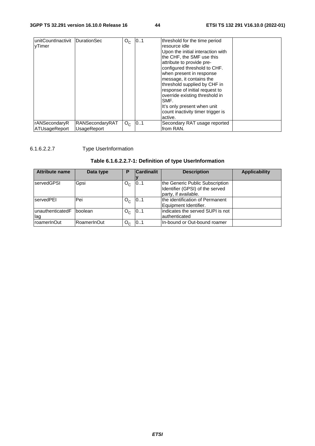| IunitCountInactivit | DurationSec        | $O_{C}$ | 0.1 | threshold for the time period     |  |
|---------------------|--------------------|---------|-----|-----------------------------------|--|
| vTimer              |                    |         |     | resource idle                     |  |
|                     |                    |         |     | Upon the initial interaction with |  |
|                     |                    |         |     | the CHF, the SMF use this         |  |
|                     |                    |         |     | attribute to provide pre-         |  |
|                     |                    |         |     | configured threshold to CHF.      |  |
|                     |                    |         |     | when present in response          |  |
|                     |                    |         |     | message, it contains the          |  |
|                     |                    |         |     | threshold supplied by CHF in      |  |
|                     |                    |         |     | response of initial request to    |  |
|                     |                    |         |     | override existing threshold in    |  |
|                     |                    |         |     | SMF.                              |  |
|                     |                    |         |     | It's only present when unit       |  |
|                     |                    |         |     | count inactivity timer trigger is |  |
|                     |                    |         |     | active.                           |  |
| rANSecondaryR       | RANSecondaryRAT    | $O_{C}$ | 0.1 | Secondary RAT usage reported      |  |
| ATUsageReport       | <b>UsageReport</b> |         |     | lfrom RAN.                        |  |

# 6.1.6.2.2.7 Type UserInformation

# **Table 6.1.6.2.2.7-1: Definition of type UserInformation**

| <b>Attribute name</b>     | Data type   | Р       | <b>Cardinalit</b> | <b>Description</b>                                                                         | <b>Applicability</b> |
|---------------------------|-------------|---------|-------------------|--------------------------------------------------------------------------------------------|----------------------|
|                           |             |         |                   |                                                                                            |                      |
| <b>IservedGPSI</b>        | Gpsi        | $O_{C}$ | 01                | the Generic Public Subscription<br>Identifier (GPSI) of the served<br>party, if available. |                      |
| servedPEI                 | Pei         | $O_{C}$ | 01                | the identification of Permanent<br>Equipment Identifier.                                   |                      |
| lunauthenticatedF<br>llag | boolean     | $O_{C}$ | 01                | lindicates the served SUPI is not<br>authenticated                                         |                      |
| roamerInOut               | RoamerInOut | $O_{C}$ | 01                | In-bound or Out-bound roamer                                                               |                      |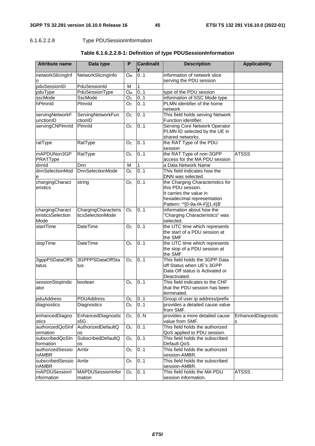# 6.1.6.2.2.8 Type PDUSessionInformation

| <b>Attribute name</b> | Data type               | P              | <b>Cardinalit</b> | <b>Description</b>               | <b>Applicability</b> |
|-----------------------|-------------------------|----------------|-------------------|----------------------------------|----------------------|
|                       |                         | $O_{M}$        | 0.1               | information of network slice     |                      |
| networkSlicingInf     | NetworkSlicingInfo      |                |                   | serving the PDU session          |                      |
| о<br>pduSessionID     | PduSessionId            | M              | 1                 |                                  |                      |
| pduType               | PduSessionType          | $O_M$          | 0.1               | type of the PDU session          |                      |
| sscMode               | SscMode                 | O <sub>C</sub> | 0.1               | information of SSC Mode type.    |                      |
| hPlmnld               | Plmnld                  | O <sub>C</sub> | 0.1               | PLMN identifier of the home      |                      |
|                       |                         |                |                   | network                          |                      |
| servingNetworkF       | ServingNetworkFun       | O <sub>c</sub> | 0.1               | This field holds serving Network |                      |
| unctionID             | ctionID                 |                |                   | Function identifier.             |                      |
| servingCNPlmnId       | Pimnid                  | O <sub>C</sub> | 0.1               | Serving Core Network Operator    |                      |
|                       |                         |                |                   | PLMN ID selected by the UE in    |                      |
|                       |                         |                |                   | shared networks.                 |                      |
| ratType               | RatType                 | O <sub>c</sub> | 0.1               | the RAT Type of the PDU          |                      |
|                       |                         |                |                   | session                          |                      |
| mAPDUNon3GP           | RatType                 | O <sub>c</sub> | 0.1               | the RAT Type of non-3GPP         | <b>ATSSS</b>         |
| PRATType              |                         |                |                   | access for the MA PDU session    |                      |
| dnnld                 | Dnn                     | M              | 1                 | a Data Network Name              |                      |
| dnnSelectionMod       | <b>DnnSelectionMode</b> | O <sub>C</sub> | 0.1               | This field indicates how the     |                      |
| е                     |                         |                |                   | DNN was selected.                |                      |
| chargingCharact       | string                  | O <sub>c</sub> | 0.1               | the Charging Characteristics for |                      |
| eristics              |                         |                |                   | this PDU session.                |                      |
|                       |                         |                |                   | It carries the value in          |                      |
|                       |                         |                |                   | hexadecimal representation       |                      |
|                       |                         |                |                   | Pattern: '^[0-9a-fA-F]{1,4}\$'   |                      |
| chargingCharact       | ChargingCharacteris     | O <sub>C</sub> | 0.1               | information about how the        |                      |
| eristicsSelection     | ticsSelectionMode       |                |                   | "Charging Characteristics" was   |                      |
| Mode                  |                         |                |                   | selected.                        |                      |
| startTime             | DateTime                | O <sub>C</sub> | 0.1               | the UTC time which represents    |                      |
|                       |                         |                |                   | the start of a PDU session at    |                      |
|                       |                         |                |                   | the SMF                          |                      |
| stopTime              | DateTime                | O <sub>c</sub> | 0.1               | the UTC time which represents    |                      |
|                       |                         |                |                   | the stop of a PDU session at     |                      |
|                       |                         |                |                   | the SMF                          |                      |
| 3gppPSDataOffS        | 3GPPPSDataOffSta        | O <sub>c</sub> | 0.1               | This field holds the 3GPP Data   |                      |
| tatus                 | tus                     |                |                   | off Status when UE's 3GPP        |                      |
|                       |                         |                |                   | Data Off status is Activated or  |                      |
|                       |                         |                |                   | Deactivated.                     |                      |
| sessionStopIndic      | boolean                 | O <sub>c</sub> | 0.1               | This field indicates to the CHF  |                      |
| ator                  |                         |                |                   | that the PDU session has been    |                      |
|                       |                         |                |                   | terminated.                      |                      |
| pduAddress            | <b>PDUAddress</b>       | O <sub>C</sub> | 01                | Group of user ip address/prefix  |                      |
| diagnostics           | Diagnostics             | O <sub>C</sub> | 0.1               | provides a detailed cause value  |                      |
|                       |                         |                |                   | from SMF.                        |                      |
| enhancedDiagno        | EnhancedDiagnostic      | O <sub>C</sub> | 0N                | provides a more detailed cause   | EnhancedDiagnostic   |
| stics                 | s5G                     |                |                   | value from SMF.                  | ls                   |
| authorizedQoSInf      | AuthorizedDefaultQ      | O <sub>C</sub> | 0.1               | This field holds the authorized  |                      |
| ormation              | <b>OS</b>               |                |                   | QoS applied to PDU session.      |                      |
| subscribedQoSIn       | SubscribedDefaultQ      | O <sub>C</sub> | 0.1               | This field holds the subscribed  |                      |
| formation             | os                      |                |                   | Default QoS                      |                      |
| authorizedSessio      | Ambr                    | O <sub>C</sub> | 0.1               | This field holds the authorized  |                      |
| nAMBR                 |                         |                |                   | session-AMBR.                    |                      |
| subscribedSessio      | Ambr                    | O <sub>c</sub> | 01                | This field holds the subscribed  |                      |
| nAMBR                 |                         |                |                   | session-AMBR.                    |                      |
| mAPDUSessionl         | MAPDUSessionInfor       | O <sub>C</sub> | 0.1               | This field holds the MA PDU      | <b>ATSSS</b>         |
| nformation            | mation                  |                |                   | session information.             |                      |

# **Table 6.1.6.2.2.8-1: Definition of type PDUSessionInformation**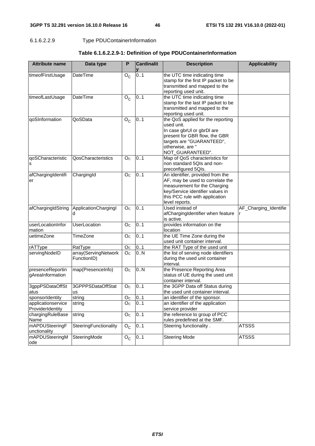# 6.1.6.2.2.9 Type PDUContainerInformation

|  | Table 6.1.6.2.2.9-1: Definition of type PDUContainerInformation |
|--|-----------------------------------------------------------------|
|--|-----------------------------------------------------------------|

| <b>Attribute name</b>                  | Data type                           | P                 | <b>Cardinalit</b><br>V | <b>Description</b>                                                                                                                                                                           | <b>Applicability</b>  |
|----------------------------------------|-------------------------------------|-------------------|------------------------|----------------------------------------------------------------------------------------------------------------------------------------------------------------------------------------------|-----------------------|
| timeofFirstUsage                       | DateTime                            | ${\sf O}_{\sf C}$ | 0.1                    | the UTC time indicating time<br>stamp for the first IP packet to be<br>transmitted and mapped to the<br>reporting used unit.                                                                 |                       |
| timeofLastUsage                        | DateTime                            | $O_{C}$           | 0.1                    | the UTC time indicating time<br>stamp for the last IP packet to be<br>transmitted and mapped to the<br>reporting used unit.                                                                  |                       |
| qoSInformation                         | QoSData                             | $O_{\rm C}$       | 0.1                    | the QoS applied for the reporting<br>used unit.<br>In case gbrUl or gbrDl are<br>present for GBR flow, the GBR<br>targets are "GUARANTEED",<br>otherwise, are "<br>NOT_GUARANTEED".          |                       |
| qoSCharacteristic<br>s                 | QosCharacteristics                  | O <sub>C</sub>    | 0.1                    | Map of QoS characteristics for<br>non standard 5QIs and non-<br>preconfigured 5QIs.                                                                                                          |                       |
| afChargingIdentifi<br>er               | ChargingId                          | O <sub>c</sub>    | 0.1                    | An identifier, provided from the<br>AF, may be used to correlate the<br>measurement for the Charging<br>key/Service identifier values in<br>this PCC rule with application<br>level reports. |                       |
| afChargingIdString                     | ApplicationChargingl<br>d           | O <sub>C</sub>    | 0.1                    | Used instead of<br>afChargingIdentifier when feature<br>is active.                                                                                                                           | AF_Charging_Identifie |
| userLocationInfor<br>mation            | <b>UserLocation</b>                 | O <sub>c</sub>    | 0.1                    | provides information on the<br>location                                                                                                                                                      |                       |
| uetimeZone                             | TimeZone                            | O <sub>C</sub>    | 0.1                    | the UE Time Zone during the<br>used unit container interval.                                                                                                                                 |                       |
| rATType                                | RatType                             | O <sub>c</sub>    | 01                     | the RAT Type of the used unit                                                                                                                                                                |                       |
| servingNodeID                          | array(ServingNetwork<br>FunctionID) | O <sub>c</sub>    | 0.N                    | the list of serving node identifiers<br>during the used unit container<br>interval.                                                                                                          |                       |
| presenceReportin<br>gAreaInformation   | map(PresenceInfo)                   | O <sub>C</sub>    | 0.N                    | the Presence Reporting Area<br>status of UE during the used unit<br>container interval.                                                                                                      |                       |
| 3gppPSDataOffSt<br>atus                | 3GPPPSDataOffStat<br>us             | O <sub>C</sub>    | 0.1                    | the 3GPP Data off Status during<br>the used unit container interval.                                                                                                                         |                       |
| sponsorIdentity                        | string                              | Oc                | 0.1                    | an identifier of the sponsor.                                                                                                                                                                |                       |
| applicationservice<br>ProviderIdentity | string                              | O <sub>c</sub>    | 01                     | an identifier of the application<br>service provider                                                                                                                                         |                       |
| chargingRuleBase<br>Name               | string                              | O <sub>C</sub>    | 01                     | the reference to group of PCC<br>rules predefined at the SMF.                                                                                                                                |                       |
| mAPDUSteeringF<br>unctionality         | SteeringFunctionality               | $O_{C}$           | 01                     | Steering functionality.                                                                                                                                                                      | <b>ATSSS</b>          |
| mAPDUSteeringM<br>ode                  | SteeringMode                        | $O_{C}$           | 01                     | <b>Steering Mode</b>                                                                                                                                                                         | <b>ATSSS</b>          |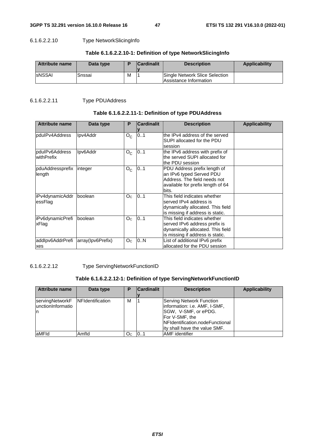## 6.1.6.2.2.10 Type NetworkSlicingInfo

| Attribute name | Data type |   | <b>Cardinalit</b> | <b>Description</b>                                       | <b>Applicability</b> |
|----------------|-----------|---|-------------------|----------------------------------------------------------|----------------------|
| <b>SNSSAI</b>  | Snssai    | M |                   | Single Network Slice Selection<br>Assistance Information |                      |

# 6.1.6.2.2.11 Type PDUAddress

# **Table 6.1.6.2.2.11-1: Definition of type PDUAddress**

| <b>Attribute name</b>        | Data type         | P              | <b>Cardinalit</b> | <b>Description</b>                                                                                                                     | <b>Applicability</b> |
|------------------------------|-------------------|----------------|-------------------|----------------------------------------------------------------------------------------------------------------------------------------|----------------------|
| pdulPv4Address               | Ipv4Addr          | $O_{C}$        | 0.1               | the IPv4 address of the served<br>SUPI allocated for the PDU<br>session                                                                |                      |
| pdulPv6Address<br>withPrefix | Ipv6Addr          | $O_{C}$        | 0.1               | the IPv6 address with prefix of<br>the served SUPI allocated for<br>the PDU session                                                    |                      |
| pduAddressprefix<br>length   | integer           | $O_{C}$        | 0.1               | PDU Address prefix length of<br>an IPv6 typed Served PDU<br>Address. The field needs not<br>available for prefix length of 64<br>bits. |                      |
| iPv4dynamicAddr<br>essFlag   | boolean           | Oc             | 0.1               | This field indicates whether<br>served IPv4 address is<br>dynamically allocated. This field<br>is missing if address is static.        |                      |
| iPv6dynamicPrefi<br>xFlag    | boolean           | O <sub>C</sub> | 0.1               | This field indicates whether<br>served IPv6 address prefix is<br>dynamically allocated. This field<br>is missing if address is static. |                      |
| addlpv6AddrPrefi<br>xes      | array(Ipv6Prefix) | O <sub>C</sub> | 0.N               | List of additional IPv6 prefix<br>allocated for the PDU session                                                                        |                      |

## 6.1.6.2.2.12 Type ServingNetworkFunctionID

## **Table 6.1.6.2.2.12-1: Definition of type ServingNetworkFunctionID**

| <b>Attribute name</b>                                        | Data type | р   | <b>Cardinalit</b> | <b>Description</b>                                                                                                                                                         | <b>Applicability</b> |
|--------------------------------------------------------------|-----------|-----|-------------------|----------------------------------------------------------------------------------------------------------------------------------------------------------------------------|----------------------|
| servingNetworkF NFIdentification<br>lunctionInformatio<br>In |           | М   |                   | Serving Network Function<br>linformation: i.e. AMF, I-SMF,<br>SGW, V-SMF, or ePDG.<br>For V-SMF, the<br>INFIdentification.nodeFunctional<br>lity shall have the value SMF. |                      |
| laMFId                                                       | Amfld     | Oc. | 101               | <b>AMF</b> identifier                                                                                                                                                      |                      |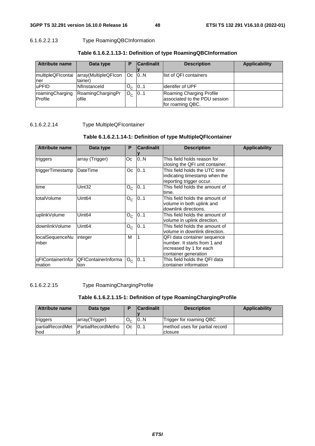# 6.1.6.2.2.13 Type RoamingQBCInformation

| <b>Attribute name</b>      | Data type                       | Р       | <b>Cardinalit</b> | <b>Description</b>                                                            | <b>Applicability</b> |
|----------------------------|---------------------------------|---------|-------------------|-------------------------------------------------------------------------------|----------------------|
| multipleQFIcontai<br>Iner  | array(MultipleQFIcon<br>tainer) | Oc.     | 0N                | llist of QFI containers                                                       |                      |
| uPFID                      | <b>INflnstanceld</b>            | $O_{C}$ | 01                | lidentifer of UPF                                                             |                      |
| roamingCharging<br>Profile | RoamingChargingPr<br>ofile      | О.      | 01                | Roaming Charging Profile<br>associated to the PDU session<br>for roaming QBC. |                      |

# **Table 6.1.6.2.1.13-1: Definition of type RoamingQBCInformation**

# 6.1.6.2.2.14 Type MultipleQFIcontainer

# **Table 6.1.6.2.1.14-1: Definition of type MultipleQFIcontainer**

| <b>Attribute name</b>       | Data type                   | P       | <b>Cardinalit</b> | <b>Description</b>                                                                                             | <b>Applicability</b> |
|-----------------------------|-----------------------------|---------|-------------------|----------------------------------------------------------------------------------------------------------------|----------------------|
| triggers                    | array (Trigger)             | Оc      | 0.N               | This field holds reason for<br>closing the QFI unit container.                                                 |                      |
| triggerTimestamp            | DateTime                    | Oc.     | 0.1               | This field holds the UTC time<br>indicating timestamp when the<br>reporting trigger occur.                     |                      |
| time                        | Uint32                      | $O_{C}$ | 0.1               | This field holds the amount of<br>time.                                                                        |                      |
| totalVolume                 | Uint <sub>64</sub>          | $O_{C}$ | 0.1               | This field holds the amount of<br>volume in both uplink and<br>downlink directions.                            |                      |
| uplinkVolume                | Uint64                      | $O_{C}$ | 0.1               | This field holds the amount of<br>volume in uplink direction.                                                  |                      |
| downlinkVolume              | Uint <sub>64</sub>          | $O_{C}$ | 0.1               | This field holds the amount of<br>volume in downlink direction.                                                |                      |
| localSequenceNu<br>mber     | integer                     | M       |                   | QFI data container sequence<br>number. It starts from 1 and<br>increased by 1 for each<br>container generation |                      |
| qFIContainerInfor<br>mation | QFIContainerInforma<br>tion | $O_{C}$ | 01                | This field holds the QFI data<br>container information                                                         |                      |

6.1.6.2.2.15 Type RoamingChargingProfile

# **Table 6.1.6.2.1.15-1: Definition of type RoamingChargingProfile**

| <b>Attribute name</b>    | Data type                 |    | <b>Cardinalit</b> | <b>Description</b>                        | Applicability |
|--------------------------|---------------------------|----|-------------------|-------------------------------------------|---------------|
|                          |                           |    |                   |                                           |               |
| triggers                 | array(Trigger)            | О. | 10N               | Trigger for roaming QBC                   |               |
| partialRecordMet<br>lhod | <b>PartialRecordMetho</b> | Oc | 101               | method uses for partial record<br>closure |               |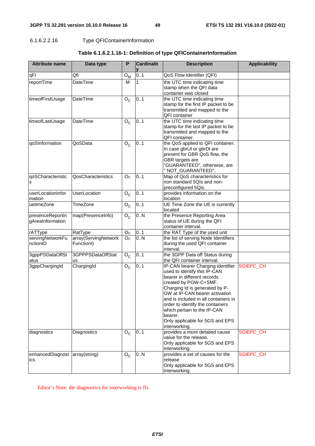# 6.1.6.2.2.16 Type QFIContainerInformation

| <b>Attribute name</b>                 | Data type                          | P                         | <b>Cardinalit</b> | <b>Description</b>                                                                                                                                                                                                                                                                                                                                                      | <b>Applicability</b> |
|---------------------------------------|------------------------------------|---------------------------|-------------------|-------------------------------------------------------------------------------------------------------------------------------------------------------------------------------------------------------------------------------------------------------------------------------------------------------------------------------------------------------------------------|----------------------|
| qFI                                   | Qfi                                | ${\mathsf O}_{\mathsf M}$ | 01                | QoS Flow Identifier (QFI)                                                                                                                                                                                                                                                                                                                                               |                      |
| reportTime                            | DateTime                           | M                         | 1                 | the UTC time indicating time<br>stamp when the QFI data<br>container was closed                                                                                                                                                                                                                                                                                         |                      |
| timeofFirstUsage                      | DateTime                           | $O_{C}$                   | 0.1               | the UTC time indicating time<br>stamp for the first IP packet to be<br>transmitted and mapped to the<br><b>QFI</b> container                                                                                                                                                                                                                                            |                      |
| timeofLastUsage                       | DateTime                           | $O_{C}$                   | 01                | the UTC time indicating time<br>stamp for the last IP packet to be<br>transmitted and mapped to the<br>QFI container.                                                                                                                                                                                                                                                   |                      |
| qoSInformation                        | QoSData                            | $\overline{O}_C$          | 01                | the QoS applied to QFI container.<br>In case gbrUl or gbrDl are<br>present for GBR QoS flow, the<br>GBR targets are<br>"GUARANTEED", otherwise, are<br>" NOT_GUARANTEED".                                                                                                                                                                                               |                      |
| qoSCharacteristic<br>s                | QosCharacteristics                 | O <sub>C</sub>            | 0.1               | Map of QoS characteristics for<br>non standard 5QIs and non-<br>preconfigured 5Qis.                                                                                                                                                                                                                                                                                     |                      |
| userLocationInfor<br>mation           | <b>UserLocation</b>                | $O_{C}$                   | 01                | provides information on the<br>location                                                                                                                                                                                                                                                                                                                                 |                      |
| uetimeZone                            | TimeZone                           | $O_{C}$                   | 01                | UE Time Zone the UE is currently<br>located                                                                                                                                                                                                                                                                                                                             |                      |
| presenceReportin<br>gAreaInformation  | map(PresenceInfo)                  | $O_{C}$                   | 0N                | the Presence Reporting Area<br>status of UE during the QFI<br>container interval.                                                                                                                                                                                                                                                                                       |                      |
| rATType                               | RatType                            | O <sub>c</sub>            | 0.1               | the RAT Type of the used unit                                                                                                                                                                                                                                                                                                                                           |                      |
| servingNetworkFu<br>nctionID          | array(ServingNetwork<br>Functionl) | O <sub>C</sub>            | 0N                | the list of serving Node Identifiers<br>during the used QFI container<br>interval.                                                                                                                                                                                                                                                                                      |                      |
| 3gppPSDataOffSt<br>atus               | 3GPPPSDataOffStat<br>us            | $O_{C}$                   | 0.1               | the 3GPP Data off Status during<br>the QFI container interval.                                                                                                                                                                                                                                                                                                          |                      |
| 3gppChargingId                        | ChargingId                         | $O_{C}$                   | 01                | IP-CAN bearer Charging identifier<br>used to identify this IP-CAN<br>bearer in different records<br>created by PGW-C+SMF.<br>Charging Id is generated by P-<br>GW at IP-CAN bearer activation<br>and is included in all containers in<br>order to identify the containers<br>which pertain to the IP-CAN<br>bearer.<br>Only applicable for 5GS and EPS<br>interworking. | 5GIEPC_CH            |
| diagnostics                           | Diagnostics                        | $O_{C}$                   | 01                | provides a more detailed cause<br>value for the release.<br>Only applicable for 5GS and EPS<br>interworking.                                                                                                                                                                                                                                                            | 5GIEPC_CH            |
| enhancedDiagnost array(string)<br>ics |                                    | $O_{C}$                   | 0N                | provides a set of causes for the<br>release<br>Only applicable for 5GS and EPS<br>interworking.                                                                                                                                                                                                                                                                         | 5GIEPC_CH            |

# **Table 6.1.6.2.1.16-1: Definition of type QFIContainerInformation**

Editor's Note: the diagnostics for interworking is ffs.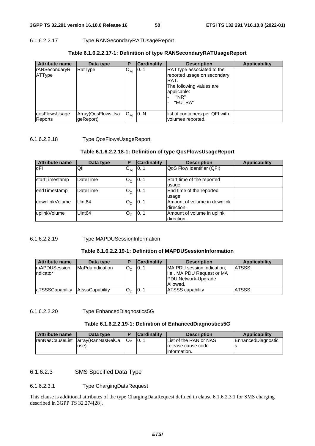# 6.1.6.2.2.17 Type RANSecondaryRATUsageReport

| <b>Attribute name</b>          | Data type                       | Р                | <b>Cardinality</b> | <b>Description</b>                                                                                                                     | <b>Applicability</b> |
|--------------------------------|---------------------------------|------------------|--------------------|----------------------------------------------------------------------------------------------------------------------------------------|----------------------|
| <b>rANSecondaryR</b><br>ATType | RatType                         | o <sub>м</sub>   | 10.1               | <b>RAT</b> type associated to the<br>reported usage on secondary<br>RAT.<br>The following values are<br>applicable:<br>"NR"<br>"EUTRA" |                      |
| qosFlowsUsage<br>Reports       | Array(QosFlowsUsa<br>lgeReport) | $O_{\mathsf{M}}$ | 0.1N               | list of containers per QFI with<br>volumes reported.                                                                                   |                      |

## **Table 6.1.6.2.2.17-1: Definition of type RANSecondaryRATUsageReport**

## 6.1.6.2.2.18 Type QosFlowsUsageReport

## **Table 6.1.6.2.2.18-1: Definition of type QosFlowsUsageReport**

| <b>Attribute name</b> | Data type          | P       | <b>Cardinality</b> | <b>Description</b>           | <b>Applicability</b> |
|-----------------------|--------------------|---------|--------------------|------------------------------|----------------------|
| <b>qFI</b>            | Qfi                | $O_{M}$ | 01                 | QoS Flow Identifier (QFI)    |                      |
| startTimestamp        | <b>DateTime</b>    | $O_{C}$ | 01                 | Start time of the reported   |                      |
|                       |                    |         |                    | usage                        |                      |
| endTimestamp          | <b>DateTime</b>    | $O_{C}$ | 01                 | End time of the reported     |                      |
|                       |                    |         |                    | usage                        |                      |
| IdownlinkVolume       | Uint <sub>64</sub> | $O_{C}$ | 0.1                | Amount of volume in downlink |                      |
|                       |                    |         |                    | direction.                   |                      |
| uplinkVolume          | Uint <sub>64</sub> | $O_{C}$ | 0.1                | Amount of volume in uplink   |                      |
|                       |                    |         |                    | direction.                   |                      |

### 6.1.6.2.2.19 Type MAPDUSessionInformation

### **Table 6.1.6.2.2.19-1: Definition of MAPDUSessionInformation**

| <b>Attribute name</b>             | Data type               | Е              | <b>Cardinality</b> | <b>Description</b>                                                                                 | Applicability |
|-----------------------------------|-------------------------|----------------|--------------------|----------------------------------------------------------------------------------------------------|---------------|
| <b>ImAPDUSessionI</b><br>ndicator | <b>IMaPduIndication</b> | $O_{\alpha}$   | 101                | MA PDU session indication,<br>i.e., MA PDU Request or MA<br><b>PDU Network-Upgrade</b><br>Allowed. | <b>ATSSS</b>  |
| <b>aTSSSCapability</b>            | AtsssCapability         | O <sub>0</sub> | 101                | <b>ATSSS capability</b>                                                                            | <b>ATSSS</b>  |

## 6.1.6.2.2.20 Type EnhancedDiagnostics5G

### **Table 6.1.6.2.2.19-1: Definition of EnhancedDiagnostics5G**

| <b>Attribute name</b> | Data type                           |    | <b>Cardinality</b> | <b>Description</b>     | <b>Applicability</b> |
|-----------------------|-------------------------------------|----|--------------------|------------------------|----------------------|
|                       | IranNasCauseList larray(RanNasRelCa | Oм | 101                | List of the RAN or NAS | EnhancedDiagnostic   |
|                       | use)                                |    |                    | Irelease cause code    |                      |
|                       |                                     |    |                    | linformation.          |                      |

## 6.1.6.2.3 SMS Specified Data Type

## 6.1.6.2.3.1 Type ChargingDataRequest

This clause is additional attributes of the type ChargingDataRequest defined in clause 6.1.6.2.3.1 for SMS charging described in 3GPP TS 32.274[28].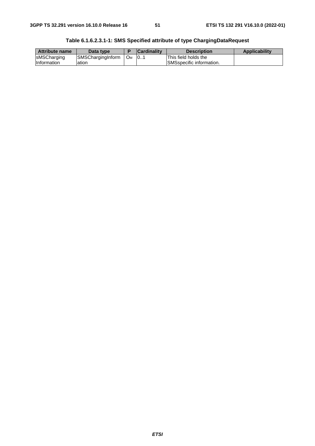| <b>Attribute name</b> | Data type         |                       | <b>Cardinality</b> | <b>Description</b>        | <b>Applicability</b> |
|-----------------------|-------------------|-----------------------|--------------------|---------------------------|----------------------|
| sMSCharging           | SMSChargingInform | <b>O</b> <sub>M</sub> | 101                | This field holds the      |                      |
| Information           | ation             |                       |                    | ISMSspecific information. |                      |

**Table 6.1.6.2.3.1-1: SMS Specified attribute of type ChargingDataRequest**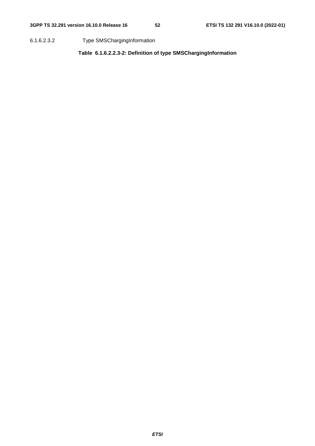6.1.6.2.3.2 Type SMSChargingInformation

**Table 6.1.6.2.2.3-2: Definition of type SMSChargingInformation**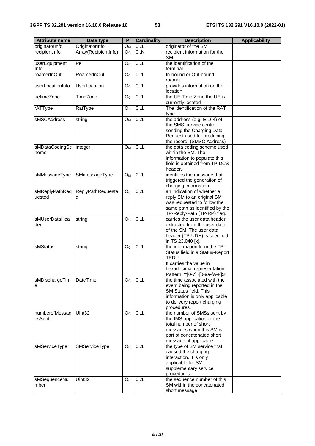| <b>Attribute name</b>    | Data type              | P              | <b>Cardinality</b> | <b>Description</b>                                                                                                                                                     | <b>Applicability</b> |
|--------------------------|------------------------|----------------|--------------------|------------------------------------------------------------------------------------------------------------------------------------------------------------------------|----------------------|
| originatorInfo           | OriginatorInfo         | Oм             | 0.1                | originator of the SM                                                                                                                                                   |                      |
| recipientInfo            | Array(RecipientInfo)   | O <sub>C</sub> | 0N                 | recipient information for the<br><b>SM</b>                                                                                                                             |                      |
| userEquipment<br>Info    | Pei                    | O <sub>C</sub> | 0.1                | the identification of the<br>terminal                                                                                                                                  |                      |
| roamerInOut              | RoamerInOut            | O <sub>c</sub> | 0.1                | In-bound or Out-bound<br>roamer                                                                                                                                        |                      |
| userLocationInfo         | <b>UserLocation</b>    | O <sub>C</sub> | 0.1                | provides information on the<br>location                                                                                                                                |                      |
| uetimeZone               | TimeZone               | O <sub>C</sub> | 0.1                | the UE Time Zone the UE is<br>currently located                                                                                                                        |                      |
| rATType                  | RatType                | O <sub>C</sub> | 0.1                | The identification of the RAT<br>type.                                                                                                                                 |                      |
| sMSCAddress              | string                 | Oм             | 0.1                | the address (e.g. E.164) of<br>the SMS-service centre<br>sending the Charging Data<br>Request used for producing<br>the record. (SMSC Address)                         |                      |
| sMDataCodingSc<br>heme   | integer                | $O_M$          | 0.1                | the data coding scheme used<br>within the SM. The<br>information to populate this<br>field is obtained from TP-DCS<br>header.                                          |                      |
| sMMessageType            | SMmessageType          | O <sub>M</sub> | 0.1                | identifies the message that<br>triggered the generation of<br>charging information.                                                                                    |                      |
| sMReplyPathReq<br>uested | ReplyPathRequeste<br>d | O <sub>C</sub> | 0.1                | an indication of whether a<br>reply SM to an original SM<br>was requested to follow the<br>same path as identified by the<br>TP-Reply-Path (TP-RP) flag.               |                      |
| sMUserDataHea<br>der     | string                 | O <sub>c</sub> | 0.1                | carries the user data header<br>extracted from the user data<br>of the SM. The user data<br>header (TP-UDH) is specified<br>in TS 23.040 [x].                          |                      |
| sMStatus                 | string                 | O <sub>C</sub> | 0.1                | the information from the TP-<br>Status field in a Status-Report<br>TPDU.<br>It carries the value in<br>hexadecimal representation<br>Pattern: '^[0-7]?[0-9a-fA-F]\$'   |                      |
| sMDischargeTim<br>е      | <b>DateTime</b>        | O <sub>C</sub> | 0.1                | the time associated with the<br>event being reported in the<br>SM Status field. This<br>information is only applicable<br>to delivery report charging<br>procedures.   |                      |
| numberofMessag<br>esSent | Uint32                 | O <sub>C</sub> | 0.1                | the number of SMSs sent by<br>the IMS application or the<br>total number of short<br>messages when this SM is<br>part of concatenated short<br>message, if applicable. |                      |
| sMServiceType            | SMServiceType          | O <sub>C</sub> | 0.1                | the type of SM service that<br>caused the charging<br>interaction. It is only<br>applicable for SM<br>supplementary service<br>procedures.                             |                      |
| sMSequenceNu<br>mber     | Uint32                 | O <sub>C</sub> | 0.1                | the sequence number of this<br>SM within the concatenated<br>short message                                                                                             |                      |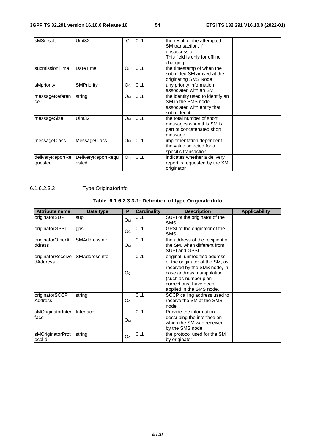| sMSresult                   | Uint32                      | C                     | 0.1 | the result of the attempted<br>SM transaction, if<br>unsuccessful.<br>This field is only for offline<br>charging. |  |
|-----------------------------|-----------------------------|-----------------------|-----|-------------------------------------------------------------------------------------------------------------------|--|
| submissionTime              | DateTime                    | O <sub>C</sub>        | 0.1 | the timestamp of when the<br>submitted SM arrived at the<br>originating SMS Node                                  |  |
| sMpriority                  | <b>SMPriority</b>           | O <sub>c</sub>        | 0.1 | any priority information<br>associated with an SM                                                                 |  |
| messageReferen<br>ce        | string                      | <b>O</b> <sub>M</sub> | 0.1 | the identity used to identify an<br>SM in the SMS node<br>associated with entity that<br>submitted it             |  |
| messageSize                 | Uint32                      | <b>O</b> <sub>M</sub> | 0.1 | the total number of short<br>messages when this SM is<br>part of concatenated short<br>message                    |  |
| messageClass                | <b>MessageClass</b>         | O <sub>M</sub>        | 0.1 | implementation dependent<br>the value selected for a<br>specific transaction.                                     |  |
| deliveryReportRe<br>quested | DeliveryReportRequ<br>ested | O <sub>C</sub>        | 0.1 | indicates whether a delivery<br>report is requested by the SM<br>originator                                       |  |

# 6.1.6.2.3.3 Type OriginatorInfo

# **Table 6.1.6.2.3.3-1: Definition of type OriginatorInfo**

| <b>Attribute name</b>         | Data type     | P              | <b>Cardinality</b> | <b>Description</b>                                                                                                                                                                                         | <b>Applicability</b> |
|-------------------------------|---------------|----------------|--------------------|------------------------------------------------------------------------------------------------------------------------------------------------------------------------------------------------------------|----------------------|
| originatorSUPI                | supi          | Ом             | 01                 | SUPI of the originator of the<br><b>SMS</b>                                                                                                                                                                |                      |
| originatorGPSI                | gpsi          | Oc             | 0.1                | GPSI of the originator of the<br><b>SMS</b>                                                                                                                                                                |                      |
| originatorOtherA<br>ddress    | SMAddressInfo | O <sub>M</sub> | 0.1                | the address of the recipient of<br>the SM, when different from<br>SUPI and GPSI                                                                                                                            |                      |
| originatorReceive<br>dAddress | SMAddressInfo | Oc             | 0.1                | original, unmodified address<br>of the originator of the SM, as<br>received by the SMS node, in<br>case address manipulation<br>(such as number plan<br>corrections) have been<br>applied in the SMS node. |                      |
| originatorSCCP<br>Address     | string        | Oc             | 0.1                | SCCP calling address used to<br>receive the SM at the SMS<br>node                                                                                                                                          |                      |
| sMOriginatorInter<br>face     | Interface     | $O_{M}$        | 0.1                | Provide the information<br>describing the interface on<br>which the SM was received<br>by the SMS node.                                                                                                    |                      |
| sMOriginatorProt<br>ocolld    | string        | O <sub>c</sub> | 0.1                | the protocol used for the SM<br>by originator                                                                                                                                                              |                      |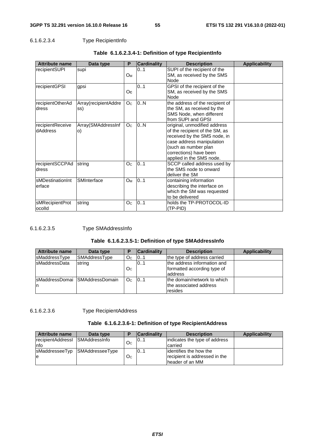# 6.1.6.2.3.4 Type RecipientInfo

| <b>Attribute name</b>        | Data type                   | P              | <b>Cardinality</b> | <b>Description</b>                                                                                                                                                                                        | <b>Applicability</b> |
|------------------------------|-----------------------------|----------------|--------------------|-----------------------------------------------------------------------------------------------------------------------------------------------------------------------------------------------------------|----------------------|
| recipientSUPI                | supi                        | Oм             | 01                 | SUPI of the recipient of the<br>SM, as received by the SMS<br>Node                                                                                                                                        |                      |
| recipientGPSI                | gpsi                        | Oc.            | 0.1                | GPSI of the recipient of the<br>SM, as received by the SMS<br>Node                                                                                                                                        |                      |
| recipientOtherAd<br>dress    | Array(recipientAddre<br>ss) | O <sub>C</sub> | 0.N                | the address of the recipient of<br>the SM, as received by the<br>SMS Node, when different<br>from SUPI and GPSI                                                                                           |                      |
| recipientReceive<br>dAddress | Array(SMAddressInf<br>O)    | O <sub>C</sub> | 0.N                | original, unmodified address<br>of the recipient of the SM, as<br>received by the SMS node, in<br>case address manipulation<br>(such as number plan<br>corrections) have been<br>applied in the SMS node. |                      |
| recipientSCCPAd<br>dress     | string                      | O <sub>C</sub> | 0.1                | SCCP called address used by<br>the SMS node to onward<br>deliver the SM                                                                                                                                   |                      |
| sMDestinationInt<br>erface   | SMInterface                 | Oм             | 0.1                | containing information<br>describing the interface on<br>which the SM was requested<br>to be delivered                                                                                                    |                      |
| sMRecipientProt<br>ocolld    | string                      | O <sub>C</sub> | 0.1                | holds the TP-PROTOCOL-ID<br>(TP-PID)                                                                                                                                                                      |                      |

# **Table 6.1.6.2.3.4-1: Definition of type RecipientInfo**

## 6.1.6.2.3.5 Type SMAddressInfo

## **Table 6.1.6.2.3.5-1: Definition of type SMAddressInfo**

| <b>Attribute name</b> | Data type                        | о              | <b>Cardinality</b> | <b>Description</b>                                                    | Applicability |
|-----------------------|----------------------------------|----------------|--------------------|-----------------------------------------------------------------------|---------------|
| sMaddressType         | SMAddressType                    | O <sub>C</sub> | 01                 | the type of address carried                                           |               |
| <b>IsMaddressData</b> | string                           | O <sub>C</sub> | 01                 | the address information and<br>formatted according type of<br>address |               |
| In                    | IsMaddressDomai ISMAddressDomain | O <sub>c</sub> | 101                | the domain/network to which<br>the associated address<br>resides      |               |

## 6.1.6.2.3.6 Type RecipientAddress

## **Table 6.1.6.2.3.6-1: Definition of type RecipientAddress**

| <b>Attribute name</b> | Data type            | Е              | <b>Cardinality</b> | <b>Description</b>            | Applicability |
|-----------------------|----------------------|----------------|--------------------|-------------------------------|---------------|
| recipientAddressI     | <b>SMAddressinfo</b> | O <sub>C</sub> | IO1                | indicates the type of address |               |
| Info                  |                      |                |                    | carried                       |               |
| sMaddresseeTyp        | SMAddresseeType      |                | IO1                | lidentifies the how the       |               |
| le                    |                      | O <sub>C</sub> |                    | recipient is addressed in the |               |
|                       |                      |                |                    | header of an MM               |               |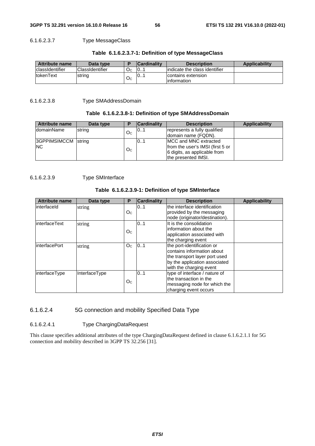## 6.1.6.2.3.7 Type MessageClass

## **Table 6.1.6.2.3.7-1: Definition of type MessageClass**

| Attribute name          | Data type              |                | <b>Cardinality</b> | <b>Description</b>                 | <b>Applicability</b> |
|-------------------------|------------------------|----------------|--------------------|------------------------------------|----------------------|
| <b>IclassIdentifier</b> | <b>ClassIdentifier</b> | O <sub>C</sub> | 10                 | lindicate the class identifier     |                      |
| <b>ItokenText</b>       | string                 | Оc             | 0. 1               | contains extension<br>linformation |                      |

## 6.1.6.2.3.8 Type SMAddressDomain

### **Table 6.1.6.2.3.8-1: Definition of type SMAddressDomain**

| <b>Attribute name</b> | Data type | D              | <b>Cardinality</b> | <b>Description</b>               | Applicability |
|-----------------------|-----------|----------------|--------------------|----------------------------------|---------------|
| domainName            | string    | O <sub>C</sub> | 101                | represents a fully qualified     |               |
|                       |           |                |                    | Idomain name (FQDN).             |               |
| 3GPPIMSIMCCM string   |           |                | 01                 | IMCC and MNC extracted           |               |
| NC.                   |           |                |                    | from the user's IMSI (first 5 or |               |
|                       |           | O <sub>C</sub> |                    | 6 digits, as applicable from     |               |
|                       |           |                |                    | the presented IMSI.              |               |

## 6.1.6.2.3.9 Type SMInterface

### **Table 6.1.6.2.3.9-1: Definition of type SMInterface**

| <b>Attribute name</b> | Data type     | P              | <b>Cardinality</b> | <b>Description</b>                                                                                                                                    | <b>Applicability</b> |
|-----------------------|---------------|----------------|--------------------|-------------------------------------------------------------------------------------------------------------------------------------------------------|----------------------|
| linterfaceld          | string        | O <sub>C</sub> | 0.1                | the interface identification<br>provided by the messaging<br>node (originator/destination).                                                           |                      |
| linterfaceText        | string        | O <sub>C</sub> | 01                 | It is the consolidation<br>information about the<br>application associated with<br>the charging event                                                 |                      |
| <b>InterfacePort</b>  | string        | Oc.            | 101                | the port-identification or<br>contains information about<br>the transport layer port used<br>by the application associated<br>with the charging event |                      |
| interfaceType         | InterfaceType | O <sub>C</sub> | 0.1                | type of interface / nature of<br>lthe transaction in the<br>messaging node for which the<br>charging event occurs                                     |                      |

## 6.1.6.2.4 5G connection and mobility Specified Data Type

## 6.1.6.2.4.1 Type ChargingDataRequest

This clause specifies additional attributes of the type ChargingDataRequest defined in clause 6.1.6.2.1.1 for 5G connection and mobility described in 3GPP TS 32.256 [31].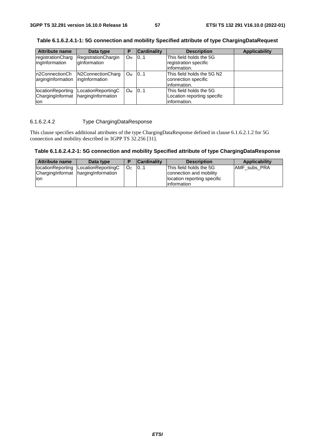| <b>Attribute name</b>            | Data type                              | P                     | <b>Cardinality</b> | <b>Description</b>          | <b>Applicability</b> |
|----------------------------------|----------------------------------------|-----------------------|--------------------|-----------------------------|----------------------|
| registrationCharg                | RegistrationChargin                    | <b>O</b> <sub>M</sub> | 101                | This field holds the 5G     |                      |
| ingInformation                   | dInformation                           |                       |                    | registration specific       |                      |
|                                  |                                        |                       |                    | information.                |                      |
|                                  | In2ConnectionCh N2ConnectionCharg      | <b>O</b> <sub>M</sub> | 101                | This field holds the 5G N2  |                      |
| argingInformation ingInformation |                                        |                       |                    | connection specific         |                      |
|                                  |                                        |                       |                    | information.                |                      |
|                                  | locationReporting   LocationReportingC | <b>Ом</b>             | 10.1               | This field holds the 5G     |                      |
|                                  | ChargingInformat hargingInformation    |                       |                    | Location reporting specific |                      |
| lion                             |                                        |                       |                    | information.                |                      |

**Table 6.1.6.2.4.1-1: 5G connection and mobility Specified attribute of type ChargingDataRequest** 

# 6.1.6.2.4.2 Type ChargingDataResponse

This clause specifies additional attributes of the type ChargingDataResponse defined in clause 6.1.6.2.1.2 for 5G connection and mobility described in 3GPP TS 32.256 [31].

**Table 6.1.6.2.4.2-1: 5G connection and mobility Specified attribute of type ChargingDataResponse** 

| <b>Attribute name</b>      | Data type                                                     |    | <b>Cardinality</b> | <b>Description</b>                                                                                | Applicability       |
|----------------------------|---------------------------------------------------------------|----|--------------------|---------------------------------------------------------------------------------------------------|---------------------|
| llocationReporting<br>lion | LocationReportingC<br>Charging Informat   harging Information | Oc | 101                | This field holds the 5G<br>connection and mobility<br>location reporting specific<br>linformation | <b>AMF</b> subs PRA |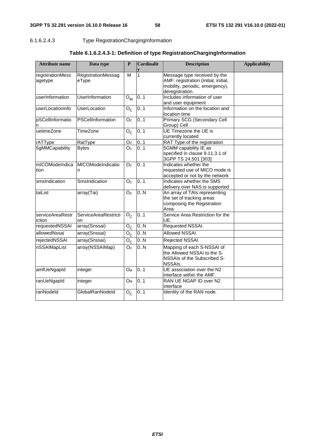# 6.1.6.2.4.3 Type RegistrationChargingInformation

| <b>Attribute name</b> | Data type                   | P                     | <b>Cardinalit</b> | <b>Description</b>                                                      | <b>Applicability</b> |
|-----------------------|-----------------------------|-----------------------|-------------------|-------------------------------------------------------------------------|----------------------|
|                       |                             |                       |                   |                                                                         |                      |
| registrationMess      | RegistrationMessag          | M                     | 1                 | Message type received by the                                            |                      |
| agetype               | eType                       |                       |                   | AMF: registration (initial, initial,<br>mobility, periodic, emergency), |                      |
|                       |                             |                       |                   | deregistration.                                                         |                      |
| userInformation       | UserInformation             | $O_M$                 | 0.1               | Includes information of user                                            |                      |
|                       |                             |                       |                   | and user equipment                                                      |                      |
| userLocationinfo      | UserLocation                | $O_{\rm C}$           | 0.1               | Information on the location and                                         |                      |
|                       |                             |                       |                   | location time                                                           |                      |
| pSCellInformatio      | PSCellInformation           | $\overline{O_{C}}$    | 0.1               | Primary SCG (Secondary Cell                                             |                      |
| n                     |                             |                       |                   | Group) Cell                                                             |                      |
| uetimeZone            | TimeZone                    | $O_{C}$               | 0.1               | UE Timezone the UE is                                                   |                      |
|                       |                             |                       |                   | currently located                                                       |                      |
| rATType               | RatType                     | O <sub>C</sub>        | 0.1               | RAT Type of the registration                                            |                      |
| 5gMMCapability        | <b>Bytes</b>                | O <sub>c</sub>        | 0.1               | 5GMM capability IE as                                                   |                      |
|                       |                             |                       |                   | specified in clause 9.11.3.1 of                                         |                      |
|                       |                             |                       |                   | 3GPP TS 24.501 [303]                                                    |                      |
| mICOModeIndica        | MICOModeIndicatio           | O <sub>C</sub>        | 0.1               | Indicates whether the                                                   |                      |
| tion                  | n                           |                       |                   | requested use of MICO mode is                                           |                      |
|                       |                             |                       |                   | accepted or not by the network                                          |                      |
| smsIndication         | SmsIndication               | O <sub>C</sub>        | 0.1               | Indicates whether the SMS                                               |                      |
|                       |                             |                       |                   | delivery over NAS is supported                                          |                      |
| taiList               | array(Tai)                  | O <sub>C</sub>        | 0.N               | An array of TAIs representing                                           |                      |
|                       |                             |                       |                   | the set of tracking areas                                               |                      |
|                       |                             |                       |                   | composing the Registration<br>Area.                                     |                      |
| serviceAreaRestr      | <b>ServiceAreaRestricti</b> | $O_{\rm C}$           | 0.1               | Service Area Restriction for the                                        |                      |
| iction                | on                          |                       |                   | UE.                                                                     |                      |
| requestedNSSAI        | array(Snssai)               | $O_{C}$               | 0.N               | Requested NSSAI.                                                        |                      |
| allowedNssai          | array(Snssai)               | $O_{C}$               | 0.N               | Allowed NSSAI.                                                          |                      |
| rejectedNSSAI         | array(Snssai)               | $O_C$                 | 0.N               | Rejected NSSAI.                                                         |                      |
| nSSAIMapList          | array(NSSAIMap)             | $\overline{O}_C$      | 0.N               | Mapping of each S-NSSAI of                                              |                      |
|                       |                             |                       |                   | the Allowed NSSAI to the S-                                             |                      |
|                       |                             |                       |                   | NSSAIs of the Subscribed S-                                             |                      |
|                       |                             |                       |                   | NSSAIs.                                                                 |                      |
| amfUeNgapId           | integer                     | <b>O</b> <sub>M</sub> | 0.1               | UE association over the N2                                              |                      |
|                       |                             |                       |                   | interface within the AMF.                                               |                      |
| ranUeNgapId           | integer                     | <b>O</b> <sub>M</sub> | 0.1               | RAN UE NGAP ID over N2                                                  |                      |
|                       |                             |                       |                   | interface                                                               |                      |
| ranNodeld             | GlobalRanNodeld             | $O_{\rm C}$           | 0.1               | Identity of the RAN node.                                               |                      |
|                       |                             |                       |                   |                                                                         |                      |

# **Table 6.1.6.2.4.3-1: Definition of type RegistrationChargingInformation**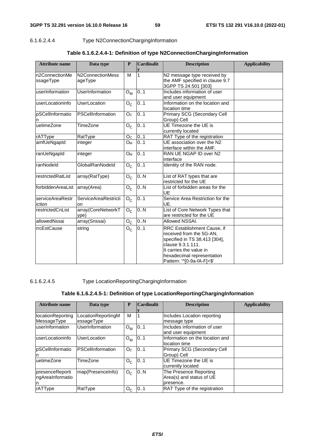## 6.1.6.2.4.4 Type N2ConnectionChargingInformation

| <b>Attribute name</b>       | Data type                         | P              | Cardinalit | <b>Description</b>                                                                                                                                                                                   | <b>Applicability</b> |
|-----------------------------|-----------------------------------|----------------|------------|------------------------------------------------------------------------------------------------------------------------------------------------------------------------------------------------------|----------------------|
| n2ConnectionMe<br>ssageType | N2ConnectionMess<br>ageType       | M              | 1          | N2 message type received by<br>the AMF specified in clause 9.7<br>3GPP TS 24.501 [303]                                                                                                               |                      |
| userInformation             | UserInformation                   | $O_{M}$        | 0.1        | Includes information of user<br>and user equipment                                                                                                                                                   |                      |
| userLocationinfo            | UserLocation                      | $O_{C}$        | 0.1        | Information on the location and<br>location time                                                                                                                                                     |                      |
| pSCellInformatio<br>n       | PSCellInformation                 | O <sub>C</sub> | 0.1        | Primary SCG (Secondary Cell<br>Group) Cell                                                                                                                                                           |                      |
| uetimeZone                  | TimeZone                          | $O_{C}$        | 01         | UE Timezone the UE is<br>currently located                                                                                                                                                           |                      |
| rATType                     | RatType                           | O <sub>C</sub> | 0.1        | RAT Type of the registration                                                                                                                                                                         |                      |
| amfUeNgapId                 | integer                           | Oм             | 0.1        | UE association over the N2<br>interface within the AMF.                                                                                                                                              |                      |
| ranUeNgapId                 | integer                           | $O_M$          | 0.1        | RAN UE NGAP ID over N2<br>interface                                                                                                                                                                  |                      |
| ranNodeld                   | GlobalRanNodeld                   | $O_{C}$        | 0.1        | Identity of the RAN node.                                                                                                                                                                            |                      |
| restrictedRatList           | array(RatType)                    | $O_{C}$        | 0.N        | List of RAT types that are<br>restricted for the UE                                                                                                                                                  |                      |
| forbiddenAreaList           | array(Area)                       | $O_{C}$        | 0.N        | List of forbidden areas for the<br>UE                                                                                                                                                                |                      |
| serviceAreaRestr<br>iction  | <b>ServiceAreaRestricti</b><br>on | $O_{C}$        | 0.1        | Service Area Restriction for the<br>UE.                                                                                                                                                              |                      |
| restrictedCnList            | array(CoreNetworkT<br>vpe)        | $O_{C}$        | 0.N        | List of Core Network Types that<br>are restricted for the UE                                                                                                                                         |                      |
| allowedNssai                | array(Snssai)                     | $O_{C}$        | 0.N        | Allowed NSSAI.                                                                                                                                                                                       |                      |
| rrcEstCause                 | string                            | $O_C$          | 01         | RRC Establishment Cause, if<br>received from the 5G-AN,<br>specified in TS 38.413 [304],<br>clause 9.3.1.111.<br>It carries the value in<br>hexadecimal representation<br>Pattern: '^[0-9a-fA-F]+\$' |                      |

## **Table 6.1.6.2.4.4-1: Definition of type N2ConnectionChargingInformation**

## 6.1.6.2.4.5 Type LocationReportingChargingInformation

## **Table 6.1.6.2.4.5-1: Definition of type LocationReportingChargingInformation**

| <b>Attribute name</b> | Data type          | P              | <b>Cardinalit</b> | <b>Description</b>                  | <b>Applicability</b> |
|-----------------------|--------------------|----------------|-------------------|-------------------------------------|----------------------|
|                       |                    |                |                   |                                     |                      |
| locationReporting     | LocationReportingM | м              |                   | Includes Location reporting         |                      |
| MessageType           | essageType         |                |                   | message type                        |                      |
| userInformation       | UserInformation    | $O_{M}$        | 0.1               | Includes information of user        |                      |
|                       |                    |                |                   | and user equipment                  |                      |
| userLocationinfo      | UserLocation       | $O_{M}$        | 0.1               | Information on the location and     |                      |
|                       |                    |                |                   | llocation time                      |                      |
| pSCellInformatio      | PSCellInformation  | O <sub>C</sub> | 0.1               | <b>Primary SCG (Secondary Cell</b>  |                      |
| n                     |                    |                |                   | Group) Cell                         |                      |
| uetimeZone            | TimeZone           | $O_{C}$        | 0.1               | UE Timezone the UE is               |                      |
|                       |                    |                |                   | currently located                   |                      |
| presenceReporti       | map(PresenceInfo)  | $O_{C}$        | 0.N               | The Presence Reporting              |                      |
| ngAreaInformatio      |                    |                |                   | Area(s) and status of UE            |                      |
| In                    |                    |                |                   | presence.                           |                      |
| rATType               | RatType            | $O_{C}$        | 0.1               | <b>RAT Type of the registration</b> |                      |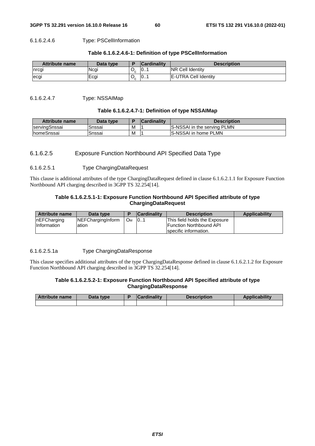### 6.1.6.2.4.6 Type: PSCellInformation

| <b>Attribute name</b> | Data type |   | <b>Cardinality</b> | <b>Description</b>           |
|-----------------------|-----------|---|--------------------|------------------------------|
| Inrcgi                | Ncgi      | ັ | 0                  | <b>INR Cell Identity</b>     |
| lecgi                 | Ecgi      |   | 0                  | <b>IE-UTRA Cell Identity</b> |

### **Table 6.1.6.2.4.6-1: Definition of type PSCellInformation**

### 6.1.6.2.4.7 Type: NSSAIMap

### **Table 6.1.6.2.4.7-1: Definition of type NSSAIMap**

| <b>Attribute name</b> | Data type |   | <b>Cardinality</b> | <b>Description</b>                  |
|-----------------------|-----------|---|--------------------|-------------------------------------|
| ∃servingSnssai        | Snssai    | М |                    | <b>IS-NSSAI</b> in the serving PLMN |
| <b>IhomeSnssai</b>    | Snssai    | M |                    | <b>IS-NSSAI in home PLMN</b>        |

## 6.1.6.2.5 Exposure Function Northbound API Specified Data Type

### 6.1.6.2.5.1 Type ChargingDataRequest

This clause is additional attributes of the type ChargingDataRequest defined in clause 6.1.6.2.1.1 for Exposure Function Northbound API charging described in 3GPP TS 32.254[14].

## **Table 6.1.6.2.5.1-1: Exposure Function Northbound API Specified attribute of type ChargingDataRequest**

| <b>Attribute name</b> | Data type                 |    | <b>Cardinality</b> | <b>Description</b>                                      | <b>Applicability</b> |
|-----------------------|---------------------------|----|--------------------|---------------------------------------------------------|----------------------|
| InEFCharging          | <b>INEFChargingInform</b> | Ом | 101                | This field holds the Exposure                           |                      |
| <b>Information</b>    | lation                    |    |                    | <b>Function Northbound API</b><br>specific information. |                      |
|                       |                           |    |                    |                                                         |                      |

### 6.1.6.2.5.1a Type ChargingDataResponse

This clause specifies additional attributes of the type ChargingDataResponse defined in clause 6.1.6.2.1.2 for Exposure Function Northbound API charging described in 3GPP TS 32.254[14].

## **Table 6.1.6.2.5.2-1: Exposure Function Northbound API Specified attribute of type ChargingDataResponse**

| <b>Attribute name</b> | Data type | <b>Cardinality</b> | <b>Description</b> | Applicability |
|-----------------------|-----------|--------------------|--------------------|---------------|
|                       |           |                    |                    |               |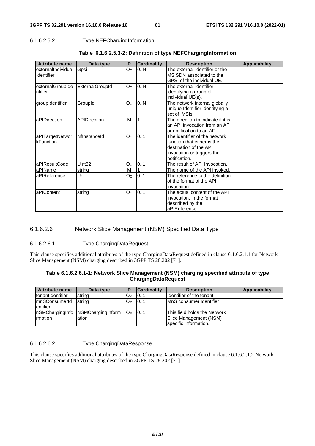# 6.1.6.2.5.2 Type NEFChargingInformation

| <b>Attribute name</b> | Data type           | P              | <b>Cardinality</b> | <b>Description</b>                 | <b>Applicability</b> |
|-----------------------|---------------------|----------------|--------------------|------------------------------------|----------------------|
| externalIndividual    | Gpsi                | O <sub>C</sub> | 0N                 | The external Identifier or the     |                      |
| Identifier            |                     |                |                    | MSISDN associated to the           |                      |
|                       |                     |                |                    | GPSI of the individual UE.         |                      |
| externalGroupIde      | ExternalGroupId     | O <sub>C</sub> | 0.N                | The external Identifier            |                      |
| ntifier               |                     |                |                    | identifying a group of             |                      |
|                       |                     |                |                    | individual UE(s).                  |                      |
| groupIdentifier       | GroupId             | O <sub>C</sub> | 0.N                | The network internal globally      |                      |
|                       |                     |                |                    | unique Identifier identifying a    |                      |
|                       |                     |                |                    | set of IMSIs.                      |                      |
| aPIDirection          | <b>APIDirection</b> | M              | 1                  | The direction to indicate if it is |                      |
|                       |                     |                |                    | an API invocation from an AF       |                      |
|                       |                     |                |                    | or notification to an AF.          |                      |
| aPITargetNetwor       | Nflnstanceld        | O <sub>C</sub> | 0.1                | The identifier of the network      |                      |
| kFunction             |                     |                |                    | function that either is the        |                      |
|                       |                     |                |                    | destination of the API             |                      |
|                       |                     |                |                    | invocation or triggers the         |                      |
|                       |                     |                |                    | notification.                      |                      |
| aPIResultCode         | Uint32              | O <sub>C</sub> | 0.1                | The result of API Invocation.      |                      |
| aPIName               | string              | M              | 1                  | The name of the API invoked.       |                      |
| aPIReference          | Uri                 | O <sub>C</sub> | 0.1                | The reference to the definition    |                      |
|                       |                     |                |                    | of the format of the API           |                      |
|                       |                     |                |                    | invocation.                        |                      |
| aPIContent            | string              | O <sub>C</sub> | 0.1                | The actual content of the API      |                      |
|                       |                     |                |                    | invocation, in the format          |                      |
|                       |                     |                |                    | described by the                   |                      |
|                       |                     |                |                    | aPIReference.                      |                      |

## **Table 6.1.6.2.5.3-2: Definition of type NEFChargingInformation**

# 6.1.6.2.6 Network Slice Management (NSM) Specified Data Type

### 6.1.6.2.6.1 Type ChargingDataRequest

This clause specifies additional attributes of the type ChargingDataRequest defined in clause 6.1.6.2.1.1 for Network Slice Management (NSM) charging described in 3GPP TS 28.202 [71].

| Table 6.1.6.2.6.1-1: Network Slice Management (NSM) charging specified attribute of type |
|------------------------------------------------------------------------------------------|
| ChargingDataRequest                                                                      |

| <b>Attribute name</b>    | Data type                         | D  | <b>Cardinality</b> | <b>Description</b>              | Applicability |
|--------------------------|-----------------------------------|----|--------------------|---------------------------------|---------------|
| <b>ItenantIdentifier</b> | string                            | Oм | 101                | Ildentifier of the tenant       |               |
| mnSConsumerId            | string                            | Ом | 101                | <b>IMnS</b> consumer Identifier |               |
| lentifier                |                                   |    |                    |                                 |               |
|                          | nSMChargingInfo NSMChargingInform | Oм | 101                | This field holds the Network    |               |
| Irmation                 | lation                            |    |                    | Slice Management (NSM)          |               |
|                          |                                   |    |                    | specific information.           |               |

### 6.1.6.2.6.2 Type ChargingDataResponse

This clause specifies additional attributes of the type ChargingDataResponse defined in clause 6.1.6.2.1.2 Network Slice Management (NSM) charging described in 3GPP TS 28.202 [71].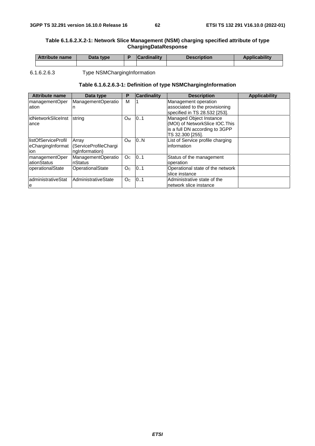### **Table 6.1.6.2.X.2-1: Network Slice Management (NSM) charging specified attribute of type ChargingDataResponse**

| <b>Attribute name</b> | Data type | <b>Cardinality</b> | <b>Description</b> | <b>Applicability</b> |
|-----------------------|-----------|--------------------|--------------------|----------------------|
|                       |           |                    |                    |                      |
|                       |           |                    |                    |                      |

6.1.6.2.6.3 Type NSMChargingInformation

## **Table 6.1.6.2.6.3-1: Definition of type NSMChargingInformation**

| <b>Attribute name</b>                            | Data type                                        | Р              | Cardinality | <b>Description</b>                                                                                              | <b>Applicability</b> |
|--------------------------------------------------|--------------------------------------------------|----------------|-------------|-----------------------------------------------------------------------------------------------------------------|----------------------|
| managementOper<br>lation                         | ManagementOperatio                               | м              |             | Management operation<br>associated to the provisioning<br>specified in TS 28.532 [253].                         |                      |
| lidNetworkSliceInst<br>lance                     | string                                           | Oм             | 0.1         | Managed Object Instance<br>(MOI) of NetworkSlice IOC.This<br>is a full DN according to 3GPP<br>TS 32.300 [255]. |                      |
| llistOfServiceProfil<br>eChargingInformat<br>ion | Array<br>(ServiceProfileChargi<br>ngInformation) | Oм             | 0.N         | List of Service profile charging<br>information                                                                 |                      |
| managementOper<br>ationStatus                    | ManagementOperatio<br>nStatus                    | Oc             | 0.1         | Status of the management<br>operation                                                                           |                      |
| operationalState                                 | OperationalState                                 | O <sub>C</sub> | 0.1         | Operational state of the network<br>Islice instance                                                             |                      |
| administrativeStat<br>le                         | AdministrativeState                              | O <sub>C</sub> | 0.1         | Administrative state of the<br>network slice instance                                                           |                      |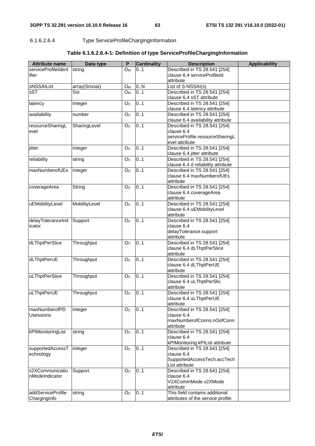6.1.6.2.6.4 Type ServiceProfileChargingInformation

| <b>Attribute name</b>       | Data type     | P              | <b>Cardinality</b> | <b>Description</b>                                           | <b>Applicability</b> |
|-----------------------------|---------------|----------------|--------------------|--------------------------------------------------------------|----------------------|
| serviceProfileIdent         | string        | $O_M$          | 0.1                | Described in TS 28.541 [254]                                 |                      |
| ifier                       |               |                |                    | clause 6.4 serviceProfileId                                  |                      |
|                             |               |                |                    | attribute                                                    |                      |
| sNSSAIList                  | array(Snssai) | O <sub>M</sub> | 0N                 | List of S-NSSAI(s)                                           |                      |
| sST                         | Sst           | O <sub>M</sub> | 0.1                | Described in TS 28.541 [254]                                 |                      |
|                             |               |                |                    | clause 6.4 sST attribute                                     |                      |
| latency                     | integer       | O <sub>c</sub> | 0.1                | Described in TS 28.541 [254]<br>clause 6.4 latency attribute |                      |
| availability                | number        | O <sub>C</sub> | 0.1                | Described in TS 28.541 [254]                                 |                      |
|                             |               |                |                    | clause 6.4 availability attribute                            |                      |
| resourceSharingL            | SharingLevel  | O <sub>c</sub> | 0.1                | Described in TS 28.541 [254]                                 |                      |
| evel                        |               |                |                    | clause 6.4                                                   |                      |
|                             |               |                |                    | serviceProfile.resourceSharingL                              |                      |
|                             |               |                |                    | evel attribute                                               |                      |
| jitter                      | integer       | O <sub>C</sub> | 0.1                | Described in TS 28.541 [254]                                 |                      |
|                             |               |                |                    | clause 6.4 jitter attribute                                  |                      |
| reliability                 | string        | O <sub>c</sub> | 0.1                | Described in TS 28.541 [254]                                 |                      |
|                             |               |                |                    | clause 6.4 d reliability attribute                           |                      |
| maxNumberofUEs              | integer       | O <sub>c</sub> | 0.1                | Described in TS 28.541 [254]                                 |                      |
|                             |               |                |                    | clause 6.4 maxNumberofUEs                                    |                      |
|                             |               |                |                    | attribute                                                    |                      |
| coverageArea                | String        | O <sub>c</sub> | 0.1                | Described in TS 28.541 [254]                                 |                      |
|                             |               |                |                    | clause 6.4 coverageArea                                      |                      |
|                             |               |                |                    | attribute                                                    |                      |
| uEMobilityLevel             | MobilityLevel | O <sub>c</sub> | 0.1                | Described in TS 28.541 [254]                                 |                      |
|                             |               |                |                    | clause 6.4 uEMobilityLevel                                   |                      |
|                             |               | O <sub>c</sub> | 0.1                | attribute                                                    |                      |
| delayToleranceInd<br>icator | Support       |                |                    | Described in TS 28.541 [254]<br>clause 6.4                   |                      |
|                             |               |                |                    | delayTolerance.support                                       |                      |
|                             |               |                |                    | attribute                                                    |                      |
| dLThptPerSlice              | Throughput    | O <sub>c</sub> | 0.1                | Described in TS 28.541 [254]                                 |                      |
|                             |               |                |                    | clause 6.4 dLThptPerSlice                                    |                      |
|                             |               |                |                    | attribute                                                    |                      |
| dLThptPerUE                 | Throughput    | O <sub>c</sub> | 0.1                | Described in TS 28.541 [254]                                 |                      |
|                             |               |                |                    | clause 6.4 dLThptPerUE                                       |                      |
|                             |               |                |                    | attribute                                                    |                      |
| uLThptPerSlice              | Throughput    | O <sub>c</sub> | 0.1                | Described in TS 28.541 [254]                                 |                      |
|                             |               |                |                    | clause 6.4 uLThptPerSlic                                     |                      |
|                             |               |                |                    | attribute                                                    |                      |
| uLThptPerUE                 | Throughput    | O <sub>C</sub> | 0.1                | Described in TS 28.541 [254]                                 |                      |
|                             |               |                |                    | clause 6.4 uLThptPerUE                                       |                      |
|                             |               |                |                    | attribute                                                    |                      |
| maxNumberofPD<br>Usessions  | integer       | O <sub>c</sub> | 0.1                | Described in TS 28.541 [254]<br>clause 6.4                   |                      |
|                             |               |                |                    | maxNumberofConns.nOofConn                                    |                      |
|                             |               |                |                    | attribute                                                    |                      |
| kPIMonitoringList           | string        | O <sub>C</sub> | 0.1                | Described in TS 28.541 [254]                                 |                      |
|                             |               |                |                    | clause 6.4                                                   |                      |
|                             |               |                |                    | kPIMonitoring.kPIList attribute                              |                      |
| supportedAccessT            | integer       | O <sub>c</sub> | 0.1                | Described in TS 28.541 [254]                                 |                      |
| echnology                   |               |                |                    | clause 6.4                                                   |                      |
|                             |               |                |                    | SupportedAccessTech.accTech                                  |                      |
|                             |               |                |                    | List attribute                                               |                      |
| v2XCommunicatio             | Support       | O <sub>C</sub> | 0.1                | Described in TS 28.541 [254]                                 |                      |
| nModeIndicator              |               |                |                    | clause 6.4                                                   |                      |
|                             |               |                |                    | V2XCommMode.v2XMode                                          |                      |
|                             |               |                |                    | attribute                                                    |                      |
| addServiceProfile           | string        | O <sub>c</sub> | 0.1                | This field contains additional                               |                      |
| ChargingInfo                |               |                |                    | attributes of the service profile.                           |                      |

# **Table 6.1.6.2.6.4-1: Definition of type ServiceProfileChargingInformation**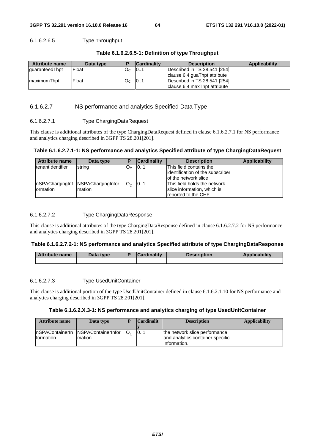## 6.1.6.2.6.5 Type Throughput

### **Table 6.1.6.2.6.5-1: Definition of type Throughput**

| <b>Attribute name</b> | Data type |     | <b>Cardinality</b> | <b>Description</b>            | Applicability |
|-----------------------|-----------|-----|--------------------|-------------------------------|---------------|
| guaranteedThpt        | Float     | Oc. | 101                | Described in TS 28.541 [254]  |               |
|                       |           |     |                    | Iclause 6.4 quaThpt attribute |               |
| ImaximumThpt          | Float     | Оc  | 101                | Described in TS 28.541 [254]  |               |
|                       |           |     |                    | Iclause 6.4 maxThpt attribute |               |

## 6.1.6.2.7 NS performance and analytics Specified Data Type

### 6.1.6.2.7.1 Type ChargingDataRequest

This clause is additional attributes of the type ChargingDataRequest defined in clause 6.1.6.2.7.1 for NS performance and analytics charging described in 3GPP TS 28.201[201].

## **Table 6.1.6.2.7.1-1: NS performance and analytics Specified attribute of type ChargingDataRequest**

| <b>Attribute name</b>       | Data type                    | D                     | <b>Cardinality</b> | <b>Description</b>                                                                   | <b>Applicability</b> |
|-----------------------------|------------------------------|-----------------------|--------------------|--------------------------------------------------------------------------------------|----------------------|
| <b>ItenantIdentifier</b>    | string                       | <b>O</b> <sub>M</sub> | 101                | This field contains the<br>lidentification of the subscriber<br>of the network slice |                      |
| nSPAChargingInf<br>ormation | NSPAChargingInfor<br>Imation | $O_{\alpha}$          | 101                | This field holds the network<br>slice information, which is<br>reported to the CHF   |                      |

### 6.1.6.2.7.2 Type ChargingDataResponse

This clause is additional attributes of the type ChargingDataResponse defined in clause 6.1.6.2.7.2 for NS performance and analytics charging described in 3GPP TS 28.201[201].

### **Table 6.1.6.2.7.2-1: NS performance and analytics Specified attribute of type ChargingDataResponse**

| <b>Attribute name</b> | Data type | <b>Cardinality</b> | <b>Description</b> | Applicability |
|-----------------------|-----------|--------------------|--------------------|---------------|
|                       |           |                    |                    |               |

### 6.1.6.2.7.3 Type UsedUnitContainer

This clause is additional portion of the type UsedUnitContainer defined in clause 6.1.6.2.1.10 for NS performance and analytics charging described in 3GPP TS 28.201[201].

### **Table 6.1.6.2.X.3-1: NS performance and analytics charging of type UsedUnitContainer**

| <b>Attribute name</b> | Data type                                     | D | <b>Cardinalit</b> | <b>Description</b>                                                                 | <b>Applicability</b> |
|-----------------------|-----------------------------------------------|---|-------------------|------------------------------------------------------------------------------------|----------------------|
|                       |                                               |   |                   |                                                                                    |                      |
| Iformation            | InSPAContainerIn NSPAContainerInfor<br>mation |   | 101               | the network slice performance<br>and analytics container specific<br>linformation. |                      |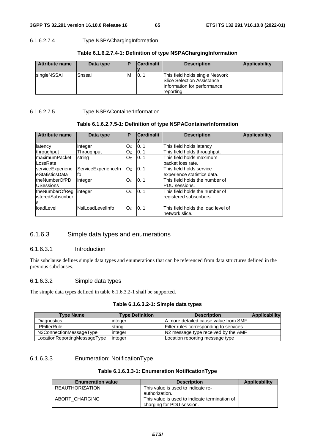# 6.1.6.2.7.4 Type NSPAChargingInformation

| <b>Attribute name</b> | Data type | D | <b>Cardinalit</b> | <b>Description</b>                                                                                         | Applicability |
|-----------------------|-----------|---|-------------------|------------------------------------------------------------------------------------------------------------|---------------|
| singleNSSAI           | Snssai    | м | 101               | This field holds single Network<br>Slice Selection Assistance<br>Information for performance<br>reporting. |               |

## **Table 6.1.6.2.7.4-1: Definition of type NSPAChargingInformation**

## 6.1.6.2.7.5 Type NSPAContainerInformation

## **Table 6.1.6.2.7.5-1: Definition of type NSPAContainerInformation**

| <b>Attribute name</b> | Data type           | P              | <b>Cardinalit</b> | <b>Description</b>                 | <b>Applicability</b> |
|-----------------------|---------------------|----------------|-------------------|------------------------------------|----------------------|
|                       |                     |                |                   |                                    |                      |
| latency               | integer             | O <sub>C</sub> | 0.1               | This field holds latency           |                      |
| throughput            | Throughput          | O <sub>C</sub> | 0.1               | This field holds throughput.       |                      |
| maximumPacket         | string              | O <sub>C</sub> | 101               | This field holds maximum           |                      |
| LossRate              |                     |                |                   | lpacket loss rate.                 |                      |
| serviceExperienc      | ServiceExperienceIn | O <sub>C</sub> | 0.1               | This field holds service           |                      |
| eStatisticsData       | tο                  |                |                   | experience statistics data.        |                      |
| theNumberOfPD         | integer             | O <sub>c</sub> | 0.1               | This field holds the number of     |                      |
| <b>USessions</b>      |                     |                |                   | PDU sessions.                      |                      |
| theNumberOfReg        | integer             | O <sub>C</sub> | 0.1               | This field holds the number of     |                      |
| isteredSubscriber     |                     |                |                   | registered subscribers.            |                      |
| ls                    |                     |                |                   |                                    |                      |
| loadLevel             | NsiLoadLevelInfo    | O <sub>C</sub> | 101               | This field holds the load level of |                      |
|                       |                     |                |                   | network slice.                     |                      |

# 6.1.6.3 Simple data types and enumerations

## 6.1.6.3.1 Introduction

This subclause defines simple data types and enumerations that can be referenced from data structures defined in the previous subclauses.

## 6.1.6.3.2 Simple data types

The simple data types defined in table 6.1.6.3.2-1 shall be supported.

## **Table 6.1.6.3.2-1: Simple data types**

| <b>Type Name</b>             | <b>Type Definition</b> | <b>Description</b>                     | Applicability |
|------------------------------|------------------------|----------------------------------------|---------------|
| <b>Diagnostics</b>           | integer                | A more detailed cause value from SMF   |               |
| <b>IPFilterRule</b>          | string                 | Filter rules corresponding to services |               |
| N2ConnectionMessageType      | integer                | N2 message type received by the AMF    |               |
| LocationReportingMessageType | integer                | Location reporting message type        |               |

# 6.1.6.3.3 Enumeration: NotificationType

## **Table 6.1.6.3.3-1: Enumeration NotificationType**

| <b>Enumeration value</b> | <b>Description</b>                                                         | Applicability |
|--------------------------|----------------------------------------------------------------------------|---------------|
| <b>REAUTHORIZATION</b>   | This value is used to indicate re-<br>authorization.                       |               |
| ABORT CHARGING           | This value is used to indicate termination of<br>charging for PDU session. |               |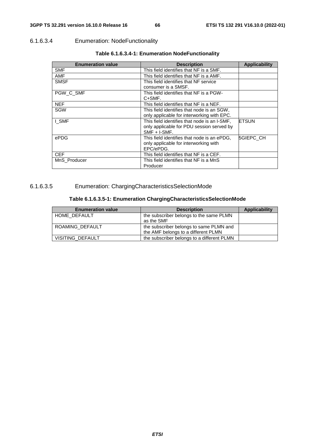# 6.1.6.3.4 Enumeration: NodeFunctionality

| <b>Enumeration value</b> | <b>Description</b>                           | <b>Applicability</b> |
|--------------------------|----------------------------------------------|----------------------|
| <b>SMF</b>               | This field identifies that NF is a SMF.      |                      |
| <b>AMF</b>               | This field identifies that NF is a AMF.      |                      |
| <b>SMSF</b>              | This field identifies that NF service        |                      |
|                          | consumer is a SMSF.                          |                      |
| PGW C SMF                | This field identifies that NF is a PGW-      |                      |
|                          | C+SMF.                                       |                      |
| <b>NEF</b>               | This field identifies that NF is a NEF.      |                      |
| SGW                      | This field identifies that node is an SGW,   |                      |
|                          | only applicable for interworking with EPC.   |                      |
| I SMF                    | This field identifies that node is an I-SMF, | IETSUN               |
|                          | only applicable for PDU session served by    |                      |
|                          | $SMF + I-SMF$ .                              |                      |
| ePDG                     | This field identifies that node is an ePDG,  | <b>5GIEPC CH</b>     |
|                          | only applicable for interworking with        |                      |
|                          | EPC/ePDG.                                    |                      |
| CEF                      | This field identifies that NF is a CEF.      |                      |
| MnS Producer             | This field identifies that NF is a MnS       |                      |
|                          | Producer                                     |                      |

# **Table 6.1.6.3.4-1: Enumeration NodeFunctionality**

# 6.1.6.3.5 Enumeration: ChargingCharacteristicsSelectionMode

# **Table 6.1.6.3.5-1: Enumeration ChargingCharacteristicsSelectionMode**

| <b>Enumeration value</b> | <b>Description</b>                         | Applicability |
|--------------------------|--------------------------------------------|---------------|
| HOME DEFAULT             | the subscriber belongs to the same PLMN    |               |
|                          | as the SMF                                 |               |
| ROAMING DEFAULT          | the subscriber belongs to same PLMN and    |               |
|                          | the AMF belongs to a different PLMN        |               |
| VISITING DEFAULT         | the subscriber belongs to a different PLMN |               |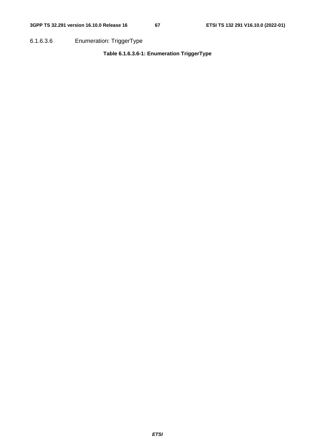6.1.6.3.6 Enumeration: TriggerType

# **Table 6.1.6.3.6-1: Enumeration TriggerType**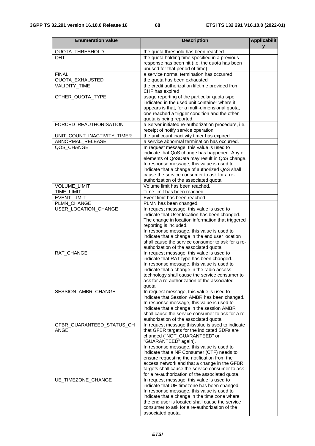| <b>Enumeration value</b>    | <b>Description</b>                                                                            | <b>Applicabilit</b><br>v |
|-----------------------------|-----------------------------------------------------------------------------------------------|--------------------------|
| <b>QUOTA THRESHOLD</b>      | the quota threshold has been reached                                                          |                          |
| OHT                         | the quota holding time specified in a previous                                                |                          |
|                             | response has been hit (i.e. the quota has been                                                |                          |
|                             | unused for that period of time)                                                               |                          |
| <b>FINAL</b>                | a service normal termination has occurred.                                                    |                          |
| QUOTA_EXHAUSTED             | the quota has been exhausted                                                                  |                          |
| VALIDITY_TIME               | the credit authorization lifetime provided from<br>CHF has expired                            |                          |
| OTHER_QUOTA_TYPE            | usage reporting of the particular quota type                                                  |                          |
|                             | indicated in the used unit container where it                                                 |                          |
|                             | appears is that, for a multi-dimensional quota,                                               |                          |
|                             | one reached a trigger condition and the other                                                 |                          |
|                             | quota is being reported.                                                                      |                          |
| FORCED_REAUTHORISATION      | a Server initiated re-authorization procedure, i.e.<br>receipt of notify service operation    |                          |
| UNIT_COUNT_INACTIVITY_TIMER | the unit count inactivity timer has expired                                                   |                          |
| ABNORMAL_RELEASE            | a service abnormal termination has occurred.                                                  |                          |
| QOS_CHANGE                  | In request message, this value is used to                                                     |                          |
|                             | indicate that QoS change has happened. Any of                                                 |                          |
|                             | elements of QoSData may result in QoS change.                                                 |                          |
|                             | In response message, this value is used to                                                    |                          |
|                             | indicate that a change of authorized QoS shall<br>cause the service consumer to ask for a re- |                          |
|                             | authorization of the associated quota.                                                        |                          |
| VOLUME_LIMIT                | Volume limit has been reached.                                                                |                          |
| TIME_LIMIT                  | Time limit has been reached                                                                   |                          |
| <b>EVENT_LIMIT</b>          | Event limit has been reached                                                                  |                          |
| PLMN_CHANGE                 | PLMN has been changed.                                                                        |                          |
| USER_LOCATION_CHANGE        | In request message, this value is used to                                                     |                          |
|                             | indicate that User location has been changed.                                                 |                          |
|                             | The change in location information that triggered                                             |                          |
|                             | reporting is included.                                                                        |                          |
|                             | In response message, this value is used to                                                    |                          |
|                             | indicate that a change in the end user location                                               |                          |
|                             | shall cause the service consumer to ask for a re-                                             |                          |
|                             | authorization of the associated quota                                                         |                          |
| RAT_CHANGE                  | In request message, this value is used to                                                     |                          |
|                             | indicate that RAT type has been changed.<br>In response message, this value is used to        |                          |
|                             | indicate that a change in the radio access                                                    |                          |
|                             | technology shall cause the service consumer to                                                |                          |
|                             | ask for a re-authorization of the associated                                                  |                          |
|                             | quota                                                                                         |                          |
| SESSION AMBR CHANGE         | In request message, this value is used to                                                     |                          |
|                             | indicate that Session AMBR has been changed.                                                  |                          |
|                             | In response message, this value is used to                                                    |                          |
|                             | indicate that a change in the session AMBR                                                    |                          |
|                             | shall cause the service consumer to ask for a re-                                             |                          |
|                             | authorization of the associated quota.                                                        |                          |
| GFBR_GUARANTEED_STATUS_CH   | In request message, this value is used to indicate                                            |                          |
| ANGE                        | that GFBR targets for the indicated SDFs are<br>changed ("NOT_GUARANTEED" or                  |                          |
|                             | "GUARANTEED" again).                                                                          |                          |
|                             | In response message, this value is used to                                                    |                          |
|                             | indicate that a NF Consumer (CTF) needs to                                                    |                          |
|                             | ensure requesting the notification from the                                                   |                          |
|                             | access network and that a change in the GFBR                                                  |                          |
|                             | targets shall cause the service consumer to ask                                               |                          |
|                             | for a re-authorization of the associated quota.                                               |                          |
| UE_TIMEZONE_CHANGE          | In request message, this value is used to                                                     |                          |
|                             | indicate that UE timezone has been changed.                                                   |                          |
|                             | In response message, this value is used to                                                    |                          |
|                             | indicate that a change in the time zone where                                                 |                          |
|                             | the end user is located shall cause the service                                               |                          |
|                             | consumer to ask for a re-authorization of the                                                 |                          |
|                             | associated quota.                                                                             |                          |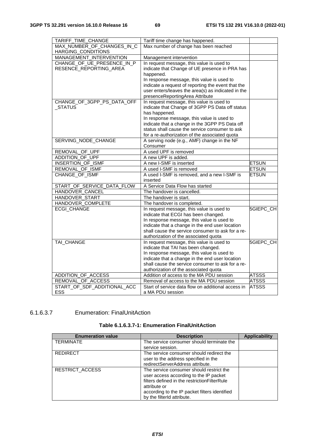| TARIFF_TIME_CHANGE                | Tariff time change has happened.                                       |                  |
|-----------------------------------|------------------------------------------------------------------------|------------------|
| MAX NUMBER OF CHANGES IN C        | Max number of change has been reached                                  |                  |
| HARGING_CONDITIONS                |                                                                        |                  |
| MANAGEMENT_INTERVENTION           | Management intervention                                                |                  |
| CHANGE_OF_UE_PRESENCE_IN_P        | In request message, this value is used to                              |                  |
| RESENCE_REPORTING_AREA            | indicate that Change of UE presence in PRA has                         |                  |
|                                   | happened.                                                              |                  |
|                                   | In response message, this value is used to                             |                  |
|                                   | indicate a request of reporting the event that the                     |                  |
|                                   | user enters/leaves the area(s) as indicated in the                     |                  |
|                                   | presenceReportingArea Attribute                                        |                  |
| CHANGE_OF_3GPP_PS_DATA_OFF        | In request message, this value is used to                              |                  |
| <b>STATUS</b>                     | indicate that Change of 3GPP PS Data off status                        |                  |
|                                   | has happened.                                                          |                  |
|                                   | In response message, this value is used to                             |                  |
|                                   | indicate that a change in the 3GPP PS Data off                         |                  |
|                                   | status shall cause the service consumer to ask                         |                  |
|                                   | for a re-authorization of the associated quota                         |                  |
| SERVING_NODE_CHANGE               | A serving node (e.g., AMF) change in the NF                            |                  |
|                                   | Consumer                                                               |                  |
| REMOVAL OF UPF<br>ADDITION OF UPF | A used UPF is removed<br>A new UPF is added.                           |                  |
|                                   |                                                                        |                  |
| INSERTION_OF_ISMF                 | A new I-SMF is inserted                                                | <b>ETSUN</b>     |
| REMOVAL OF ISMF                   | A used I-SMF is removed<br>A used I-SMF is removed, and a new I-SMF is | <b>ETSUN</b>     |
| CHANGE_OF_ISMF                    | inserted                                                               | <b>ETSUN</b>     |
| START_OF_SERVICE_DATA_FLOW        | A Service Data Flow has started                                        |                  |
| HANDOVER CANCEL                   | The handover is cancelled.                                             |                  |
| HANDOVER_START                    | The handover is start.                                                 |                  |
| HANDOVER_COMPLETE                 | The handover is completed.                                             |                  |
| ECGI_CHANGE                       | In request message, this value is used to                              | 5GIEPC_CH        |
|                                   | indicate that ECGI has been changed.                                   |                  |
|                                   | In response message, this value is used to                             |                  |
|                                   | indicate that a change in the end user location                        |                  |
|                                   | shall cause the service consumer to ask for a re-                      |                  |
|                                   | authorization of the associated quota                                  |                  |
| TAI_CHANGE                        | In request message, this value is used to                              | <b>5GIEPC CH</b> |
|                                   | indicate that TAI has been changed.                                    |                  |
|                                   | In response message, this value is used to                             |                  |
|                                   | indicate that a change in the end user location                        |                  |
|                                   | shall cause the service consumer to ask for a re-                      |                  |
|                                   | authorization of the associated quota                                  |                  |
| ADDITION_OF_ACCESS                | Addition of access to the MA PDU session                               | <b>ATSSS</b>     |
| REMOVAL_OF_ACCESS                 | Removal of access to the MA PDU session                                | <b>ATSSS</b>     |
| START OF SDF ADDITIONAL ACC       | Start of service data flow on additional access in                     | <b>ATSSS</b>     |
| ESS                               | a MA PDU session                                                       |                  |

# 6.1.6.3.7 Enumeration: FinalUnitAction

| Table 6.1.6.3.7-1: Enumeration FinalUnitAction |  |  |
|------------------------------------------------|--|--|
|------------------------------------------------|--|--|

| <b>Enumeration value</b> | <b>Description</b>                             | <b>Applicability</b> |
|--------------------------|------------------------------------------------|----------------------|
| <b>TERMINATE</b>         | The service consumer should terminate the      |                      |
|                          | service session.                               |                      |
| <b>REDIRECT</b>          | The service consumer should redirect the       |                      |
|                          | user to the address specified in the           |                      |
|                          | redirectServerAddress attribute.               |                      |
| <b>RESTRICT ACCESS</b>   | The service consumer should restrict the       |                      |
|                          | user access according to the IP packet         |                      |
|                          | filters defined in the restriction Filter Rule |                      |
|                          | attribute or                                   |                      |
|                          | according to the IP packet filters identified  |                      |
|                          | by the filterid attribute.                     |                      |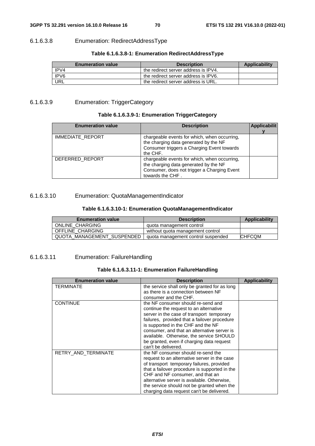# 6.1.6.3.8 Enumeration: RedirectAddressType

# **Table 6.1.6.3.8-1: Enumeration RedirectAddressType**

| <b>Enumeration value</b> | <b>Description</b>                   | <b>Applicability</b> |
|--------------------------|--------------------------------------|----------------------|
| IPV4                     | the redirect server address is IPV4. |                      |
| IPV6                     | the redirect server address is IPV6. |                      |
| URL                      | the redirect server address is URL.  |                      |

# 6.1.6.3.9 Enumeration: TriggerCategory

# **Table 6.1.6.3.9-1: Enumeration TriggerCategory**

| <b>Enumeration value</b> | <b>Description</b>                                                                                                                                       | <b>Applicabilit</b> |
|--------------------------|----------------------------------------------------------------------------------------------------------------------------------------------------------|---------------------|
| <b>IMMEDIATE REPORT</b>  | chargeable events for which, when occurring,<br>the charging data generated by the NF<br>Consumer triggers a Charging Event towards<br>the CHF.          |                     |
| DEFERRED REPORT          | chargeable events for which, when occurring,<br>the charging data generated by the NF<br>Consumer, does not trigger a Charging Event<br>towards the CHF. |                     |

# 6.1.6.3.10 Enumeration: QuotaManagementIndicator

# **Table 6.1.6.3.10-1: Enumeration QuotaManagementIndicator**

| <b>Enumeration value</b>   | <b>Description</b>                 | Applicability |
|----------------------------|------------------------------------|---------------|
| ONLINE CHARGING            | quota management control           |               |
| OFFLINE CHARGING           | without quota management control   |               |
| QUOTA MANAGEMENT SUSPENDED | quota management control suspended | <b>CHFCQM</b> |

# 6.1.6.3.11 Enumeration: FailureHandling

| Table 6.1.6.3.11-1: Enumeration FailureHandling |  |
|-------------------------------------------------|--|
|-------------------------------------------------|--|

| <b>Enumeration value</b> | <b>Description</b>                                                                                                                                                                                                                                                                                                                                                             | <b>Applicability</b> |
|--------------------------|--------------------------------------------------------------------------------------------------------------------------------------------------------------------------------------------------------------------------------------------------------------------------------------------------------------------------------------------------------------------------------|----------------------|
| <b>TERMINATE</b>         | the service shall only be granted for as long<br>as there is a connection between NF<br>consumer and the CHF.                                                                                                                                                                                                                                                                  |                      |
| <b>CONTINUE</b>          | the NF consumer should re-send and<br>continue the request to an alternative<br>server in the case of transport temporary<br>failures, provided that a failover procedure<br>is supported in the CHF and the NF<br>consumer, and that an alternative server is<br>available. Otherwise, the service SHOULD<br>be granted, even if charging data request<br>can't be delivered. |                      |
| RETRY AND TERMINATE      | the NF consumer should re-send the<br>request to an alternative server in the case<br>of transport temporary failures, provided<br>that a failover procedure is supported in the<br>CHF and NF consumer, and that an<br>alternative server is available. Otherwise,<br>the service should not be granted when the<br>charging data request can't be delivered.                 |                      |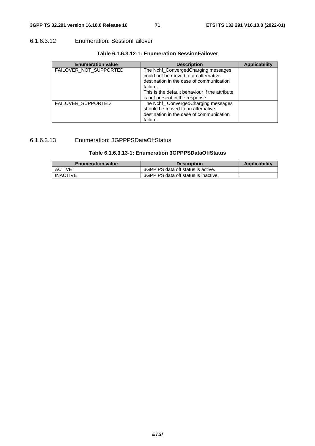# 6.1.6.3.12 Enumeration: SessionFailover

| <b>Enumeration value</b>  | <b>Description</b>                                                                                                                                                                                                       | <b>Applicability</b> |
|---------------------------|--------------------------------------------------------------------------------------------------------------------------------------------------------------------------------------------------------------------------|----------------------|
| FAILOVER NOT SUPPORTED    | The Nchf_ConvergedCharging messages<br>could not be moved to an alternative<br>destination in the case of communication<br>failure.<br>This is the default behaviour if the attribute<br>is not present in the response. |                      |
| <b>FAILOVER SUPPORTED</b> | The Nchf_ ConvergedCharging messages<br>should be moved to an alternative<br>destination in the case of communication<br>failure.                                                                                        |                      |

# 6.1.6.3.13 Enumeration: 3GPPPSDataOffStatus

# **Table 6.1.6.3.13-1: Enumeration 3GPPPSDataOffStatus**

| <b>Enumeration value</b> | <b>Description</b>                   | <b>Applicability</b> |
|--------------------------|--------------------------------------|----------------------|
| <b>ACTIVE</b>            | 3GPP PS data off status is active.   |                      |
| <b>INACTIVE</b>          | 3GPP PS data off status is inactive. |                      |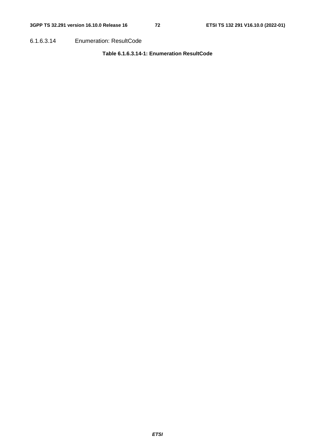6.1.6.3.14 Enumeration: ResultCode

### **Table 6.1.6.3.14-1: Enumeration ResultCode**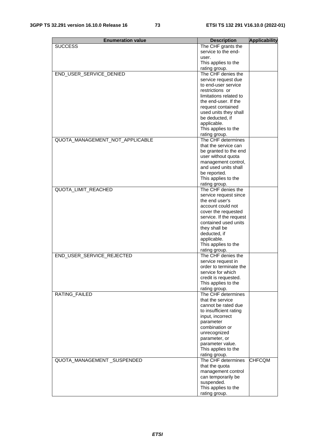| <b>Enumeration value</b>        | <b>Description</b>                             | <b>Applicability</b> |
|---------------------------------|------------------------------------------------|----------------------|
| <b>SUCCESS</b>                  | The CHF grants the                             |                      |
|                                 | service to the end-                            |                      |
|                                 | user.                                          |                      |
|                                 | This applies to the                            |                      |
|                                 | rating group.                                  |                      |
| END_USER_SERVICE_DENIED         | The CHF denies the                             |                      |
|                                 | service request due                            |                      |
|                                 | to end-user service                            |                      |
|                                 | restrictions or                                |                      |
|                                 | limitations related to                         |                      |
|                                 | the end-user. If the                           |                      |
|                                 | request contained                              |                      |
|                                 | used units they shall                          |                      |
|                                 | be deducted, if                                |                      |
|                                 | applicable.                                    |                      |
|                                 | This applies to the                            |                      |
|                                 | rating group.                                  |                      |
| QUOTA_MANAGEMENT_NOT_APPLICABLE | The CHF determines                             |                      |
|                                 | that the service can                           |                      |
|                                 | be granted to the end                          |                      |
|                                 | user without quota                             |                      |
|                                 | management control,                            |                      |
|                                 | and used units shall                           |                      |
|                                 | be reported.                                   |                      |
|                                 | This applies to the                            |                      |
|                                 | rating group.                                  |                      |
| <b>QUOTA LIMIT REACHED</b>      | The CHF denies the                             |                      |
|                                 | service request since<br>the end user's        |                      |
|                                 | account could not                              |                      |
|                                 |                                                |                      |
|                                 | cover the requested<br>service. If the request |                      |
|                                 | contained used units                           |                      |
|                                 | they shall be                                  |                      |
|                                 | deducted, if                                   |                      |
|                                 | applicable.                                    |                      |
|                                 | This applies to the                            |                      |
|                                 | rating group.                                  |                      |
| END_USER_SERVICE_REJECTED       | The CHF denies the                             |                      |
|                                 | service request in                             |                      |
|                                 | order to terminate the                         |                      |
|                                 | service for which                              |                      |
|                                 | credit is requested.                           |                      |
|                                 | This applies to the                            |                      |
|                                 | rating group.                                  |                      |
| RATING_FAILED                   | The CHF determines                             |                      |
|                                 | that the service                               |                      |
|                                 | cannot be rated due                            |                      |
|                                 | to insufficient rating                         |                      |
|                                 | input, incorrect                               |                      |
|                                 | parameter                                      |                      |
|                                 | combination or                                 |                      |
|                                 | unrecognized                                   |                      |
|                                 | parameter, or                                  |                      |
|                                 | parameter value.                               |                      |
|                                 | This applies to the                            |                      |
|                                 | rating group.                                  |                      |
| QUOTA_MANAGEMENT_SUSPENDED      | The CHF determines                             | <b>CHFCQM</b>        |
|                                 | that the quota                                 |                      |
|                                 | management control                             |                      |
|                                 | can temporarily be                             |                      |
|                                 | suspended.                                     |                      |
|                                 | This applies to the                            |                      |
|                                 | rating group.                                  |                      |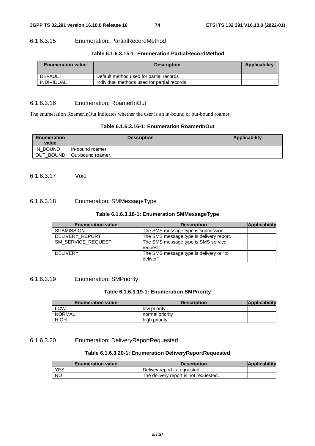#### 6.1.6.3.15 Enumeration: PartialRecordMethod

#### **Table 6.1.6.3.15-1: Enumeration PartialRecordMethod**

| <b>Enumeration value</b> | <b>Description</b>                          | Applicability |
|--------------------------|---------------------------------------------|---------------|
| DEFAULT                  | Default method used for partial records     |               |
| INDIVIDUAL               | Individual methods used for partial records |               |

#### 6.1.6.3.16 Enumeration: RoamerInOut

The enumeration RoamerInOut indicates whether the user is an in-bound or out-bound roamer.

#### **Table 6.1.6.3.16-1: Enumeration RoamerInOut**

| <b>Enumeration</b><br>value | <b>Description</b> | Applicability |
|-----------------------------|--------------------|---------------|
| IN BOUND                    | In-bound roamer.   |               |
| OUT_BOUND                   | Out-bound roamer.  |               |

6.1.6.3.17 Void

#### 6.1.6.3.18 Enumeration: SMMessageType

#### **Table 6.1.6.3.18-1: Enumeration SMMessageType**

| <b>Enumeration value</b> | <b>Description</b>                       | Applicability |
|--------------------------|------------------------------------------|---------------|
| <b>SUBMISSION</b>        | The SMS message type is submission.      |               |
| DELIVERY REPORT          | The SMS message type is delivery report. |               |
| SM_SERVICE_REQUEST       | The SMS message type is SMS service      |               |
|                          | request.                                 |               |
| DELIVERY                 | The SMS message type is delivery or "to  |               |
|                          | deliver"                                 |               |

6.1.6.3.19 Enumeration: SMPriority

#### **Table 6.1.6.3.19-1: Enumeration SMPriority**

| <b>Enumeration value</b> | <b>Description</b> | Applicability |
|--------------------------|--------------------|---------------|
| <b>LOW</b>               | low priority       |               |
| NORMAL                   | normal priority    |               |
| HIGH                     | high priority      |               |

#### 6.1.6.3.20 Enumeration: DeliveryReportRequested

### **Table 6.1.6.3.20-1: Enumeration DeliveryReportRequested**

| <b>Enumeration value</b> | <b>Description</b>                    | Applicability |
|--------------------------|---------------------------------------|---------------|
| YES                      | Delivey report is requested.          |               |
| <b>NO</b>                | The delivery report is not requested. |               |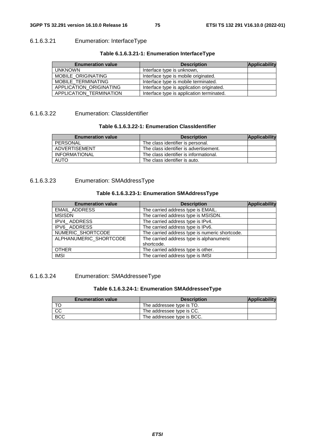### 6.1.6.3.21 Enumeration: InterfaceType

#### **Table 6.1.6.3.21-1: Enumeration InterfaceType**

| <b>Enumeration value</b> | <b>Description</b>                        | <b>Applicability</b> |
|--------------------------|-------------------------------------------|----------------------|
| <b>UNKNOWN</b>           | Interface type is unknown,                |                      |
| MOBILE_ORIGINATING       | Interface type is mobile originated.      |                      |
| MOBILE TERMINATING       | Interface type is mobile terminated.      |                      |
| APPLICATION ORIGINATING  | Interface type is application originated. |                      |
| APPLICATION TERMINATION  | Interface type is application terminated. |                      |

#### 6.1.6.3.22 Enumeration: ClassIdentifier

## **Table 6.1.6.3.22-1: Enumeration ClassIdentifier**

| <b>Enumeration value</b> | <b>Description</b>                     | <b>Applicability</b> |
|--------------------------|----------------------------------------|----------------------|
| PERSONAL                 | The class identifier is personal.      |                      |
| ADVERTISEMENT            | The class identifier is advertisement. |                      |
| <b>INFORMATIONAL</b>     | The class identifier is informational. |                      |
| <b>AUTO</b>              | The class identifier is auto.          |                      |

## 6.1.6.3.23 Enumeration: SMAddressType

#### **Table 6.1.6.3.23-1: Enumeration SMAddressType**

| <b>Enumeration value</b> | <b>Description</b>                             | <b>Applicability</b> |
|--------------------------|------------------------------------------------|----------------------|
| <b>EMAIL ADDRESS</b>     | The carried address type is EMAIL.             |                      |
| <b>MSISDN</b>            | The carried address type is MSISDN.            |                      |
| IPV4 ADDRESS             | The carried address type is IPv4.              |                      |
| IPV6_ADDRESS             | The carried address type is IPv6.              |                      |
| NUMERIC_SHORTCODE        | The carried address type is numeric shortcode. |                      |
| ALPHANUMERIC_SHORTCODE   | The carried address type is alphanumeric       |                      |
|                          | shortcode.                                     |                      |
| <b>OTHER</b>             | The carried address type is other.             |                      |
| <b>IMSI</b>              | The carried address type is IMSI               |                      |

## 6.1.6.3.24 Enumeration: SMAddresseeType

### **Table 6.1.6.3.24-1: Enumeration SMAddresseeType**

| <b>Enumeration value</b> | <b>Description</b>         | Applicability |
|--------------------------|----------------------------|---------------|
|                          | The addressee type is TO.  |               |
| CC                       | The addressee type is CC.  |               |
| <b>BCC</b>               | The addressee type is BCC. |               |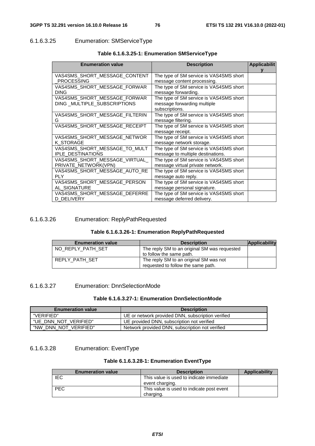## 6.1.6.3.25 Enumeration: SMServiceType

| <b>Enumeration value</b>       | <b>Description</b>                      | <b>Applicabilit</b> |
|--------------------------------|-----------------------------------------|---------------------|
|                                |                                         |                     |
| VAS4SMS_SHORT_MESSAGE_CONTENT  | The type of SM service is VAS4SMS short |                     |
| <b>PROCESSING</b>              | message content processing.             |                     |
| VAS4SMS SHORT MESSAGE FORWAR   | The type of SM service is VAS4SMS short |                     |
| <b>DING</b>                    | message forwarding.                     |                     |
| VAS4SMS_SHORT_MESSAGE_FORWAR   | The type of SM service is VAS4SMS short |                     |
| DING MULTIPLE SUBSCRIPTIONS    | message forwarding multiple             |                     |
|                                | subscriptions.                          |                     |
| VAS4SMS SHORT MESSAGE FILTERIN | The type of SM service is VAS4SMS short |                     |
| G                              | message filtering.                      |                     |
| VAS4SMS_SHORT_MESSAGE_RECEIPT  | The type of SM service is VAS4SMS short |                     |
|                                | message receipt.                        |                     |
| VAS4SMS SHORT MESSAGE NETWOR   | The type of SM service is VAS4SMS short |                     |
| K STORAGE                      | message network storage.                |                     |
| VAS4SMS SHORT MESSAGE TO MULT  | The type of SM service is VAS4SMS short |                     |
| <b>IPLE DESTINATIONS</b>       | message to multiple destinations.       |                     |
| VAS4SMS SHORT MESSAGE VIRTUAL  | The type of SM service is VAS4SMS short |                     |
| PRIVATE NETWORK(VPN)           | message virtual private network.        |                     |
| VAS4SMS_SHORT_MESSAGE_AUTO_RE  | The type of SM service is VAS4SMS short |                     |
| <b>PLY</b>                     | message auto reply.                     |                     |
| VAS4SMS_SHORT_MESSAGE_PERSON   | The type of SM service is VAS4SMS short |                     |
| AL SIGNATURE                   | message personal signature.             |                     |
| VAS4SMS SHORT MESSAGE DEFERRE  | The type of SM service is VAS4SMS short |                     |
| D DELIVERY                     | message deferred delivery.              |                     |

#### **Table 6.1.6.3.25-1: Enumeration SMServiceType**

## 6.1.6.3.26 Enumeration: ReplyPathRequested

|--|--|--|

| <b>Enumeration value</b> | <b>Description</b>                           | Applicability |
|--------------------------|----------------------------------------------|---------------|
| NO REPLY PATH SET        | The reply SM to an original SM was requested |               |
|                          | to follow the same path.                     |               |
| REPLY PATH SET           | The reply SM to an original SM was not       |               |
|                          | requested to follow the same path.           |               |

#### 6.1.6.3.27 Enumeration: DnnSelectionMode

#### **Table 6.1.6.3.27-1: Enumeration DnnSelectionMode**

| <b>Enumeration value</b> | <b>Description</b>                                |  |  |
|--------------------------|---------------------------------------------------|--|--|
| "VERIFIED"               | UE or network provided DNN, subscription verified |  |  |
| "UE DNN NOT VERIFIED"    | UE provided DNN, subscription not verified        |  |  |
| "NW DNN NOT VERIFIED"    | Network provided DNN, subscription not verified   |  |  |

#### 6.1.6.3.28 Enumeration: EventType

#### **Table 6.1.6.3.28-1: Enumeration EventType**

| <b>Enumeration value</b> | <b>Description</b>                        | <b>Applicability</b> |
|--------------------------|-------------------------------------------|----------------------|
| IEC                      | This value is used to indicate immediate  |                      |
|                          | event charging.                           |                      |
| <b>PEC</b>               | This value is used to indicate post event |                      |
|                          | charging.                                 |                      |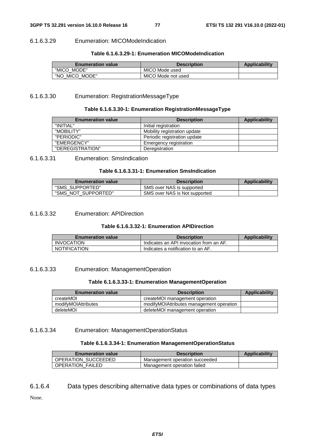#### 6.1.6.3.29 Enumeration: MICOModeIndication

#### **Table 6.1.6.3.29-1: Enumeration MICOModeIndication**

| <b>Enumeration value</b> | <b>Description</b> | <b>Applicability</b> |
|--------------------------|--------------------|----------------------|
| "MICO MODE"              | MICO Mode used     |                      |
| "NO<br>MICO MODE"        | MICO Mode not used |                      |

#### 6.1.6.3.30 Enumeration: RegistrationMessageType

#### **Table 6.1.6.3.30-1: Enumeration RegistrationMessageType**

| <b>Enumeration value</b> | <b>Description</b>           | <b>Applicability</b> |
|--------------------------|------------------------------|----------------------|
| "INITIAL"                | Initial registration         |                      |
| "MOBILITY"               | Mobility registration update |                      |
| "PERIODIC"               | Periodic registration update |                      |
| "EMERGENCY"              | Emergency registration       |                      |
| "DEREGISTRATION"         | Deregistration               |                      |

### 6.1.6.3.31 Enumeration: SmsIndication

#### **Table 6.1.6.3.31-1: Enumeration SmsIndication**

| <b>Enumeration value</b> | <b>Description</b>            | <b>Applicability</b> |
|--------------------------|-------------------------------|----------------------|
| "SMS SUPPORTED"          | SMS over NAS is supported     |                      |
| "SMS NOT SUPPORTED"      | SMS over NAS is Not supported |                      |

#### 6.1.6.3.32 Enumeration: APIDirection

#### **Table 6.1.6.3.32-1: Enumeration APIDirection**

| <b>Enumeration value</b> | <b>Description</b>                      | <b>Applicability</b> |
|--------------------------|-----------------------------------------|----------------------|
| <b>INVOCATION</b>        | Indicates an API invocation from an AF. |                      |
| <b>NOTIFICATION</b>      | Indicates a notification to an AF.      |                      |

#### 6.1.6.3.33 Enumeration: ManagementOperation

#### **Table 6.1.6.3.33-1: Enumeration ManagementOperation**

| <b>Enumeration value</b> | <b>Description</b>                       | Applicability |
|--------------------------|------------------------------------------|---------------|
| createMOI                | createMOI management operation           |               |
| modifyMOIAttributes      | modifyMOIAttributes management operation |               |
| deleteMOI                | deleteMOI management operation           |               |

#### 6.1.6.3.34 Enumeration: ManagementOperationStatus

#### **Table 6.1.6.3.34-1: Enumeration ManagementOperationStatus**

| <b>Enumeration value</b> | <b>Description</b>             | <b>Applicability</b> |
|--------------------------|--------------------------------|----------------------|
| OPERATION SUCCEEDED      | Management operation succeeded |                      |
| <b>OPERATION FAILED</b>  | Management operation failed    |                      |

## 6.1.6.4 Data types describing alternative data types or combinations of data types

None.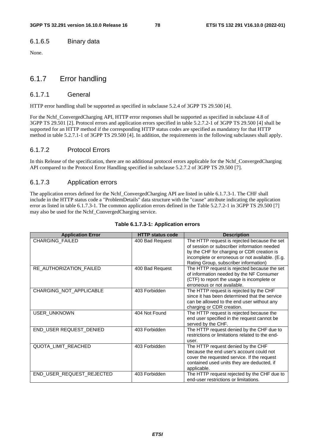#### 6.1.6.5 Binary data

None.

## 6.1.7 Error handling

#### 6.1.7.1 General

HTTP error handling shall be supported as specified in subclause 5.2.4 of 3GPP TS 29.500 [4].

For the Nchf\_ConvergedCharging API, HTTP error responses shall be supported as specified in subclause 4.8 of 3GPP TS 29.501 [2]. Protocol errors and application errors specified in table 5.2.7.2-1 of 3GPP TS 29.500 [4] shall be supported for an HTTP method if the corresponding HTTP status codes are specified as mandatory for that HTTP method in table 5.2.7.1-1 of 3GPP TS 29.500 [4]. In addition, the requirements in the following subclauses shall apply.

#### 6.1.7.2 Protocol Errors

In this Release of the specification, there are no additional protocol errors applicable for the Nchf\_ConvergedCharging API compared to the Protocol Error Handling specified in subclause 5.2.7.2 of 3GPP TS 29.500 [7].

#### 6.1.7.3 Application errors

The application errors defined for the Nchf\_ConvergedCharging API are listed in table 6.1.7.3-1. The CHF shall include in the HTTP status code a "ProblemDetails" data structure with the "cause" attribute indicating the application error as listed in table 6.1.7.3-1. The common application errors defined in the Table 5.2.7.2-1 in 3GPP TS 29.500 [7] may also be used for the Nchf\_ConvergedCharging service.

| <b>Application Error</b>   | <b>HTTP status code</b> | <b>Description</b>                                                                                                                                                                                                                    |
|----------------------------|-------------------------|---------------------------------------------------------------------------------------------------------------------------------------------------------------------------------------------------------------------------------------|
| CHARGING_FAILED            | 400 Bad Request         | The HTTP request is rejected because the set<br>of session or subscriber information needed<br>by the CHF for charging or CDR creation is<br>incomplete or erroneous or not available. (E.g.<br>Rating Group, subscriber information) |
| RE_AUTHORIZATION_FAILED    | 400 Bad Request         | The HTTP request is rejected because the set<br>of information needed by the NF Consumer<br>(CTF) to report the usage is incomplete or<br>erroneous or not available.                                                                 |
| CHARGING_NOT_APPLICABLE    | 403 Forbidden           | The HTTP request is rejected by the CHF<br>since it has been determined that the service<br>can be allowed to the end user without any<br>charging or CDR creation.                                                                   |
| <b>USER UNKNOWN</b>        | 404 Not Found           | The HTTP request is rejected because the<br>end user specified in the request cannot be<br>served by the CHF.                                                                                                                         |
| END_USER REQUEST_DENIED    | 403 Forbidden           | The HTTP request denied by the CHF due to<br>restrictions or limitations related to the end-<br>user.                                                                                                                                 |
| <b>QUOTA LIMIT REACHED</b> | 403 Forbidden           | The HTTP request denied by the CHF<br>because the end user's account could not<br>cover the requested service. If the request<br>contained used units they are deducted, if<br>applicable.                                            |
| END USER REQUEST REJECTED  | 403 Forbidden           | The HTTP request rejected by the CHF due to<br>end-user restrictions or limitations.                                                                                                                                                  |

#### **Table 6.1.7.3-1: Application errors**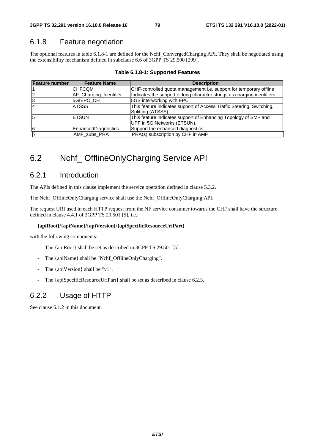## 6.1.8 Feature negotiation

The optional features in table 6.1.8-1 are defined for the Nchf\_ConvergedCharging API. They shall be negotiated using the extensibility mechanism defined in subclause 6.6 of 3GPP TS 29.500 [299].

| <b>Feature number</b> | <b>Feature Name</b>    | <b>Description</b>                                                                             |  |  |
|-----------------------|------------------------|------------------------------------------------------------------------------------------------|--|--|
|                       | <b>ICHFCQM</b>         | CHF-controlled quota management i.e. support for temporary offline                             |  |  |
|                       | AF Charging Identifier | Indicates the support of long character strings as charging identifiers.                       |  |  |
| 3                     | <b>5GIEPC CH</b>       | 5GS interworking with EPC                                                                      |  |  |
| $\overline{4}$        | <b>ATSSS</b>           | This feature indicates support of Access Traffic Steering, Switching,<br>Splitting (ATSSS).    |  |  |
| 5                     | <b>IETSUN</b>          | This feature indicates support of Enhancing Topology of SMF and<br>UPF in 5G Networks (ETSUN). |  |  |
| 6                     | EnhancedDiagnostics    | Support the enhanced diagnostics                                                               |  |  |
|                       | AMF_subs_PRA           | PRA(s) subscription by CHF in AMF                                                              |  |  |

**Table 6.1.8-1: Supported Features** 

## 6.2 Nchf\_ OfflineOnlyCharging Service API

## 6.2.1 Introduction

The APIs defined in this clause implement the service operation defined in clause 5.3.2.

The Nchf\_OfflineOnlyCharging service shall use the Nchf\_OfflineOnlyCharging API.

The request URI used in each HTTP request from the NF service consumer towards the CHF shall have the structure defined in clause 4.4.1 of 3GPP TS 29.501 [5], i.e.:

#### **{apiRoot}/{apiName}/{apiVersion}/{apiSpecificResourceUriPart}**

with the following components:

- The {apiRoot} shall be set as described in 3GPP TS 29.501 [5].
- The {apiName} shall be "Nchf\_OfflineOnlyCharging".
- The {apiVersion} shall be "v1".
- The {apiSpecificResourceUriPart} shall be set as described in clause 6.2.3.

## 6.2.2 Usage of HTTP

See clause 6.1.2 in this document.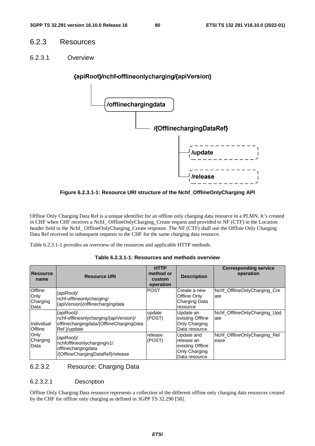## 6.2.3 Resources

6.2.3.1 Overview



**Figure 6.2.3.1-1: Resource URI structure of the Nchf\_OfflineOnlyCharging API** 

Offline Only Charging Data Ref is a unique identifier for an offline only charging data resource in a PLMN. It's created in CHF when CHF receives a Nchf\_ OfflineOnlyCharging\_Create request and provided to NF (CTF) in the Location header field in the Nchf\_ OfflineOnlyCharging\_Create response. The NF (CTF) shall use the Offline Only Charging Data Ref received in subsequent requests to the CHF for the same charging data resource.

Table 6.2.3.1-1 provides an overview of the resources and applicable HTTP methods.

| <b>Resource</b><br>name                    | <b>Resource URI</b>                                                                                              | <b>HTTP</b><br>method or<br>custom<br>operation | <b>Description</b>                                                               | <b>Corresponding service</b><br>operation |
|--------------------------------------------|------------------------------------------------------------------------------------------------------------------|-------------------------------------------------|----------------------------------------------------------------------------------|-------------------------------------------|
| <b>Offline</b><br>Only<br>Charging<br>Data | {apiRoot}/<br>nchf-offlineonlycharging/<br>{apiVersion}/offlinechargingdata                                      | <b>POST</b>                                     | lCreate a new<br><b>Offline Only</b><br>Charging Data<br>resource                | Nchf_OfflineOnlyCharging_Cre<br>ate       |
| Individual<br><b>Offline</b>               | {apiRoot}/<br>nchf-offlineonlycharging/{apiVersion}/<br>offlinechargingdata/{OfflineChargingData<br>Ref }/update | update<br>(POST)                                | Update an<br>existing Offline<br>Only Charging<br>Data resource.                 | Nchf_OfflineOnlyCharging_Upd<br>ate       |
| Only<br>Charging<br>Data                   | {apiRoot}<br>nchfofflineonlycharging/v1/<br>offlinechargingdata<br>/{OfflineChargingDataRef}/release             | release<br>(POST)                               | Update and<br>release an<br>lexisting Offline<br>Only Charging<br>Data resource. | Nchf OfflineOnlyCharging Rel<br>ease      |

#### **Table 6.2.3.1-1: Resources and methods overview**

6.2.3.2 Resource: Charging Data

#### 6.2.3.2.1 Description

Offline Only Charging Data resource represents a collection of the different offline only charging data resources created by the CHF for offline only charging as defined in 3GPP TS 32.290 [58].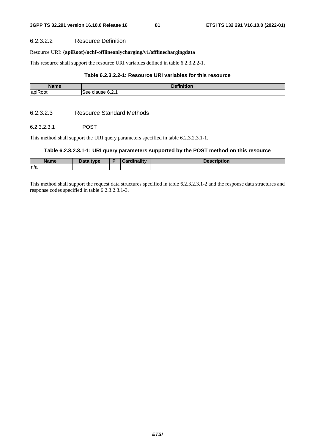#### 6.2.3.2.2 Resource Definition

#### Resource URI: **{apiRoot}/nchf-offlineonlycharging/v1/offlinechargingdata**

This resource shall support the resource URI variables defined in table 6.2.3.2.2-1.

#### **Table 6.2.3.2.2-1: Resource URI variables for this resource**

| <b>Name</b> | .<br>.<br>чог.                     |
|-------------|------------------------------------|
| apiRoot     | $\sim$<br>clause<br>See.<br>◡.←. । |

#### 6.2.3.2.3 Resource Standard Methods

#### 6.2.3.2.3.1 POST

This method shall support the URI query parameters specified in table 6.2.3.2.3.1-1.

### **Table 6.2.3.2.3.1-1: URI query parameters supported by the POST method on this resource**

| <b>Name</b> | Data type | <b>Tardinality</b> | <b>Description</b> |
|-------------|-----------|--------------------|--------------------|
| ln/a        |           |                    |                    |

This method shall support the request data structures specified in table 6.2.3.2.3.1-2 and the response data structures and response codes specified in table 6.2.3.2.3.1-3.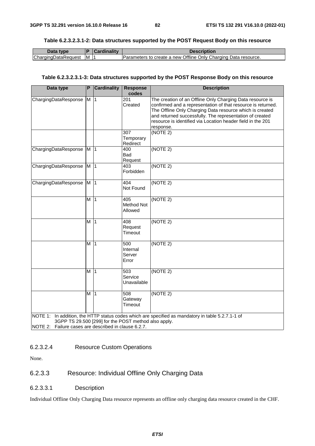#### **Table 6.2.3.2.3.1-2: Data structures supported by the POST Request Body on this resource**

| Data type           |     | <b>Cardinality</b> | Description                                                     |
|---------------------|-----|--------------------|-----------------------------------------------------------------|
| ChargingDataRequest | IM. |                    | Parameters to create a new Offline Only Charging Data resource. |

#### **Table 6.2.3.2.3.1-3: Data structures supported by the POST Response Body on this resource**

| Data type                                                                                                    | P              | <b>Cardinality</b> | <b>Response</b><br>codes            | <b>Description</b>                                                                                                                                                                                                                                                                                                            |
|--------------------------------------------------------------------------------------------------------------|----------------|--------------------|-------------------------------------|-------------------------------------------------------------------------------------------------------------------------------------------------------------------------------------------------------------------------------------------------------------------------------------------------------------------------------|
| ChargingDataResponse                                                                                         | M              | $\vert$ 1          | $\overline{201}$<br>Created         | The creation of an Offline Only Charging Data resource is<br>confirmed and a representation of that resource is returned.<br>The Offline Only Charging Data resource which is created<br>and returned successfully. The representation of created<br>resource is identified via Location header field in the 201<br>response. |
|                                                                                                              |                |                    | 307<br>Temporary<br>Redirect        | (NOTE 2)                                                                                                                                                                                                                                                                                                                      |
| ChargingDataResponse                                                                                         | M <sub>1</sub> |                    | 400<br>Bad<br>Request               | (NOTE 2)                                                                                                                                                                                                                                                                                                                      |
| ChargingDataResponse                                                                                         | M <sub>1</sub> |                    | 403<br>Forbidden                    | (NOTE 2)                                                                                                                                                                                                                                                                                                                      |
| ChargingDataResponse                                                                                         | M <sub>1</sub> |                    | 404<br>Not Found                    | (NOTE 2)                                                                                                                                                                                                                                                                                                                      |
|                                                                                                              | M              | $\vert$ 1          | 405<br><b>Method Not</b><br>Allowed | (NOTE 2)                                                                                                                                                                                                                                                                                                                      |
|                                                                                                              | M              | $\overline{11}$    | 408<br>Request<br>Timeout           | (NOTE 2)                                                                                                                                                                                                                                                                                                                      |
|                                                                                                              | M              | $\vert$ 1          | 500<br>Internal<br>Server<br>Error  | (NOTE 2)                                                                                                                                                                                                                                                                                                                      |
|                                                                                                              | м              | $\vert$ 1          | 503<br>Service<br>Unavailable       | (NOTE 2)                                                                                                                                                                                                                                                                                                                      |
|                                                                                                              | M              | $\overline{11}$    | 508<br>Gateway<br>Timeout           | (NOTE 2)                                                                                                                                                                                                                                                                                                                      |
| 3GPP TS 29.500 [299] for the POST method also apply.<br>NOTE 2: Failure cases are described in clause 6.2.7. |                |                    |                                     | NOTE 1: In addition, the HTTP status codes which are specified as mandatory in table 5.2.7.1-1 of                                                                                                                                                                                                                             |

#### 6.2.3.2.4 Resource Custom Operations

None.

## 6.2.3.3 Resource: Individual Offline Only Charging Data

6.2.3.3.1 Description

Individual Offline Only Charging Data resource represents an offline only charging data resource created in the CHF.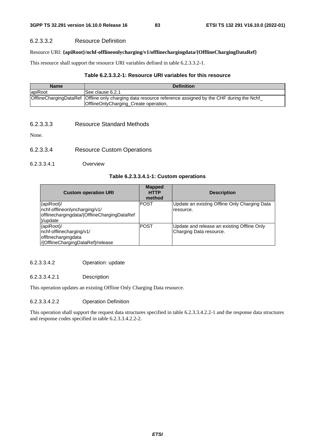#### 6.2.3.3.2 Resource Definition

#### Resource URI: **{apiRoot}/nchf-offlineonlycharging/v1/offlinechargingdata/{OfflineChargingDataRef}**

This resource shall support the resource URI variables defined in table 6.2.3.3.2-1.

#### **Table 6.2.3.3.2-1: Resource URI variables for this resource**

| <b>Name</b> | <b>Definition</b>                                                                                                                                  |
|-------------|----------------------------------------------------------------------------------------------------------------------------------------------------|
| apiRoot     | See clause 6.2.1                                                                                                                                   |
|             | OfflineChargingDataRef Offline only charging data resource reference assigned by the CHF during the Nchf_<br>OfflineOnlyCharging_Create operation, |

6.2.3.3.3 Resource Standard Methods

None.

- 6.2.3.3.4 Resource Custom Operations
- 6.2.3.3.4.1 Overview

#### **Table 6.2.3.3.4.1-1: Custom operations**

| <b>Custom operation URI</b>                 | <b>Mapped</b><br><b>HTTP</b><br>method | <b>Description</b>                            |
|---------------------------------------------|----------------------------------------|-----------------------------------------------|
| {apiRoot}/                                  | <b>POST</b>                            | Update an existing Offline Only Charging Data |
| nchf-offlineonlyncharging/v1/               |                                        | resource.                                     |
| offlinechargingdata/{OfflineChargingDataRef |                                        |                                               |
| }/update                                    |                                        |                                               |
| {apiRoot}/                                  | <b>POST</b>                            | Update and release an existing Offline Only   |
| nchf-offlinecharging/v1/                    |                                        | Charging Data resource.                       |
| offlinechargingdata                         |                                        |                                               |
| /{OfflineChargingDataRef}/release           |                                        |                                               |

#### 6.2.3.3.4.2 Operation: update

#### 6.2.3.3.4.2.1 Description

This operation updates an existing Offline Only Charging Data resource.

#### 6.2.3.3.4.2.2 Operation Definition

This operation shall support the request data structures specified in table 6.2.3.3.4.2.2-1 and the response data structures and response codes specified in table 6.2.3.3.4.2.2-2.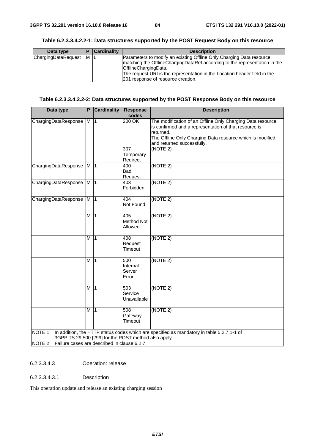| Data type           |     | <b>Cardinality</b> | <b>Description</b>                                                                                                                                                                                                                                      |
|---------------------|-----|--------------------|---------------------------------------------------------------------------------------------------------------------------------------------------------------------------------------------------------------------------------------------------------|
| ChargingDataRequest | IM. |                    | Parameters to modify an existing Offline Only Charging Data resource<br>matching the OfflineChargingDataRef according to the representation in the<br>OfflineChargingData.<br>The request URI is the representation in the Location header field in the |
|                     |     |                    | 201 response of resource creation.                                                                                                                                                                                                                      |

#### **Table 6.2.3.3.4.2.2-1: Data structures supported by the POST Request Body on this resource**

#### **Table 6.2.3.3.4.2.2-2: Data structures supported by the POST Response Body on this resource**

| Data type                                                                                                    | P              | <b>Cardinality</b> | <b>Response</b><br>codes            | <b>Description</b>                                                                                                                                                                                                          |
|--------------------------------------------------------------------------------------------------------------|----------------|--------------------|-------------------------------------|-----------------------------------------------------------------------------------------------------------------------------------------------------------------------------------------------------------------------------|
| ChargingDataResponse                                                                                         | M              | $\overline{11}$    | 200 OK                              | The modification of an Offline Only Charging Data resource<br>is confirmed and a representation of that resource is<br>returned.<br>The Offline Only Charging Data resource which is modified<br>and returned successfully. |
|                                                                                                              |                |                    | 307<br>Temporary<br>Redirect        | (NOTE 2)                                                                                                                                                                                                                    |
| ChargingDataResponse                                                                                         | M              | $\vert$ 1          | 400<br>Bad<br>Request               | (NOTE 2)                                                                                                                                                                                                                    |
| ChargingDataResponse                                                                                         | M <sub>1</sub> |                    | 403<br>Forbidden                    | (NOTE 2)                                                                                                                                                                                                                    |
| ChargingDataResponse                                                                                         | $\overline{M}$ | $\vert$ 1          | 404<br>Not Found                    | (NOTE 2)                                                                                                                                                                                                                    |
|                                                                                                              | М              | $\vert$ 1          | 405<br><b>Method Not</b><br>Allowed | (NOTE 2)                                                                                                                                                                                                                    |
|                                                                                                              | М              | $\vert$ 1          | 408<br>Request<br>Timeout           | (NOTE 2)                                                                                                                                                                                                                    |
|                                                                                                              | M              | $\vert$ 1          | 500<br>Internal<br>Server<br>Error  | (NOTE 2)                                                                                                                                                                                                                    |
|                                                                                                              | М              | $\vert$ 1          | 503<br>Service<br>Unavailable       | (NOTE 2)                                                                                                                                                                                                                    |
|                                                                                                              | M              | $\vert$ 1          | 508<br>Gateway<br>Timeout           | (NOTE 2)                                                                                                                                                                                                                    |
| 3GPP TS 29.500 [299] for the POST method also apply.<br>NOTE 2: Failure cases are described in clause 6.2.7. |                |                    |                                     | NOTE 1: In addition, the HTTP status codes which are specified as mandatory in table 5.2.7.1-1 of                                                                                                                           |

#### 6.2.3.3.4.3 Operation: release

#### 6.2.3.3.4.3.1 Description

This operation update and release an existing charging session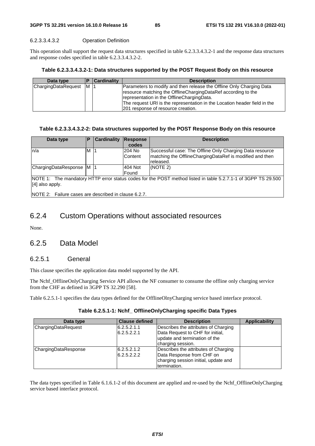#### 6.2.3.3.4.3.2 Operation Definition

This operation shall support the request data structures specified in table 6.2.3.3.4.3.2-1 and the response data structures and response codes specified in table 6.2.3.3.4.3.2-2.

#### **Table 6.2.3.3.4.3.2-1: Data structures supported by the POST Request Body on this resource**

| Data type           |          | <b>Cardinality</b> | <b>Description</b>                                                        |  |  |
|---------------------|----------|--------------------|---------------------------------------------------------------------------|--|--|
| ChargingDataRequest | <b>M</b> | - 11               | Parameters to modify and then release the Offline Only Charging Data      |  |  |
|                     |          |                    | resource matching the OfflineChargingDataRef according to the             |  |  |
|                     |          |                    | representation in the OfflineChargingData.                                |  |  |
|                     |          |                    | The request URI is the representation in the Location header field in the |  |  |
|                     |          |                    | 201 response of resource creation.                                        |  |  |

#### **Table 6.2.3.3.4.3.2-2: Data structures supported by the POST Response Body on this resource**

| Data type                 | E | Cardinality | Response<br>codes       | <b>Description</b>                                                                                                                 |
|---------------------------|---|-------------|-------------------------|------------------------------------------------------------------------------------------------------------------------------------|
| ln/a                      | M |             | 204 No<br>Content       | Successful case: The Offline Only Charging Data resource<br>Imatching the OfflineChargingDataRef is modified and then<br>released. |
| ChargingDataResponse M  1 |   |             | 404 Not<br><b>Found</b> | I(NOTE 2)                                                                                                                          |
| NOTF 1.                   |   |             |                         | The mandatory HTTP error status codes for the POST method listed in table 5.2.7.1-1 of 3GPP TS 29.500                              |

atus codes for the POST method listed in table 5.2.7.1-1 [4] also apply.

NOTE 2: Failure cases are described in clause 6.2.7.

## 6.2.4 Custom Operations without associated resources

None.

## 6.2.5 Data Model

#### 6.2.5.1 General

This clause specifies the application data model supported by the API.

The Nchf\_OfflineOnlyCharging Service API allows the NF consumer to consume the offline only charging service from the CHF as defined in 3GPP TS 32.290 [58].

Table 6.2.5.1-1 specifies the data types defined for the OfflineOlnyCharging service based interface protocol.

#### **Table 6.2.5.1-1: Nchf\_ OfflineOnlyCharging specific Data Types**

| Data type            | <b>Clause defined</b> | <b>Description</b>                   | <b>Applicability</b> |
|----------------------|-----------------------|--------------------------------------|----------------------|
| ChargingDataRequest  | 6.2.5.2.1.1           | Describes the attributes of Charging |                      |
|                      | 6.2.5.2.2.1           | Data Request to CHF for initial,     |                      |
|                      |                       | update and termination of the        |                      |
|                      |                       | charging session.                    |                      |
| ChargingDataResponse | 6.2.5.2.1.2           | Describes the attributes of Charging |                      |
|                      | 6.2.5.2.2.2           | Data Response from CHF on            |                      |
|                      |                       | charging session initial, update and |                      |
|                      |                       | termination.                         |                      |

The data types specified in Table 6.1.6.1-2 of this document are applied and re-used by the Nchf\_OfflineOnlyCharging service based interface protocol.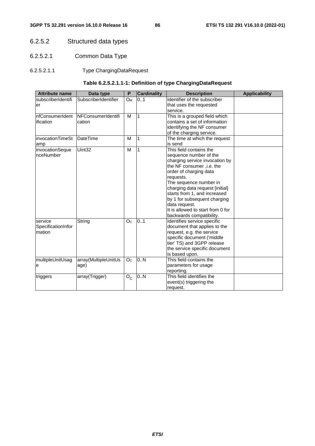## 6.2.5.2 Structured data types

- 6.2.5.2.1 Common Data Type
- 6.2.5.2.1.1 Type ChargingDataRequest

## **Table 6.2.5.2.1.1-1: Definition of type ChargingDataRequest**

| <b>Attribute name</b>                   | Data type                    | P                     | <b>Cardinality</b> | <b>Applicability</b><br><b>Description</b>                                                                                                                                                                                                                                                                                                                              |  |  |
|-----------------------------------------|------------------------------|-----------------------|--------------------|-------------------------------------------------------------------------------------------------------------------------------------------------------------------------------------------------------------------------------------------------------------------------------------------------------------------------------------------------------------------------|--|--|
| subscriberIdentifi<br>er                | SubscriberIdentifier         | <b>O</b> <sub>M</sub> | 0.1                | Identifier of the subscriber<br>that uses the requested<br>service.                                                                                                                                                                                                                                                                                                     |  |  |
| nfConsumerIdent<br>ification            | NFConsumerIdentifi<br>cation | M                     | 1                  | This is a grouped field which<br>contains a set of information<br>identifying the NF consumer<br>of the charging service.                                                                                                                                                                                                                                               |  |  |
| invocationTimeSt<br>amp                 | <b>DateTime</b>              | M                     | 1                  | The time at which the request<br>is send                                                                                                                                                                                                                                                                                                                                |  |  |
| invocationSeque<br>nceNumber            | Uint32                       | M                     | 1                  | This field contains the<br>sequence number of the<br>charging service invocation by<br>the NF consumer , i.e. the<br>order of charging data<br>requests.<br>The sequence number in<br>charging data request [initial]<br>starts from 1, and increased<br>by 1 for subsequent charging<br>data request.<br>It is allowed to start from 0 for<br>backwards compatibility. |  |  |
| service<br>SpecificationInfor<br>mation | String                       | O <sub>c</sub>        | 0.1                | Identifies service specific<br>document that applies to the<br>request, e.g. the service<br>specific document ('middle<br>tier' TS) and 3GPP release<br>the service specific document<br>is based upon.                                                                                                                                                                 |  |  |
| multipleUnitUsag<br>e                   | array(MultipleUnitUs<br>age) | O <sub>C</sub>        | 0.N                | This field contains the<br>parameters for usage<br>reporting.                                                                                                                                                                                                                                                                                                           |  |  |
| triggers                                | array(Trigger)               | $O_{C}$               | 0.N                | This field identifies the<br>event(s) triggering the<br>request.                                                                                                                                                                                                                                                                                                        |  |  |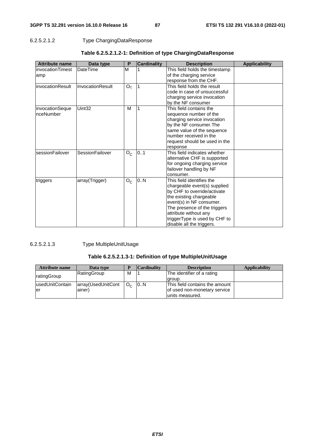### 6.2.5.2.1.2 Type ChargingDataResponse

| <b>Attribute name</b> | Data type        | P              | <b>Cardinality</b> | <b>Description</b>             | <b>Applicability</b> |
|-----------------------|------------------|----------------|--------------------|--------------------------------|----------------------|
| invocationTimest      | DateTime         | M              |                    | This field holds the timestamp |                      |
| amp                   |                  |                |                    | of the charging service        |                      |
|                       |                  |                |                    | response from the CHF.         |                      |
| invocationResult      | InvocationResult | O <sub>C</sub> |                    | This field holds the result    |                      |
|                       |                  |                |                    | code in case of unsuccessful   |                      |
|                       |                  |                |                    | charging service invocation    |                      |
|                       |                  |                |                    | by the NF consumer             |                      |
| invocationSeque       | Uint32           | M              |                    | This field contains the        |                      |
| nceNumber             |                  |                |                    | sequence number of the         |                      |
|                       |                  |                |                    | charging service invocation    |                      |
|                       |                  |                |                    | by the NF consumer. The        |                      |
|                       |                  |                |                    | same value of the sequence     |                      |
|                       |                  |                |                    | number received in the         |                      |
|                       |                  |                |                    | request should be used in the  |                      |
|                       |                  |                |                    | response                       |                      |
| sessionFailover       | SessionFailover  | $O_{C}$        | 0.1                | This field indicates whether   |                      |
|                       |                  |                |                    | alternative CHF is supported   |                      |
|                       |                  |                |                    | for ongoing charging service   |                      |
|                       |                  |                |                    | failover handling by NF        |                      |
|                       |                  |                |                    | consumer.                      |                      |
| triggers              | array(Trigger)   | $O_{C}$        | 0.N                | This field identifies the      |                      |
|                       |                  |                |                    | chargeable event(s) supplied   |                      |
|                       |                  |                |                    | by CHF to override/activate    |                      |
|                       |                  |                |                    | the existing chargeable        |                      |
|                       |                  |                |                    | event(s) in NF consumer.       |                      |
|                       |                  |                |                    | The presence of the triggers   |                      |
|                       |                  |                |                    | attribute without any          |                      |
|                       |                  |                |                    | triggerType is used by CHF to  |                      |
|                       |                  |                |                    | disable all the triggers.      |                      |

## **Table 6.2.5.2.1.2-1: Definition of type ChargingDataResponse**

#### 6.2.5.2.1.3 Type MultipleUnitUsage

## **Table 6.2.5.2.1.3-1: Definition of type MultipleUnitUsage**

| <b>Attribute name</b> | Data type          |                | <b>Cardinality</b> | <b>Description</b>             | <b>Applicability</b> |
|-----------------------|--------------------|----------------|--------------------|--------------------------------|----------------------|
| ratingGroup           | RatingGroup        | м              |                    | The identifier of a rating     |                      |
|                       |                    |                |                    | laroup.                        |                      |
| lusedUnitContain      | array(UsedUnitCont | O <sub>0</sub> | 10N                | This field contains the amount |                      |
| ler                   | ainer)             |                |                    | of used non-monetary service   |                      |
|                       |                    |                |                    | units measured.                |                      |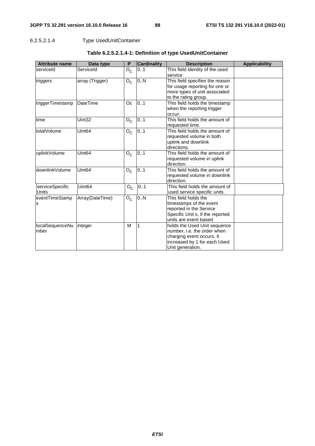## 6.2.5.2.1.4 Type UsedUnitContainer

| <b>Attribute name</b> | Data type          | P       | <b>Cardinality</b> | <b>Description</b>               | <b>Applicability</b> |
|-----------------------|--------------------|---------|--------------------|----------------------------------|----------------------|
| serviceld             | Serviceld          | $O_{C}$ | 01                 | This field identity of the used  |                      |
|                       |                    |         |                    | service                          |                      |
| triggers              | array (Trigger)    | $O_{C}$ | 0N                 | This field specifies the reason  |                      |
|                       |                    |         |                    | for usage reporting for one or   |                      |
|                       |                    |         |                    | more types of unit associated    |                      |
|                       |                    |         |                    | to the rating group.             |                      |
| triggerTimestamp      | <b>DateTime</b>    | Oc      | 0.1                | This field holds the timestamp   |                      |
|                       |                    |         |                    | when the reporting trigger       |                      |
|                       |                    |         |                    | occur.                           |                      |
| time                  | Uint32             | $O_{C}$ | 0.1                | This field holds the amount of   |                      |
|                       |                    |         |                    | requested time.                  |                      |
| totalVolume           | Uint <sub>64</sub> | $O_{C}$ | 0.1                | This field holds the amount of   |                      |
|                       |                    |         |                    | requested volume in both         |                      |
|                       |                    |         |                    | uplink and downlink              |                      |
|                       |                    |         |                    | directions.                      |                      |
| uplinkVolume          | Uint <sub>64</sub> | $O_{C}$ | 0.1                | This field holds the amount of   |                      |
|                       |                    |         |                    | requested volume in uplink       |                      |
|                       |                    |         |                    | direction.                       |                      |
| downlinkVolume        | Uint <sub>64</sub> | $O_{C}$ | 0.1                | This field holds the amount of   |                      |
|                       |                    |         |                    | requested volume in downlink     |                      |
|                       |                    |         |                    | direction.                       |                      |
| serviceSpecific       | Uint <sub>64</sub> | $O_{C}$ | 0.1                | This field holds the amount of   |                      |
| <b>Units</b>          |                    |         |                    | used service specific units.     |                      |
| eventTimeStamp        | Array(DateTime)    | $O_{C}$ | 0.N                | This field holds the             |                      |
| s                     |                    |         |                    | timestamps of the event          |                      |
|                       |                    |         |                    | reported in the Service          |                      |
|                       |                    |         |                    | Specific Unit s, if the reported |                      |
|                       |                    |         |                    | units are event based            |                      |
| localSequenceNu       | integer            | M       | 1                  | holds the Used Unit sequence     |                      |
| mber                  |                    |         |                    | number, i.e. the order when      |                      |
|                       |                    |         |                    | charging event occurs. It        |                      |
|                       |                    |         |                    | increased by 1 for each Used     |                      |
|                       |                    |         |                    | Unit generation.                 |                      |

## **Table 6.2.5.2.1.4-1: Definition of type UsedUnitContainer**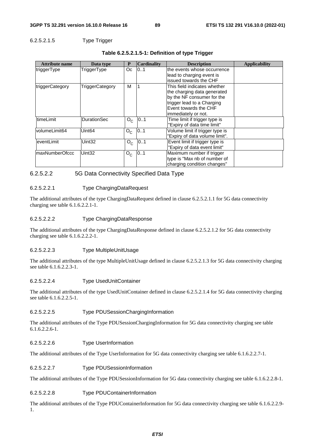### 6.2.5.2.1.5 Type Trigger

| <b>Attribute name</b> | Data type          | P       | <b>Cardinality</b> | <b>Description</b>                                                                                                                                                      | <b>Applicability</b> |
|-----------------------|--------------------|---------|--------------------|-------------------------------------------------------------------------------------------------------------------------------------------------------------------------|----------------------|
| triggerType           | TriggerType        | Oc.     | 0.1                | the events whose occurrence<br>lead to charging event is<br>issued towards the CHF                                                                                      |                      |
| triggerCategory       | TriggerCategory    | М       |                    | This field indicates whether<br>the charging data generated<br>by the NF consumer for the<br>trigger lead to a Charging<br>Event towards the CHF<br>immediately or not. |                      |
| ltimeLimit            | <b>DurationSec</b> | $O_{C}$ | 0.1                | Time limit if trigger type is<br>"Expiry of data time limit"                                                                                                            |                      |
| volumeLimit64         | Uint <sub>64</sub> | $O_{C}$ | 0.1                | Volume limit if trigger type is<br>"Expiry of data volume limit".                                                                                                       |                      |
| eventLimit            | Uint <sub>32</sub> | $O_{C}$ | 01                 | Event limit if trigger type is<br>"Expiry of data event limit"                                                                                                          |                      |
| maxNumberOfccc        | Uint <sub>32</sub> | $O_{C}$ | 0.1                | Maximum number if trigger<br>type is "Max nb of number of<br>charging condition changes"                                                                                |                      |

#### **Table 6.2.5.2.1.5-1: Definition of type Trigger**

#### 6.2.5.2.2 5G Data Connectivity Specified Data Type

#### 6.2.5.2.2.1 Type ChargingDataRequest

The additional attributes of the type ChargingDataRequest defined in clause 6.2.5.2.1.1 for 5G data connectivity charging see table 6.1.6.2.2.1-1.

#### 6.2.5.2.2.2 Type ChargingDataResponse

The additional attributes of the type ChargingDataResponse defined in clause 6.2.5.2.1.2 for 5G data connectivity charging see table 6.1.6.2.2.2-1.

#### 6.2.5.2.2.3 Type MultipleUnitUsage

The additional attributes of the type MultipleUnitUsage defined in clause 6.2.5.2.1.3 for 5G data connectivity charging see table 6.1.6.2.2.3-1.

#### 6.2.5.2.2.4 Type UsedUnitContainer

The additional attributes of the type UsedUnitContainer defined in clause 6.2.5.2.1.4 for 5G data connectivity charging see table 6.1.6.2.2.5-1.

#### 6.2.5.2.2.5 Type PDUSessionChargingInformation

The additional attributes of the Type PDUSessionChargingInformation for 5G data connectivity charging see table 6.1.6.2.2.6-1.

#### 6.2.5.2.2.6 Type UserInformation

The additional attributes of the Type UserInformation for 5G data connectivity charging see table 6.1.6.2.2.7-1.

#### 6.2.5.2.2.7 Type PDUSessionInformation

The additional attributes of the Type PDUSessionInformation for 5G data connectivity charging see table 6.1.6.2.2.8-1.

#### 6.2.5.2.2.8 Type PDUContainerInformation

The additional attributes of the Type PDUContainerInformation for 5G data connectivity charging see table 6.1.6.2.2.9- 1.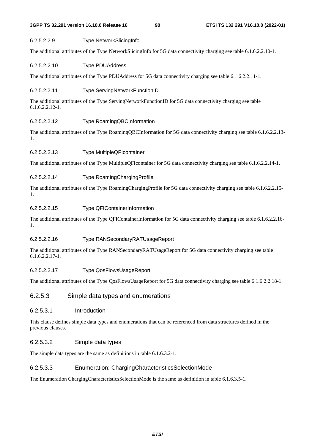#### 6.2.5.2.2.9 Type NetworkSlicingInfo

The additional attributes of the Type NetworkSlicingInfo for 5G data connectivity charging see table 6.1.6.2.2.10-1.

#### 6.2.5.2.2.10 Type PDUAddress

The additional attributes of the Type PDUAddress for 5G data connectivity charging see table 6.1.6.2.2.11-1.

#### 6.2.5.2.2.11 Type ServingNetworkFunctionID

The additional attributes of the Type ServingNetworkFunctionID for 5G data connectivity charging see table 6.1.6.2.2.12-1.

#### 6.2.5.2.2.12 Type RoamingQBCInformation

The additional attributes of the Type RoamingQBCInformation for 5G data connectivity charging see table 6.1.6.2.2.13- 1.

#### 6.2.5.2.2.13 Type MultipleQFIcontainer

The additional attributes of the Type MultipleQFIcontainer for 5G data connectivity charging see table 6.1.6.2.2.14-1.

#### 6.2.5.2.2.14 Type RoamingChargingProfile

The additional attributes of the Type RoamingChargingProfile for 5G data connectivity charging see table 6.1.6.2.2.15- 1.

#### 6.2.5.2.2.15 Type QFIContainerInformation

The additional attributes of the Type QFIContainerInformation for 5G data connectivity charging see table 6.1.6.2.2.16- 1.

#### 6.2.5.2.2.16 Type RANSecondaryRATUsageReport

The additional attributes of the Type RANSecondaryRATUsageReport for 5G data connectivity charging see table 6.1.6.2.2.17-1.

#### 6.2.5.2.2.17 Type QosFlowsUsageReport

The additional attributes of the Type QosFlowsUsageReport for 5G data connectivity charging see table 6.1.6.2.2.18-1.

#### 6.2.5.3 Simple data types and enumerations

#### 6.2.5.3.1 Introduction

This clause defines simple data types and enumerations that can be referenced from data structures defined in the previous clauses.

#### 6.2.5.3.2 Simple data types

The simple data types are the same as definitions in table 6.1.6.3.2-1.

#### 6.2.5.3.3 Enumeration: ChargingCharacteristicsSelectionMode

The Enumeration ChargingCharacteristicsSelectionMode is the same as definition in table 6.1.6.3.5-1.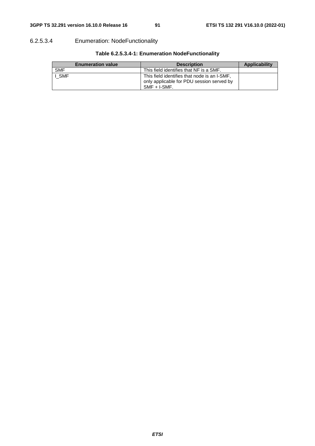## 6.2.5.3.4 Enumeration: NodeFunctionality

| <b>Enumeration value</b> | <b>Description</b>                                                                                           | Applicability |
|--------------------------|--------------------------------------------------------------------------------------------------------------|---------------|
| <b>SMF</b>               | This field identifies that NF is a SMF.                                                                      |               |
| I SMF                    | This field identifies that node is an I-SMF,<br>only applicable for PDU session served by<br>$SMF + I-SMF$ . |               |

## **Table 6.2.5.3.4-1: Enumeration NodeFunctionality**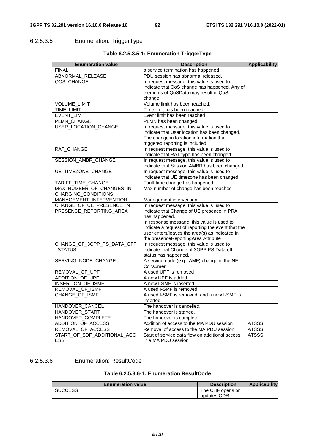## 6.2.5.3.5 Enumeration: TriggerType

| <b>Enumeration value</b>    | <b>Description</b>                                 | <b>Applicability</b> |
|-----------------------------|----------------------------------------------------|----------------------|
| <b>FINAL</b>                | a service termination has happened                 |                      |
| ABNORMAL_RELEASE            | PDU session has abnormal released.                 |                      |
| QOS_CHANGE                  | In request message, this value is used to          |                      |
|                             | indicate that QoS change has happened. Any of      |                      |
|                             | elements of QoSData may result in QoS              |                      |
|                             | change.                                            |                      |
| VOLUME_LIMIT                | Volume limit has been reached.                     |                      |
| TIME_LIMIT                  | Time limit has been reached                        |                      |
| EVENT_LIMIT                 | Event limit has been reached                       |                      |
| PLMN_CHANGE                 | PLMN has been changed.                             |                      |
| USER_LOCATION_CHANGE        | In request message, this value is used to          |                      |
|                             | indicate that User location has been changed.      |                      |
|                             | The change in location information that            |                      |
|                             | triggered reporting is included.                   |                      |
| RAT_CHANGE                  | In request message, this value is used to          |                      |
|                             | indicate that RAT type has been changed.           |                      |
| SESSION_AMBR_CHANGE         | In request message, this value is used to          |                      |
|                             | indicate that Session AMBR has been changed.       |                      |
| UE_TIMEZONE_CHANGE          | In request message, this value is used to          |                      |
|                             | indicate that UE timezone has been changed.        |                      |
| TARIFF_TIME_CHANGE          | Tariff time change has happened.                   |                      |
| MAX NUMBER OF CHANGES IN    | Max number of change has been reached              |                      |
| CHARGING_CONDITIONS         |                                                    |                      |
| MANAGEMENT_INTERVENTION     | Management intervention                            |                      |
| CHANGE_OF_UE_PRESENCE_IN    | In request message, this value is used to          |                      |
| PRESENCE_REPORTING_AREA     | indicate that Change of UE presence in PRA         |                      |
|                             | has happened.                                      |                      |
|                             | In response message, this value is used to         |                      |
|                             | indicate a request of reporting the event that the |                      |
|                             | user enters/leaves the area(s) as indicated in     |                      |
|                             | the presenceReportingArea Attribute                |                      |
| CHANGE_OF_3GPP_PS_DATA_OFF  | In request message, this value is used to          |                      |
| _STATUS                     | indicate that Change of 3GPP PS Data off           |                      |
|                             | status has happened.                               |                      |
| SERVING_NODE_CHANGE         | A serving node (e.g., AMF) change in the NF        |                      |
|                             | Consumer                                           |                      |
| REMOVAL OF UPF              | A used UPF is removed                              |                      |
| ADDITION OF UPF             | A new UPF is added.                                |                      |
| INSERTION OF ISMF           | A new I-SMF is inserted                            |                      |
| REMOVAL_OF_ISMF             | A used I-SMF is removed                            |                      |
| CHANGE OF ISMF              | A used I-SMF is removed, and a new I-SMF is        |                      |
|                             | inserted                                           |                      |
| HANDOVER CANCEL             | The handover is cancelled.                         |                      |
| HANDOVER_START              | The handover is started.                           |                      |
| HANDOVER_COMPLETE           | The handover is complete.                          |                      |
| ADDITION_OF_ACCESS          | Addition of access to the MA PDU session           | ATSSS                |
| REMOVAL_OF_ACCESS           | Removal of access to the MA PDU session            | <b>ATSSS</b>         |
| START_OF_SDF_ADDITIONAL_ACC | Start of service data flow on additional access    | <b>ATSSS</b>         |
| ESS                         | in a MA PDU session                                |                      |

## **Table 6.2.5.3.5-1: Enumeration TriggerType**

#### 6.2.5.3.6 Enumeration: ResultCode

#### **Table 6.2.5.3.6-1: Enumeration ResultCode**

| <b>Enumeration value</b> | <b>Description</b> | <b>Applicability</b> |
|--------------------------|--------------------|----------------------|
| <b>SUCCESS</b>           | The CHF opens or   |                      |
|                          | updates CDR.       |                      |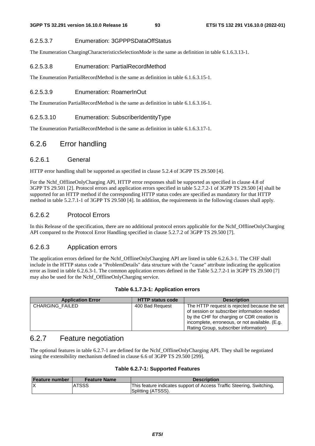#### 6.2.5.3.7 Enumeration: 3GPPPSDataOffStatus

The Enumeration ChargingCharacteristicsSelectionMode is the same as definition in table 6.1.6.3.13-1.

#### 6.2.5.3.8 Enumeration: PartialRecordMethod

The Enumeration PartialRecordMethod is the same as definition in table 6.1.6.3.15-1.

#### 6.2.5.3.9 Enumeration: RoamerInOut

The Enumeration PartialRecordMethod is the same as definition in table 6.1.6.3.16-1.

#### 6.2.5.3.10 Enumeration: SubscriberIdentityType

The Enumeration PartialRecordMethod is the same as definition in table 6.1.6.3.17-1.

## 6.2.6 Error handling

### 6.2.6.1 General

HTTP error handling shall be supported as specified in clause 5.2.4 of 3GPP TS 29.500 [4].

For the Nchf\_OfflineOnlyCharging API, HTTP error responses shall be supported as specified in clause 4.8 of 3GPP TS 29.501 [2]. Protocol errors and application errors specified in table 5.2.7.2-1 of 3GPP TS 29.500 [4] shall be supported for an HTTP method if the corresponding HTTP status codes are specified as mandatory for that HTTP method in table 5.2.7.1-1 of 3GPP TS 29.500 [4]. In addition, the requirements in the following clauses shall apply.

### 6.2.6.2 Protocol Errors

In this Release of the specification, there are no additional protocol errors applicable for the Nchf\_OfflineOnlyCharging API compared to the Protocol Error Handling specified in clause 5.2.7.2 of 3GPP TS 29.500 [7].

### 6.2.6.3 Application errors

The application errors defined for the Nchf OfflineOnlyCharging API are listed in table 6.2.6.3-1. The CHF shall include in the HTTP status code a "ProblemDetails" data structure with the "cause" attribute indicating the application error as listed in table 6.2.6.3-1. The common application errors defined in the Table 5.2.7.2-1 in 3GPP TS 29.500 [7] may also be used for the Nchf\_OfflineOnlyCharging service.

#### **Table 6.1.7.3-1: Application errors**

| <b>Application Error</b> | <b>HTTP status code</b> | <b>Description</b>                                                                                                                                                                                                                   |
|--------------------------|-------------------------|--------------------------------------------------------------------------------------------------------------------------------------------------------------------------------------------------------------------------------------|
| <b>CHARGING FAILED</b>   | 400 Bad Request         | The HTTP request is rejected because the set<br>of session or subscriber information needed<br>by the CHF for charging or CDR creation is<br>incomplete, erroneous, or not available. (E.g.<br>Rating Group, subscriber information) |

## 6.2.7 Feature negotiation

The optional features in table 6.2.7-1 are defined for the Nchf\_OfflineOnlyCharging API. They shall be negotiated using the extensibility mechanism defined in clause 6.6 of 3GPP TS 29.500 [299].

| Feature number | <b>Feature Name</b> | <b>Description</b>                                                                          |
|----------------|---------------------|---------------------------------------------------------------------------------------------|
| ΙX             | <b>ATSSS</b>        | This feature indicates support of Access Traffic Steering, Switching,<br>Splitting (ATSSS). |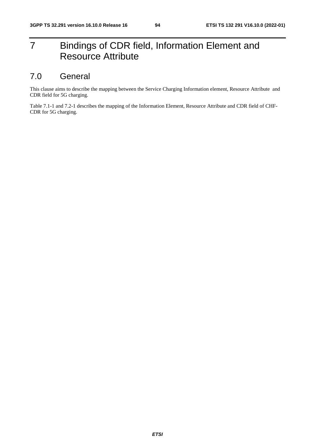# 7 Bindings of CDR field, Information Element and Resource Attribute

## 7.0 General

This clause aims to describe the mapping between the Service Charging Information element, Resource Attribute and CDR field for 5G charging.

Table 7.1-1 and 7.2-1 describes the mapping of the Information Element, Resource Attribute and CDR field of CHF-CDR for 5G charging.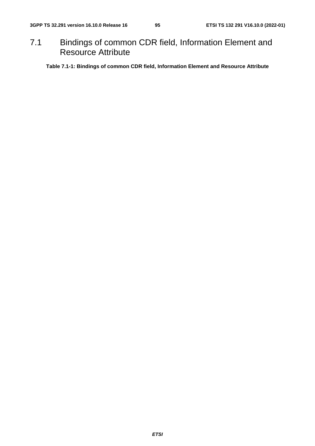## 7.1 Bindings of common CDR field, Information Element and Resource Attribute

**Table 7.1-1: Bindings of common CDR field, Information Element and Resource Attribute**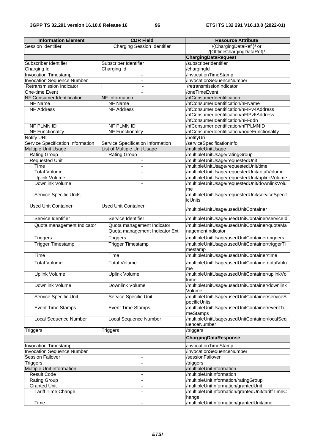| <b>Information Element</b>        | <b>CDR Field</b>                   | <b>Resource Attribute</b>                                          |
|-----------------------------------|------------------------------------|--------------------------------------------------------------------|
| Session Identifier                | <b>Charging Session Identifier</b> | /{ChargingDataRef }/ or                                            |
|                                   |                                    | /{OfflineChargingDataRef}/                                         |
|                                   |                                    | <b>ChargingDataRequest</b>                                         |
| Subscriber Identifier             | Subscriber Identifier              | /subscriberIdentifier                                              |
| Charging Id                       | Charging Id                        | /chargingId                                                        |
| <b>Invocation Timestamp</b>       | $\blacksquare$                     | /invocationTimeStamp                                               |
| <b>Invocation Sequence Number</b> | $\blacksquare$                     | /invocationSequenceNumber                                          |
| Retransmission Indicator          |                                    | /retransmissionIndicator                                           |
| One-time Event                    | $\blacksquare$                     | /oneTimeEvent                                                      |
| <b>NF Consumer Identification</b> | NF Information                     | /nfConsumerIdentification                                          |
| NF Name                           | NF Name                            | /nfConsumerIdentification/nFName                                   |
| <b>NF Address</b>                 | <b>NF Address</b>                  | /nfConsumerIdentification/nFIPv4Address                            |
|                                   |                                    | /nfConsumerIdentification/nFIPv6Address                            |
|                                   |                                    | /nfConsumerIdentification/nFFqdn                                   |
| NF PLMN ID                        | NF PLMN ID                         | /nfConsumerIdentification/nFPLMNID                                 |
| <b>NF Functionality</b>           | <b>NF Functionality</b>            | /nfConsumerIdentification/nodeFunctionality                        |
| Notify URI                        |                                    | /notifyUri                                                         |
| Service Specification Information | Service Specification Information  | /serviceSpecificationInfo                                          |
| Multiple Unit Usage               | List of Multiple Unit Usage        | /multipleUnitUsage                                                 |
| Rating Group                      | <b>Rating Group</b>                | /multipleUnitUsage/ratingGroup<br>/multipleUnitUsage/requestedUnit |
| <b>Requested Unit</b><br>Time     | $\overline{\phantom{a}}$           | /multipleUnitUsage/requestedUnit/time                              |
| <b>Total Volume</b>               |                                    | /multipleUnitUsage/requestedUnit/totalVolume                       |
| <b>Uplink Volume</b>              | $\blacksquare$                     | /multipleUnitUsage/requestedUnit/uplinkVolume                      |
| Downlink Volume                   |                                    | /multipleUnitUsage/requestedUnit/downlinkVolu                      |
|                                   |                                    | me                                                                 |
| Service Specific Units            |                                    | /multipleUnitUsage/requestedUnit/serviceSpecif                     |
|                                   |                                    | icUnits                                                            |
| <b>Used Unit Container</b>        | <b>Used Unit Container</b>         |                                                                    |
|                                   |                                    | /multipleUnitUsage/usedUnitContainer                               |
| Service Identifier                | Service Identifier                 | /multipleUnitUsage/usedUnitContainer/serviceId                     |
|                                   |                                    |                                                                    |
| Quota management Indicator        | Quota management Indicator         | /multipleUnitUsage/usedUnitContainer/quotaMa                       |
|                                   | Quota management Indicator Ext     | nagementIndicator                                                  |
| <b>Triggers</b>                   | <b>Triggers</b>                    | /multipleUnitUsage/usedUnitContainer/triggers                      |
| <b>Trigger Timestamp</b>          | <b>Trigger Timestamp</b>           | /multipleUnitUsage/usedUnitContainer/triggerTi                     |
|                                   |                                    | mestamp                                                            |
| <b>Time</b>                       | Time                               | /multipleUnitUsage/usedUnitContainer/time                          |
| <b>Total Volume</b>               | <b>Total Volume</b>                | /multipleUnitUsage/usedUnitContainer/totalVolu                     |
|                                   |                                    | me                                                                 |
| <b>Uplink Volume</b>              | <b>Uplink Volume</b>               | /multipleUnitUsage/usedUnitContainer/uplinkVo                      |
|                                   |                                    | lume                                                               |
| Downlink Volume                   | Downlink Volume                    | /multipleUnitUsage/usedUnitContainer/downlink                      |
|                                   |                                    | Volume                                                             |
| Service Specific Unit             | Service Specific Unit              | /multipleUnitUsage/usedUnitContainer/serviceS                      |
|                                   |                                    | pecificUnits                                                       |
| Event Time Stamps                 | <b>Event Time Stamps</b>           | /multipleUnitUsage/usedUnitContainer/eventTi                       |
|                                   |                                    | meStamps                                                           |
| <b>Local Sequence Number</b>      | Local Sequence Number              | /multipleUnitUsage/usedUnitContainer/localSeq                      |
|                                   |                                    | uenceNumber                                                        |
| <b>Triggers</b>                   | <b>Triggers</b>                    | /triggers                                                          |
|                                   |                                    | <b>ChargingDataResponse</b>                                        |
| <b>Invocation Timestamp</b>       |                                    | /invocationTimeStamp                                               |
| <b>Invocation Sequence Number</b> |                                    | /invocationSequenceNumber                                          |
| <b>Session Failover</b>           | $\blacksquare$                     | /sessionFailover                                                   |
| <b>Triggers</b>                   |                                    | /triggers                                                          |
| Multiple Unit Information         |                                    | /multipleUnitInformation                                           |
| <b>Result Code</b>                | $\blacksquare$                     | /multipleUnitInformation                                           |
| <b>Rating Group</b>               | $\overline{\phantom{a}}$           | /multipleUnitInformation/ratingGroup                               |
| <b>Granted Unit</b>               | $\overline{\phantom{a}}$           | /multipleUnitInformation/grantedUnit                               |
| Tariff Time Change                |                                    | /multipleUnitInformation/grantedUnit/tariffTimeC                   |
|                                   |                                    | hange                                                              |
| Time                              | $\blacksquare$                     | /multipleUnitInformation/grantedUnit/time                          |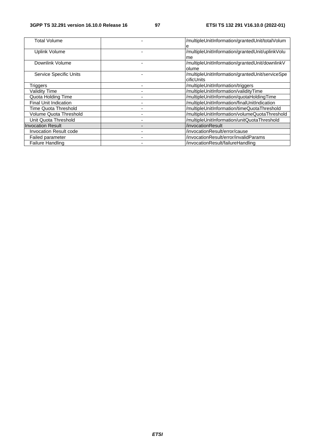| Total Volume                  | /multipleUnitInformation/grantedUnit/totalVolum |
|-------------------------------|-------------------------------------------------|
|                               |                                                 |
| Uplink Volume                 | /multipleUnitInformation/grantedUnit/uplinkVolu |
|                               | me                                              |
| Downlink Volume               | /multipleUnitInformation/grantedUnit/downlinkV  |
|                               | lolume                                          |
| Service Specific Units        | /multipleUnitInformation/grantedUnit/serviceSpe |
|                               | cificUnits                                      |
| Triggers                      | /multipleUnitInformation/triggers               |
| <b>Validity Time</b>          | /multipleUnitInformation/validityTime           |
| <b>Quota Holding Time</b>     | /multipleUnitInformation/quotaHoldingTime       |
| <b>Final Unit Indication</b>  | /multipleUnitInformation/finalUnitIndication    |
| <b>Time Quota Threshold</b>   | /multipleUnitInformation/timeQuotaThreshold     |
| Volume Quota Threshold        | /multipleUnitInformation/volumeQuotaThreshold   |
| Unit Quota Threshold          | /multipleUnitInformation/unitQuotaThreshold     |
| <b>Invocation Result</b>      | /invocationResult                               |
| <b>Invocation Result code</b> | /invocationResult/error/cause                   |
| <b>Failed parameter</b>       | /invocationResult/error/invalidParams           |
| <b>Failure Handling</b>       | /invocationResult/failureHandling               |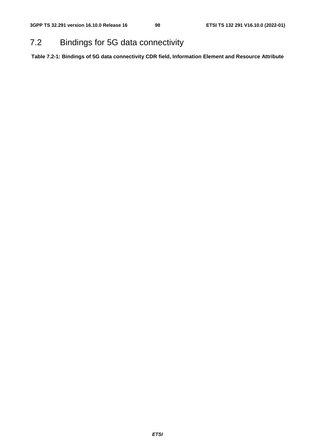## 7.2 Bindings for 5G data connectivity

**Table 7.2-1: Bindings of 5G data connectivity CDR field, Information Element and Resource Attribute**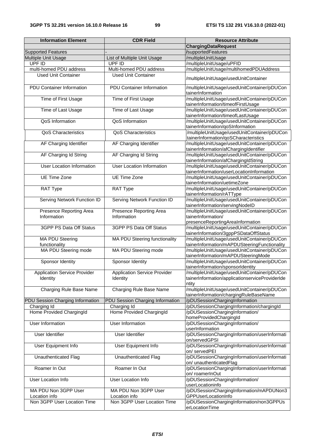| <b>Information Element</b>               | <b>CDR Field</b>                                | <b>Resource Attribute</b>                                                                      |
|------------------------------------------|-------------------------------------------------|------------------------------------------------------------------------------------------------|
|                                          |                                                 | <b>ChargingDataRequest</b>                                                                     |
| <b>Supported Features</b>                |                                                 | /supportedFeatures                                                                             |
| Multiple Unit Usage                      | List of Multiple Unit Usage                     | /multipleUnitUsage                                                                             |
| UPF ID                                   | UPF ID                                          | /multipleUnitUsage/uPFID                                                                       |
| multi-homed PDU address                  | Multi-homed PDU address                         | /multipleUnitUsage/multihomedPDUAddress                                                        |
|                                          |                                                 |                                                                                                |
| <b>Used Unit Container</b>               | <b>Used Unit Container</b>                      | /multipleUnitUsage/usedUnitContainer                                                           |
| PDU Container Information                | <b>PDU</b> Container Information                | /multipleUnitUsage/usedUnitContainer/pDUCon<br>tainerInformation                               |
| Time of First Usage                      | Time of First Usage                             | /multipleUnitUsage/usedUnitContainer/pDUCon<br>tainerInformation/timeofFirstUsage              |
| Time of Last Usage                       | Time of Last Usage                              | /multipleUnitUsage/usedUnitContainer/pDUCon                                                    |
|                                          |                                                 | tainerInformation/timeofLastUsage                                                              |
| QoS Information                          | QoS Information                                 | /multipleUnitUsage/usedUnitContainer/pDUCon<br>tainerInformation/qoSInformation                |
| <b>QoS Characteristics</b>               | QoS Characteristics                             | /multipleUnitUsage/usedUnitContainer/pDUCon<br>tainerInformation/qoSCharacteristics            |
| AF Charging Identifier                   | AF Charging Identifier                          | /multipleUnitUsage/usedUnitContainer/pDUCon<br>tainerInformation/afChargingIdentifier          |
| AF Charging Id String                    | AF Charging Id String                           | /multipleUnitUsage/usedUnitContainer/pDUCon                                                    |
| User Location Information                | <b>User Location Information</b>                | tainerInformation/afChargingIdString<br>/multipleUnitUsage/usedUnitContainer/pDUCon            |
| UE Time Zone                             | <b>UE Time Zone</b>                             | tainerInformation/userLocationInformation<br>/multipleUnitUsage/usedUnitContainer/pDUCon       |
|                                          |                                                 | tainerInformation/uetimeZone                                                                   |
| RAT Type                                 | RAT Type                                        | /multipleUnitUsage/usedUnitContainer/pDUCon<br>tainerInformation/rATType                       |
| Serving Network Function ID              | Serving Network Function ID                     | /multipleUnitUsage/usedUnitContainer/pDUCon<br>tainerInformation/servingNodelD                 |
| Presence Reporting Area                  | Presence Reporting Area                         | /multipleUnitUsage/usedUnitContainer/pDUCon                                                    |
| Information                              | Information                                     | tainerInformation/                                                                             |
|                                          |                                                 | presenceReportingAreaInformation                                                               |
| 3GPP PS Data Off Status                  | 3GPP PS Data Off Status                         | /multipleUnitUsage/usedUnitContainer/pDUCon<br>tainerInformation/3gppPSDataOffStatus           |
| <b>MA PDU Steering</b><br>functionality  | MA PDU Steering functionality                   | /multipleUnitUsage/usedUnitContainer/pDUCon<br>tainerInformation/mAPDUSteeringFunctionality    |
| MA PDU Steering mode                     | MA PDU Steering mode                            | /multipleUnitUsage/usedUnitContainer/pDUCon                                                    |
|                                          |                                                 | tainerInformation/mAPDUSteeringMode                                                            |
| Sponsor Identity                         | Sponsor Identity                                | /multipleUnitUsage/usedUnitContainer/pDUCon<br>tainerInformation/sponsorIdentity               |
| Application Service Provider<br>Identity | <b>Application Service Provider</b><br>Identity | /multipleUnitUsage/usedUnitContainer/pDUCon<br>tainerInformation/applicationserviceProviderIde |
| Charging Rule Base Name                  | Charging Rule Base Name                         | ntity<br>/multipleUnitUsage/usedUnitContainer/pDUCon                                           |
|                                          |                                                 | tainerInformation/chargingRuleBaseName                                                         |
| PDU Session Charging Information         | PDU Session Charging Information                | /pDUSessionChargingInformation                                                                 |
| Charging Id                              | Charging Id                                     | /pDUSessionChargingInformation/chargingId                                                      |
| Home Provided ChargingId                 | Home Provided ChargingId                        | /pDUSessionChargingInformation/<br>homeProvidedChargingId                                      |
| <b>User Information</b>                  | <b>User Information</b>                         | /pDUSessionChargingInformation/<br>userInformation                                             |
| User Identifier                          | User Identifier                                 | /pDUSessionChargingInformation/userInformati<br>on/servedGPSI                                  |
| User Equipment Info                      | User Equipment Info                             | /pDUSessionChargingInformation/userInformati                                                   |
| Unauthenticated Flag                     | Unauthenticated Flag                            | on/ servedPEI<br>/pDUSessionChargingInformation/userInformati                                  |
| Roamer In Out                            | Roamer In Out                                   | on/ unauthenticatedFlag<br>/pDUSessionChargingInformation/userInformati                        |
|                                          |                                                 | on/ roamerInOut                                                                                |
| User Location Info                       | User Location Info                              | /pDUSessionChargingInformation/<br>userLocationinfo                                            |
| MA PDU Non 3GPP User<br>Location info    | MA PDU Non 3GPP User<br>Location info           | /pDUSessionChargingInformation/mAPDUNon3<br><b>GPPUserLocationInfo</b>                         |
| Non 3GPP User Location Time              | Non 3GPP User Location Time                     | /pDUSessionChargingInformation/non3GPPUs                                                       |
|                                          |                                                 | erLocationTime                                                                                 |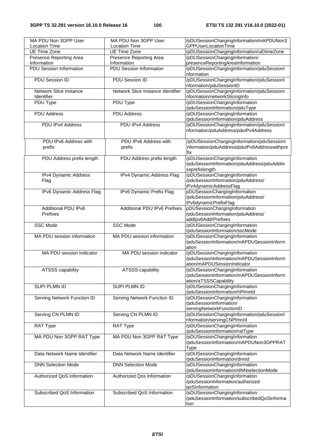| MA PDU Non 3GPP User                 | MA PDU Non 3GPP User              | /pDUSessionChargingInformation/mAPDUNon3                                      |
|--------------------------------------|-----------------------------------|-------------------------------------------------------------------------------|
| <b>Location Time</b>                 | <b>Location Time</b>              | GPPUserLocationTime                                                           |
| <b>UE Time Zone</b>                  | <b>UE Time Zone</b>               | /pDUSessionChargingInformation/uEtimeZone                                     |
| Presence Reporting Area              | Presence Reporting Area           | /pDUSessionChargingInformation/                                               |
| Information                          | Information                       | presenceReportingAreaInformation                                              |
| <b>PDU Session Information</b>       | <b>PDU Session Information</b>    | /pDUSessionChargingInformation/pduSessionI                                    |
|                                      |                                   | nformation                                                                    |
| PDU Session ID                       | PDU Session ID                    | /pDUSessionChargingInformation/pduSessionI                                    |
|                                      | Network Slice Instance Identifier | nformation/pduSessionID                                                       |
| Network Slice Instance<br>Identifier |                                   | /pDUSessionChargingInformation/pduSessionI<br>nformation/networkSlicingInfo   |
| PDU Type                             | PDU Type                          | /pDUSessionChargingInformation                                                |
|                                      |                                   | /pduSessionInformation/pduType                                                |
| <b>PDU Address</b>                   | <b>PDU Address</b>                | /pDUSessionChargingInformation                                                |
|                                      |                                   | /pduSessionInformation/pduAddress                                             |
| PDU IPv4 Address                     | PDU IPv4 Address                  | /pDUSessionChargingInformation/pduSessionI                                    |
|                                      |                                   | nformation/pduAddress/pduIPv4Address                                          |
|                                      |                                   |                                                                               |
| PDU IPv6 Address with                | PDU IPv6 Address with             | /pDUSessionChargingInformation/pduSessionI                                    |
| prefix                               | prefix                            | nformation/pduAddress/pdulPv6Addresswithpre                                   |
|                                      |                                   | fix                                                                           |
| PDU Address prefix length            | PDU Address prefix length         | /pDUSessionChargingInformation                                                |
|                                      |                                   | /pduSessionInformation/pduAddress/pduAddre                                    |
|                                      |                                   | ssprefixlength                                                                |
| IPv4 Dynamic Address                 | IPv4 Dynamic Address Flag         | /pDUSessionChargingInformation                                                |
| Flag                                 |                                   | /pduSessionInformation/pduAddress/                                            |
|                                      |                                   | iPv4dynamicAddressFlag                                                        |
| IPv6 Dynamic Address Flag            | IPv6 Dynamic Prefix Flag          | pDUSessionChargingInformation                                                 |
|                                      |                                   | /pduSessionInformation/pduAddress/                                            |
|                                      |                                   | iPv6dynamicPrefixFlag                                                         |
| Additional PDU IPv6                  | Additional PDU IPv6 Prefixes      | pDUSessionChargingInformation                                                 |
| Prefixes                             |                                   | /pduSessionInformation/pduAddress/                                            |
|                                      |                                   | addlpv6AddrPrefixes                                                           |
|                                      |                                   |                                                                               |
| <b>SSC Mode</b>                      | <b>SSC Mode</b>                   | /pDUSessionChargingInformation                                                |
|                                      |                                   | /pduSessionInformation/sscMode                                                |
| MA PDU session information           | MA PDU session information        | /pDUSessionChargingInformation                                                |
|                                      |                                   | /pduSessionInformation/mAPDUSessionInform                                     |
|                                      |                                   | ation                                                                         |
| MA PDU session indicator             | MA PDU session indicator          | /pDUSessionChargingInformation                                                |
|                                      |                                   | /pduSessionInformation/mAPDUSessionInform                                     |
|                                      |                                   | ation/mAPDUSessionIndicator                                                   |
| ATSSS capability                     | <b>ATSSS capability</b>           | /pDUSessionChargingInformation                                                |
|                                      |                                   | /pduSessionInformation/mAPDUSessionInform                                     |
|                                      |                                   | ation/aTSSSCapability                                                         |
| SUPI PLMN ID                         | SUPI PLMN ID                      | /pDUSessionChargingInformation                                                |
|                                      |                                   | /pduSessionInformation/hPlmnId                                                |
| Serving Network Function ID          | Serving Network Function ID       | /pDUSessionChargingInformation                                                |
|                                      |                                   | /pduSessionInformation/                                                       |
|                                      |                                   | servingNetworkFunctionID                                                      |
| Serving CN PLMN ID                   | Serving CN PLMN ID                | /pDUSessionChargingInformation/pduSessionI                                    |
|                                      |                                   | nformation/servingCNPlmnld                                                    |
| RAT Type                             | RAT Type                          | /pDUSessionChargingInformation                                                |
|                                      |                                   | /pduSessionInformation/ratType                                                |
| MA PDU Non 3GPP RAT Type             | MA PDU Non 3GPP RAT Type          | /pDUSessionChargingInformation                                                |
|                                      |                                   | /pduSessionInformation/mAPDUNon3GPPRAT                                        |
|                                      |                                   | <b>Type</b>                                                                   |
| Data Network Name Identifier         | Data Network Name Identifier      | /pDUSessionChargingInformation                                                |
|                                      |                                   | /pduSessionInformation/dnnid                                                  |
| <b>DNN Selection Mode</b>            | <b>DNN Selection Mode</b>         | /pDUSessionChargingInformation                                                |
|                                      |                                   | /pduSessionInformation/dNNselectionMode                                       |
| Authorized QoS information           | Authorized Qos Information        | /pDUSessionChargingInformation                                                |
|                                      |                                   | /pduSessionInformation/authorized                                             |
|                                      |                                   | qoSInformation                                                                |
| Subscribed QoS Information           | Subscribed QoS Information        | /pDUSessionChargingInformation<br>/pduSessionInformation/subscribedQoSInforma |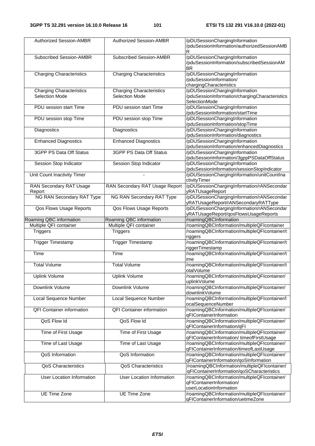| <b>Authorized Session-AMBR</b>   | <b>Authorized Session-AMBR</b>   | /pDUSessionChargingInformation<br>/pduSessionInformation/authorizedSessionAMB      |
|----------------------------------|----------------------------------|------------------------------------------------------------------------------------|
|                                  |                                  | R                                                                                  |
| <b>Subscribed Session-AMBR</b>   | <b>Subscribed Session-AMBR</b>   | /pDUSessionChargingInformation                                                     |
|                                  |                                  | /pduSessionInformation/subscribedSessionAM                                         |
|                                  |                                  |                                                                                    |
|                                  |                                  | <b>BR</b>                                                                          |
| <b>Charging Characteristics</b>  | <b>Charging Characteristics</b>  | /pDUSessionChargingInformation                                                     |
|                                  |                                  | /pduSessionInformation/                                                            |
|                                  |                                  | chargingCharacteristics                                                            |
| <b>Charging Characteristics</b>  | <b>Charging Characteristics</b>  | pDUSessionChargingInformation                                                      |
|                                  |                                  |                                                                                    |
| Selection Mode                   | <b>Selection Mode</b>            | /pduSessionInformation/chargingCharacteristics                                     |
|                                  |                                  | SelectionMode                                                                      |
| PDU session start Time           | PDU session start Time           | /pDUSessionChargingInformation                                                     |
|                                  |                                  | /pduSessionInformation/startTime                                                   |
| PDU session stop Time            | PDU session stop Time            | /pDUSessionChargingInformation                                                     |
|                                  |                                  |                                                                                    |
|                                  |                                  | /pduSessionInformation/stopTime                                                    |
| Diagnostics                      | Diagnostics                      | /pDUSessionChargingInformation                                                     |
|                                  |                                  | /pduSessionInformation/diagnostics                                                 |
| <b>Enhanced Diagnostics</b>      | <b>Enhanced Diagnostics</b>      | /pDUSessionChargingInformation                                                     |
|                                  |                                  | /pduSessionInformation/enhancedDiagnostics                                         |
|                                  |                                  |                                                                                    |
| 3GPP PS Data Off Status          | 3GPP PS Data Off Status          | /pDUSessionChargingInformation                                                     |
|                                  |                                  | /pduSessionInformation/3gppPSDataOffStatus                                         |
| Session Stop Indicator           | Session Stop Indicator           | /pDUSessionChargingInformation                                                     |
|                                  |                                  | /pduSessionInformation/sessionStopIndicator                                        |
|                                  |                                  |                                                                                    |
| Unit Count Inactivity Timer      |                                  | /pDUSessionChargingInformation/unitCountIna                                        |
|                                  |                                  | ctivityTimer                                                                       |
| <b>RAN Secondary RAT Usage</b>   | RAN Secondary RAT Usage Report   | /pDUSessionChargingInformation/rANSecondar                                         |
| Report                           |                                  | yRATUsageReport                                                                    |
| <b>NG RAN Secondary RAT Type</b> | <b>NG RAN Secondary RAT Type</b> | /pDUSessionChargingInformation/rANSecondar                                         |
|                                  |                                  |                                                                                    |
|                                  |                                  | yRATUsageReport/rANSecondaryRATType                                                |
| Qos Flows Usage Reports          | Qos Flows Usage Reports          | /pDUSessionChargingInformation/rANSecondar                                         |
|                                  |                                  | yRATUsageReport/qosFlowsUsageReports                                               |
| Roaming QBC information          | Roaming QBC information          | /roamingQBCInformation                                                             |
| Multiple QFI container           | Multiple QFI container           | /roamingQBCInformation/multipleQFIcontainer                                        |
|                                  |                                  |                                                                                    |
|                                  |                                  |                                                                                    |
| <b>Triggers</b>                  | <b>Triggers</b>                  | /roamingQBCInformation/multipleQFIcontainer/t                                      |
|                                  |                                  | riggers                                                                            |
| <b>Trigger Timestamp</b>         |                                  | /roamingQBCInformation/multipleQFIcontainer/t                                      |
|                                  | <b>Trigger Timestamp</b>         |                                                                                    |
|                                  |                                  | riggerTimestamp                                                                    |
| Time                             | Time                             | /roamingQBCInformation/multipleQFIcontainer/t                                      |
|                                  |                                  | ime                                                                                |
| <b>Total Volume</b>              | <b>Total Volume</b>              | /roamingQBCInformation/multipleQFIcontainer/t                                      |
|                                  |                                  | otalVolume                                                                         |
|                                  |                                  |                                                                                    |
| <b>Uplink Volume</b>             | Uplink Volume                    | /roamingQBCInformation/multipleQFIcontainer/                                       |
|                                  |                                  | uplinkVolume                                                                       |
| Downlink Volume                  | Downlink Volume                  | /roamingQBCInformation/multipleQFIcontainer/                                       |
|                                  |                                  | downlinkVolume                                                                     |
|                                  |                                  |                                                                                    |
| Local Sequence Number            | Local Sequence Number            | /roamingQBCInformation/multipleQFIcontainer/l                                      |
|                                  |                                  | ocalSequenceNumber                                                                 |
| <b>QFI Container information</b> | <b>QFI Container information</b> | /roamingQBCInformation/multipleQFIcontainer/                                       |
|                                  |                                  | qFIContainerInformation                                                            |
| QoS Flow Id                      | QoS Flow Id                      | /roamingQBCInformation/multipleQFIcontainer/                                       |
|                                  |                                  |                                                                                    |
|                                  |                                  | qFIContainerInformation/qFI                                                        |
| Time of First Usage              | Time of First Usage              | /roamingQBCInformation/multipleQFIcontainer/                                       |
|                                  |                                  | qFIContainerInformation/timeofFirstUsage                                           |
| Time of Last Usage               | Time of Last Usage               | /roamingQBCInformation/multipleQFIcontainer/                                       |
|                                  |                                  | qFIContainerInformation/timeofLastUsage                                            |
|                                  |                                  |                                                                                    |
| QoS Information                  | QoS Information                  | /roamingQBCInformation/multipleQFIcontainer/                                       |
|                                  |                                  | qFIContainerInformation/qoSInformation                                             |
| QoS Characteristics              | QoS Characteristics              | /roamingQBCInformation/multipleQFIcontainer/                                       |
|                                  |                                  | qFIContainerInformation/qoSCharacteristics                                         |
| User Location Information        | <b>User Location Information</b> | /roamingQBCInformation/multipleQFIcontainer/                                       |
|                                  |                                  |                                                                                    |
|                                  |                                  | qFIContainerInformation/                                                           |
|                                  |                                  | userLocationInformation                                                            |
| UE Time Zone                     | UE Time Zone                     | /roamingQBCInformation/multipleQFIcontainer/<br>qFIContainerInformation/uetimeZone |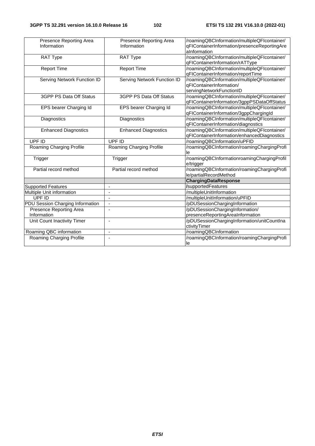| Presence Reporting Area<br>Information | Presence Reporting Area<br>Information | /roamingQBCInformation/multipleQFIcontainer/<br>qFIContainerInformation/presenceReportingAre<br>aInformation |
|----------------------------------------|----------------------------------------|--------------------------------------------------------------------------------------------------------------|
| <b>RAT Type</b>                        | <b>RAT Type</b>                        | /roamingQBCInformation/multipleQFIcontainer/<br>qFIContainerInformation/rATType                              |
| <b>Report Time</b>                     | <b>Report Time</b>                     | /roamingQBCInformation/multipleQFIcontainer/<br>qFIContainerInformation/reportTime                           |
| Serving Network Function ID            | <b>Serving Network Function ID</b>     | /roamingQBCInformation/multipleQFIcontainer/<br>qFIContainerInformation/<br>servingNetworkFunctionID         |
| 3GPP PS Data Off Status                | 3GPP PS Data Off Status                | /roamingQBCInformation/multipleQFIcontainer/<br>qFIContainerInformation/3gppPSDataOffStatus                  |
| EPS bearer Charging Id                 | EPS bearer Charging Id                 | /roamingQBCInformation/multipleQFIcontainer/<br>qFIContainerInformation/3gppChargingId                       |
| Diagnostics                            | Diagnostics                            | /roamingQBCInformation/multipleQFIcontainer/<br>qFIContainerInformation/diagnostics                          |
| <b>Enhanced Diagnostics</b>            | <b>Enhanced Diagnostics</b>            | /roamingQBCInformation/multipleQFIcontainer/<br>qFIContainerInformation/enhancedDiagnostics                  |
| UPF ID                                 | UPF ID                                 | /roamingQBCInformation/uPFID                                                                                 |
| Roaming Charging Profile               | Roaming Charging Profile               | /roamingQBCInformation/roamingChargingProfi<br>le                                                            |
| Trigger                                | Trigger                                | /roamingQBCInformationroamingChargingProfil<br>e/trigger                                                     |
| Partial record method                  | Partial record method                  | /roamingQBCInformation/roamingChargingProfi<br>le/partialRecordMethod                                        |
|                                        |                                        | ChargingDataResponse                                                                                         |
| <b>Supported Features</b>              | $\overline{\phantom{a}}$               | <b>/supportedFeatures</b>                                                                                    |
| Multiple Unit information              | $\overline{\phantom{a}}$               | /multipleUnitInformation                                                                                     |
| UPF ID                                 | $\blacksquare$                         | /multipleUnitInformation/uPFID                                                                               |
| PDU Session Charging Information       | $\blacksquare$                         | /pDUSessionChargingInformation                                                                               |
| Presence Reporting Area                | $\blacksquare$                         | /pDUSessionChargingInformation/                                                                              |
| Information                            |                                        | presenceReportingAreaInformation                                                                             |
| Unit Count Inactivity Timer            | $\blacksquare$                         | /pDUSessionChargingInformation/unitCountIna<br>ctivityTimer                                                  |
| Roaming QBC information                | $\blacksquare$                         | /roamingQBCInformation                                                                                       |
| Roaming Charging Profile               | ÷,                                     | /roamingQBCInformation/roamingChargingProfi<br>le                                                            |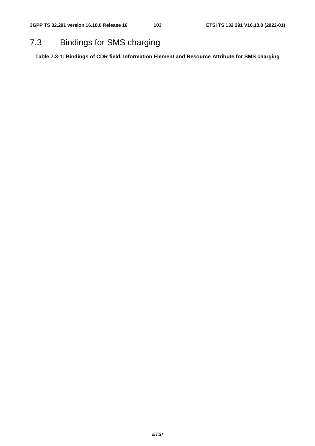## 7.3 Bindings for SMS charging

**Table 7.3-1: Bindings of CDR field, Information Element and Resource Attribute for SMS charging**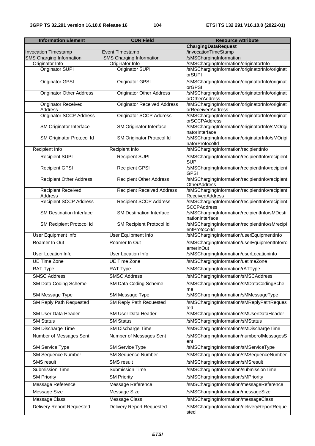| <b>Information Element</b>            | <b>CDR Field</b>                   | <b>Resource Attribute</b>                                                 |
|---------------------------------------|------------------------------------|---------------------------------------------------------------------------|
|                                       |                                    | <b>ChargingDataRequest</b>                                                |
| <b>Invocation Timestamp</b>           | <b>Event Timestamp</b>             | /invocationTimeStamp                                                      |
| <b>SMS Charging Information</b>       | <b>SMS Charging Information</b>    | /sMSChargingInformation                                                   |
| Originator Info                       | Originator Info                    | /sMSChargingInformation/originatorInfo                                    |
| Originator SUPI                       | Originator SUPI                    | /sMSChargingInformation/originatorInfo/originat<br>orSUPI                 |
| <b>Originator GPSI</b>                | <b>Originator GPSI</b>             | /sMSChargingInformation/originatorInfo/originat<br>orGPSI                 |
| <b>Originator Other Address</b>       | <b>Originator Other Address</b>    | /sMSChargingInformation/originatorInfo/originat<br>orOtherAddress         |
| <b>Originator Received</b><br>Address | <b>Originator Received Address</b> | /sMSChargingInformation/originatorInfo/originat<br>orReceivedAddress      |
| <b>Originator SCCP Address</b>        | Originator SCCP Address            | /sMSChargingInformation/originatorInfo/originat<br>orSCCPAddress          |
| SM Originator Interface               | SM Originator Interface            | /sMSChargingInformation/originatorInfo/sMOrigi<br>natorInterface          |
| SM Originator Protocol Id             | SM Originator Protocol Id          | /sMSChargingInformation/originatorInfo/sMOrigi<br>natorProtocolld         |
| Recipient Info                        | Recipient Info                     | /sMSChargingInformation/recipientInfo                                     |
| <b>Recipient SUPI</b>                 | <b>Recipient SUPI</b>              | /sMSChargingInformation/recipientInfo/recipient<br><b>SUPI</b>            |
| <b>Recipient GPSI</b>                 | <b>Recipient GPSI</b>              | /sMSChargingInformation/recipientInfo/recipient<br><b>GPSI</b>            |
| <b>Recipient Other Address</b>        | <b>Recipient Other Address</b>     | /sMSChargingInformation/recipientInfo/recipient<br><b>OtherAddress</b>    |
| <b>Recipient Received</b><br>Address  | <b>Recipient Received Address</b>  | /sMSChargingInformation/recipientInfo/recipient<br><b>ReceivedAddress</b> |
| <b>Recipient SCCP Address</b>         | <b>Recipient SCCP Address</b>      | /sMSChargingInformation/recipientInfo/recipient<br><b>SCCPAddress</b>     |
| <b>SM Destination Interface</b>       | <b>SM Destination Interface</b>    | /sMSChargingInformation/recipientInfo/sMDesti<br>nationInterface          |
| SM Recipient Protocol Id              | SM Recipient Protocol Id           | /sMSChargingInformation/recipientInfo/sMrecipi<br>entProtocolld           |
| User Equipment Info                   | User Equipment Info                | /sMSChargingInformation/userEquipmentInfo                                 |
| Roamer In Out                         | Roamer In Out                      | /sMSChargingInformation/userEquipmentInfo/ro<br>amerInOut                 |
| User Location Info                    | <b>User Location Info</b>          | /sMSChargingInformation/userLocationinfo                                  |
| <b>UE Time Zone</b>                   | <b>UE Time Zone</b>                | /sMSChargingInformation/uetimeZone                                        |
| RAT Type                              | RAT Type                           | /sMSChargingInformation/rATType                                           |
| <b>SMSC Address</b>                   | <b>SMSC Address</b>                | /sMSChargingInformation/sMSCAddress                                       |
| SM Data Coding Scheme                 | SM Data Coding Scheme              | /sMSChargingInformation/sMDataCodingSche                                  |
| SM Message Type                       | SM Message Type                    | me<br>/sMSChargingInformation/sMMessageType                               |
| SM Reply Path Requested               | SM Reply Path Requested            | /sMSChargingInformation/sMReplyPathReques<br>ted                          |
| <b>SM User Data Header</b>            | <b>SM User Data Header</b>         | /sMSChargingInformation/sMUserDataHeader                                  |
| <b>SM Status</b>                      | <b>SM Status</b>                   | /sMSChargingInformation/sMStatus                                          |
| SM Discharge Time                     | SM Discharge Time                  | /sMSChargingInformation/sMDischargeTime                                   |
| Number of Messages Sent               | Number of Messages Sent            | /sMSChargingInformation/numberofMessagesS<br>ent                          |
| <b>SM Service Type</b>                | <b>SM Service Type</b>             | /sMSChargingInformation/sMServiceType                                     |
| <b>SM Sequence Number</b>             | <b>SM Sequence Number</b>          | /sMSChargingInformation/sMSequenceNumber                                  |
| <b>SMS</b> result                     | <b>SMS</b> result                  | /sMSChargingInformation/sMSresult                                         |
| <b>Submission Time</b>                | Submission Time                    | /sMSChargingInformation/submissionTime                                    |
| <b>SM Priority</b>                    | <b>SM Priority</b>                 | /sMSChargingInformation/sMPriority                                        |
| Message Reference                     | Message Reference                  | /sMSChargingInformation/messageReference                                  |
| Message Size                          | Message Size                       | /sMSChargingInformation/messageSize                                       |
| Message Class                         | <b>Message Class</b>               | /sMSChargingInformation/messageClass                                      |
| <b>Delivery Report Requested</b>      | <b>Delivery Report Requested</b>   | /sMSChargingInformation/deliveryReportReque                               |
|                                       |                                    | sted                                                                      |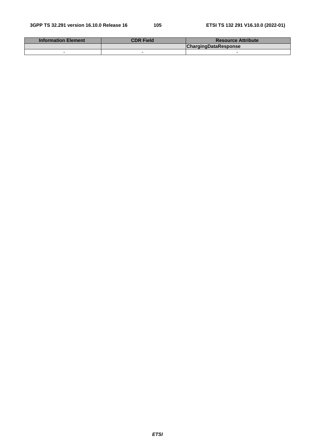| <b>Information Element</b> | <b>CDR Field</b> | <b>Resource Attribute</b>   |
|----------------------------|------------------|-----------------------------|
|                            |                  | <b>ChargingDataResponse</b> |
|                            |                  |                             |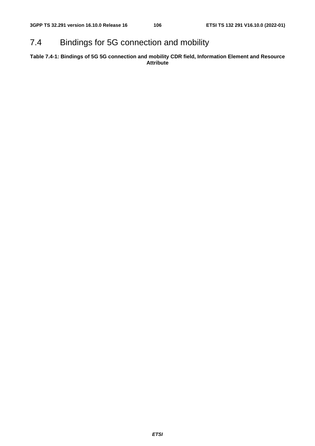## 7.4 Bindings for 5G connection and mobility

**Table 7.4-1: Bindings of 5G 5G connection and mobility CDR field, Information Element and Resource Attribute**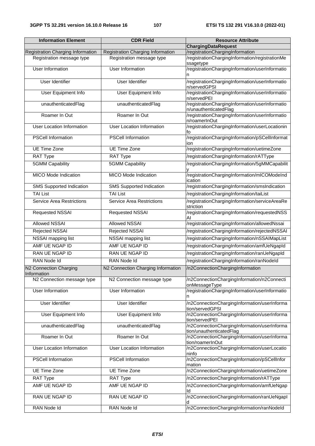| <b>Information Element</b>                                            | <b>CDR Field</b>                                                      | <b>Resource Attribute</b>                                                           |
|-----------------------------------------------------------------------|-----------------------------------------------------------------------|-------------------------------------------------------------------------------------|
|                                                                       |                                                                       | <b>ChargingDataRequest</b>                                                          |
| <b>Registration Charging Information</b><br>Registration message type | <b>Registration Charging Information</b><br>Registration message type | /registrationChargingInformation<br>/registrationChargingInformation/registrationMe |
|                                                                       |                                                                       | ssagetype                                                                           |
| <b>User Information</b>                                               | <b>User Information</b>                                               | /registrationChargingInformation/userInformatio<br>n                                |
| <b>User Identifier</b>                                                | <b>User Identifier</b>                                                | /registrationChargingInformation/userInformatio<br>n/servedGPSI                     |
| User Equipment Info                                                   | <b>User Equipment Info</b>                                            | /registrationChargingInformation/userInformatio<br>n/servedPEI                      |
| unauthenticatedFlag                                                   | unauthenticatedFlag                                                   | /registrationChargingInformation/userInformatio<br>n/unauthenticatedFlag            |
| Roamer In Out                                                         | Roamer In Out                                                         | /registrationChargingInformation/userInformatio<br>n/roamerInOut                    |
| <b>User Location Information</b>                                      | User Location Information                                             | /registrationChargingInformation/userLocationin<br>fo                               |
| <b>PSCell Information</b>                                             | <b>PSCell Information</b>                                             | /registrationChargingInformation/pSCellInformat                                     |
| <b>UE Time Zone</b>                                                   | UE Time Zone                                                          | ion<br>/registrationChargingInformation/uetimeZone                                  |
| RAT Type                                                              | RAT Type                                                              | /registrationChargingInformation/rATType                                            |
| <b>5GMM Capability</b>                                                | <b>5GMM Capability</b>                                                | /registrationChargingInformation/5gMMCapabilit                                      |
|                                                                       |                                                                       |                                                                                     |
| <b>MICO Mode Indication</b>                                           | <b>MICO Mode Indication</b>                                           | /registrationChargingInformation/mICOModeInd<br>ication                             |
| <b>SMS Supported Indication</b>                                       | <b>SMS Supported Indication</b>                                       | /registrationChargingInformation/smsIndication                                      |
| <b>TAI List</b>                                                       | <b>TAI List</b>                                                       | /registrationChargingInformation/taiList                                            |
| <b>Service Area Restrictions</b>                                      | <b>Service Area Restrictions</b>                                      | /registrationChargingInformation/serviceAreaRe<br>striction                         |
| Requested NSSAI                                                       | Requested NSSAI                                                       | /registrationChargingInformation/requestedNSS<br>AI                                 |
| Allowed NSSAI                                                         | <b>Allowed NSSAI</b>                                                  | /registrationChargingInformation/allowedNssai                                       |
| Rejected NSSAI                                                        | <b>Rejected NSSAI</b>                                                 | /registrationChargingInformation/rejectedNSSAI                                      |
| NSSAI mapping list                                                    | NSSAI mapping list                                                    | /registrationChargingInformation/nSSAIMapList                                       |
| AMF UE NGAP ID                                                        | AMF UE NGAP ID                                                        | /registrationChargingInformation/amfUeNgapId                                        |
| RAN UE NGAP ID                                                        | <b>RAN UE NGAP ID</b>                                                 | /registrationChargingInformation/ranUeNgapId                                        |
| RAN Node Id                                                           | RAN Node Id                                                           | /registrationChargingInformation/ranNodeId                                          |
| N2 Connection Charging<br>Information                                 | N2 Connection Charging Information                                    | /n2ConnectionChargingInformation                                                    |
| N2 Connection message type                                            | N2 Connection message type                                            | /n2ConnectionChargingInformation/n2Connecti<br>onMessageType                        |
| <b>User Information</b>                                               | <b>User Information</b>                                               | /registrationChargingInformation/userInformatio<br>n                                |
| <b>User Identifier</b>                                                | <b>User Identifier</b>                                                | /n2ConnectionChargingInformation/userInforma<br>tion/servedGPSI                     |
| User Equipment Info                                                   | User Equipment Info                                                   | /n2ConnectionChargingInformation/userInforma<br>tion/servedPEI                      |
| unauthenticatedFlag                                                   | unauthenticatedFlag                                                   | /n2ConnectionChargingInformation/userInforma<br>tion/unauthenticatedFlag            |
| Roamer In Out                                                         | Roamer In Out                                                         | /n2ConnectionChargingInformation/userInforma<br>tion/roamerInOut                    |
| <b>User Location Information</b>                                      | <b>User Location Information</b>                                      | /n2ConnectionChargingInformation/userLocatio<br>ninfo                               |
| <b>PSCell Information</b>                                             | <b>PSCell Information</b>                                             | /n2ConnectionChargingInformation/pSCellInfor<br>mation                              |
| <b>UE Time Zone</b>                                                   | UE Time Zone                                                          | /n2ConnectionChargingInformation/uetimeZone                                         |
| RAT Type                                                              | RAT Type                                                              | /n2ConnectionChargingInformation/rATType                                            |
| AMF UE NGAP ID                                                        | AMF UE NGAP ID                                                        | /n2ConnectionChargingInformation/amfUeNgap                                          |
| RAN UE NGAP ID                                                        | RAN UE NGAP ID                                                        | ld<br>/n2ConnectionChargingInformation/ranUeNgapI                                   |
| RAN Node Id                                                           | RAN Node Id                                                           | /n2ConnectionChargingInformation/ranNodeld                                          |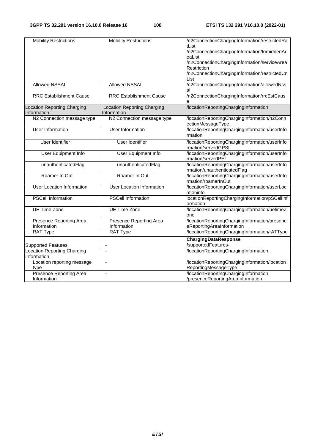| <b>Mobility Restrictions</b>       | <b>Mobility Restrictions</b>       | /n2ConnectionChargingInformation/restrictedRa  |
|------------------------------------|------------------------------------|------------------------------------------------|
|                                    |                                    | tList                                          |
|                                    |                                    | /n2ConnectionChargingInformation/forbiddenAr   |
|                                    |                                    | eaList                                         |
|                                    |                                    |                                                |
|                                    |                                    | /n2ConnectionChargingInformation/serviceArea   |
|                                    |                                    | <b>Restriction</b>                             |
|                                    |                                    | /n2ConnectionChargingInformation/restrictedCn  |
|                                    |                                    |                                                |
|                                    |                                    | List                                           |
| <b>Allowed NSSAI</b>               | <b>Allowed NSSAI</b>               | /n2ConnectionChargingInformation/allowedNss    |
|                                    |                                    | ai                                             |
|                                    |                                    |                                                |
| <b>RRC Establishment Cause</b>     | <b>RRC Establishment Cause</b>     | /n2ConnectionChargingInformation/rrcEstCaus    |
|                                    |                                    |                                                |
| <b>Location Reporting Charging</b> | <b>Location Reporting Charging</b> | /locationReportingChargingInformation          |
|                                    |                                    |                                                |
| Information                        | Information                        |                                                |
| N2 Connection message type         | N2 Connection message type         | /locationReportingChargingInformation/n2Conn   |
|                                    |                                    | ectionMessageType                              |
| <b>User Information</b>            | <b>User Information</b>            | /locationReportingChargingInformation/userInfo |
|                                    |                                    |                                                |
|                                    |                                    | rmation                                        |
| <b>User Identifier</b>             | <b>User Identifier</b>             | /locationReportingChargingInformation/userInfo |
|                                    |                                    |                                                |
|                                    |                                    | rmation/servedGPSI                             |
| <b>User Equipment Info</b>         | <b>User Equipment Info</b>         | /locationReportingChargingInformation/userInfo |
|                                    |                                    | rmation/servedPEI                              |
|                                    |                                    |                                                |
| unauthenticatedFlag                | unauthenticatedFlag                | /locationReportingChargingInformation/userInfo |
|                                    |                                    | rmation/unauthenticatedFlag                    |
| Roamer In Out                      | Roamer In Out                      | /locationReportingChargingInformation/userInfo |
|                                    |                                    | rmation/roamerInOut                            |
|                                    |                                    |                                                |
| <b>User Location Information</b>   | <b>User Location Information</b>   | /locationReportingChargingInformation/userLoc  |
|                                    |                                    | ationinfo                                      |
| <b>PSCell Information</b>          | <b>PSCell Information</b>          | locationReportingChargingInformation/pSCellInf |
|                                    |                                    |                                                |
|                                    |                                    | ormation                                       |
| <b>UE Time Zone</b>                | <b>UE Time Zone</b>                | /locationReportingChargingInformation/uetimeZ  |
|                                    |                                    | one                                            |
|                                    |                                    |                                                |
| Presence Reporting Area            | Presence Reporting Area            | /locationReportingChargingInformation/presenc  |
| Information                        | Information                        | eReportingAreaInformation                      |
| RAT Type                           | RAT Type                           | /locationReportingChargingInformation/rATType  |
|                                    |                                    |                                                |
|                                    |                                    | ChargingDataResponse                           |
| <b>Supported Features</b>          | $\blacksquare$                     | /supportedFeatures-                            |
| <b>Location Reporting Charging</b> | $\overline{\phantom{a}}$           | /locationReportingChargingInformation          |
|                                    |                                    |                                                |
| Information                        |                                    |                                                |
| Location reporting message         |                                    | /locationReportingChargingInformation/location |
| type                               |                                    | ReportingMessageType                           |
|                                    |                                    |                                                |
| Presence Reporting Area            | $\blacksquare$                     | /locationReportingChargingInformation          |
| Information                        |                                    | /presenceReportingAreaInformation              |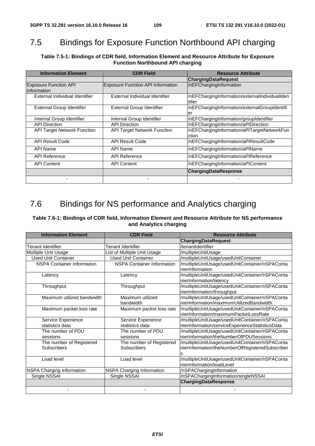## 7.5 Bindings for Exposure Function Northbound API charging

**Table 7.5-1: Bindings of CDR field, Information Element and Resource Attribute for Exposure Function Northbound API charging** 

| <b>Information Element</b>                  | <b>CDR Field</b>                         | <b>Resource Attribute</b>                                |  |  |  |
|---------------------------------------------|------------------------------------------|----------------------------------------------------------|--|--|--|
|                                             |                                          | <b>ChargingDataRequest</b>                               |  |  |  |
| <b>Exposure Function API</b><br>Information | <b>Exposure Function API Information</b> | /nEFChargingInformation                                  |  |  |  |
| External Individual Identifier              | External Individual Identifier           | /nEFChargingInformation/externalIndividualIden<br>tifier |  |  |  |
| <b>External Group Identifier</b>            | External Group Identifier                | /nEFChargingInformation/externalGroupIdentifi<br>er      |  |  |  |
| Internal Group Identifier                   | Internal Group Identifier                | /nEFChargingInformation/groupIdentifier                  |  |  |  |
| <b>API Direction</b>                        | <b>API Direction</b>                     | /nEFChargingInformation/aPIDirection                     |  |  |  |
| <b>API Target Network Function</b>          | <b>API Target Network Function</b>       | /nEFChargingInformation/aPITargetNetworkFun<br>ction     |  |  |  |
| <b>API Result Code</b>                      | <b>API Result Code</b>                   | /nEFChargingInformation/aPIResultCode                    |  |  |  |
| API Name                                    | API Name                                 | /nEFChargingInformation/aPIName                          |  |  |  |
| <b>API Reference</b>                        | <b>API Reference</b>                     | /nEFChargingInformation/aPIReference                     |  |  |  |
| <b>API Content</b>                          | <b>API Content</b>                       | /nEFChargingInformation/aPIContent                       |  |  |  |
|                                             |                                          | ChargingDataResponse                                     |  |  |  |
|                                             |                                          |                                                          |  |  |  |

#### 7.6 Bindings for NS performance and Analytics charging

#### **Table 7.6-1: Bindings of CDR field, Information Element and Resource Attribute for NS performance and Analytics charging**

| <b>Information Element</b>        | <b>CDR Field</b>                  | <b>Resource Attribute</b>                       |  |  |
|-----------------------------------|-----------------------------------|-------------------------------------------------|--|--|
|                                   |                                   | <b>ChargingDataRequest</b>                      |  |  |
| Tenant Identifier                 | <b>Tenant Identifier</b>          | /tenantIdentifier                               |  |  |
| <b>Multiple Unit Usage</b>        | ist of Multiple Unit Usage        | /multipleUnitUsage                              |  |  |
| Used Unit Container               | <b>Used Unit Container</b>        | /multipleUnitUsage/usedUnitContainer            |  |  |
| <b>NSPA Container Information</b> | <b>NSPA Container Information</b> | /multipleUnitUsage/usedUnitContainer/nSPAConta  |  |  |
|                                   |                                   | nierInformation                                 |  |  |
| Latency                           | Latency                           | /multipleUnitUsage/usedUnitContainer/nSPAConta  |  |  |
|                                   |                                   | nierInformation/latency                         |  |  |
| Throughput                        | Throughput                        | /multipleUnitUsage/usedUnitContainer/nSPAConta  |  |  |
|                                   |                                   | nierInformation/throughput                      |  |  |
| Maximum utilized bandwidth        | Maximum utilized                  | /multipleUnitUsage/usedUnitContainer/nSPAConta  |  |  |
|                                   | bandwidth                         | nierInformation/maximumUtilizedBandwidth        |  |  |
| Maximum packet loss rate          | Maximum packet loss rate          | /multipleUnitUsage/usedUnitContainer/nSPAConta  |  |  |
|                                   |                                   | nierInformation/maximumPacketLossRate           |  |  |
| Service Experience                | Service Experience                | /multipleUnitUsage/usedUnitContainer/nSPAConta  |  |  |
| statistics data                   | statistics data                   | nierInformation/serviceExperienceStatisticsData |  |  |
| The number of PDU                 | The number of PDU                 | /multipleUnitUsage/usedUnitContainer/nSPAConta  |  |  |
| sessions                          | sessions                          | nierInformation/theNumberOfPDUSessions          |  |  |
| The number of Registered          | The number of Registered          | /multipleUnitUsage/usedUnitContainer/nSPAConta  |  |  |
| <b>Subscribers</b>                | <b>Subscribers</b>                | nierInformation/theNumberOfRegisteredSubscriber |  |  |
|                                   |                                   | s                                               |  |  |
| Load level                        | Load level                        | /multipleUnitUsage/usedUnitContainer/nSPAConta  |  |  |
|                                   |                                   | nierInformation/loadLevel                       |  |  |
| <b>NSPA Charging Information</b>  | <b>NSPA Charging Information</b>  | /nSPAChargingInformation                        |  |  |
| Single NSSAI                      | Single NSSAI                      | /nSPAChargingInformation/singleNSSAI            |  |  |
|                                   |                                   | <b>ChargingDataResponse</b>                     |  |  |
|                                   |                                   |                                                 |  |  |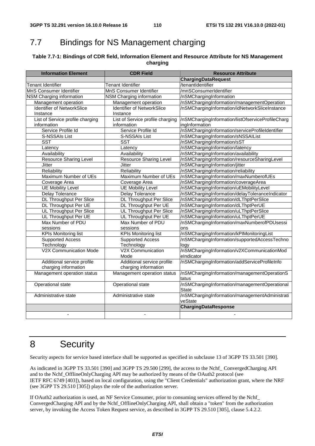# 7.7 Bindings for NS Management charging

#### **Table 7.7-1: Bindings of CDR field, Information Element and Resource Attribute for NS Management charging**

| <b>Information Element</b>        | <b>CDR Field</b>                  | <b>Resource Attribute</b>                                     |  |
|-----------------------------------|-----------------------------------|---------------------------------------------------------------|--|
|                                   |                                   | ChargingDataRequest                                           |  |
| <b>Tenant Identifier</b>          | <b>Tenant Identifier</b>          | /tenantIdentifier                                             |  |
| MnS Consumer Identifier           | MnS Consumer Identifier           | /mnSConsumerIdentifier                                        |  |
| NSM Charging information          | NSM Charging information          | /nSMChargingInformation                                       |  |
| Management operation              | Management operation              | /nSMChargingInformation/managementOperation                   |  |
| <b>Identifier of NetworkSlice</b> | <b>Identifier of NetworkSlice</b> | /nSMChargingInformation/idNetworkSliceInstance                |  |
| Instance                          | Instance                          |                                                               |  |
| List of Service profile charging  | List of Service profile charging  | /nSMChargingInformation/listOfserviceProfileCharg             |  |
| information                       | information                       | ingInformation                                                |  |
| Service Profile Id                | Service Profile Id                | /nSMChargingInformation/serviceProfileIdentifier              |  |
| S-NSSAIs List                     | S-NSSAIs List                     | /nSMChargingInformation/sNSSAIList                            |  |
| <b>SST</b>                        | <b>SST</b>                        | /nSMChargingInformation/sST                                   |  |
| Latency                           | Latency                           | /nSMChargingInformation/latency                               |  |
| Availability                      | Availability                      | /nSMChargingInformation/availability                          |  |
| <b>Resource Sharing Level</b>     | <b>Resource Sharing Level</b>     | /nSMChargingInformation/resourceSharingLevel                  |  |
| <b>Jitter</b>                     | <b>Jitter</b>                     | /nSMChargingInformation/jitter                                |  |
| Reliability                       | Reliability                       | /nSMChargingInformation/reliability                           |  |
| Maximum Number of UEs             | Maximum Number of UEs             | /nSMChargingInformation/maxNumberofUEs                        |  |
| Coverage Area                     | Coverage Area                     | /nSMChargingInformation/coverageArea                          |  |
| <b>UE Mobility Level</b>          | <b>UE Mobility Level</b>          | /nSMChargingInformation/uEMobilityLevel                       |  |
| <b>Delay Tolerance</b>            | <b>Delay Tolerance</b>            | /nSMChargingInformation/delayToleranceIndicator               |  |
| <b>DL Throughput Per Slice</b>    | <b>DL Throughput Per Slice</b>    | /nSMChargingInformation/dLThptPerSlice                        |  |
| DL Throughput Per UE              | DL Throughput Per UE              | /nSMChargingInformation/dLThptPerUE                           |  |
| UL Throughput Per Slice           | UL Throughput Per Slice           | /nSMChargingInformation/uLThptPerSlice                        |  |
| UL Throughput Per UE              | UL Throughput Per UE              | /nSMChargingInformation/uLThptPerUE                           |  |
| Max Number of PDU                 | Max Number of PDU                 | /nSMChargingInformation/maxNumberofPDUsessi                   |  |
| sessions                          | sessions                          | ons                                                           |  |
| <b>KPIs Monitoring list</b>       | <b>KPIs Monitoring list</b>       | /nSMChargingInformation/kPIMonitoringList                     |  |
| <b>Supported Access</b>           | <b>Supported Access</b>           | /nSMChargingInformation/supportedAccessTechno                 |  |
| Technology                        | Technology                        | logy                                                          |  |
| <b>V2X Communication Mode</b>     | V2X Communication                 | /nSMChargingInformation/v2XCommunicationMod                   |  |
|                                   | Mode                              | eIndicator                                                    |  |
| Additional service profile        | Additional service profile        | /nSMChargingInformation/addServiceProfileInfo                 |  |
| charging information              | charging information              |                                                               |  |
| Management operation status       | Management operation status       | /nSMChargingInformation/managementOperationS                  |  |
|                                   |                                   | tatus                                                         |  |
| Operational state                 | Operational state                 | /nSMChargingInformation/managementOperational<br><b>State</b> |  |
| Administrative state              | Administrative state              | /nSMChargingInformation/managementAdministrati<br>veState     |  |
|                                   |                                   | <b>ChargingDataResponse</b>                                   |  |
|                                   |                                   |                                                               |  |
|                                   |                                   |                                                               |  |

## 8 Security

Security aspects for service based interface shall be supported as specified in subclause 13 of 3GPP TS 33.501 [390].

As indicated in 3GPP TS 33.501 [390] and 3GPP TS 29.500 [299], the access to the Nchf\_ ConvergedCharging API and to the Nchf\_OfflineOnlyCharging API may be authorized by means of the OAuth2 protocol (see IETF RFC 6749 [403]), based on local configuration, using the "Client Credentials" authorization grant, where the NRF (see 3GPP TS 29.510 [305]) plays the role of the authorization server.

If OAuth2 authorization is used, an NF Service Consumer, prior to consuming services offered by the Nchf\_ ConvergedCharging API and by the Nchf\_OfflineOnlyCharging API, shall obtain a "token" from the authorization server, by invoking the Access Token Request service, as described in 3GPP TS 29.510 [305], clause 5.4.2.2.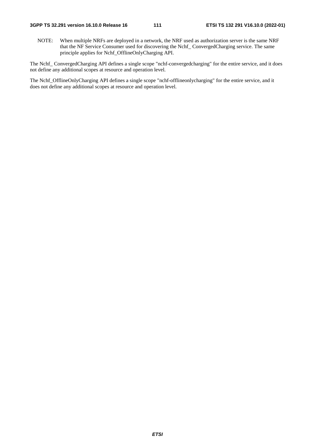NOTE: When multiple NRFs are deployed in a network, the NRF used as authorization server is the same NRF that the NF Service Consumer used for discovering the Nchf\_ ConvergedCharging service. The same principle applies for Nchf\_OfflineOnlyCharging API.

The Nchf\_ ConvergedCharging API defines a single scope "nchf-convergedcharging" for the entire service, and it does not define any additional scopes at resource and operation level.

The Nchf\_OfflineOnlyCharging API defines a single scope "nchf-offlineonlycharging" for the entire service, and it does not define any additional scopes at resource and operation level.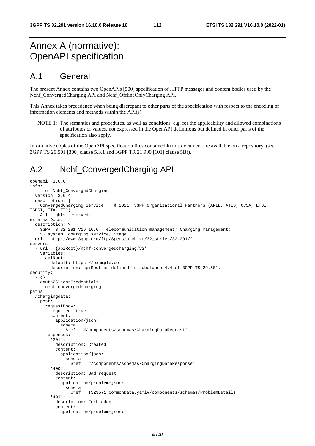### Annex A (normative): OpenAPI specification

#### A.1 General

The present Annex contains two OpenAPIs [500] specification of HTTP messages and content bodies used by the Nchf\_ConvergedCharging API and Nchf\_OfflineOnlyCharging API.

This Annex takes precedence when being discrepant to other parts of the specification with respect to the encoding of information elements and methods within the API(s).

NOTE 1: The semantics and procedures, as well as conditions, e.g. for the applicability and allowed combinations of attributes or values, not expressed in the OpenAPI definitions but defined in other parts of the specification also apply.

Informative copies of the OpenAPI specification files contained in this document are available on a repository (see 3GPP TS 29.501 [300] clause 5.3.1 and 3GPP TR 21.900 [101] clause 5B)).

#### A.2 Nchf\_ConvergedCharging API

```
openapi: 3.0.0 
info: 
   title: Nchf_ConvergedCharging 
   version: 3.0.4 
   description: | 
     ConvergedCharging Service © 2021, 3GPP Organizational Partners (ARIB, ATIS, CCSA, ETSI, 
TSDSI, TTA, TTC). 
     All rights reserved. 
externalDocs: 
   description: > 
     3GPP TS 32.291 V16.10.0: Telecommunication management; Charging management; 
     5G system, charging service; Stage 3. 
   url: 'http://www.3gpp.org/ftp/Specs/archive/32_series/32.291/' 
servers: 
   - url: '{apiRoot}/nchf-convergedcharging/v3' 
     variables: 
       apiRoot: 
         default: https://example.com 
         description: apiRoot as defined in subclause 4.4 of 3GPP TS 29.501. 
security: 
   - {} 
   - oAuth2ClientCredentials: 
     - nchf-convergedcharging 
paths: 
   /chargingdata: 
    post: 
       requestBody: 
         required: true 
         content: 
            application/json: 
              schema: 
                $ref: '#/components/schemas/ChargingDataRequest' 
       responses: 
          '201': 
           description: Created 
           content: 
              application/json: 
                schema: 
                  $ref: '#/components/schemas/ChargingDataResponse' 
          '400': 
           description: Bad request 
           content: 
              application/problem+json: 
                schema: 
                  $ref: 'TS29571_CommonData.yaml#/components/schemas/ProblemDetails' 
          '403': 
            description: Forbidden 
            content: 
              application/problem+json:
```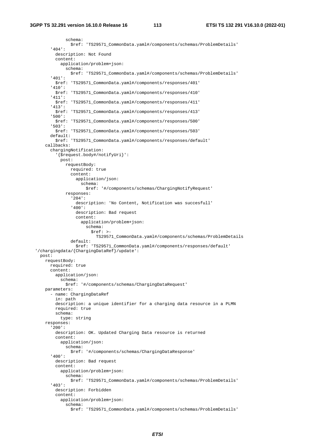schema: \$ref: 'TS29571\_CommonData.yaml#/components/schemas/ProblemDetails' '404': description: Not Found content: application/problem+json: schema: \$ref: 'TS29571\_CommonData.yaml#/components/schemas/ProblemDetails' '401': \$ref: 'TS29571\_CommonData.yaml#/components/responses/401' '410': \$ref: 'TS29571\_CommonData.yaml#/components/responses/410' '411': \$ref: 'TS29571\_CommonData.yaml#/components/responses/411' '413': \$ref: 'TS29571\_CommonData.yaml#/components/responses/413' '500': \$ref: 'TS29571\_CommonData.yaml#/components/responses/500' '503': \$ref: 'TS29571\_CommonData.yaml#/components/responses/503' default: \$ref: 'TS29571\_CommonData.yaml#/components/responses/default' callbacks: chargingNotification: '{\$request.body#/notifyUri}': post: requestBody: required: true content: application/json: schema: \$ref: '#/components/schemas/ChargingNotifyRequest' responses: '204': description: 'No Content, Notification was succesfull' '400': description: Bad request content: application/problem+json: schema: \$ref: >- TS29571\_CommonData.yaml#/components/schemas/ProblemDetails default: \$ref: 'TS29571\_CommonData.yaml#/components/responses/default' '/chargingdata/{ChargingDataRef}/update': post: requestBody: required: true content: application/json: schema: \$ref: '#/components/schemas/ChargingDataRequest' parameters: - name: ChargingDataRef in: path description: a unique identifier for a charging data resource in a PLMN required: true schema: type: string responses: '200': description: OK. Updated Charging Data resource is returned content: application/json: schema: \$ref: '#/components/schemas/ChargingDataResponse' '400': description: Bad request content: application/problem+json: schema: \$ref: 'TS29571\_CommonData.yaml#/components/schemas/ProblemDetails' '403': description: Forbidden content: application/problem+json: schema: \$ref: 'TS29571\_CommonData.yaml#/components/schemas/ProblemDetails'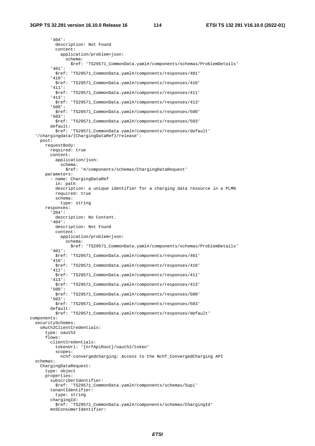'404': description: Not Found content: application/problem+json: schema: \$ref: 'TS29571\_CommonData.yaml#/components/schemas/ProblemDetails' '401': \$ref: 'TS29571\_CommonData.yaml#/components/responses/401' '410': \$ref: 'TS29571\_CommonData.yaml#/components/responses/410' '411': \$ref: 'TS29571\_CommonData.yaml#/components/responses/411' '413': \$ref: 'TS29571\_CommonData.yaml#/components/responses/413' '500': \$ref: 'TS29571\_CommonData.yaml#/components/responses/500' '503': \$ref: 'TS29571\_CommonData.yaml#/components/responses/503' default: \$ref: 'TS29571\_CommonData.yaml#/components/responses/default' '/chargingdata/{ChargingDataRef}/release': post: requestBody: required: true content: application/json: schema: \$ref: '#/components/schemas/ChargingDataRequest' parameters: - name: ChargingDataRef in: path description: a unique identifier for a charging data resource in a PLMN required: true schema: type: string responses: '204': description: No Content. '404': description: Not Found content: application/problem+json: schema: \$ref: 'TS29571\_CommonData.yaml#/components/schemas/ProblemDetails' '401': \$ref: 'TS29571\_CommonData.yaml#/components/responses/401' '410': \$ref: 'TS29571\_CommonData.yaml#/components/responses/410' '411': \$ref: 'TS29571\_CommonData.yaml#/components/responses/411' '413': \$ref: 'TS29571\_CommonData.yaml#/components/responses/413' '500': \$ref: 'TS29571\_CommonData.yaml#/components/responses/500' '503': \$ref: 'TS29571\_CommonData.yaml#/components/responses/503' default: \$ref: 'TS29571\_CommonData.yaml#/components/responses/default' components: securitySchemes: oAuth2ClientCredentials: type: oauth2 flows: clientCredentials: tokenUrl: '{nrfApiRoot}/oauth2/token' scopes: nchf-convergedcharging: Access to the Nchf\_ConvergedCharging API schemas: ChargingDataRequest: type: object properties: subscriberIdentifier: \$ref: 'TS29571\_CommonData.yaml#/components/schemas/Supi' tenantIdentifier: type: string chargingId: \$ref: 'TS29571\_CommonData.yaml#/components/schemas/ChargingId' mnSConsumerIdentifier: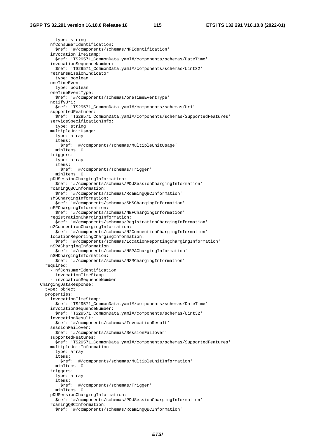type: string nfConsumerIdentification: \$ref: '#/components/schemas/NFIdentification' invocationTimeStamp: \$ref: 'TS29571\_CommonData.yaml#/components/schemas/DateTime' invocationSequenceNumber: \$ref: 'TS29571\_CommonData.yaml#/components/schemas/Uint32' retransmissionIndicator: type: boolean oneTimeEvent: type: boolean oneTimeEventType: \$ref: '#/components/schemas/oneTimeEventType' notifyUri: \$ref: 'TS29571\_CommonData.yaml#/components/schemas/Uri' supportedFeatures: \$ref: 'TS29571\_CommonData.yaml#/components/schemas/SupportedFeatures' serviceSpecificationInfo: type: string multipleUnitUsage: type: array items: \$ref: '#/components/schemas/MultipleUnitUsage' minItems: 0 triggers: type: array items: \$ref: '#/components/schemas/Trigger' minItems: 0 pDUSessionChargingInformation: \$ref: '#/components/schemas/PDUSessionChargingInformation' roamingQBCInformation: \$ref: '#/components/schemas/RoamingQBCInformation' sMSChargingInformation: \$ref: '#/components/schemas/SMSChargingInformation' nEFChargingInformation: \$ref: '#/components/schemas/NEFChargingInformation' registrationChargingInformation: \$ref: '#/components/schemas/RegistrationChargingInformation' n2ConnectionChargingInformation: \$ref: '#/components/schemas/N2ConnectionChargingInformation' locationReportingChargingInformation: \$ref: '#/components/schemas/LocationReportingChargingInformation' nSPAChargingInformation: \$ref: '#/components/schemas/NSPAChargingInformation' nSMChargingInformation: \$ref: '#/components/schemas/NSMChargingInformation' required: - nfConsumerIdentification - invocationTimeStamp - invocationSequenceNumber ChargingDataResponse: type: object properties: invocationTimeStamp: \$ref: 'TS29571\_CommonData.yaml#/components/schemas/DateTime' invocationSequenceNumber: \$ref: 'TS29571\_CommonData.yaml#/components/schemas/Uint32' invocationResult: \$ref: '#/components/schemas/InvocationResult' sessionFailover: \$ref: '#/components/schemas/SessionFailover' supportedFeatures: \$ref: 'TS29571\_CommonData.yaml#/components/schemas/SupportedFeatures' multipleUnitInformation: type: array items: \$ref: '#/components/schemas/MultipleUnitInformation' minItems: 0 triggers: type: array items: \$ref: '#/components/schemas/Trigger' minItems: 0 pDUSessionChargingInformation: \$ref: '#/components/schemas/PDUSessionChargingInformation' roamingQBCInformation: \$ref: '#/components/schemas/RoamingQBCInformation'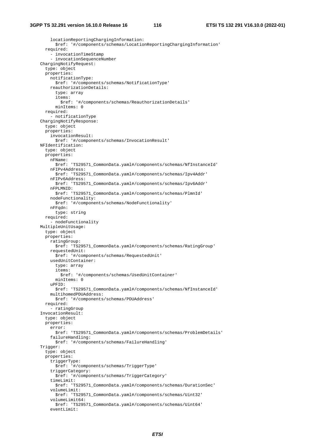locationReportingChargingInformation: \$ref: '#/components/schemas/LocationReportingChargingInformation' required: - invocationTimeStamp - invocationSequenceNumber ChargingNotifyRequest: type: object properties: notificationType: \$ref: '#/components/schemas/NotificationType' reauthorizationDetails: type: array items: \$ref: '#/components/schemas/ReauthorizationDetails' minItems: 0 required: - notificationType ChargingNotifyResponse: type: object properties: invocationResult: \$ref: '#/components/schemas/InvocationResult' NFIdentification: type: object properties: nFName: \$ref: 'TS29571\_CommonData.yaml#/components/schemas/NfInstanceId' nFIPv4Address: \$ref: 'TS29571\_CommonData.yaml#/components/schemas/Ipv4Addr' nFIPv6Address: \$ref: 'TS29571\_CommonData.yaml#/components/schemas/Ipv6Addr' nFPLMNID: \$ref: 'TS29571\_CommonData.yaml#/components/schemas/PlmnId' nodeFunctionality: \$ref: '#/components/schemas/NodeFunctionality' nFFqdn: type: string required: - nodeFunctionality MultipleUnitUsage: type: object properties: ratingGroup: \$ref: 'TS29571\_CommonData.yaml#/components/schemas/RatingGroup' requestedUnit: \$ref: '#/components/schemas/RequestedUnit' usedUnitContainer: type: array items: \$ref: '#/components/schemas/UsedUnitContainer' minItems: 0 uPFID: \$ref: 'TS29571\_CommonData.yaml#/components/schemas/NfInstanceId' multihomedPDUAddress: \$ref: '#/components/schemas/PDUAddress' required: - ratingGroup InvocationResult: type: object properties: error: \$ref: 'TS29571\_CommonData.yaml#/components/schemas/ProblemDetails' failureHandling: \$ref: '#/components/schemas/FailureHandling' Trigger: type: object properties: triggerType: \$ref: '#/components/schemas/TriggerType' triggerCategory: \$ref: '#/components/schemas/TriggerCategory' timeLimit: \$ref: 'TS29571\_CommonData.yaml#/components/schemas/DurationSec' volumeLimit: \$ref: 'TS29571\_CommonData.yaml#/components/schemas/Uint32' volumeLimit64: \$ref: 'TS29571\_CommonData.yaml#/components/schemas/Uint64'

```
 eventLimit:
```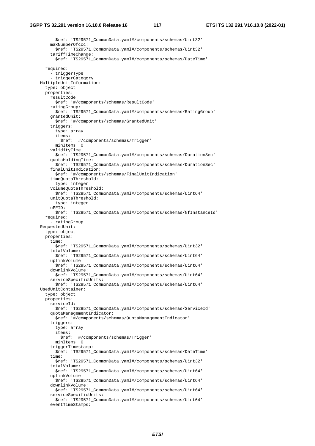\$ref: 'TS29571\_CommonData.yaml#/components/schemas/Uint32' maxNumberOfccc: \$ref: 'TS29571\_CommonData.yaml#/components/schemas/Uint32' tariffTimeChange: \$ref: 'TS29571\_CommonData.yaml#/components/schemas/DateTime' required: - triggerType - triggerCategory MultipleUnitInformation: type: object properties: resultCode: \$ref: '#/components/schemas/ResultCode' ratingGroup: \$ref: 'TS29571\_CommonData.yaml#/components/schemas/RatingGroup' grantedUnit: \$ref: '#/components/schemas/GrantedUnit' triggers: type: array items: \$ref: '#/components/schemas/Trigger' minItems: 0 validityTime: \$ref: 'TS29571\_CommonData.yaml#/components/schemas/DurationSec' quotaHoldingTime: \$ref: 'TS29571\_CommonData.yaml#/components/schemas/DurationSec' finalUnitIndication: \$ref: '#/components/schemas/FinalUnitIndication' timeQuotaThreshold: type: integer volumeQuotaThreshold: \$ref: 'TS29571\_CommonData.yaml#/components/schemas/Uint64' unitQuotaThreshold: type: integer uPFID: \$ref: 'TS29571\_CommonData.yaml#/components/schemas/NfInstanceId' required: - ratingGroup RequestedUnit: type: object properties: time: \$ref: 'TS29571\_CommonData.yaml#/components/schemas/Uint32' totalVolume: \$ref: 'TS29571\_CommonData.yaml#/components/schemas/Uint64' uplinkVolume: \$ref: 'TS29571\_CommonData.yaml#/components/schemas/Uint64' downlinkVolume: \$ref: 'TS29571\_CommonData.yaml#/components/schemas/Uint64' serviceSpecificUnits: \$ref: 'TS29571\_CommonData.yaml#/components/schemas/Uint64' UsedUnitContainer: type: object properties: serviceId: \$ref: 'TS29571\_CommonData.yaml#/components/schemas/ServiceId' quotaManagementIndicator: \$ref: '#/components/schemas/QuotaManagementIndicator' triggers: type: array items: \$ref: '#/components/schemas/Trigger' minItems: 0 triggerTimestamp: \$ref: 'TS29571\_CommonData.yaml#/components/schemas/DateTime' time: \$ref: 'TS29571\_CommonData.yaml#/components/schemas/Uint32' totalVolume: \$ref: 'TS29571\_CommonData.yaml#/components/schemas/Uint64' uplinkVolume: \$ref: 'TS29571\_CommonData.yaml#/components/schemas/Uint64' downlinkVolume: \$ref: 'TS29571\_CommonData.yaml#/components/schemas/Uint64' serviceSpecificUnits: \$ref: 'TS29571\_CommonData.yaml#/components/schemas/Uint64' eventTimeStamps: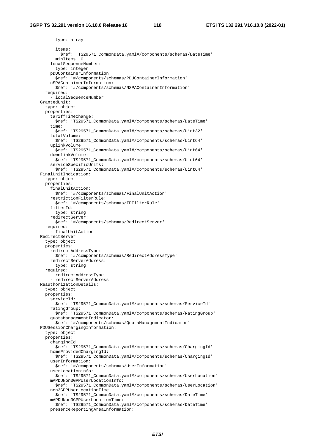type: array items: \$ref: 'TS29571\_CommonData.yaml#/components/schemas/DateTime' minItems: 0 localSequenceNumber: type: integer pDUContainerInformation: \$ref: '#/components/schemas/PDUContainerInformation' nSPAContainerInformation: \$ref: '#/components/schemas/NSPAContainerInformation' required: - localSequenceNumber GrantedUnit: type: object properties: tariffTimeChange: \$ref: 'TS29571\_CommonData.yaml#/components/schemas/DateTime' time: \$ref: 'TS29571\_CommonData.yaml#/components/schemas/Uint32' totalVolume: \$ref: 'TS29571\_CommonData.yaml#/components/schemas/Uint64' uplinkVolume: \$ref: 'TS29571\_CommonData.yaml#/components/schemas/Uint64' downlinkVolume: \$ref: 'TS29571\_CommonData.yaml#/components/schemas/Uint64' serviceSpecificUnits: \$ref: 'TS29571\_CommonData.yaml#/components/schemas/Uint64' FinalUnitIndication: type: object properties: finalUnitAction: \$ref: '#/components/schemas/FinalUnitAction' restrictionFilterRule: \$ref: '#/components/schemas/IPFilterRule' filterId: type: string redirectServer: \$ref: '#/components/schemas/RedirectServer' required: - finalUnitAction RedirectServer: type: object properties: redirectAddressType: \$ref: '#/components/schemas/RedirectAddressType' redirectServerAddress: type: string required: - redirectAddressType - redirectServerAddress ReauthorizationDetails: type: object properties: serviceId: \$ref: 'TS29571\_CommonData.yaml#/components/schemas/ServiceId' ratingGroup: \$ref: 'TS29571\_CommonData.yaml#/components/schemas/RatingGroup' quotaManagementIndicator: \$ref: '#/components/schemas/QuotaManagementIndicator' PDUSessionChargingInformation: type: object properties: chargingId: \$ref: 'TS29571\_CommonData.yaml#/components/schemas/ChargingId' homeProvidedChargingId: \$ref: 'TS29571\_CommonData.yaml#/components/schemas/ChargingId' userInformation: \$ref: '#/components/schemas/UserInformation' userLocationinfo: \$ref: 'TS29571\_CommonData.yaml#/components/schemas/UserLocation' mAPDUNon3GPPUserLocationInfo: \$ref: 'TS29571\_CommonData.yaml#/components/schemas/UserLocation' non3GPPUserLocationTime: \$ref: 'TS29571\_CommonData.yaml#/components/schemas/DateTime' mAPDUNon3GPPUserLocationTime: \$ref: 'TS29571\_CommonData.yaml#/components/schemas/DateTime' presenceReportingAreaInformation: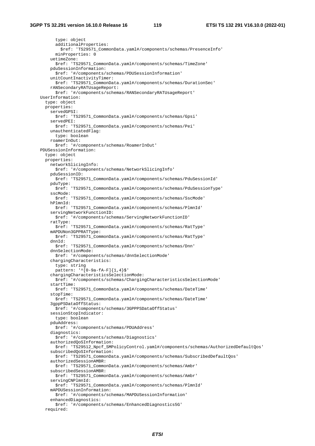type: object additionalProperties: \$ref: 'TS29571\_CommonData.yaml#/components/schemas/PresenceInfo' minProperties: 0 uetimeZone: \$ref: 'TS29571\_CommonData.yaml#/components/schemas/TimeZone' pduSessionInformation: \$ref: '#/components/schemas/PDUSessionInformation' unitCountInactivityTimer: \$ref: 'TS29571\_CommonData.yaml#/components/schemas/DurationSec' rANSecondaryRATUsageReport: \$ref: '#/components/schemas/RANSecondaryRATUsageReport' UserInformation: type: object properties: servedGPSI: \$ref: 'TS29571\_CommonData.yaml#/components/schemas/Gpsi' servedPEI: \$ref: 'TS29571\_CommonData.yaml#/components/schemas/Pei' unauthenticatedFlag: type: boolean roamerInOut: \$ref: '#/components/schemas/RoamerInOut' PDUSessionInformation: type: object properties: networkSlicingInfo: \$ref: '#/components/schemas/NetworkSlicingInfo' pduSessionID: \$ref: 'TS29571\_CommonData.yaml#/components/schemas/PduSessionId' pduType: \$ref: 'TS29571\_CommonData.yaml#/components/schemas/PduSessionType' sscMode: \$ref: 'TS29571\_CommonData.yaml#/components/schemas/SscMode' hPlmnId: \$ref: 'TS29571\_CommonData.yaml#/components/schemas/PlmnId' servingNetworkFunctionID: \$ref: '#/components/schemas/ServingNetworkFunctionID' ratType: \$ref: 'TS29571\_CommonData.yaml#/components/schemas/RatType' mAPDUNon3GPPRATType: \$ref: 'TS29571\_CommonData.yaml#/components/schemas/RatType' dnnId: \$ref: 'TS29571\_CommonData.yaml#/components/schemas/Dnn' dnnSelectionMode: \$ref: '#/components/schemas/dnnSelectionMode' chargingCharacteristics: type: string pattern: '^[0-9a-fA-F]{1,4}\$' chargingCharacteristicsSelectionMode: \$ref: '#/components/schemas/ChargingCharacteristicsSelectionMode' startTime: \$ref: 'TS29571\_CommonData.yaml#/components/schemas/DateTime' stopTime: \$ref: 'TS29571\_CommonData.yaml#/components/schemas/DateTime' 3gppPSDataOffStatus: ---<br>\$ref: '#/components/schemas/3GPPPSDataOffStatus' sessionStopIndicator: type: boolean pduAddress: \$ref: '#/components/schemas/PDUAddress' diagnostics: \$ref: '#/components/schemas/Diagnostics' authorizedQoSInformation: \$ref: 'TS29512\_Npcf\_SMPolicyControl.yaml#/components/schemas/AuthorizedDefaultQos' subscribedQoSInformation: \$ref: 'TS29571\_CommonData.yaml#/components/schemas/SubscribedDefaultQos' authorizedSessionAMBR: \$ref: 'TS29571\_CommonData.yaml#/components/schemas/Ambr' subscribedSessionAMBR: \$ref: 'TS29571\_CommonData.yaml#/components/schemas/Ambr' servingCNPlmnId: \$ref: 'TS29571\_CommonData.yaml#/components/schemas/PlmnId' mAPDUSessionInformation: \$ref: '#/components/schemas/MAPDUSessionInformation' enhancedDiagnostics: \$ref: '#/components/schemas/EnhancedDiagnostics5G' required: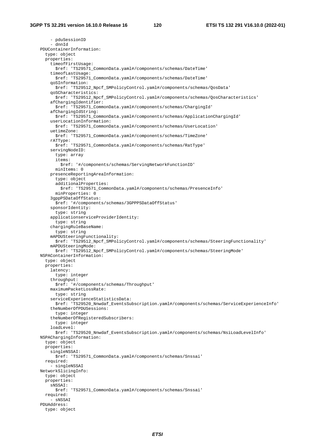- pduSessionID - dnnId PDUContainerInformation: type: object properties: timeofFirstUsage: \$ref: 'TS29571\_CommonData.yaml#/components/schemas/DateTime' timeofLastUsage: \$ref: 'TS29571\_CommonData.yaml#/components/schemas/DateTime' qoSInformation: \$ref: 'TS29512\_Npcf\_SMPolicyControl.yaml#/components/schemas/QosData' qoSCharacteristics: \$ref: 'TS29512\_Npcf\_SMPolicyControl.yaml#/components/schemas/QosCharacteristics' afChargingIdentifier: \$ref: 'TS29571\_CommonData.yaml#/components/schemas/ChargingId' afChargingIdString: \$ref: 'TS29571\_CommonData.yaml#/components/schemas/ApplicationChargingId' userLocationInformation: \$ref: 'TS29571\_CommonData.yaml#/components/schemas/UserLocation' uetimeZone: \$ref: 'TS29571\_CommonData.yaml#/components/schemas/TimeZone' rATType: \$ref: 'TS29571\_CommonData.yaml#/components/schemas/RatType' servingNodeID: type: array items: \$ref: '#/components/schemas/ServingNetworkFunctionID' minItems: 0 presenceReportingAreaInformation: type: object additionalProperties: \$ref: 'TS29571\_CommonData.yaml#/components/schemas/PresenceInfo' minProperties: 0 3gppPSDataOffStatus: \$ref: '#/components/schemas/3GPPPSDataOffStatus' sponsorIdentity: type: string applicationserviceProviderIdentity: type: string chargingRuleBaseName: type: string mAPDUSteeringFunctionality: \$ref: 'TS29512\_Npcf\_SMPolicyControl.yaml#/components/schemas/SteeringFunctionality' mAPDUSteeringMode: \$ref: 'TS29512\_Npcf\_SMPolicyControl.yaml#/components/schemas/SteeringMode' NSPAContainerInformation: type: object properties: latency: type: integer throughput: \$ref: '#/components/schemas/Throughput' maximumPacketLossRate: type: string serviceExperienceStatisticsData: \$ref: 'TS29520\_Nnwdaf\_EventsSubscription.yaml#/components/schemas/ServiceExperienceInfo' theNumberOfPDUSessions: type: integer theNumberOfRegisteredSubscribers: type: integer loadLevel: \$ref: 'TS29520\_Nnwdaf\_EventsSubscription.yaml#/components/schemas/NsiLoadLevelInfo' NSPAChargingInformation: type: object properties: singleNSSAI: \$ref: 'TS29571\_CommonData.yaml#/components/schemas/Snssai' required: - singleNSSAI NetworkSlicingInfo: type: object properties: sNSSAI: \$ref: 'TS29571\_CommonData.yaml#/components/schemas/Snssai' required: - sNSSAI PDUAddress: type: object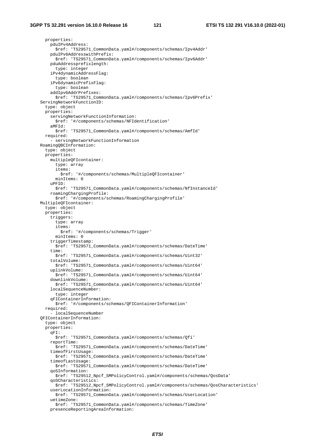properties: pduIPv4Address: \$ref: 'TS29571\_CommonData.yaml#/components/schemas/Ipv4Addr' pduIPv6AddresswithPrefix: \$ref: 'TS29571\_CommonData.yaml#/components/schemas/Ipv6Addr' pduAddressprefixlength: type: integer iPv4dynamicAddressFlag: type: boolean iPv6dynamicPrefixFlag: type: boolean addIpv6AddrPrefixes: \$ref: 'TS29571\_CommonData.yaml#/components/schemas/Ipv6Prefix' ServingNetworkFunctionID: type: object properties: servingNetworkFunctionInformation: \$ref: '#/components/schemas/NFIdentification' aMFId: \$ref: 'TS29571\_CommonData.yaml#/components/schemas/AmfId' required: - servingNetworkFunctionInformation RoamingQBCInformation: type: object properties: multipleQFIcontainer: type: array items: \$ref: '#/components/schemas/MultipleQFIcontainer' minItems: 0 uPFID: \$ref: 'TS29571\_CommonData.yaml#/components/schemas/NfInstanceId' roamingChargingProfile: \$ref: '#/components/schemas/RoamingChargingProfile' MultipleQFIcontainer: type: object properties: triggers: type: array items: \$ref: '#/components/schemas/Trigger' minItems: 0 triggerTimestamp: \$ref: 'TS29571\_CommonData.yaml#/components/schemas/DateTime' time: \$ref: 'TS29571\_CommonData.yaml#/components/schemas/Uint32' totalVolume: \$ref: 'TS29571\_CommonData.yaml#/components/schemas/Uint64' uplinkVolume: \$ref: 'TS29571\_CommonData.yaml#/components/schemas/Uint64' downlinkVolume: \$ref: 'TS29571\_CommonData.yaml#/components/schemas/Uint64' localSequenceNumber: type: integer qFIContainerInformation: \$ref: '#/components/schemas/QFIContainerInformation' required: - localSequenceNumber QFIContainerInformation: type: object properties: qFI: \$ref: 'TS29571\_CommonData.yaml#/components/schemas/Qfi' reportTime: \$ref: 'TS29571\_CommonData.yaml#/components/schemas/DateTime' timeofFirstUsage: \$ref: 'TS29571\_CommonData.yaml#/components/schemas/DateTime' timeofLastUsage: \$ref: 'TS29571\_CommonData.yaml#/components/schemas/DateTime' qoSInformation: \$ref: 'TS29512\_Npcf\_SMPolicyControl.yaml#/components/schemas/QosData' qoSCharacteristics: \$ref: 'TS29512\_Npcf\_SMPolicyControl.yaml#/components/schemas/QosCharacteristics' userLocationInformation: \$ref: 'TS29571\_CommonData.yaml#/components/schemas/UserLocation' uetimeZone: \$ref: 'TS29571\_CommonData.yaml#/components/schemas/TimeZone' presenceReportingAreaInformation: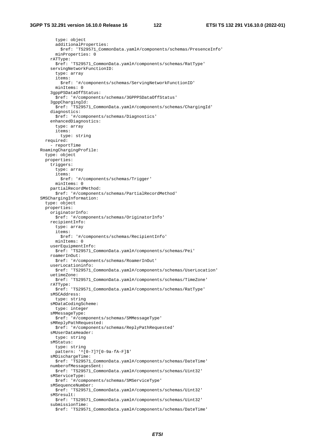```
 type: object 
       additionalProperties: 
         $ref: 'TS29571_CommonData.yaml#/components/schemas/PresenceInfo' 
       minProperties: 0 
     rATType: 
       $ref: 'TS29571_CommonData.yaml#/components/schemas/RatType' 
     servingNetworkFunctionID: 
       type: array 
       items: 
         $ref: '#/components/schemas/ServingNetworkFunctionID' 
       minItems: 0 
     3gppPSDataOffStatus: 
       $ref: '#/components/schemas/3GPPPSDataOffStatus' 
     3gppChargingId: 
       $ref: 'TS29571_CommonData.yaml#/components/schemas/ChargingId' 
     diagnostics: 
       $ref: '#/components/schemas/Diagnostics' 
     enhancedDiagnostics: 
       type: array 
       items: 
         type: string 
   required: 
      - reportTime 
 RoamingChargingProfile: 
   type: object 
   properties: 
     triggers: 
       type: array 
       items: 
         $ref: '#/components/schemas/Trigger' 
       minItems: 0 
     partialRecordMethod: 
       $ref: '#/components/schemas/PartialRecordMethod' 
 SMSChargingInformation: 
   type: object 
   properties: 
     originatorInfo: 
       $ref: '#/components/schemas/OriginatorInfo' 
     recipientInfo: 
       type: array 
       items: 
         $ref: '#/components/schemas/RecipientInfo' 
       minItems: 0 
     userEquipmentInfo: 
       $ref: 'TS29571_CommonData.yaml#/components/schemas/Pei' 
     roamerInOut: 
       $ref: '#/components/schemas/RoamerInOut' 
     userLocationinfo: 
       $ref: 'TS29571_CommonData.yaml#/components/schemas/UserLocation' 
     uetimeZone: 
       $ref: 'TS29571_CommonData.yaml#/components/schemas/TimeZone' 
     rATType: 
       $ref: 'TS29571_CommonData.yaml#/components/schemas/RatType' 
     sMSCAddress: 
       type: string 
     sMDataCodingScheme: 
       type: integer 
     sMMessageType: 
       $ref: '#/components/schemas/SMMessageType' 
     sMReplyPathRequested: 
       $ref: '#/components/schemas/ReplyPathRequested' 
     sMUserDataHeader: 
       type: string 
     sMStatus: 
       type: string 
       pattern: '^[0-7]?[0-9a-fA-F]$' 
     sMDischargeTime: 
       $ref: 'TS29571_CommonData.yaml#/components/schemas/DateTime' 
     numberofMessagesSent: 
       $ref: 'TS29571_CommonData.yaml#/components/schemas/Uint32' 
     sMServiceType: 
       $ref: '#/components/schemas/SMServiceType' 
     sMSequenceNumber: 
       $ref: 'TS29571_CommonData.yaml#/components/schemas/Uint32' 
     sMSresult: 
       $ref: 'TS29571_CommonData.yaml#/components/schemas/Uint32' 
     submissionTime: 
       $ref: 'TS29571_CommonData.yaml#/components/schemas/DateTime'
```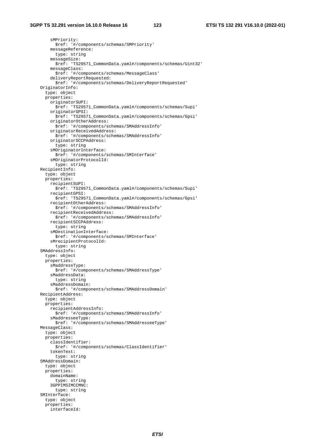sMPriority: \$ref: '#/components/schemas/SMPriority' messageReference: type: string messageSize: \$ref: 'TS29571\_CommonData.yaml#/components/schemas/Uint32' messageClass: \$ref: '#/components/schemas/MessageClass' deliveryReportRequested: \$ref: '#/components/schemas/DeliveryReportRequested' OriginatorInfo: type: object properties: originatorSUPI: \$ref: 'TS29571\_CommonData.yaml#/components/schemas/Supi' originatorGPSI: \$ref: 'TS29571\_CommonData.yaml#/components/schemas/Gpsi' originatorOtherAddress: \$ref: '#/components/schemas/SMAddressInfo' originatorReceivedAddress: \$ref: '#/components/schemas/SMAddressInfo' originatorSCCPAddress: type: string sMOriginatorInterface: \$ref: '#/components/schemas/SMInterface' sMOriginatorProtocolId: type: string RecipientInfo: type: object properties: recipientSUPI: \$ref: 'TS29571\_CommonData.yaml#/components/schemas/Supi' recipientGPSI: \$ref: 'TS29571\_CommonData.yaml#/components/schemas/Gpsi' recipientOtherAddress: \$ref: '#/components/schemas/SMAddressInfo' recipientReceivedAddress: \$ref: '#/components/schemas/SMAddressInfo' recipientSCCPAddress: type: string sMDestinationInterface: \$ref: '#/components/schemas/SMInterface' sMrecipientProtocolId: type: string SMAddressInfo: type: object properties: sMaddressType: \$ref: '#/components/schemas/SMAddressType' sMaddressData: type: string sMaddressDomain: \$ref: '#/components/schemas/SMAddressDomain' RecipientAddress: type: object properties: recipientAddressInfo: \$ref: '#/components/schemas/SMAddressInfo' sMaddresseeType: \$ref: '#/components/schemas/SMAddresseeType' MessageClass: type: object properties: classIdentifier: \$ref: '#/components/schemas/ClassIdentifier' tokenText: type: string SMAddressDomain: type: object properties: domainName: type: string 3GPPIMSIMCCMNC: type: string SMInterface: type: object properties: interfaceId: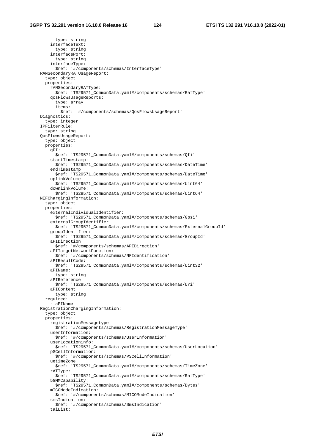type: string interfaceText: type: string interfacePort: type: string interfaceType: \$ref: '#/components/schemas/InterfaceType' RANSecondaryRATUsageReport: type: object properties: rANSecondaryRATType: \$ref: 'TS29571\_CommonData.yaml#/components/schemas/RatType' qosFlowsUsageReports: type: array items: \$ref: '#/components/schemas/QosFlowsUsageReport' Diagnostics: type: integer IPFilterRule: type: string QosFlowsUsageReport: type: object properties: qFI: \$ref: 'TS29571\_CommonData.yaml#/components/schemas/Qfi' startTimestamp: \$ref: 'TS29571\_CommonData.yaml#/components/schemas/DateTime' endTimestamp: \$ref: 'TS29571\_CommonData.yaml#/components/schemas/DateTime' uplinkVolume: \$ref: 'TS29571\_CommonData.yaml#/components/schemas/Uint64' downlinkVolume: \$ref: 'TS29571\_CommonData.yaml#/components/schemas/Uint64' NEFChargingInformation: type: object properties: externalIndividualIdentifier: \$ref: 'TS29571\_CommonData.yaml#/components/schemas/Gpsi' externalGroupIdentifier: \$ref: 'TS29571\_CommonData.yaml#/components/schemas/ExternalGroupId' groupIdentifier: \$ref: 'TS29571\_CommonData.yaml#/components/schemas/GroupId' aPIDirection: \$ref: '#/components/schemas/APIDirection' aPITargetNetworkFunction: \$ref: '#/components/schemas/NFIdentification' aPIResultCode: \$ref: 'TS29571\_CommonData.yaml#/components/schemas/Uint32' aPIName: type: string aPIReference: \$ref: 'TS29571\_CommonData.yaml#/components/schemas/Uri' aPIContent: type: string required: - aPIName RegistrationChargingInformation: type: object properties: registrationMessagetype: \$ref: '#/components/schemas/RegistrationMessageType' userInformation: \$ref: '#/components/schemas/UserInformation' userLocationinfo: \$ref: 'TS29571\_CommonData.yaml#/components/schemas/UserLocation' pSCellInformation: \$ref: '#/components/schemas/PSCellInformation' uetimeZone: \$ref: 'TS29571\_CommonData.yaml#/components/schemas/TimeZone' rATType: \$ref: 'TS29571\_CommonData.yaml#/components/schemas/RatType' 5GMMCapability: \$ref: 'TS29571\_CommonData.yaml#/components/schemas/Bytes' mICOModeIndication: \$ref: '#/components/schemas/MICOModeIndication' smsIndication: \$ref: '#/components/schemas/SmsIndication' taiList: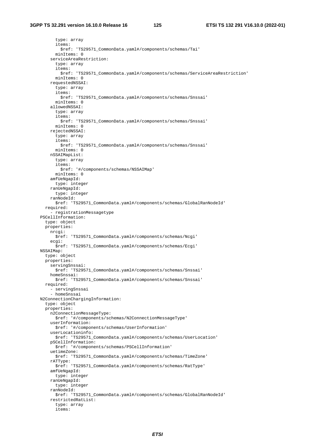type: array items: \$ref: 'TS29571\_CommonData.yaml#/components/schemas/Tai' minItems: 0 serviceAreaRestriction: type: array items: \$ref: 'TS29571\_CommonData.yaml#/components/schemas/ServiceAreaRestriction' minItems: 0 requestedNSSAI: type: array items: \$ref: 'TS29571\_CommonData.yaml#/components/schemas/Snssai' minItems: 0 allowedNSSAI: type: array items: \$ref: 'TS29571\_CommonData.yaml#/components/schemas/Snssai' minItems: 0 rejectedNSSAI: type: array items: \$ref: 'TS29571\_CommonData.yaml#/components/schemas/Snssai' minItems: 0 nSSAIMapList: type: array items: \$ref: '#/components/schemas/NSSAIMap' minItems: 0 amfUeNgapId: type: integer ranUeNgapId: type: integer ranNodeId: \$ref: 'TS29571\_CommonData.yaml#/components/schemas/GlobalRanNodeId' required: - registrationMessagetype PSCellInformation: type: object properties: nrcgi: \$ref: 'TS29571\_CommonData.yaml#/components/schemas/Ncgi' ecgi: \$ref: 'TS29571\_CommonData.yaml#/components/schemas/Ecgi' NSSAIMap: type: object properties: servingSnssai: \$ref: 'TS29571\_CommonData.yaml#/components/schemas/Snssai' homeSnssai: \$ref: 'TS29571\_CommonData.yaml#/components/schemas/Snssai' required: - servingSnssai - homeSnssai N2ConnectionChargingInformation: type: object properties: n2ConnectionMessageType: \$ref: '#/components/schemas/N2ConnectionMessageType' userInformation: \$ref: '#/components/schemas/UserInformation' userLocationinfo: \$ref: 'TS29571\_CommonData.yaml#/components/schemas/UserLocation' pSCellInformation: \$ref: '#/components/schemas/PSCellInformation' uetimeZone: \$ref: 'TS29571\_CommonData.yaml#/components/schemas/TimeZone' rATType: \$ref: 'TS29571\_CommonData.yaml#/components/schemas/RatType' amfUeNgapId: type: integer ranUeNgapId: type: integer ranNodeId: \$ref: 'TS29571\_CommonData.yaml#/components/schemas/GlobalRanNodeId' restrictedRatList: type: array items: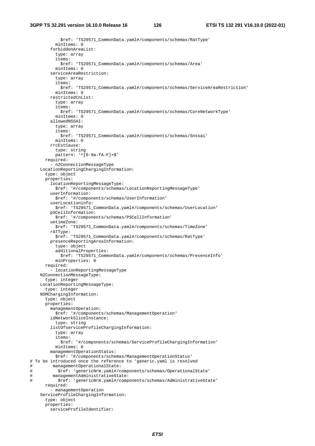```
 $ref: 'TS29571_CommonData.yaml#/components/schemas/RatType' 
           minItems: 0 
         forbiddenAreaList: 
           type: array 
           items: 
             $ref: 'TS29571_CommonData.yaml#/components/schemas/Area' 
           minItems: 0 
         serviceAreaRestriction: 
           type: array 
           items: 
             $ref: 'TS29571_CommonData.yaml#/components/schemas/ServiceAreaRestriction' 
           minItems: 0 
         restrictedCnList: 
           type: array 
           items: 
             $ref: 'TS29571_CommonData.yaml#/components/schemas/CoreNetworkType' 
           minItems: 0 
         allowedNSSAI: 
           type: array 
           items: 
             $ref: 'TS29571_CommonData.yaml#/components/schemas/Snssai' 
           minItems: 0 
         rrcEstCause: 
           type: string 
           pattern: '^[0-9a-fA-F]+$' 
       required: 
          - n2ConnectionMessageType 
     LocationReportingChargingInformation: 
       type: object 
       properties: 
         locationReportingMessageType: 
           $ref: '#/components/schemas/LocationReportingMessageType' 
         userInformation: 
           $ref: '#/components/schemas/UserInformation' 
         userLocationinfo: 
           $ref: 'TS29571_CommonData.yaml#/components/schemas/UserLocation' 
         pSCellInformation: 
           $ref: '#/components/schemas/PSCellInformation' 
         uetimeZone: 
           $ref: 'TS29571_CommonData.yaml#/components/schemas/TimeZone' 
         rATType: 
           $ref: 'TS29571_CommonData.yaml#/components/schemas/RatType' 
         presenceReportingAreaInformation: 
           type: object 
           additionalProperties: 
             $ref: 'TS29571_CommonData.yaml#/components/schemas/PresenceInfo' 
           minProperties: 0 
       required: 
          - locationReportingMessageType 
     N2ConnectionMessageType: 
       type: integer 
     LocationReportingMessageType: 
       type: integer 
     NSMChargingInformation: 
       type: object 
       properties: 
         managementOperation: 
           $ref: '#/components/schemas/ManagementOperation' 
         idNetworkSliceInstance: 
           type: string 
         listOfserviceProfileChargingInformation: 
           type: array 
           items: 
              $ref: '#/components/schemas/ServiceProfileChargingInformation' 
           minItems: 0 
         managementOperationStatus: 
           $ref: '#/components/schemas/ManagementOperationStatus' 
# To be introduced once the reference to 'generic.yaml is resolved 
         managementOperationalState:
# $ref: 'genericNrm.yaml#/components/schemas/OperationalState' 
# managementAdministrativeState: 
# $ref: 'genericNrm.yaml#/components/schemas/AdministrativeState' 
       required: 
          - managementOperation 
     ServiceProfileChargingInformation: 
       type: object 
       properties: 
         serviceProfileIdentifier:
```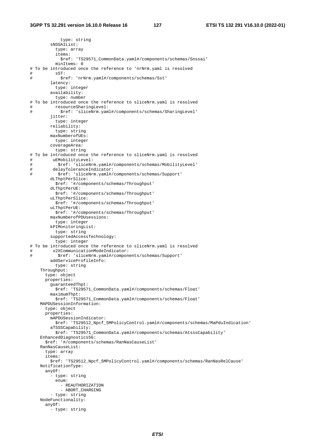type: string sNSSAIList: type: array items: \$ref: 'TS29571\_CommonData.yaml#/components/schemas/Snssai' minItems: 0 # To be introduced once the reference to 'nrNrm.yaml is resolved # sST: # \$ref: 'nrNrm.yaml#/components/schemas/Sst' latency: type: integer availability: type: number # To be introduced once the reference to sliceNrm.yaml is resolved<br># resourceSharingLevel: # resourceSharingLevel: \$ref: 'sliceNrm.yaml#/components/schemas/SharingLevel' jitter: type: integer reliability: type: string maxNumberofUEs: type: integer coverageArea: type: string # To be introduced once the reference to sliceNrm.yaml is resolved # uEMobilityLevel: # \$ref: 'sliceNrm.yaml#/components/schemas/MobilityLevel' # delayToleranceIndicator: # \$ref: 'sliceNrm.yaml#/components/schemas/Support' dLThptPerSlice: \$ref: '#/components/schemas/Throughput' dLThptPerUE: \$ref: '#/components/schemas/Throughput' uLThptPerSlice: \$ref: '#/components/schemas/Throughput' uLThptPerUE: \$ref: '#/components/schemas/Throughput' maxNumberofPDUsessions: type: integer kPIMonitoringList: type: string supportedAccessTechnology: type: integer # To be introduced once the reference to sliceNrm.yaml is resolved # v2XCommunicationModeIndicator: # \$ref: 'sliceNrm.yaml#/components/schemas/Support' addServiceProfileInfo: type: string Throughput: type: object properties: guaranteedThpt: \$ref: 'TS29571\_CommonData.yaml#/components/schemas/Float' maximumThpt: \$ref: 'TS29571\_CommonData.yaml#/components/schemas/Float' MAPDUSessionInformation: type: object properties: mAPDUSessionIndicator: \$ref: 'TS29512\_Npcf\_SMPolicyControl.yaml#/components/schemas/MaPduIndication' aTSSSCapability: \$ref: 'TS29571\_CommonData.yaml#/components/schemas/AtsssCapability' EnhancedDiagnostics5G: \$ref: '#/components/schemas/RanNasCauseList' RanNasCauseList: type: array items: \$ref: 'TS29512\_Npcf\_SMPolicyControl.yaml#/components/schemas/RanNasRelCause' NotificationType: anyOf: - type: string enum: - REAUTHORIZATION - ABORT\_CHARGING - type: string NodeFunctionality: anyOf: - type: string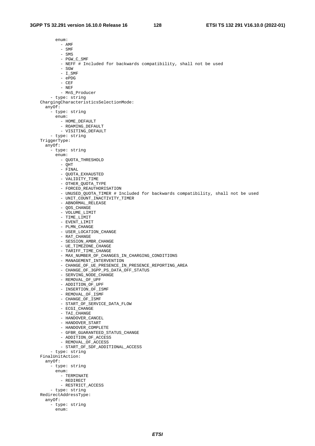enum: - AMF  $-$  SMF - SMS - PGW\_C\_SMF - NEFF # Included for backwards compatibility, shall not be used - SGW  $-$  I SMF - ePDG - CEF - NEF - MnS\_Producer - type: string ChargingCharacteristicsSelectionMode: anyOf: - type: string enum: - HOME\_DEFAULT - ROAMING\_DEFAULT - VISITING\_DEFAULT - type: string TriggerType: anyOf: - type: string enum: - QUOTA\_THRESHOLD - QHT - FINAL - QUOTA\_EXHAUSTED - VALIDITY\_TIME - OTHER\_QUOTA\_TYPE - FORCED REAUTHORISATION - UNUSED\_QUOTA\_TIMER # Included for backwards compatibility, shall not be used - UNIT COUNT INACTIVITY TIMER - ABNORMAL\_RELEASE - QOS\_CHANGE - VOLUME\_LIMIT - TIME\_LIMIT - EVENT\_LIMIT - PLMN\_CHANGE - USER\_LOCATION\_CHANGE - RAT\_CHANGE - SESSION AMBR CHANGE - UE\_TIMEZONE\_CHANGE - TARIFF\_TIME\_CHANGE - MAX\_NUMBER\_OF\_CHANGES\_IN\_CHARGING\_CONDITIONS - MANAGEMENT\_INTERVENTION - CHANGE\_OF\_UE\_PRESENCE\_IN\_PRESENCE\_REPORTING\_AREA - CHANGE\_OF\_3GPP\_PS\_DATA\_OFF\_STATUS - SERVING\_NODE\_CHANGE - REMOVAL\_OF\_UPF - ADDITION\_OF\_UPF - INSERTION\_OF\_ISMF - REMOVAL\_OF\_ISMF - CHANGE\_OF\_ISMF - START\_OF\_SERVICE\_DATA\_FLOW - ECGI\_CHANGE - TAI\_CHANGE - HANDOVER\_CANCEL - HANDOVER START - HANDOVER\_COMPLETE - GFBR\_GUARANTEED\_STATUS\_CHANGE - ADDITION\_OF\_ACCESS - REMOVAL OF ACCESS - START\_OF\_SDF\_ADDITIONAL\_ACCESS - type: string FinalUnitAction: anyOf: -<br>- type: string enum: - TERMINATE - REDIRECT - RESTRICT\_ACCESS - type: string RedirectAddressType: anyOf: - type: string enum: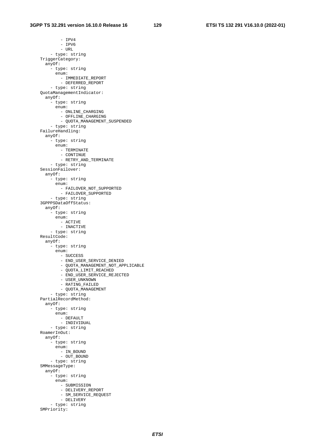- IPV4 - IPV6  $-$  URL - type: string TriggerCategory: anyOf: - type: string enum: - IMMEDIATE\_REPORT - DEFERRED\_REPORT - type: string QuotaManagementIndicator: anyOf: - type: string enum: - ONLINE\_CHARGING - OFFLINE\_CHARGING - QUOTA\_MANAGEMENT\_SUSPENDED - type: string FailureHandling: anyOf: - type: string enum: - TERMINATE - CONTINUE - RETRY\_AND\_TERMINATE - type: string SessionFailover: anyOf: - type: string enum: - FAILOVER\_NOT\_SUPPORTED - FAILOVER\_SUPPORTED - type: string 3GPPPSDataOffStatus: anyOf: - type: string enum: - ACTIVE - INACTIVE - type: string ResultCode: anyOf: - type: string enum: - SUCCESS - END\_USER\_SERVICE\_DENIED - QUOTA\_MANAGEMENT\_NOT\_APPLICABLE - QUOTA\_LIMIT\_REACHED - END\_USER\_SERVICE\_REJECTED - USER\_UNKNOWN - RATING\_FAILED - QUOTA\_MANAGEMENT - type: string PartialRecordMethod: anyOf: - type: string enum: - DEFAULT - INDIVIDUAL - type: string RoamerInOut: anyOf: - type: string enum: - IN\_BOUND - OUT\_BOUND - type: string SMMessageType: anyOf: - type: string enum: - SUBMISSION - DELIVERY\_REPORT - SM\_SERVICE\_REQUEST - DELIVERY - type: string SMPriority: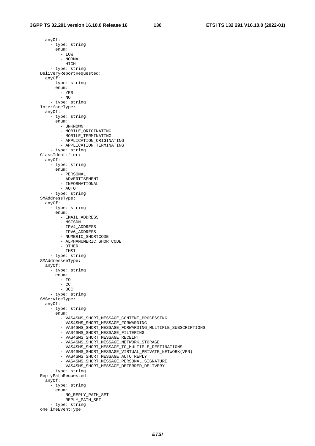anyOf: - type: string enum: - LOW - NORMAL - HIGH - type: string DeliveryReportRequested: anyOf: - type: string enum: - YES - NO - type: string InterfaceType: anyOf: - type: string enum: - UNKNOWN - MOBILE\_ORIGINATING - MOBILE TERMINATING - APPLICATION\_ORIGINATING - APPLICATION\_TERMINATING - type: string ClassIdentifier: anyOf: - type: string enum: - PERSONAL - ADVERTISEMENT - INFORMATIONAL - AUTO - type: string SMAddressType: anyOf: - type: string enum: - EMAIL\_ADDRESS - MSISDN - IPV4\_ADDRESS - IPV6\_ADDRESS - NUMERIC SHORTCODE - ALPHANUMERIC\_SHORTCODE - OTHER - IMSI - type: string SMAddresseeType: anyOf: - type: string enum: - TO  $-$  CC - BCC - type: string SMServiceType: anyOf: - type: string enum: - VAS4SMS\_SHORT\_MESSAGE\_CONTENT\_PROCESSING - VAS4SMS\_SHORT\_MESSAGE\_FORWARDING - VAS4SMS\_SHORT\_MESSAGE\_FORWARDING\_MULTIPLE\_SUBSCRIPTIONS - VAS4SMS\_SHORT\_MESSAGE\_FILTERING - VAS4SMS\_SHORT\_MESSAGE\_RECEIPT - VAS4SMS\_SHORT\_MESSAGE\_NETWORK\_STORAGE - VAS4SMS\_SHORT\_MESSAGE\_TO\_MULTIPLE\_DESTINATIONS - VAS4SMS\_SHORT\_MESSAGE\_VIRTUAL\_PRIVATE\_NETWORK(VPN) - VAS4SMS\_SHORT\_MESSAGE\_AUTO\_REPLY - VAS4SMS\_SHORT\_MESSAGE\_PERSONAL\_SIGNATURE - VAS4SMS\_SHORT\_MESSAGE\_DEFERRED\_DELIVERY - type: string ReplyPathRequested: anyOf: - type: string enum: - NO\_REPLY\_PATH\_SET - REPLY\_PATH\_SET - type: string oneTimeEventType: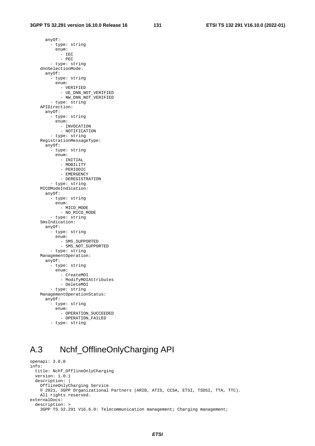anyOf: - type: string enum: - IEC - PEC - type: string dnnSelectionMode: anyOf: - type: string enum: - VERIFIED - UE\_DNN\_NOT\_VERIFIED - NW\_DNN\_NOT\_VERIFIED - type: string APIDirection: anyOf: - type: string enum: - INVOCATION - NOTIFICATION - type: string RegistrationMessageType: anyOf: - type: string enum: - INITIAL - MOBILITY - PERIODIC - EMERGENCY - DEREGISTRATION - type: string MICOModeIndication: anyOf: - type: string enum: - MICO\_MODE - NO MICO MODE - type: string SmsIndication: anyOf: - type: string enum: - SMS\_SUPPORTED - SMS\_NOT\_SUPPORTED - type: string ManagementOperation: anyOf: - type: string enum: - CreateMOI - ModifyMOIAttributes - DeleteMOI - type: string ManagementOperationStatus: anyOf: - type: string enum: - OPERATION\_SUCCEEDED - OPERATION\_FAILED - type: string

### A.3 Nchf\_OfflineOnlyCharging API

```
openapi: 3.0.0 
info: 
   title: Nchf_OfflineOnlyCharging 
   version: 1.0.1 
   description: | 
    OfflineOnlyCharging Service 
     © 2021, 3GPP Organizational Partners (ARIB, ATIS, CCSA, ETSI, TSDSI, TTA, TTC). 
     All rights reserved. 
externalDocs: 
   description: > 
     3GPP TS 32.291 V16.6.0: Telecommunication management; Charging management;
```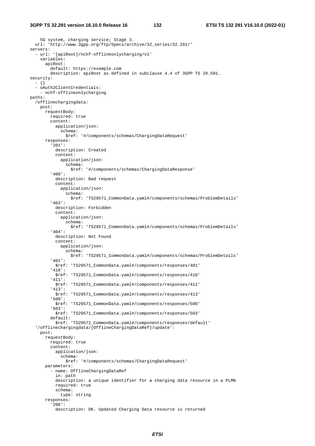```
 5G system, charging service; Stage 3. 
   url: 'http://www.3gpp.org/ftp/Specs/archive/32_series/32.291/' 
servers: 
   - url: '{apiRoot}/nchf-offlineonlycharging/v1' 
     variables: 
       apiRoot: 
         default: https://example.com 
         description: apiRoot as defined in subclause 4.4 of 3GPP TS 29.501. 
security: 
   - {} 
   - oAuth2ClientCredentials: 
     - nchf-offlineonlycharging 
paths: 
   /offlinechargingdata: 
    post: 
       requestBody: 
         required: true 
         content: 
           application/json: 
             schema: 
               $ref: '#/components/schemas/ChargingDataRequest' 
       responses: 
          '201': 
           description: Created 
           content: 
             application/json: 
               schema: 
                  $ref: '#/components/schemas/ChargingDataResponse' 
          '400': 
           description: Bad request 
           content: 
              application/json: 
                schema: 
                  $ref: 'TS29571_CommonData.yaml#/components/schemas/ProblemDetails' 
          '403': 
           description: Forbidden 
           content: 
             application/json: 
                schema: 
                  $ref: 'TS29571_CommonData.yaml#/components/schemas/ProblemDetails' 
          '404': 
           description: Not Found 
           content: 
              application/json: 
               schema: 
                  $ref: 'TS29571_CommonData.yaml#/components/schemas/ProblemDetails' 
          '401': 
           $ref: 'TS29571_CommonData.yaml#/components/responses/401' 
          '410': 
           $ref: 'TS29571_CommonData.yaml#/components/responses/410' 
          '411': 
           $ref: 'TS29571_CommonData.yaml#/components/responses/411' 
          '413': 
            $ref: 'TS29571_CommonData.yaml#/components/responses/413' 
          '500': 
           $ref: 'TS29571_CommonData.yaml#/components/responses/500' 
          '503': 
           $ref: 'TS29571_CommonData.yaml#/components/responses/503' 
         default: 
           $ref: 'TS29571_CommonData.yaml#/components/responses/default' 
   '/offlinechargingdata/{OfflineChargingDataRef}/update': 
     post: 
       requestBody: 
         required: true 
         content: 
           application/json: 
              schema: 
               $ref: '#/components/schemas/ChargingDataRequest' 
       parameters: 
          - name: OfflineChargingDataRef 
           in: path 
           description: a unique identifier for a charging data resource in a PLMN 
           required: true 
           schema: 
             type: string 
       responses: 
          '200': 
           description: OK. Updated Charging Data resource is returned
```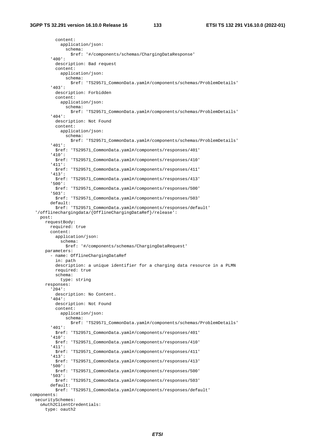content: application/json: schema: \$ref: '#/components/schemas/ChargingDataResponse' '400': description: Bad request content: application/json: schema: \$ref: 'TS29571\_CommonData.yaml#/components/schemas/ProblemDetails' '403': description: Forbidden content: application/json: schema: \$ref: 'TS29571\_CommonData.yaml#/components/schemas/ProblemDetails' '404': description: Not Found content: application/json: schema: \$ref: 'TS29571\_CommonData.yaml#/components/schemas/ProblemDetails' '401': \$ref: 'TS29571\_CommonData.yaml#/components/responses/401' '410': \$ref: 'TS29571\_CommonData.yaml#/components/responses/410' '411': \$ref: 'TS29571\_CommonData.yaml#/components/responses/411' '413': \$ref: 'TS29571\_CommonData.yaml#/components/responses/413' '500': \$ref: 'TS29571\_CommonData.yaml#/components/responses/500' '503': \$ref: 'TS29571\_CommonData.yaml#/components/responses/503' default: \$ref: 'TS29571\_CommonData.yaml#/components/responses/default' '/offlinechargingdata/{OfflineChargingDataRef}/release': post: requestBody: required: true content: application/json: schema: \$ref: '#/components/schemas/ChargingDataRequest' parameters: - name: OfflineChargingDataRef in: path description: a unique identifier for a charging data resource in a PLMN required: true schema: type: string responses: '204': description: No Content. '404': description: Not Found content: application/json: schema: \$ref: 'TS29571\_CommonData.yaml#/components/schemas/ProblemDetails' '401': \$ref: 'TS29571\_CommonData.yaml#/components/responses/401' '410': \$ref: 'TS29571\_CommonData.yaml#/components/responses/410' '411': \$ref: 'TS29571\_CommonData.yaml#/components/responses/411' '413': \$ref: 'TS29571\_CommonData.yaml#/components/responses/413' '500': \$ref: 'TS29571\_CommonData.yaml#/components/responses/500' '503': \$ref: 'TS29571\_CommonData.yaml#/components/responses/503' default: \$ref: 'TS29571\_CommonData.yaml#/components/responses/default' components: securitySchemes: oAuth2ClientCredentials: type: oauth2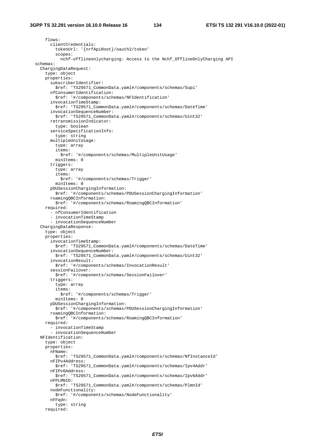flows: clientCredentials: tokenUrl: '{nrfApiRoot}/oauth2/token' scopes: nchf-offlineonlycharging: Access to the Nchf\_OfflineOnlyCharging API schemas: ChargingDataRequest: type: object properties: subscriberIdentifier: \$ref: 'TS29571\_CommonData.yaml#/components/schemas/Supi' nfConsumerIdentification: \$ref: '#/components/schemas/NFIdentification' invocationTimeStamp: \$ref: 'TS29571\_CommonData.yaml#/components/schemas/DateTime' invocationSequenceNumber: \$ref: 'TS29571\_CommonData.yaml#/components/schemas/Uint32' retransmissionIndicator: type: boolean serviceSpecificationInfo: type: string multipleUnitUsage: type: array items: \$ref: '#/components/schemas/MultipleUnitUsage' minItems: 0 triggers: type: array items: \$ref: '#/components/schemas/Trigger' minItems: 0 pDUSessionChargingInformation: \$ref: '#/components/schemas/PDUSessionChargingInformation' roamingQBCInformation: \$ref: '#/components/schemas/RoamingQBCInformation' required: - nfConsumerIdentification - invocationTimeStamp - invocationSequenceNumber ChargingDataResponse: type: object properties: invocationTimeStamp: \$ref: 'TS29571\_CommonData.yaml#/components/schemas/DateTime' invocationSequenceNumber: \$ref: 'TS29571\_CommonData.yaml#/components/schemas/Uint32' invocationResult: \$ref: '#/components/schemas/InvocationResult' sessionFailover: \$ref: '#/components/schemas/SessionFailover' triggers: type: array items: \$ref: '#/components/schemas/Trigger' minItems: 0 pDUSessionChargingInformation: \$ref: '#/components/schemas/PDUSessionChargingInformation' roamingQBCInformation: \$ref: '#/components/schemas/RoamingQBCInformation' required: - invocationTimeStamp - invocationSequenceNumber NFIdentification: type: object properties: nFName: \$ref: 'TS29571\_CommonData.yaml#/components/schemas/NfInstanceId' nFIPv4Address: \$ref: 'TS29571\_CommonData.yaml#/components/schemas/Ipv4Addr' nFIPv6Address: \$ref: 'TS29571\_CommonData.yaml#/components/schemas/Ipv6Addr' nFPLMNID: \$ref: 'TS29571\_CommonData.yaml#/components/schemas/PlmnId' nodeFunctionality: \$ref: '#/components/schemas/NodeFunctionality' nFFqdn: type: string required: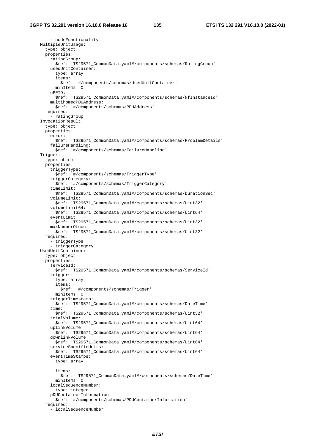- nodeFunctionality MultipleUnitUsage: type: object properties: ratingGroup: \$ref: 'TS29571\_CommonData.yaml#/components/schemas/RatingGroup' usedUnitContainer: type: array items: \$ref: '#/components/schemas/UsedUnitContainer' minItems: 0 uPFID: \$ref: 'TS29571\_CommonData.yaml#/components/schemas/NfInstanceId' multihomedPDUAddress: \$ref: '#/components/schemas/PDUAddress' required: - ratingGroup InvocationResult: type: object properties: error: \$ref: 'TS29571\_CommonData.yaml#/components/schemas/ProblemDetails' failureHandling: \$ref: '#/components/schemas/FailureHandling' Trigger: type: object properties: triggerType: \$ref: '#/components/schemas/TriggerType' triggerCategory: \$ref: '#/components/schemas/TriggerCategory' timeLimit: \$ref: 'TS29571\_CommonData.yaml#/components/schemas/DurationSec' volumeLimit: \$ref: 'TS29571\_CommonData.yaml#/components/schemas/Uint32' volumeLimit64: \$ref: 'TS29571\_CommonData.yaml#/components/schemas/Uint64' eventLimit: \$ref: 'TS29571\_CommonData.yaml#/components/schemas/Uint32' maxNumberOfccc: \$ref: 'TS29571\_CommonData.yaml#/components/schemas/Uint32' required: - triggerType - triggerCategory UsedUnitContainer: type: object properties: serviceId: \$ref: 'TS29571\_CommonData.yaml#/components/schemas/ServiceId' triggers: type: array items: \$ref: '#/components/schemas/Trigger' minItems: 0 triggerTimestamp: \$ref: 'TS29571\_CommonData.yaml#/components/schemas/DateTime' time: \$ref: 'TS29571\_CommonData.yaml#/components/schemas/Uint32' totalVolume: \$ref: 'TS29571\_CommonData.yaml#/components/schemas/Uint64' uplinkVolume: \$ref: 'TS29571\_CommonData.yaml#/components/schemas/Uint64' downlinkVolume: \$ref: 'TS29571\_CommonData.yaml#/components/schemas/Uint64' serviceSpecificUnits: \$ref: 'TS29571\_CommonData.yaml#/components/schemas/Uint64' eventTimeStamps: type: array items: \$ref: 'TS29571\_CommonData.yaml#/components/schemas/DateTime' minItems: 0 localSequenceNumber: type: integer pDUContainerInformation: \$ref: '#/components/schemas/PDUContainerInformation' required: - localSequenceNumber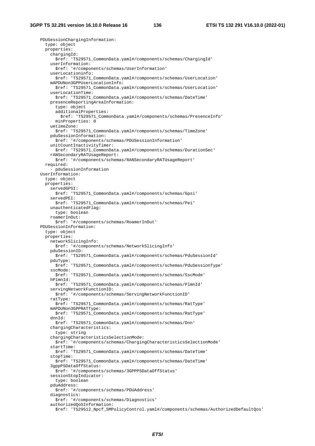PDUSessionChargingInformation: type: object properties: chargingId: \$ref: 'TS29571\_CommonData.yaml#/components/schemas/ChargingId' userInformation: \$ref: '#/components/schemas/UserInformation' userLocationinfo: \$ref: 'TS29571\_CommonData.yaml#/components/schemas/UserLocation' mAPDUNon3GPPUserLocationInfo: \$ref: 'TS29571\_CommonData.yaml#/components/schemas/UserLocation' userLocationTime: \$ref: 'TS29571\_CommonData.yaml#/components/schemas/DateTime' presenceReportingAreaInformation: type: object additionalProperties: \$ref: 'TS29571\_CommonData.yaml#/components/schemas/PresenceInfo' minProperties: 0 uetimeZone: \$ref: 'TS29571\_CommonData.yaml#/components/schemas/TimeZone' pduSessionInformation: \$ref: '#/components/schemas/PDUSessionInformation' unitCountInactivityTimer: \$ref: 'TS29571\_CommonData.yaml#/components/schemas/DurationSec' rANSecondaryRATUsageReport: \$ref: '#/components/schemas/RANSecondaryRATUsageReport' required: - pduSessionInformation UserInformation: type: object properties: servedGPSI: \$ref: 'TS29571\_CommonData.yaml#/components/schemas/Gpsi' servedPEI: \$ref: 'TS29571\_CommonData.yaml#/components/schemas/Pei' unauthenticatedFlag: type: boolean roamerInOut: \$ref: '#/components/schemas/RoamerInOut' PDUSessionInformation: type: object properties: networkSlicingInfo: \$ref: '#/components/schemas/NetworkSlicingInfo' pduSessionID: \$ref: 'TS29571\_CommonData.yaml#/components/schemas/PduSessionId' pduType: \$ref: 'TS29571\_CommonData.yaml#/components/schemas/PduSessionType' sscMode: \$ref: 'TS29571\_CommonData.yaml#/components/schemas/SscMode' hPlmnId: \$ref: 'TS29571\_CommonData.yaml#/components/schemas/PlmnId' servingNetworkFunctionID: \$ref: '#/components/schemas/ServingNetworkFunctionID' ratType: \$ref: 'TS29571\_CommonData.yaml#/components/schemas/RatType' mAPDUNon3GPPRATType: \$ref: 'TS29571\_CommonData.yaml#/components/schemas/RatType' dnnId: \$ref: 'TS29571\_CommonData.yaml#/components/schemas/Dnn' chargingCharacteristics: type: string chargingCharacteristicsSelectionMode: \$ref: '#/components/schemas/ChargingCharacteristicsSelectionMode' startTime: \$ref: 'TS29571\_CommonData.yaml#/components/schemas/DateTime' stopTime: \$ref: 'TS29571\_CommonData.yaml#/components/schemas/DateTime' 3gppPSDataOffStatus: \$ref: '#/components/schemas/3GPPPSDataOffStatus' sessionStopIndicator: type: boolean pduAddress: \$ref: '#/components/schemas/PDUAddress' diagnostics: \$ref: '#/components/schemas/Diagnostics' authorizedQoSInformation: \$ref: 'TS29512\_Npcf\_SMPolicyControl.yaml#/components/schemas/AuthorizedDefaultQos'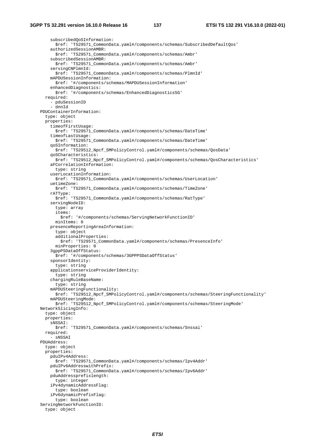subscribedQoSInformation: \$ref: 'TS29571\_CommonData.yaml#/components/schemas/SubscribedDefaultQos' authorizedSessionAMBR: \$ref: 'TS29571\_CommonData.yaml#/components/schemas/Ambr' subscribedSessionAMBR: \$ref: 'TS29571\_CommonData.yaml#/components/schemas/Ambr' servingCNPlmnId: \$ref: 'TS29571\_CommonData.yaml#/components/schemas/PlmnId' mAPDUSessionInformation: \$ref: '#/components/schemas/MAPDUSessionInformation' enhancedDiagnostics: \$ref: '#/components/schemas/EnhancedDiagnostics5G' required: - pduSessionID - dnnId PDUContainerInformation: type: object properties: timeofFirstUsage: \$ref: 'TS29571\_CommonData.yaml#/components/schemas/DateTime' timeofLastUsage: \$ref: 'TS29571\_CommonData.yaml#/components/schemas/DateTime' qoSInformation: \$ref: 'TS29512\_Npcf\_SMPolicyControl.yaml#/components/schemas/QosData' qoSCharacteristics: \$ref: 'TS29512\_Npcf\_SMPolicyControl.yaml#/components/schemas/QosCharacteristics' aFCorrelationInformation: type: string userLocationInformation: \$ref: 'TS29571\_CommonData.yaml#/components/schemas/UserLocation' uetimeZone: \$ref: 'TS29571\_CommonData.yaml#/components/schemas/TimeZone' rATType: \$ref: 'TS29571\_CommonData.yaml#/components/schemas/RatType' servingNodeID: type: array items: \$ref: '#/components/schemas/ServingNetworkFunctionID' minItems: 0 presenceReportingAreaInformation: type: object additionalProperties: \$ref: 'TS29571\_CommonData.yaml#/components/schemas/PresenceInfo' minProperties: 0 3gppPSDataOffStatus: \$ref: '#/components/schemas/3GPPPSDataOffStatus' sponsorIdentity: type: string applicationserviceProviderIdentity: type: string chargingRuleBaseName: type: string mAPDUSteeringFunctionality: \$ref: 'TS29512\_Npcf\_SMPolicyControl.yaml#/components/schemas/SteeringFunctionality' mAPDUSteeringMode: \$ref: 'TS29512\_Npcf\_SMPolicyControl.yaml#/components/schemas/SteeringMode' NetworkSlicingInfo: type: object properties: sNSSAI: \$ref: 'TS29571\_CommonData.yaml#/components/schemas/Snssai' required: - sNSSAI PDUAddress: type: object properties: pduIPv4Address: \$ref: 'TS29571\_CommonData.yaml#/components/schemas/Ipv4Addr' pduIPv6AddresswithPrefix: \$ref: 'TS29571\_CommonData.yaml#/components/schemas/Ipv6Addr' pduAddressprefixlength: type: integer iPv4dynamicAddressFlag: type: boolean iPv6dynamicPrefixFlag: type: boolean ServingNetworkFunctionID: type: object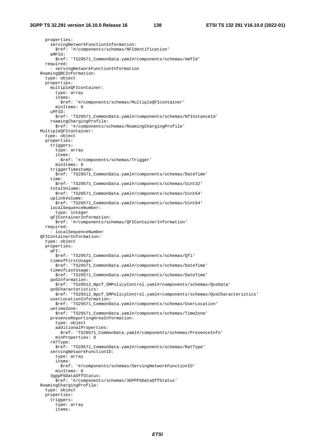properties: servingNetworkFunctionInformation: \$ref: '#/components/schemas/NFIdentification' aMFId: \$ref: 'TS29571\_CommonData.yaml#/components/schemas/AmfId' required: -<br>- servingNetworkFunctionInformation RoamingQBCInformation: type: object properties: multipleQFIcontainer: type: array items: \$ref: '#/components/schemas/MultipleQFIcontainer' minItems: 0 uPFID: \$ref: 'TS29571\_CommonData.yaml#/components/schemas/NfInstanceId' roamingChargingProfile: \$ref: '#/components/schemas/RoamingChargingProfile' MultipleQFIcontainer: type: object properties: triggers: type: array items: \$ref: '#/components/schemas/Trigger' minItems: 0 triggerTimestamp: \$ref: 'TS29571\_CommonData.yaml#/components/schemas/DateTime' time: \$ref: 'TS29571\_CommonData.yaml#/components/schemas/Uint32' totalVolume: \$ref: 'TS29571\_CommonData.yaml#/components/schemas/Uint64' uplinkVolume: \$ref: 'TS29571\_CommonData.yaml#/components/schemas/Uint64' localSequenceNumber: type: integer qFIContainerInformation: \$ref: '#/components/schemas/QFIContainerInformation' required: - localSequenceNumber QFIContainerInformation: type: object properties: qFI: \$ref: 'TS29571\_CommonData.yaml#/components/schemas/Qfi' timeofFirstUsage: \$ref: 'TS29571\_CommonData.yaml#/components/schemas/DateTime' timeofLastUsage: \$ref: 'TS29571\_CommonData.yaml#/components/schemas/DateTime' qoSInformation: \$ref: 'TS29512\_Npcf\_SMPolicyControl.yaml#/components/schemas/QosData' qoSCharacteristics: \$ref: 'TS29512\_Npcf\_SMPolicyControl.yaml#/components/schemas/QosCharacteristics' userLocationInformation: \$ref: 'TS29571\_CommonData.yaml#/components/schemas/UserLocation' uetimeZone: \$ref: 'TS29571\_CommonData.yaml#/components/schemas/TimeZone' presenceReportingAreaInformation: type: object additionalProperties: \$ref: 'TS29571\_CommonData.yaml#/components/schemas/PresenceInfo' minProperties: 0 rATType: \$ref: 'TS29571\_CommonData.yaml#/components/schemas/RatType' servingNetworkFunctionID: type: array items: \$ref: '#/components/schemas/ServingNetworkFunctionID' minItems: 0 3gppPSDataOffStatus: \$ref: '#/components/schemas/3GPPPSDataOffStatus' RoamingChargingProfile: type: object properties: triggers: type: array items: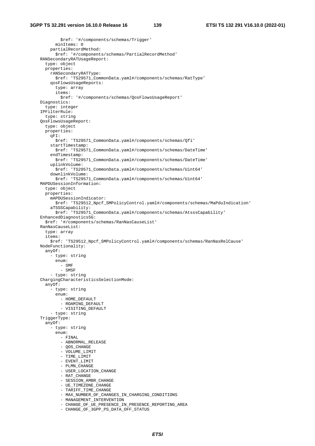\$ref: '#/components/schemas/Trigger' minItems: 0 partialRecordMethod: \$ref: '#/components/schemas/PartialRecordMethod' RANSecondaryRATUsageReport: type: object properties: rANSecondaryRATType: \$ref: 'TS29571\_CommonData.yaml#/components/schemas/RatType' qosFlowsUsageReports: type: array items: \$ref: '#/components/schemas/QosFlowsUsageReport' Diagnostics: type: integer IPFilterRule: type: string QosFlowsUsageReport: type: object properties: qFI: \$ref: 'TS29571\_CommonData.yaml#/components/schemas/Qfi' startTimestamp: \$ref: 'TS29571\_CommonData.yaml#/components/schemas/DateTime' endTimestamp: \$ref: 'TS29571\_CommonData.yaml#/components/schemas/DateTime' uplinkVolume: \$ref: 'TS29571\_CommonData.yaml#/components/schemas/Uint64' downlinkVolume: \$ref: 'TS29571\_CommonData.yaml#/components/schemas/Uint64' MAPDUSessionInformation: type: object properties: mAPDUSessionIndicator: \$ref: 'TS29512\_Npcf\_SMPolicyControl.yaml#/components/schemas/MaPduIndication' aTSSSCapability: \$ref: 'TS29571\_CommonData.yaml#/components/schemas/AtsssCapability' EnhancedDiagnostics5G: \$ref: '#/components/schemas/RanNasCauseList' RanNasCauseList: type: array items: \$ref: 'TS29512\_Npcf\_SMPolicyControl.yaml#/components/schemas/RanNasRelCause' NodeFunctionality: anyOf: - type: string enum: - SMF - SMSF - type: string ChargingCharacteristicsSelectionMode: anyOf: - type: string enum: - HOME\_DEFAULT - ROAMING DEFAULT - VISITING\_DEFAULT - type: string TriggerType: anyOf: - type: string enum: - FINAL - ABNORMAL RELEASE - OOS CHANGE - VOLUME\_LIMIT - TIME\_LIMIT - EVENT\_LIMIT - PLMN CHANGE - USER\_LOCATION\_CHANGE - RAT\_CHANGE - SESSION\_AMBR\_CHANGE - UE\_TIMEZONE\_CHANGE - TARIFF TIME CHANGE - MAX\_NUMBER\_OF\_CHANGES\_IN\_CHARGING\_CONDITIONS - MANAGEMENT\_INTERVENTION - CHANGE OF UE PRESENCE IN PRESENCE REPORTING AREA - CHANGE\_OF\_3GPP\_PS\_DATA\_OFF\_STATUS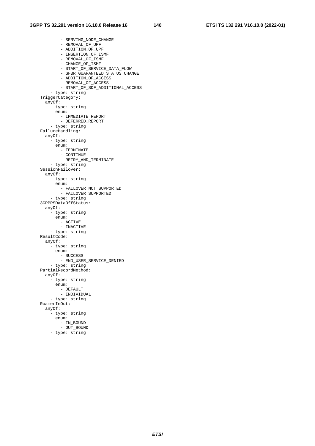- SERVING\_NODE\_CHANGE - REMOVAL OF UPF - ADDITION\_OF\_UPF - INSERTION\_OF\_ISMF - REMOVAL\_OF\_ISMF - CHANGE\_OF\_ISMF - START OF SERVICE DATA FLOW - GFBR\_GUARANTEED\_STATUS\_CHANGE - ADDITION\_OF\_ACCESS - REMOVAL\_OF\_ACCESS - START\_OF\_SDF\_ADDITIONAL\_ACCESS - type: string TriggerCategory: anyOf: - type: string enum: - IMMEDIATE\_REPORT - DEFERRED\_REPORT - type: string FailureHandling: anyOf: - type: string enum: - TERMINATE - CONTINUE - RETRY\_AND\_TERMINATE - type: string SessionFailover: anyOf: - type: string enum: - FAILOVER\_NOT\_SUPPORTED - FAILOVER\_SUPPORTED - type: string 3GPPPSDataOffStatus: anyOf: - type: string enum: - ACTIVE - INACTIVE - type: string ResultCode: anyOf: - type: string enum: - SUCCESS - END\_USER\_SERVICE\_DENIED - type: string PartialRecordMethod: anyOf: - type: string enum: - DEFAULT - INDIVIDUAL - type: string RoamerInOut: anyOf: - type: string enum: - IN\_BOUND - OUT\_BOUND - type: string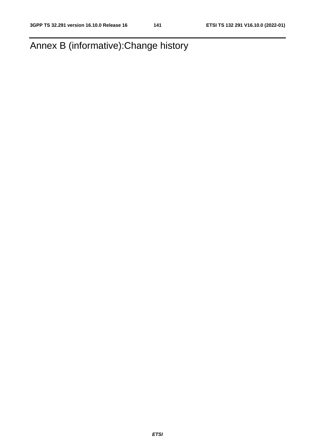Annex B (informative):Change history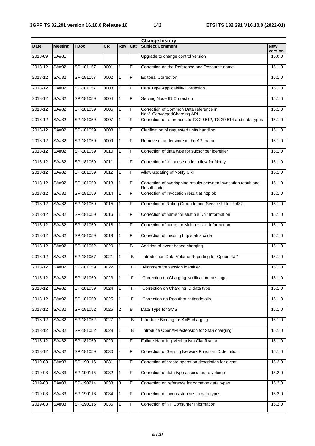| <b>Change history</b> |                |             |           |                |     |                                                                                |                       |
|-----------------------|----------------|-------------|-----------|----------------|-----|--------------------------------------------------------------------------------|-----------------------|
| <b>Date</b>           | <b>Meeting</b> | <b>TDoc</b> | <b>CR</b> | Rev            | Cat | Subject/Comment                                                                | <b>New</b><br>version |
| 2018-09               | SA#81          |             |           |                |     | Upgrade to change control version                                              | 15.0.0                |
| 2018-12               | SA#82          | SP-181157   | 0001      | $\mathbf{1}$   | F   | Correction on the Reference and Resource name                                  | 15.1.0                |
| 2018-12               | SA#82          | SP-181157   | 0002      | $\mathbf{1}$   | F   | <b>Editorial Correction</b>                                                    | 15.1.0                |
| 2018-12               | SA#82          | SP-181157   | 0003      | $\mathbf{1}$   | F   | Data Type Applicability Correction                                             | 15.1.0                |
| 2018-12               | SA#82          | SP-181059   | 0004      | $\mathbf{1}$   | F   | Serving Node ID Correction                                                     | 15.1.0                |
| 2018-12               | SA#82          | SP-181059   | 0006      | $\mathbf{1}$   | F   | Correction of Common Data reference in<br>Nchf_ConvergedCharging API           | 15.1.0                |
| 2018-12               | SA#82          | SP-181059   | 0007      | $\mathbf{1}$   | F   | Correction of references to TS 29.512, TS 29.514 and data types                | 15.1.0                |
| 2018-12               | SA#82          | SP-181059   | 0008      | $\mathbf{1}$   | F   | Clarification of requested units handling                                      | 15.1.0                |
| 2018-12               | SA#82          | SP-181059   | 0009      | $\mathbf{1}$   | F   | Remove of underscore in the API name                                           | 15.1.0                |
| 2018-12               | SA#82          | SP-181059   | 0010      | $\mathbf{1}$   | F   | Correction of data type for subscriber identifier                              | 15.1.0                |
| 2018-12               | <b>SA#82</b>   | SP-181059   | 0011      | $\blacksquare$ | F   | Correction of response code in flow for Notify                                 | 15.1.0                |
| 2018-12               | SA#82          | SP-181059   | 0012      | $\mathbf{1}$   | F   | Allow updating of Notify URI                                                   | 15.1.0                |
| 2018-12               | SA#82          | SP-181059   | 0013      | $\mathbf{1}$   | F   | Correction of overlapping results between Invocation result and<br>Result code | 15.1.0                |
| 2018-12               | SA#82          | SP-181059   | 0014      | $\mathbf{1}$   | F   | Correction of Invocation result at http ok                                     | 15.1.0                |
| 2018-12               | SA#82          | SP-181059   | 0015      | $\mathbf{1}$   | F   | Correction of Rating Group Id and Service Id to Uint32                         | 15.1.0                |
| 2018-12               | SA#82          | SP-181059   | 0016      | $\mathbf{1}$   | F   | Correction of name for Multiple Unit Information                               | 15.1.0                |
| 2018-12               | SA#82          | SP-181059   | 0018      | $\mathbf{1}$   | F   | Correction of name for Multiple Unit Information                               | 15.1.0                |
| 2018-12               | SA#82          | SP-181059   | 0019      | $\mathbf{1}$   | F   | Correction of missing http status code                                         | 15.1.0                |
| 2018-12               | SA#82          | SP-181052   | 0020      | $\mathbf{1}$   | B   | Addition of event based charging                                               | 15.1.0                |
| 2018-12               | SA#82          | SP-181057   | 0021      | $\mathbf{1}$   | B   | Introduction Data Volume Reporting for Option 4&7                              | 15.1.0                |
| 2018-12               | SA#82          | SP-181059   | 0022      | $\mathbf{1}$   | F   | Alignment for session identifier                                               | 15.1.0                |
| 2018-12               | SA#82          | SP-181059   | 0023      | $\overline{1}$ | F   | Correction on Charging Notification message                                    | 15.1.0                |
| 2018-12               | SA#82          | SP-181059   | 0024      | 1              | F   | Correction on Charging ID data type                                            | 15.1.0                |
| 2018-12               | SA#82          | SP-181059   | 0025      | $\mathbf{1}$   | F   | Correction on Reauthorizationdetails                                           | 15.1.0                |
| 2018-12               | SA#82          | SP-181052   | 0026      | $\mathbf{2}$   | В   | Data Type for SMS                                                              | 15.1.0                |
| 2018-12               | SA#82          | SP-181052   | 0027      | $\mathbf{1}$   | В   | Introduce Binding for SMS charging                                             | 15.1.0                |
| 2018-12               | SA#82          | SP-181052   | 0028      | $\mathbf{1}$   | в   | Introduce OpenAPI extension for SMS charging                                   | 15.1.0                |
| 2018-12               | SA#82          | SP-181059   | 0029      | ä,             | F   | Failure Handling Mechanism Clarification                                       | 15.1.0                |
| 2018-12               | SA#82          | SP-181059   | 0030      |                | F   | Correction of Serving Network Function ID definition                           | 15.1.0                |
| 2019-03               | SA#83          | SP-190116   | 0031      | $\mathbf{1}$   | F   | Correction of create operation description for event                           | 15.2.0                |
| 2019-03               | SA#83          | SP-190115   | 0032      | $\mathbf{1}$   | F   | Correction of data type associated to volume                                   | 15.2.0                |
| 2019-03               | SA#83          | SP-190214   | 0033      | $\overline{3}$ | F   | Correction on reference for common data types                                  | 15.2.0                |
| 2019-03               | SA#83          | SP-190116   | 0034      | 1              | F   | Correction of inconsistencies in data types                                    | 15.2.0                |
| 2019-03               | SA#83          | SP-190116   | 0035      | $\mathbf{1}$   | F   | Correction of NF Consumer Information                                          | 15.2.0                |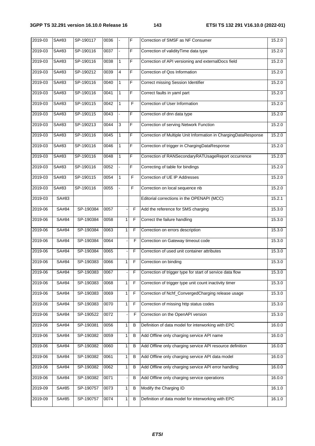| 2019-03 | SA#83 | SP-190117 | 0036 |                          | F              | Correction of SMSF as NF Consumer                               | 15.2.0 |
|---------|-------|-----------|------|--------------------------|----------------|-----------------------------------------------------------------|--------|
| 2019-03 | SA#83 | SP-190116 | 0037 | $\overline{\phantom{a}}$ | F              | Correction of validityTime data type                            | 15.2.0 |
| 2019-03 | SA#83 | SP-190116 | 0038 | $\mathbf{1}$             | $\overline{F}$ | Correction of API versioning and externalDocs field             | 15.2.0 |
| 2019-03 | SA#83 | SP-190212 | 0039 | $\overline{\mathbf{4}}$  | F              | Correction of Qos Information                                   | 15.2.0 |
| 2019-03 | SA#83 | SP-190116 | 0040 | $\mathbf{1}$             | F              | Correct missing Session Identifier                              | 15.2.0 |
| 2019-03 | SA#83 | SP-190116 | 0041 | $\mathbf{1}$             | $\overline{F}$ | Correct faults in yaml part                                     | 15.2.0 |
| 2019-03 | SA#83 | SP-190115 | 0042 | $\mathbf{1}$             | F.             | Correction of User Information                                  | 15.2.0 |
| 2019-03 | SA#83 | SP-190115 | 0043 | ÷.                       | F              | Correction of dnn data type                                     | 15.2.0 |
| 2019-03 | SA#83 | SP-190213 | 0044 | $\overline{3}$           | F              | Correction of serving Network Function                          | 15.2.0 |
| 2019-03 | SA#83 | SP-190116 | 0045 | $\mathbf{1}$             | F              | Correction of Multiple Unit Information in ChargingDataResponse | 15.2.0 |
| 2019-03 | SA#83 | SP-190116 | 0046 | $\mathbf{1}$             | F              | Correction of trigger in ChargingDataResponse                   | 15.2.0 |
| 2019-03 | SA#83 | SP-190116 | 0048 | $\mathbf{1}$             | F              | Correction of RANSecondaryRATUsageReport occurrence             | 15.2.0 |
| 2019-03 | SA#83 | SP-190116 | 0052 |                          | F              | Correcting of table for bindings                                | 15.2.0 |
| 2019-03 | SA#83 | SP-190115 | 0054 | $\mathbf{1}$             | F              | Correction of UE IP Addresses                                   | 15.2.0 |
| 2019-03 | SA#83 | SP-190116 | 0055 |                          | F.             | Correction on local sequence nb                                 | 15.2.0 |
| 2019-03 | SA#83 |           |      |                          |                | Editorial corrections in the OPENAPI (MCC)                      | 15.2.1 |
| 2019-06 | SA#84 | SP-190384 | 0057 |                          | F              | Add the reference for SMS charging                              | 15.3.0 |
| 2019-06 | SA#84 | SP-190384 | 0058 | $\mathbf{1}$             | F              | Correct the failure handling                                    | 15.3.0 |
| 2019-06 | SA#84 | SP-190384 | 0063 | 1 <sup>1</sup>           | F              | Correction on errors description                                | 15.3.0 |
| 2019-06 | SA#84 | SP-190384 | 0064 |                          | F              | Correction on Gateway timeout code                              | 15.3.0 |
| 2019-06 | SA#84 | SP-190384 | 0065 |                          | F              | Correction of used unit container attributes                    | 15.3.0 |
| 2019-06 | SA#84 | SP-190383 | 0066 | 1 <sup>1</sup>           | F              | Correction on binding                                           | 15.3.0 |
| 2019-06 | SA#84 | SP-190383 | 0067 |                          | F.             | Correction of trigger type for start of service data flow       | 15.3.0 |
| 2019-06 | SA#84 | SP-190383 | 0068 | $\mathbf{1}$             | F              | Correction of trigger type unit count inactivity timer          | 15.3.0 |
| 2019-06 | SA#84 | SP-190383 | 0069 | 1                        | F              | Correction of Nchf_ConvergedCharging release usage              | 15.3.0 |
| 2019-06 | SA#84 | SP-190383 | 0070 | 1                        | F              | Correction of missing http status codes                         | 15.3.0 |
| 2019-06 | SA#84 | SP-190522 | 0072 |                          | F              | Correction on the OpenAPI version                               | 15.3.0 |
| 2019-06 | SA#84 | SP-190381 | 0056 | 1                        | в              | Definition of data model for interworking with EPC              | 16.0.0 |
| 2019-06 | SA#84 | SP-190382 | 0059 | 1                        | в              | Add Offline only charging service API name                      | 16.0.0 |
| 2019-06 | SA#84 | SP-190382 | 0060 | 1                        | B              | Add Offline only charging service API resource definition       | 16.0.0 |
| 2019-06 | SA#84 | SP-190382 | 0061 | 1                        | B              | Add Offline only charging service API data model                | 16.0.0 |
| 2019-06 | SA#84 | SP-190382 | 0062 | 1                        | в              | Add Offline only charging service API error handling            | 16.0.0 |
| 2019-06 | SA#84 | SP-190382 | 0071 |                          | в              | Add Offline only charging service operations                    | 16.0.0 |
| 2019-09 | SA#85 | SP-190757 | 0073 | 1                        | B              | Modify the Charging ID                                          | 16.1.0 |
| 2019-09 | SA#85 | SP-190757 | 0074 | 1                        | в              | Definition of data model for interworking with EPC              | 16.1.0 |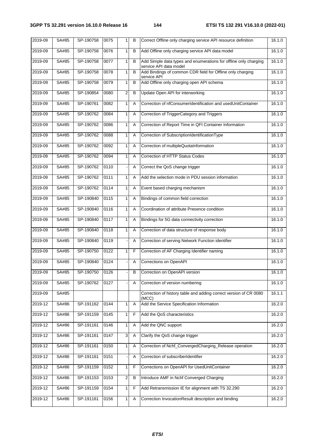| 2019-09 | SA#85        | SP-190758 | 0075 | 1              | B | Correct Offline only charging service API resource definition                              | 16.1.0 |
|---------|--------------|-----------|------|----------------|---|--------------------------------------------------------------------------------------------|--------|
| 2019-09 | SA#85        | SP-190758 | 0076 | 1              | B | Add Offline only charging service API data model                                           | 16.1.0 |
| 2019-09 | SA#85        | SP-190758 | 0077 | $\mathbf{1}$   | B | Add Simple data types and enumerations for offline only charging<br>service API data model | 16.1.0 |
| 2019-09 | SA#85        | SP-190758 | 0078 | 1              | B | Add Bindings of common CDR field for Offline only charging<br>service API                  | 16.1.0 |
| 2019-09 | SA#85        | SP-190758 | 0079 | 1              | B | Add Offline only charging open API schema                                                  | 16.1.0 |
| 2019-09 | <b>SA#85</b> | SP-190854 | 0080 | $\overline{2}$ | B | Update Open API for interworking                                                           | 16.1.0 |
| 2019-09 | SA#85        | SP-190761 | 0082 | $\mathbf{1}$   | A | Correction of nfConsumerIdentification and usedUnitContainer                               | 16.1.0 |
| 2019-09 | SA#85        | SP-190762 | 0084 | 1              | Α | Correction of TriggerCategory and Triggers                                                 | 16.1.0 |
| 2019-09 | SA#85        | SP-190762 | 0086 | 1              | A | Correction of Report Time in QFI Container Information                                     | 16.1.0 |
| 2019-09 | SA#85        | SP-190762 | 0088 | 1              | Α | Correction of SubscriptionIdentificationType                                               | 16.1.0 |
| 2019-09 | SA#85        | SP-190762 | 0092 | 1              | Α | Correction of multipleQuotaInformation                                                     | 16.1.0 |
| 2019-09 | SA#85        | SP-190762 | 0094 | $\mathbf{1}$   | A | Correction of HTTP Status Codes                                                            | 16.1.0 |
| 2019-09 | SA#85        | SP-190762 | 0110 |                | Α | Correct the QoS change trigger                                                             | 16.1.0 |
| 2019-09 | <b>SA#85</b> | SP-190762 | 0111 | 1              | A | Add the selection mode in PDU session information                                          | 16.1.0 |
| 2019-09 | SA#85        | SP-190762 | 0114 | 1              | Α | Event based charging mechanism                                                             | 16.1.0 |
| 2019-09 | SA#85        | SP-190840 | 0115 | 1              | Α | Bindings of common field correction                                                        | 16.1.0 |
| 2019-09 | SA#85        | SP-190840 | 0116 | 1              | Α | Coordination of attribute Presence condition                                               | 16.1.0 |
| 2019-09 | SA#85        | SP-190840 | 0117 | 1              | Α | Bindings for 5G data connectivity correction                                               | 16.1.0 |
| 2019-09 | SA#85        | SP-190840 | 0118 | 1              | A | Correction of data structure of response body                                              | 16.1.0 |
| 2019-09 | SA#85        | SP-190840 | 0119 |                | Α | Correction of serving Network Function identifier                                          | 16.1.0 |
| 2019-09 | <b>SA#85</b> | SP-190750 | 0122 | 1              | F | Correction of AF Charging Identifier naming                                                | 16.1.0 |
| 2019-09 | SA#85        | SP-190840 | 0124 |                | Α | Corrections on OpenAPI                                                                     | 16.1.0 |
| 2019-09 | SA#85        | SP-190750 | 0126 |                | B | Correction on OpenAPI version                                                              | 16.1.0 |
| 2019-09 | SA#85        | SP-190762 | 0127 |                | Α | Correction of version numbering                                                            | 16.1.0 |
| 2019-09 | SA#85        |           |      |                |   | Correction of history table and adding correct version of CR 0080<br>(MCC)                 | 16.1.1 |
| 2019-12 | SA#86        | SP-191162 | 0144 | 1              | A | Add the Service Specification Information                                                  | 16.2.0 |
| 2019-12 | SA#86        | SP-191159 | 0145 | $\mathbf{1}$   | F | Add the QoS characteristics                                                                | 16.2.0 |
| 2019-12 | SA#86        | SP-191161 | 0146 | 1              | A | Add the QNC support                                                                        | 16.2.0 |
| 2019-12 | <b>SA#86</b> | SP-191161 | 0147 | 3              | Α | Clarify the QoS change trigger                                                             | 16.2.0 |
| 2019-12 | SA#86        | SP-191161 | 0150 | 1              | Α | Correction of Nchf_ConvergedCharging_Release operation                                     | 16.2.0 |
| 2019-12 | SA#86        | SP-191161 | 0151 |                | Α | Correction of subscriberIdentifier                                                         | 16.2.0 |
| 2019-12 | SA#86        | SP-191159 | 0152 | 1              | F | Corrections on OpenAPI for UsedUnitContainer                                               | 16.2.0 |
| 2019-12 | SA#86        | SP-191153 | 0153 | 2              | B | Introduce AMF in Nchf Converged Charging                                                   | 16.2.0 |
| 2019-12 | SA#86        | SP-191159 | 0154 | 1              | F | Add Retransmission IE for alignment with TS 32.290                                         | 16.2.0 |
| 2019-12 | <b>SA#86</b> | SP-191161 | 0156 | $\mathbf{1}$   | Α | Correction InvocationResult description and binding                                        | 16.2.0 |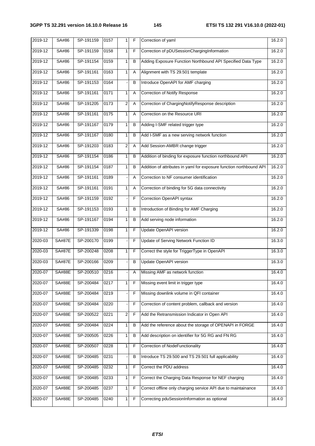| 2019-12 | SA#86         | SP-191159 | 0157 | 1            | F | Correction of yaml                                                  | 16.2.0 |
|---------|---------------|-----------|------|--------------|---|---------------------------------------------------------------------|--------|
| 2019-12 | SA#86         | SP-191159 | 0158 | $\mathbf{1}$ | F | Correction of pDUSessionChargingInformation                         | 16.2.0 |
| 2019-12 | SA#86         | SP-191154 | 0159 | $\mathbf{1}$ | B | Adding Exposure Function Northbound API Specified Data Type         | 16.2.0 |
| 2019-12 | SA#86         | SP-191161 | 0163 | 1            | Α | Alignment with TS 29.501 template                                   | 16.2.0 |
| 2019-12 | SA#86         | SP-191153 | 0164 |              | B | Introduce OpenAPI for AMF charging                                  | 16.2.0 |
| 2019-12 | SA#86         | SP-191161 | 0171 | 1            | Α | <b>Correction of Notify Response</b>                                | 16.2.0 |
| 2019-12 | SA#86         | SP-191205 | 0173 | 2            | Α | Correction of ChargingNotifyResponse description                    | 16.2.0 |
| 2019-12 | SA#86         | SP-191161 | 0175 | 1            | Α | Correction on the Resource URI                                      | 16.2.0 |
| 2019-12 | SA#86         | SP-191167 | 0179 | 1            | в | Adding I-SMF related trigger type                                   | 16.2.0 |
| 2019-12 | SA#86         | SP-191167 | 0180 | 1            | B | Add I-SMF as a new serving network function                         | 16.2.0 |
| 2019-12 | SA#86         | SP-191203 | 0183 | 2            | Α | Add Session-AMBR change trigger                                     | 16.2.0 |
| 2019-12 | SA#86         | SP-191154 | 0186 | $\mathbf{1}$ | B | Addition of binding for exposure function northbound API            | 16.2.0 |
| 2019-12 | SA#86         | SP-191154 | 0187 | 1            | в | Addition of attributes in yaml for exposure function northbound API | 16.2.0 |
| 2019-12 | SA#86         | SP-191161 | 0189 |              | Α | Correction to NF consumer identification                            | 16.2.0 |
| 2019-12 | SA#86         | SP-191161 | 0191 | 1            | Α | Correction of binding for 5G data connectivity                      | 16.2.0 |
| 2019-12 | SA#86         | SP-191159 | 0192 |              | F | Correction OpenAPI syntax                                           | 16.2.0 |
| 2019-12 | SA#86         | SP-191153 | 0193 | 1            | B | Introduction of Binding for AMF Charging                            | 16.2.0 |
| 2019-12 | SA#86         | SP-191167 | 0194 | 1            | B | Add serving node information                                        | 16.2.0 |
| 2019-12 | SA#86         | SP-191339 | 0198 | 1            | F | <b>Update OpenAPI version</b>                                       | 16.2.0 |
| 2020-03 | <b>SA#87E</b> | SP-200170 | 0199 |              | F | Update of Serving Network Function ID                               | 16.3.0 |
| 2020-03 | <b>SA#87E</b> | SP-200248 | 0208 | $\mathbf{1}$ | F | Correct the style for TriggerType in OpenAPI                        | 16.3.0 |
| 2020-03 | <b>SA#87E</b> | SP-200166 | 0209 |              | B | Update OpenAPI version                                              | 16.3.0 |
| 2020-07 | <b>SA#88E</b> | SP-200510 | 0216 |              | Α | Missing AMF as network function                                     | 16.4.0 |
| 2020-07 | SA#88E        | SP-200484 | 0217 | 1            | F | Missing event limit in trigger type                                 | 16.4.0 |
| 2020-07 | <b>SA#88E</b> | SP-200484 | 0219 |              | F | Missing downlink volume in QFI container                            | 16.4.0 |
| 2020-07 | <b>SA#88E</b> | SP-200484 | 0220 |              | F | Correction of content problem, callback and version                 | 16.4.0 |
| 2020-07 | SA#88E        | SP-200522 | 0221 | $\sqrt{2}$   | F | Add the Retransmission Indicator in Open API                        | 16.4.0 |
| 2020-07 | SA#88E        | SP-200484 | 0224 | 1            | B | Add the reference about the storage of OPENAPI in FORGE             | 16.4.0 |
| 2020-07 | SA#88E        | SP-200505 | 0226 | 1            | B | Add description on identifier for 5G RG and FN RG                   | 16.4.0 |
| 2020-07 | SA#88E        | SP-200507 | 0228 | 1            | F | Correction of NodeFunctionality                                     | 16.4.0 |
| 2020-07 | SA#88E        | SP-200485 | 0231 |              | в | Introduce TS 29.500 and TS 29.501 full applicability                | 16.4.0 |
| 2020-07 | <b>SA#88E</b> | SP-200485 | 0232 | 1            | F | Correct the PDU address                                             | 16.4.0 |
| 2020-07 | <b>SA#88E</b> | SP-200485 | 0233 | 1            | F | Correct the Charging Data Response for NEF charging                 | 16.4.0 |
| 2020-07 | SA#88E        | SP-200485 | 0237 | $\mathbf{1}$ | F | Correct offline only charging service API due to maintainance       | 16.4.0 |
| 2020-07 | SA#88E        | SP-200485 | 0240 | 1            | F | Correcting pduSessionInformation as optional                        | 16.4.0 |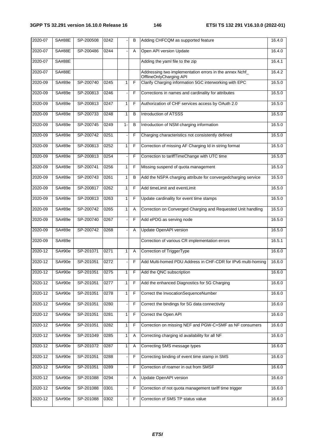| 2020-07 | <b>SA#88E</b> | SP-200508 | 0242 |              | B | Adding CHFCQM as supported feature                                                 | 16.4.0 |
|---------|---------------|-----------|------|--------------|---|------------------------------------------------------------------------------------|--------|
| 2020-07 | <b>SA#88E</b> | SP-200486 | 0244 |              | A | Open API version Update                                                            | 16.4.0 |
| 2020-07 | <b>SA#88E</b> |           |      |              |   | Adding the yaml file to the zip                                                    | 16.4.1 |
| 2020-07 | <b>SA#88E</b> |           |      |              |   | Addressing two implementation errors in the annex Nchf_<br>OfflineOnlyCharging API | 16.4.2 |
| 2020-09 | SA#89e        | SP-200740 | 0245 | 1            | F | Clarify Charging information 5GC interworking with EPC                             | 16.5.0 |
| 2020-09 | SA#89e        | SP-200813 | 0246 |              | F | Corrections in names and cardinality for attributes                                | 16.5.0 |
| 2020-09 | SA#89e        | SP-200813 | 0247 | $\mathbf{1}$ | F | Authorization of CHF services access by OAuth 2.0                                  | 16.5.0 |
| 2020-09 | SA#89e        | SP-200733 | 0248 | 1            | B | Introduction of ATSSS                                                              | 16.5.0 |
| 2020-09 | SA#89e        | SP-200745 | 0249 | $1 -$        | B | Introduction of NSM charging information                                           | 16.5.0 |
| 2020-09 | SA#89e        | SP-200742 | 0251 |              | F | Charging characteristics not consistently defined                                  | 16.5.0 |
| 2020-09 | SA#89e        | SP-200813 | 0252 | 1            | F | Correction of missing AF Charging Id in string format                              | 16.5.0 |
| 2020-09 | SA#89e        | SP-200813 | 0254 |              | F | Correction to tariffTimeChange with UTC time                                       | 16.5.0 |
| 2020-09 | SA#89e        | SP-200741 | 0256 | 1            | F | Missing suspend of quota management                                                | 16.5.0 |
| 2020-09 | SA#89e        | SP-200743 | 0261 | 1            | B | Add the NSPA charging attribute for convergedcharging service                      | 16.5.0 |
| 2020-09 | SA#89e        | SP-200817 | 0262 | 1            | F | Add timeLimit and eventLimit                                                       | 16.5.0 |
| 2020-09 | SA#89e        | SP-200813 | 0263 | 1            | F | Update cardinality for event time stamps                                           | 16.5.0 |
| 2020-09 | SA#89e        | SP-200742 | 0265 | 1            | A | Correction on Converged Charging and Requested Unit handling                       | 16.5.0 |
| 2020-09 | SA#89e        | SP-200740 | 0267 |              | F | Add ePDG as serving node                                                           | 16.5.0 |
| 2020-09 | SA#89e        | SP-200742 | 0268 |              | A | <b>Update OpenAPI version</b>                                                      | 16.5.0 |
| 2020-09 | SA#89e        |           |      |              |   | Correction of various CR implementation errors                                     | 16.5.1 |
| 2020-12 | SA#90e        | SP-201071 | 0271 | 1            | Α | Correction of TriggerType                                                          | 16.6.0 |
| 2020-12 | SA#90e        | SP-201051 | 0272 |              | F | Add Multi-homed PDU Address in CHF-CDR for IPv6 multi-homing                       | 16.6.0 |
| 2020-12 | SA#90e        | SP-201051 | 0275 | 1            | F | Add the QNC subscription                                                           | 16.6.0 |
| 2020-12 | SA#90e        | SP-201051 | 0277 | 1            | F | Add the enhanced Diagnostics for 5G Charging                                       | 16.6.0 |
| 2020-12 | SA#90e        | SP-201051 | 0278 | 1            | F | Correct the InvocationSequenceNumber                                               | 16.6.0 |
| 2020-12 | SA#90e        | SP-201051 | 0280 |              | F | Correct the bindings for 5G data connectivity                                      | 16.6.0 |
| 2020-12 | SA#90e        | SP-201051 | 0281 | 1            | F | Correct the Open API                                                               | 16.6.0 |
| 2020-12 | SA#90e        | SP-201051 | 0282 | $\mathbf{1}$ | F | Correction on missing NEF and PGW-C+SMF as NF consumers                            | 16.6.0 |
| 2020-12 | SA#90e        | SP-201049 | 0285 | 1            | Α | Correcting charging id availability for all NF                                     | 16.6.0 |
| 2020-12 | SA#90e        | SP-201072 | 0287 | 1            | Α | Correcting SMS message types                                                       | 16.6.0 |
| 2020-12 | SA#90e        | SP-201051 | 0288 |              | F | Correcting binding of event time stamp in SMS                                      | 16.6.0 |
| 2020-12 | SA#90e        | SP-201051 | 0289 |              | F | Correction of roamer in out from SMSF                                              | 16.6.0 |
| 2020-12 | SA#90e        | SP-201088 | 0294 |              | Α | Update OpenAPI version                                                             | 16.6.0 |
| 2020-12 | SA#90e        | SP-201088 | 0301 |              | F | Correction of not quota management tariff time trigger                             | 16.6.0 |
| 2020-12 | SA#90e        | SP-201088 | 0302 |              | F | Correction of SMS TP status value                                                  | 16.6.0 |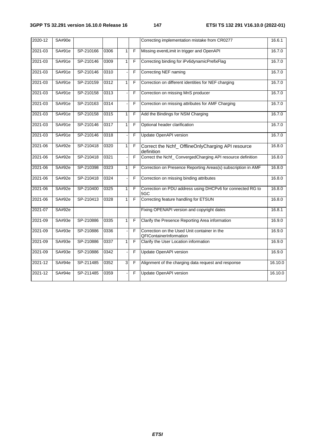| 2020-12 | SA#90e |           |      |              |                | Correcting implementation mistake from CR0277                           | 16.6.1  |
|---------|--------|-----------|------|--------------|----------------|-------------------------------------------------------------------------|---------|
| 2021-03 | SA#91e | SP-210166 | 0306 | 1            | F              | Missing eventLimit in trigger and OpenAPI                               | 16.7.0  |
| 2021-03 | SA#91e | SP-210146 | 0309 | $\mathbf{1}$ | F              | Correcting binding for iPv6dynamicPrefixFlag                            | 16.7.0  |
| 2021-03 | SA#91e | SP-210146 | 0310 |              | F              | Correcting NEF naming                                                   | 16.7.0  |
| 2021-03 | SA#91e | SP-210159 | 0312 | $\mathbf{1}$ | F              | Correction on different identities for NEF charging                     | 16.7.0  |
| 2021-03 | SA#91e | SP-210158 | 0313 |              | F              | Correction on missing MnS producer                                      | 16.7.0  |
| 2021-03 | SA#91e | SP-210163 | 0314 |              | F              | Correction on missing attributes for AMF Charging                       | 16.7.0  |
| 2021-03 | SA#91e | SP-210158 | 0315 | 1            | F              | Add the Bindings for NSM Charging                                       | 16.7.0  |
| 2021-03 | SA#91e | SP-210146 | 0317 | 1            | F              | Optional header clarification                                           | 16.7.0  |
| 2021-03 | SA#91e | SP-210146 | 0318 |              | F              | <b>Update OpenAPI version</b>                                           | 16.7.0  |
| 2021-06 | SA#92e | SP-210418 | 0320 | $\mathbf{1}$ | F              | Correct the Nchf_OfflineOnlyCharging API resource<br>definition         | 16.8.0  |
| 2021-06 | SA#92e | SP-210418 | 0321 |              | F              | Correct the Nchf_ ConvergedCharging API resource definition             | 16.8.0  |
| 2021-06 | SA#92e | SP-210398 | 0323 | $\mathbf{1}$ | F              | Correction on Presence Reporting Areas(s) subscription in AMF           | 16.8.0  |
| 2021-06 | SA#92e | SP-210418 | 0324 |              | F              | Correction on missing binding attributes                                | 16.8.0  |
| 2021-06 | SA#92e | SP-210400 | 0325 | 1            | F              | Correction on PDU address using DHCPv6 for connected RG to<br>5GC       | 16.8.0  |
| 2021-06 | SA#92e | SP-210413 | 0328 | $\mathbf{1}$ | F              | Correcting feature handling for ETSUN                                   | 16.8.0  |
| 2021-07 | SA#92e |           |      |              |                | Fixing OPENAPI version and copyright dates                              | 16.8.1  |
| 2021-09 | SA#93e | SP-210886 | 0335 | $\mathbf{1}$ | F              | Clarify the Presence Reporting Area information                         | 16.9.0  |
| 2021-09 | SA#93e | SP-210886 | 0336 |              | F              | Correction on the Used Unit container in the<br>QFIContainerInformation | 16.9.0  |
| 2021-09 | SA#93e | SP-210886 | 0337 | $\mathbf{1}$ | $\overline{F}$ | Clarify the User Location information                                   | 16.9.0  |
| 2021-09 | SA#93e | SP-210886 | 0342 |              | F              | Update OpenAPI version                                                  | 16.9.0  |
| 2021-12 | SA#94e | SP-211485 | 0352 | 3            | F              | Alignment of the charging data request and response                     | 16.10.0 |
| 2021-12 | SA#94e | SP-211485 | 0359 |              | F              | Update OpenAPI version                                                  | 16.10.0 |